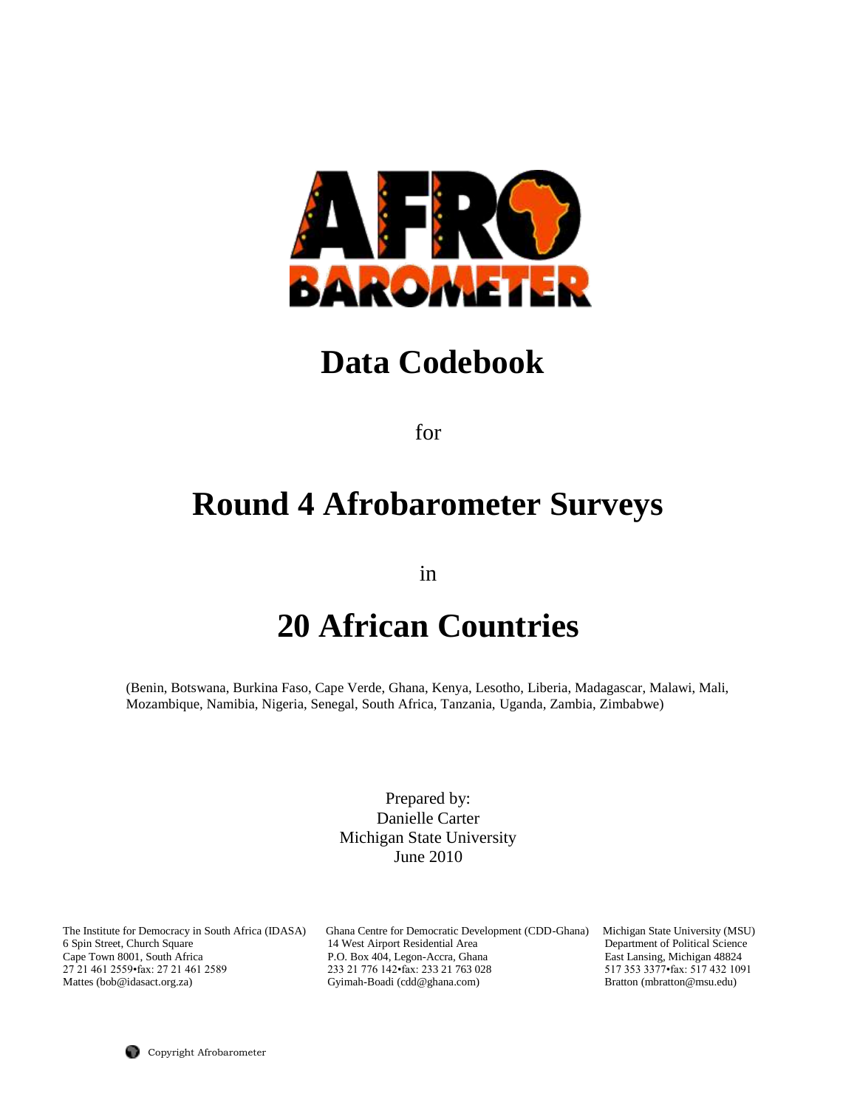

# **Data Codebook**

for

# **Round 4 Afrobarometer Surveys**

in

# **20 African Countries**

(Benin, Botswana, Burkina Faso, Cape Verde, Ghana, Kenya, Lesotho, Liberia, Madagascar, Malawi, Mali, Mozambique, Namibia, Nigeria, Senegal, South Africa, Tanzania, Uganda, Zambia, Zimbabwe)

> Prepared by: Danielle Carter Michigan State University June 2010

The Institute for Democracy in South Africa (IDASA) Ghana Centre for Democratic Development (CDD-Ghana) Michigan State University (MSU) 6 Spin Street, Church Square 14 West Airport Residential Area Department of Political Science Cape Town 8001, South Africa <br>27 21 461 2559 fax: 27 21 461 2589 <br>233 21 776 142 fax: 233 21 763 028 <br>517 353 3377 fax: 517 432 1091 233 21 776 142•fax: 233 21 763 028 Mattes (bob@idasact.org.za) Gyimah-Boadi (cdd@ghana.com) Bratton (mbratton@msu.edu)

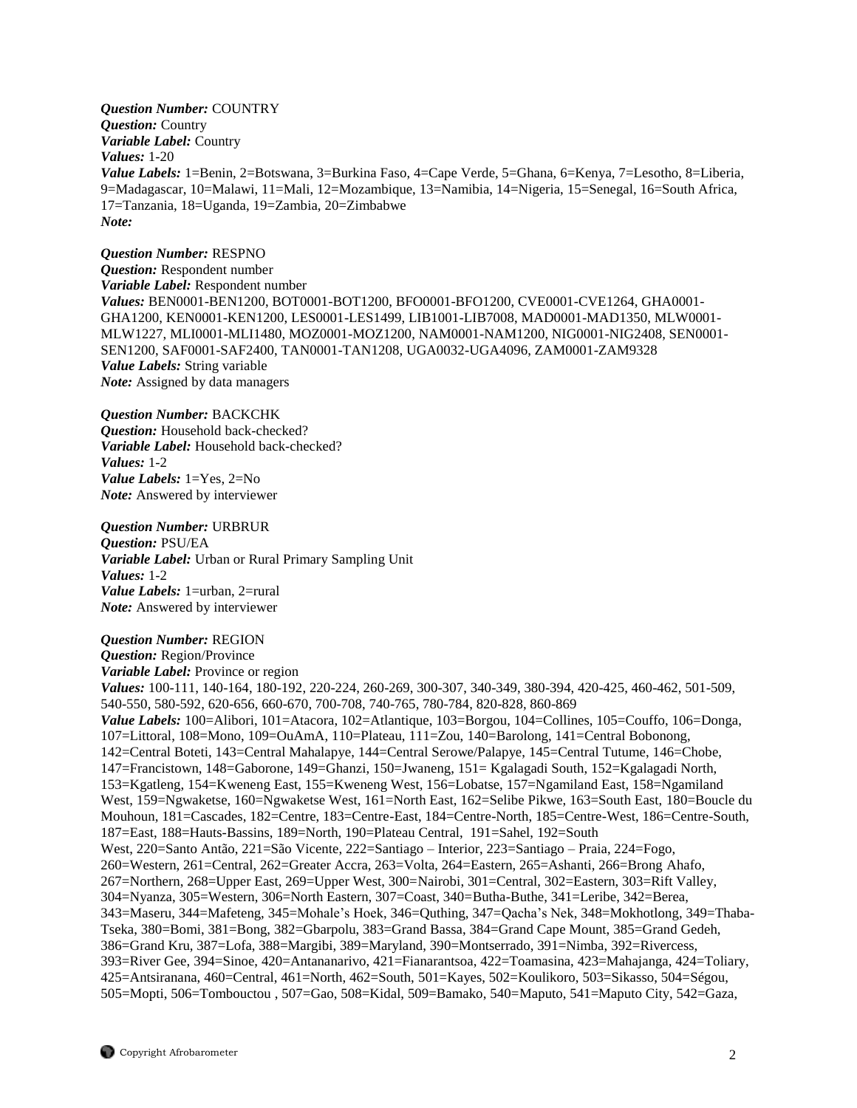*Question Number:* COUNTRY *Question:* Country *Variable Label:* Country *Values:* 1-20 *Value Labels:* 1=Benin, 2=Botswana, 3=Burkina Faso, 4=Cape Verde, 5=Ghana, 6=Kenya, 7=Lesotho, 8=Liberia, 9=Madagascar, 10=Malawi, 11=Mali, 12=Mozambique, 13=Namibia, 14=Nigeria, 15=Senegal, 16=South Africa, 17=Tanzania, 18=Uganda, 19=Zambia, 20=Zimbabwe *Note:* 

*Question Number:* RESPNO *Question:* Respondent number *Variable Label:* Respondent number *Values:* BEN0001-BEN1200, BOT0001-BOT1200, BFO0001-BFO1200, CVE0001-CVE1264, GHA0001- GHA1200, KEN0001-KEN1200, LES0001-LES1499, LIB1001-LIB7008, MAD0001-MAD1350, MLW0001- MLW1227, MLI0001-MLI1480, MOZ0001-MOZ1200, NAM0001-NAM1200, NIG0001-NIG2408, SEN0001- SEN1200, SAF0001-SAF2400, TAN0001-TAN1208, UGA0032-UGA4096, ZAM0001-ZAM9328 *Value Labels:* String variable *Note:* Assigned by data managers

#### *Question Number:* BACKCHK

*Question:* Household back-checked? *Variable Label:* Household back-checked? *Values:* 1-2 *Value Labels:* 1=Yes, 2=No *Note:* Answered by interviewer

*Question Number:* URBRUR *Question:* PSU/EA *Variable Label:* Urban or Rural Primary Sampling Unit *Values:* 1-2 *Value Labels:* 1=urban, 2=rural *Note:* Answered by interviewer

# *Question Number:* REGION

*Question:* Region/Province *Variable Label:* Province or region *Values:* 100-111, 140-164, 180-192, 220-224, 260-269, 300-307, 340-349, 380-394, 420-425, 460-462, 501-509, 540-550, 580-592, 620-656, 660-670, 700-708, 740-765, 780-784, 820-828, 860-869 *Value Labels:* 100=Alibori, 101=Atacora, 102=Atlantique, 103=Borgou, 104=Collines, 105=Couffo, 106=Donga, 107=Littoral, 108=Mono, 109=OuAmA, 110=Plateau, 111=Zou, 140=Barolong, 141=Central Bobonong, 142=Central Boteti, 143=Central Mahalapye, 144=Central Serowe/Palapye, 145=Central Tutume, 146=Chobe, 147=Francistown, 148=Gaborone, 149=Ghanzi, 150=Jwaneng, 151= Kgalagadi South, 152=Kgalagadi North, 153=Kgatleng, 154=Kweneng East, 155=Kweneng West, 156=Lobatse, 157=Ngamiland East, 158=Ngamiland West, 159=Ngwaketse, 160=Ngwaketse West, 161=North East, 162=Selibe Pikwe, 163=South East, 180=Boucle du Mouhoun, 181=Cascades, 182=Centre, 183=Centre-East, 184=Centre-North, 185=Centre-West, 186=Centre-South, 187=East, 188=Hauts-Bassins, 189=North, 190=Plateau Central, 191=Sahel, 192=South West, 220=Santo Antão, 221=São Vicente, 222=Santiago – Interior, 223=Santiago – Praia, 224=Fogo, 260=Western, 261=Central, 262=Greater Accra, 263=Volta, 264=Eastern, 265=Ashanti, 266=Brong Ahafo, 267=Northern, 268=Upper East, 269=Upper West, 300=Nairobi, 301=Central, 302=Eastern, 303=Rift Valley, 304=Nyanza, 305=Western, 306=North Eastern, 307=Coast, 340=Butha-Buthe, 341=Leribe, 342=Berea, 343=Maseru, 344=Mafeteng, 345=Mohale's Hoek, 346=Quthing, 347=Qacha's Nek, 348=Mokhotlong, 349=Thaba-Tseka, 380=Bomi, 381=Bong, 382=Gbarpolu, 383=Grand Bassa, 384=Grand Cape Mount, 385=Grand Gedeh, 386=Grand Kru, 387=Lofa, 388=Margibi, 389=Maryland, 390=Montserrado, 391=Nimba, 392=Rivercess, 393=River Gee, 394=Sinoe, 420=Antananarivo, 421=Fianarantsoa, 422=Toamasina, 423=Mahajanga, 424=Toliary, 425=Antsiranana, 460=Central, 461=North, 462=South, 501=Kayes, 502=Koulikoro, 503=Sikasso, 504=Ségou, 505=Mopti, 506=Tombouctou , 507=Gao, 508=Kidal, 509=Bamako, 540=Maputo, 541=Maputo City, 542=Gaza,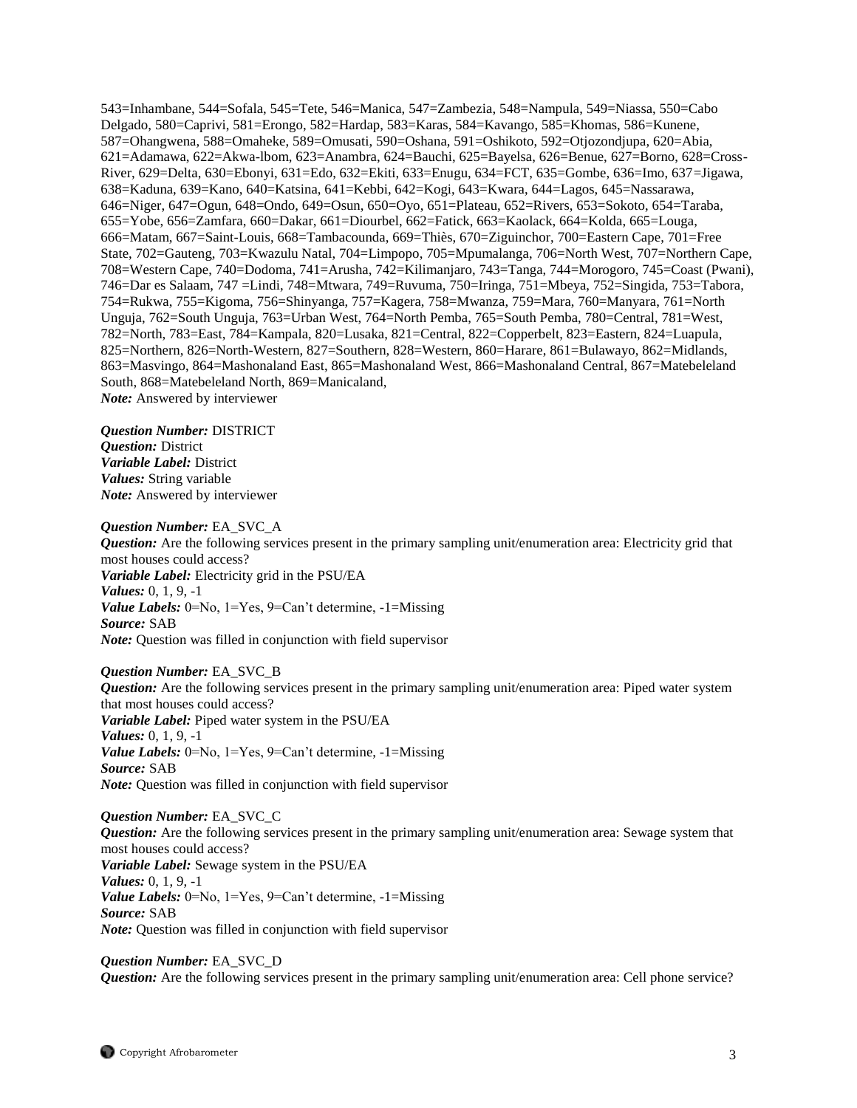543=Inhambane, 544=Sofala, 545=Tete, 546=Manica, 547=Zambezia, 548=Nampula, 549=Niassa, 550=Cabo Delgado, 580=Caprivi, 581=Erongo, 582=Hardap, 583=Karas, 584=Kavango, 585=Khomas, 586=Kunene, 587=Ohangwena, 588=Omaheke, 589=Omusati, 590=Oshana, 591=Oshikoto, 592=Otjozondjupa, 620=Abia, 621=Adamawa, 622=Akwa-lbom, 623=Anambra, 624=Bauchi, 625=Bayelsa, 626=Benue, 627=Borno, 628=Cross-River, 629=Delta, 630=Ebonyi, 631=Edo, 632=Ekiti, 633=Enugu, 634=FCT, 635=Gombe, 636=Imo, 637=Jigawa, 638=Kaduna, 639=Kano, 640=Katsina, 641=Kebbi, 642=Kogi, 643=Kwara, 644=Lagos, 645=Nassarawa, 646=Niger, 647=Ogun, 648=Ondo, 649=Osun, 650=Oyo, 651=Plateau, 652=Rivers, 653=Sokoto, 654=Taraba, 655=Yobe, 656=Zamfara, 660=Dakar, 661=Diourbel, 662=Fatick, 663=Kaolack, 664=Kolda, 665=Louga, 666=Matam, 667=Saint-Louis, 668=Tambacounda, 669=Thiès, 670=Ziguinchor, 700=Eastern Cape, 701=Free State, 702=Gauteng, 703=Kwazulu Natal, 704=Limpopo, 705=Mpumalanga, 706=North West, 707=Northern Cape, 708=Western Cape, 740=Dodoma, 741=Arusha, 742=Kilimanjaro, 743=Tanga, 744=Morogoro, 745=Coast (Pwani), 746=Dar es Salaam, 747 =Lindi, 748=Mtwara, 749=Ruvuma, 750=Iringa, 751=Mbeya, 752=Singida, 753=Tabora, 754=Rukwa, 755=Kigoma, 756=Shinyanga, 757=Kagera, 758=Mwanza, 759=Mara, 760=Manyara, 761=North Unguja, 762=South Unguja, 763=Urban West, 764=North Pemba, 765=South Pemba, 780=Central, 781=West, 782=North, 783=East, 784=Kampala, 820=Lusaka, 821=Central, 822=Copperbelt, 823=Eastern, 824=Luapula, 825=Northern, 826=North-Western, 827=Southern, 828=Western, 860=Harare, 861=Bulawayo, 862=Midlands, 863=Masvingo, 864=Mashonaland East, 865=Mashonaland West, 866=Mashonaland Central, 867=Matebeleland South, 868=Matebeleland North, 869=Manicaland, *Note:* Answered by interviewer

*Question Number:* DISTRICT *Question:* District *Variable Label:* District *Values:* String variable *Note:* Answered by interviewer

#### *Question Number:* EA\_SVC\_A

*Question:* Are the following services present in the primary sampling unit/enumeration area: Electricity grid that most houses could access? *Variable Label:* Electricity grid in the PSU/EA *Values:* 0, 1, 9, -1 *Value Labels:* 0=No, 1=Yes, 9=Can't determine, -1=Missing *Source:* SAB *Note:* Question was filled in conjunction with field supervisor

*Question Number:* EA\_SVC\_B *Question:* Are the following services present in the primary sampling unit/enumeration area: Piped water system that most houses could access? *Variable Label:* Piped water system in the PSU/EA *Values:* 0, 1, 9, -1 *Value Labels:* 0=No, 1=Yes, 9=Can't determine, -1=Missing *Source:* SAB *Note:* Question was filled in conjunction with field supervisor

*Question Number:* EA\_SVC\_C *Question:* Are the following services present in the primary sampling unit/enumeration area: Sewage system that most houses could access? *Variable Label:* Sewage system in the PSU/EA *Values:* 0, 1, 9, -1 *Value Labels:* 0=No, 1=Yes, 9=Can't determine, -1=Missing *Source:* SAB *Note:* Question was filled in conjunction with field supervisor

### *Question Number:* EA\_SVC\_D

*Question:* Are the following services present in the primary sampling unit/enumeration area: Cell phone service?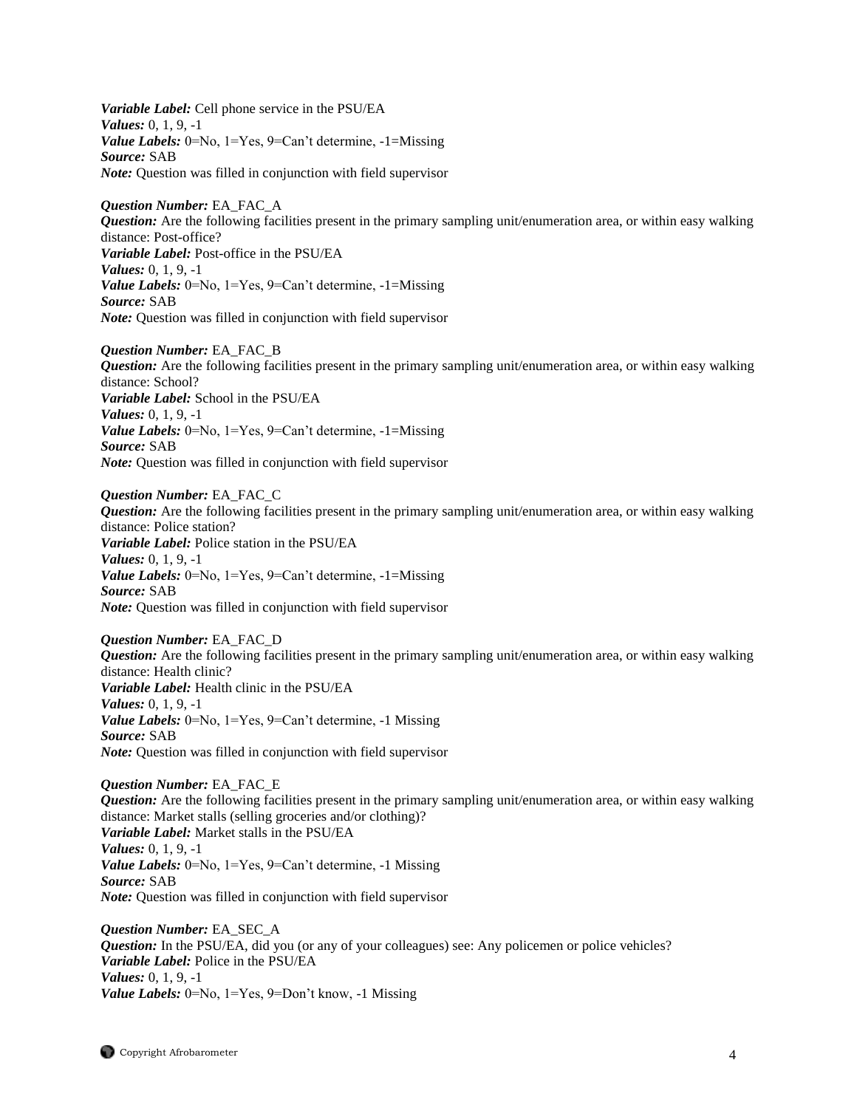*Variable Label:* Cell phone service in the PSU/EA *Values:* 0, 1, 9, -1 *Value Labels:* 0=No, 1=Yes, 9=Can't determine, -1=Missing *Source:* SAB *Note:* Question was filled in conjunction with field supervisor

*Question Number:* EA\_FAC\_A *Question:* Are the following facilities present in the primary sampling unit/enumeration area, or within easy walking distance: Post-office? *Variable Label:* Post-office in the PSU/EA *Values:* 0, 1, 9, -1 *Value Labels:* 0=No, 1=Yes, 9=Can't determine, -1=Missing *Source:* SAB *Note:* Question was filled in conjunction with field supervisor

*Question Number:* EA\_FAC\_B *Question:* Are the following facilities present in the primary sampling unit/enumeration area, or within easy walking distance: School? *Variable Label:* School in the PSU/EA *Values:* 0, 1, 9, -1 *Value Labels:* 0=No, 1=Yes, 9=Can't determine, -1=Missing *Source:* SAB *Note:* Question was filled in conjunction with field supervisor

*Question Number:* EA\_FAC\_C *Question:* Are the following facilities present in the primary sampling unit/enumeration area, or within easy walking distance: Police station? *Variable Label:* Police station in the PSU/EA *Values:* 0, 1, 9, -1 *Value Labels:* 0=No, 1=Yes, 9=Can't determine, -1=Missing *Source:* SAB *Note:* Question was filled in conjunction with field supervisor

*Question Number:* EA\_FAC\_D *Question:* Are the following facilities present in the primary sampling unit/enumeration area, or within easy walking distance: Health clinic? *Variable Label:* Health clinic in the PSU/EA *Values:* 0, 1, 9, -1 *Value Labels:* 0=No, 1=Yes, 9=Can't determine, -1 Missing *Source:* SAB *Note:* Question was filled in conjunction with field supervisor

*Question Number:* EA\_FAC\_E *Question:* Are the following facilities present in the primary sampling unit/enumeration area, or within easy walking distance: Market stalls (selling groceries and/or clothing)? *Variable Label:* Market stalls in the PSU/EA *Values:* 0, 1, 9, -1 *Value Labels:* 0=No, 1=Yes, 9=Can't determine, -1 Missing *Source:* SAB *Note:* Question was filled in conjunction with field supervisor

*Question Number:* EA\_SEC\_A *Question:* In the PSU/EA, did you (or any of your colleagues) see: Any policemen or police vehicles? *Variable Label:* Police in the PSU/EA *Values:* 0, 1, 9, -1 *Value Labels:* 0=No, 1=Yes, 9=Don't know, -1 Missing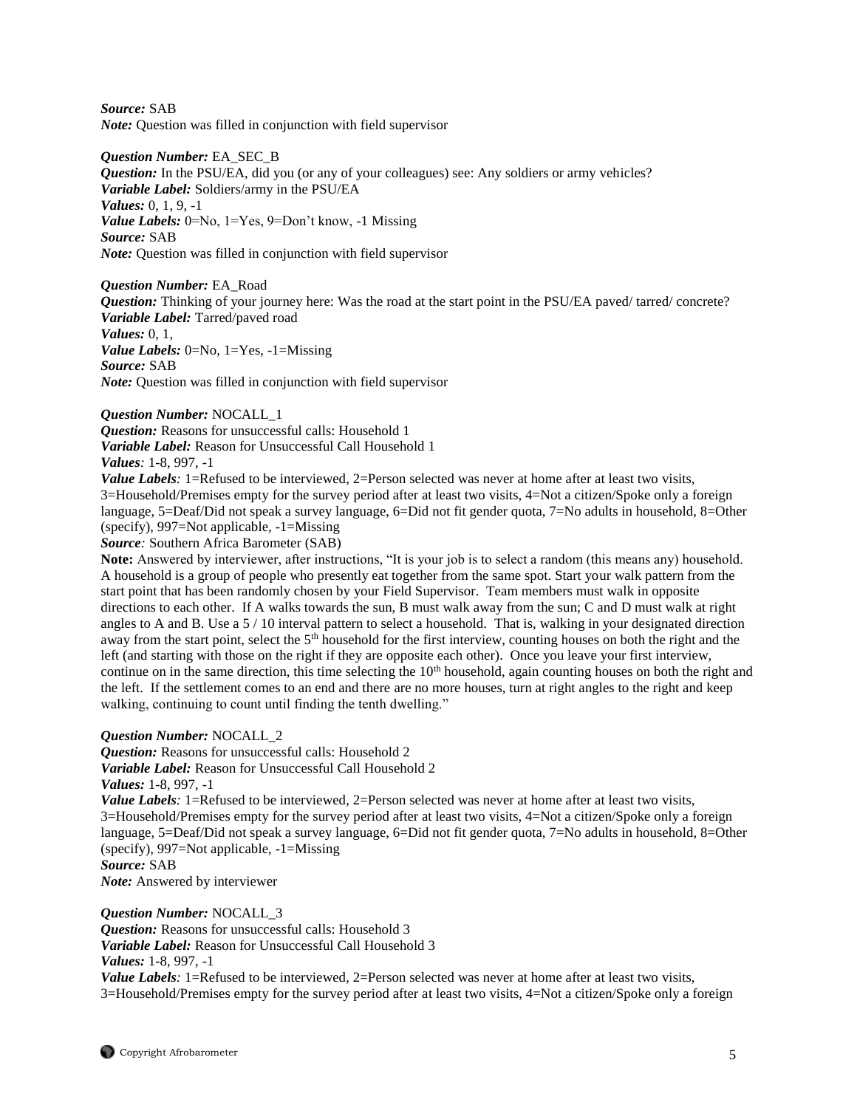*Source:* SAB *Note:* Question was filled in conjunction with field supervisor

*Question Number:* EA\_SEC\_B *Question:* In the PSU/EA, did you (or any of your colleagues) see: Any soldiers or army vehicles? *Variable Label:* Soldiers/army in the PSU/EA *Values:* 0, 1, 9, -1 *Value Labels:* 0=No, 1=Yes, 9=Don't know, -1 Missing *Source:* SAB *Note:* Question was filled in conjunction with field supervisor

*Question Number:* EA\_Road *Question:* Thinking of your journey here: Was the road at the start point in the PSU/EA paved/ tarred/ concrete? *Variable Label:* Tarred/paved road *Values:* 0, 1, *Value Labels:* 0=No, 1=Yes, -1=Missing *Source:* SAB *Note:* Question was filled in conjunction with field supervisor

# *Question Number:* NOCALL\_1

*Question:* Reasons for unsuccessful calls: Household 1 *Variable Label:* Reason for Unsuccessful Call Household 1 *Values:* 1-8, 997, -1

*Value Labels*: 1=Refused to be interviewed, 2=Person selected was never at home after at least two visits, 3=Household/Premises empty for the survey period after at least two visits, 4=Not a citizen/Spoke only a foreign language, 5=Deaf/Did not speak a survey language, 6=Did not fit gender quota, 7=No adults in household, 8=Other (specify), 997=Not applicable, -1=Missing

*Source:* Southern Africa Barometer (SAB)

**Note:** Answered by interviewer, after instructions, "It is your job is to select a random (this means any) household. A household is a group of people who presently eat together from the same spot. Start your walk pattern from the start point that has been randomly chosen by your Field Supervisor. Team members must walk in opposite directions to each other. If A walks towards the sun, B must walk away from the sun; C and D must walk at right angles to A and B. Use a 5 / 10 interval pattern to select a household. That is, walking in your designated direction away from the start point, select the  $5<sup>th</sup>$  household for the first interview, counting houses on both the right and the left (and starting with those on the right if they are opposite each other). Once you leave your first interview, continue on in the same direction, this time selecting the  $10<sup>th</sup>$  household, again counting houses on both the right and the left. If the settlement comes to an end and there are no more houses, turn at right angles to the right and keep walking, continuing to count until finding the tenth dwelling."

#### *Question Number:* NOCALL\_2

*Question:* Reasons for unsuccessful calls: Household 2

*Variable Label:* Reason for Unsuccessful Call Household 2

*Values:* 1-8, 997, -1

*Value Labels*: 1=Refused to be interviewed, 2=Person selected was never at home after at least two visits, 3=Household/Premises empty for the survey period after at least two visits, 4=Not a citizen/Spoke only a foreign language, 5=Deaf/Did not speak a survey language, 6=Did not fit gender quota, 7=No adults in household, 8=Other (specify), 997=Not applicable, -1=Missing

*Source:* SAB

*Note:* Answered by interviewer

*Question Number:* NOCALL\_3

*Question:* Reasons for unsuccessful calls: Household 3 *Variable Label:* Reason for Unsuccessful Call Household 3

# *Values:* 1-8, 997, -1

*Value Labels*: 1=Refused to be interviewed, 2=Person selected was never at home after at least two visits, 3=Household/Premises empty for the survey period after at least two visits, 4=Not a citizen/Spoke only a foreign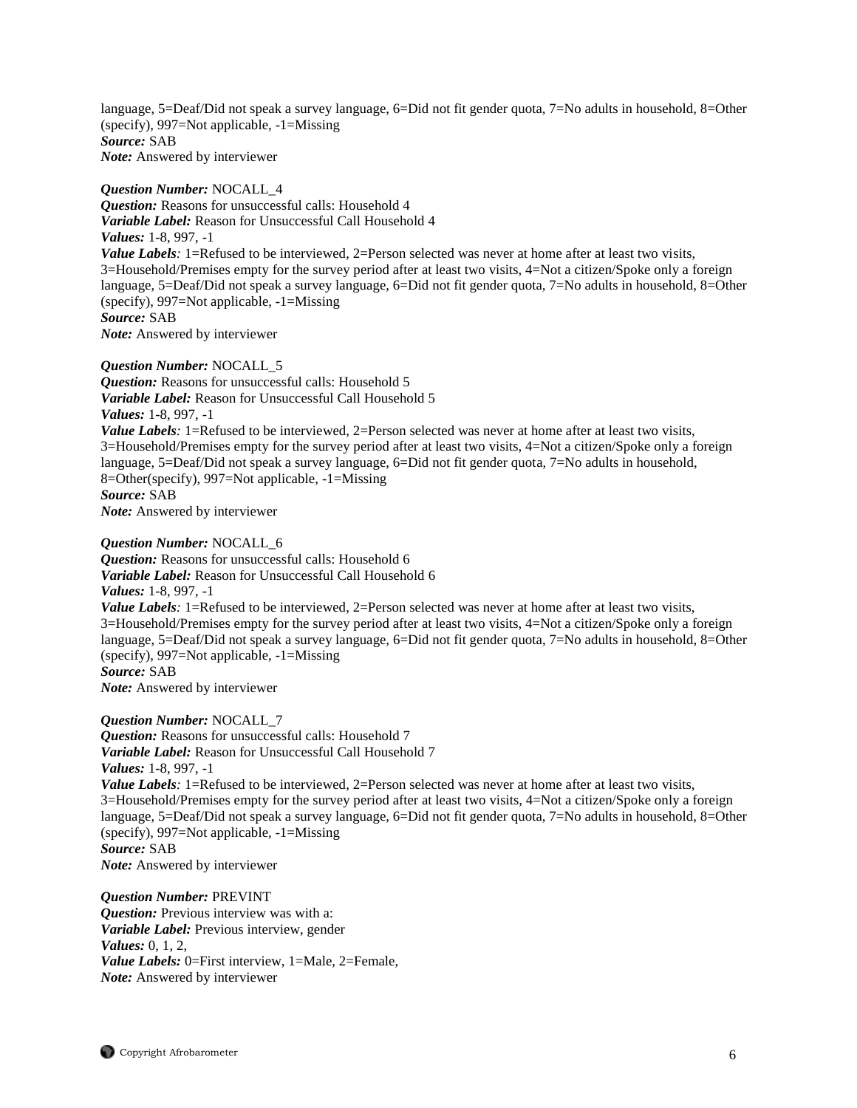language, 5=Deaf/Did not speak a survey language, 6=Did not fit gender quota, 7=No adults in household, 8=Other (specify), 997=Not applicable, -1=Missing *Source:* SAB *Note:* Answered by interviewer

*Question Number:* NOCALL\_4 *Question:* Reasons for unsuccessful calls: Household 4 *Variable Label:* Reason for Unsuccessful Call Household 4 *Values:* 1-8, 997, -1 *Value Labels*: 1=Refused to be interviewed, 2=Person selected was never at home after at least two visits, 3=Household/Premises empty for the survey period after at least two visits, 4=Not a citizen/Spoke only a foreign language, 5=Deaf/Did not speak a survey language, 6=Did not fit gender quota, 7=No adults in household, 8=Other (specify), 997=Not applicable, -1=Missing *Source:* SAB *Note:* Answered by interviewer

*Question Number:* NOCALL\_5

*Question:* Reasons for unsuccessful calls: Household 5 *Variable Label:* Reason for Unsuccessful Call Household 5 *Values:* 1-8, 997, -1 *Value Labels*: 1=Refused to be interviewed, 2=Person selected was never at home after at least two visits, 3=Household/Premises empty for the survey period after at least two visits, 4=Not a citizen/Spoke only a foreign language, 5=Deaf/Did not speak a survey language, 6=Did not fit gender quota, 7=No adults in household, 8=Other(specify), 997=Not applicable, -1=Missing *Source:* SAB *Note:* Answered by interviewer

*Question Number:* NOCALL\_6

*Question:* Reasons for unsuccessful calls: Household 6 *Variable Label:* Reason for Unsuccessful Call Household 6 *Values:* 1-8, 997, -1 *Value Labels*: 1=Refused to be interviewed, 2=Person selected was never at home after at least two visits, 3=Household/Premises empty for the survey period after at least two visits, 4=Not a citizen/Spoke only a foreign language, 5=Deaf/Did not speak a survey language, 6=Did not fit gender quota, 7=No adults in household, 8=Other (specify), 997=Not applicable, -1=Missing *Source:* SAB

*Note:* Answered by interviewer

*Question Number:* NOCALL\_7

*Question:* Reasons for unsuccessful calls: Household 7 *Variable Label:* Reason for Unsuccessful Call Household 7 *Values:* 1-8, 997, -1

*Value Labels*: 1=Refused to be interviewed, 2=Person selected was never at home after at least two visits, 3=Household/Premises empty for the survey period after at least two visits, 4=Not a citizen/Spoke only a foreign language, 5=Deaf/Did not speak a survey language, 6=Did not fit gender quota, 7=No adults in household, 8=Other (specify), 997=Not applicable, -1=Missing *Source:* SAB

*Note:* Answered by interviewer

*Question Number:* PREVINT *Question:* Previous interview was with a: *Variable Label:* Previous interview, gender *Values:* 0, 1, 2, *Value Labels:* 0=First interview, 1=Male, 2=Female, *Note:* Answered by interviewer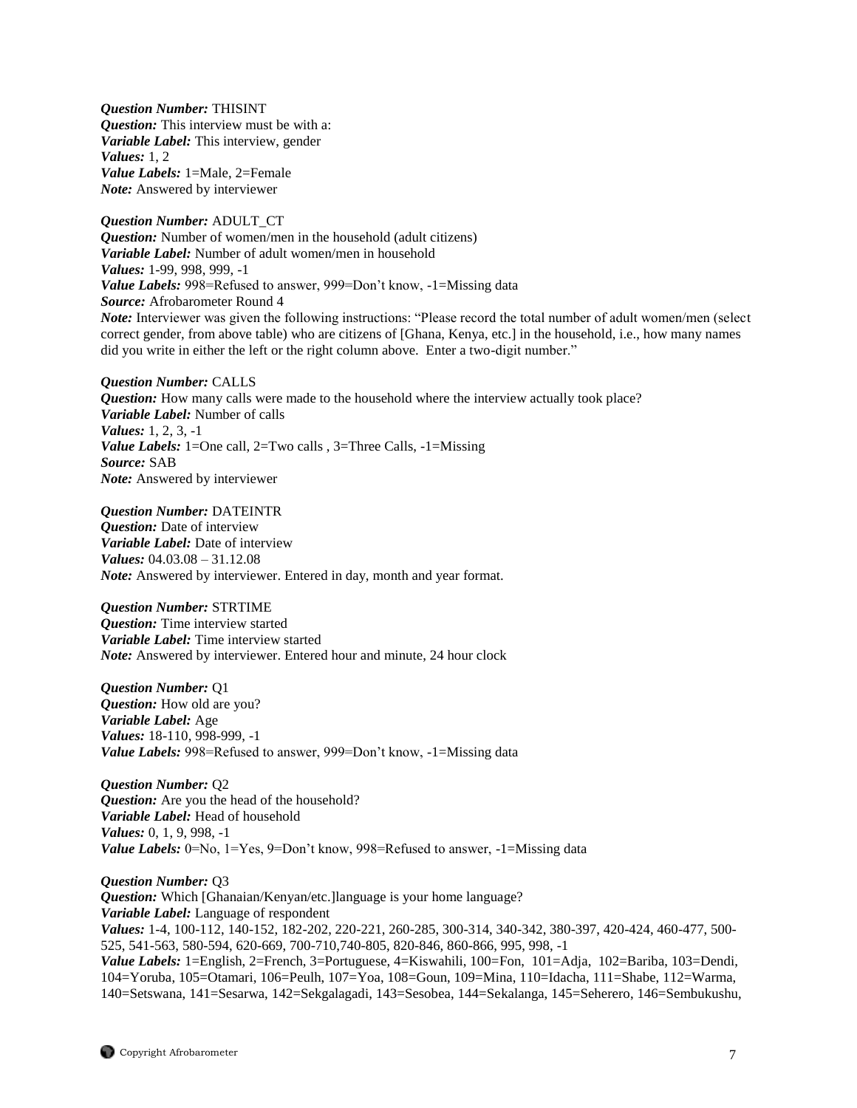*Question Number:* THISINT *Question:* This interview must be with a: *Variable Label:* This interview, gender *Values:* 1, 2 *Value Labels:* 1=Male, 2=Female *Note:* Answered by interviewer

*Question Number:* ADULT\_CT *Question:* Number of women/men in the household (adult citizens) *Variable Label:* Number of adult women/men in household *Values:* 1-99, 998, 999, -1 *Value Labels:* 998=Refused to answer, 999=Don't know, -1=Missing data *Source:* Afrobarometer Round 4 *Note:* Interviewer was given the following instructions: "Please record the total number of adult women/men (select correct gender, from above table) who are citizens of [Ghana, Kenya, etc.] in the household, i.e., how many names did you write in either the left or the right column above. Enter a two-digit number."

*Question Number:* CALLS *Question:* How many calls were made to the household where the interview actually took place? *Variable Label:* Number of calls *Values:* 1, 2, 3, -1 *Value Labels:* 1=One call, 2=Two calls , 3=Three Calls, -1=Missing *Source:* SAB *Note:* Answered by interviewer

*Question Number:* DATEINTR *Question:* Date of interview *Variable Label:* Date of interview *Values:* 04.03.08 – 31.12.08 *Note:* Answered by interviewer. Entered in day, month and year format.

*Question Number:* STRTIME *Question:* Time interview started *Variable Label:* Time interview started *Note:* Answered by interviewer. Entered hour and minute, 24 hour clock

*Question Number:* Q1 *Question:* How old are you? *Variable Label:* Age *Values:* 18-110, 998-999, -1 *Value Labels:* 998=Refused to answer, 999=Don't know, -1=Missing data

*Question Number:* Q2 *Question:* Are you the head of the household? *Variable Label:* Head of household *Values:* 0, 1, 9, 998, -1 *Value Labels:* 0=No, 1=Yes, 9=Don't know, 998=Refused to answer, -1=Missing data

*Question Number:* Q3 *Question:* Which [Ghanaian/Kenyan/etc.] language is your home language? *Variable Label:* Language of respondent *Values:* 1-4, 100-112, 140-152, 182-202, 220-221, 260-285, 300-314, 340-342, 380-397, 420-424, 460-477, 500- 525, 541-563, 580-594, 620-669, 700-710,740-805, 820-846, 860-866, 995, 998, -1 *Value Labels:* 1=English, 2=French, 3=Portuguese, 4=Kiswahili, 100=Fon, 101=Adja, 102=Bariba, 103=Dendi, 104=Yoruba, 105=Otamari, 106=Peulh, 107=Yoa, 108=Goun, 109=Mina, 110=Idacha, 111=Shabe, 112=Warma, 140=Setswana, 141=Sesarwa, 142=Sekgalagadi, 143=Sesobea, 144=Sekalanga, 145=Seherero, 146=Sembukushu,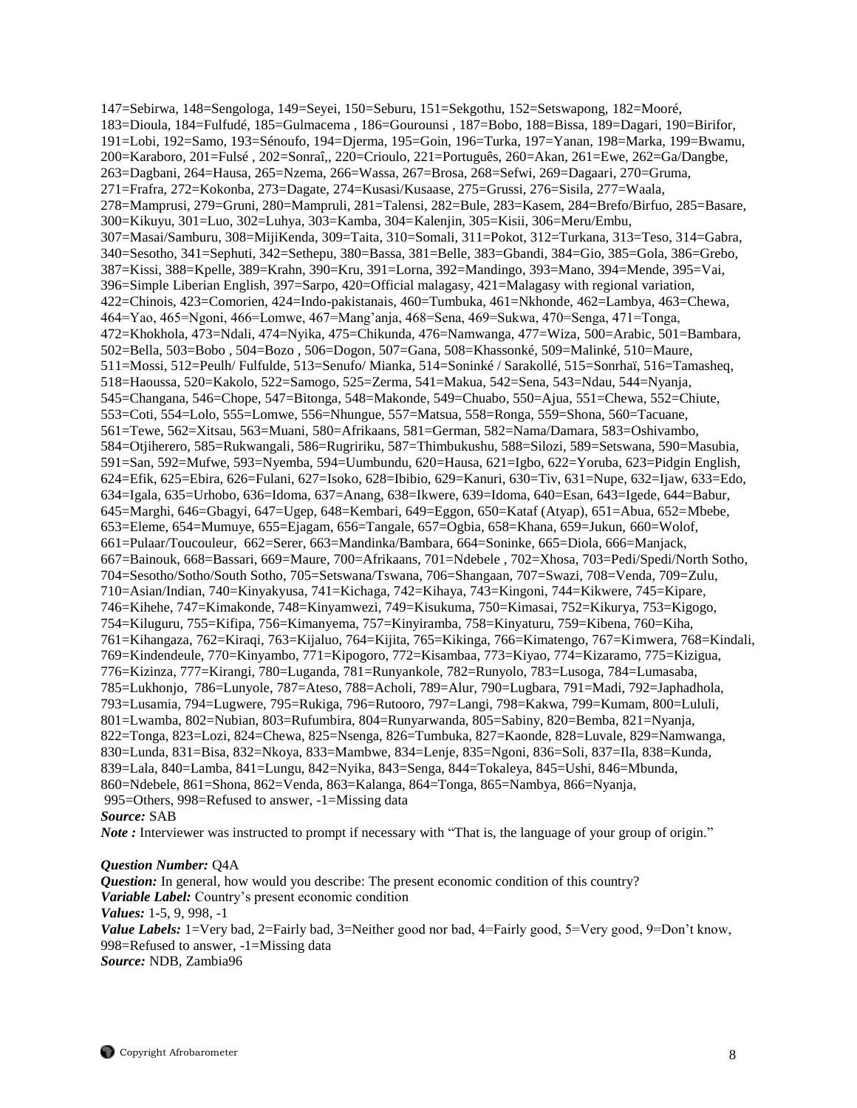147=Sebirwa, 148=Sengologa, 149=Seyei, 150=Seburu, 151=Sekgothu, 152=Setswapong, 182=Mooré, 183=Dioula, 184=Fulfudé, 185=Gulmacema , 186=Gourounsi , 187=Bobo, 188=Bissa, 189=Dagari, 190=Birifor, 191=Lobi, 192=Samo, 193=Sénoufo, 194=Djerma, 195=Goin, 196=Turka, 197=Yanan, 198=Marka, 199=Bwamu, 200=Karaboro, 201=Fulsé , 202=Sonraî,, 220=Crioulo, 221=Português, 260=Akan, 261=Ewe, 262=Ga/Dangbe, 263=Dagbani, 264=Hausa, 265=Nzema, 266=Wassa, 267=Brosa, 268=Sefwi, 269=Dagaari, 270=Gruma, 271=Frafra, 272=Kokonba, 273=Dagate, 274=Kusasi/Kusaase, 275=Grussi, 276=Sisila, 277=Waala, 278=Mamprusi, 279=Gruni, 280=Mampruli, 281=Talensi, 282=Bule, 283=Kasem, 284=Brefo/Birfuo, 285=Basare, 300=Kikuyu, 301=Luo, 302=Luhya, 303=Kamba, 304=Kalenjin, 305=Kisii, 306=Meru/Embu, 307=Masai/Samburu, 308=MijiKenda, 309=Taita, 310=Somali, 311=Pokot, 312=Turkana, 313=Teso, 314=Gabra, 340=Sesotho, 341=Sephuti, 342=Sethepu, 380=Bassa, 381=Belle, 383=Gbandi, 384=Gio, 385=Gola, 386=Grebo, 387=Kissi, 388=Kpelle, 389=Krahn, 390=Kru, 391=Lorna, 392=Mandingo, 393=Mano, 394=Mende, 395=Vai, 396=Simple Liberian English, 397=Sarpo, 420=Official malagasy, 421=Malagasy with regional variation, 422=Chinois, 423=Comorien, 424=Indo-pakistanais, 460=Tumbuka, 461=Nkhonde, 462=Lambya, 463=Chewa, 464=Yao, 465=Ngoni, 466=Lomwe, 467=Mang'anja, 468=Sena, 469=Sukwa, 470=Senga, 471=Tonga, 472=Khokhola, 473=Ndali, 474=Nyika, 475=Chikunda, 476=Namwanga, 477=Wiza, 500=Arabic, 501=Bambara, 502=Bella, 503=Bobo , 504=Bozo , 506=Dogon, 507=Gana, 508=Khassonké, 509=Malinké, 510=Maure, 511=Mossi, 512=Peulh/ Fulfulde, 513=Senufo/ Mianka, 514=Soninké / Sarakollé, 515=Sonrhaï, 516=Tamasheq, 518=Haoussa, 520=Kakolo, 522=Samogo, 525=Zerma, 541=Makua, 542=Sena, 543=Ndau, 544=Nyanja, 545=Changana, 546=Chope, 547=Bitonga, 548=Makonde, 549=Chuabo, 550=Ajua, 551=Chewa, 552=Chiute, 553=Coti, 554=Lolo, 555=Lomwe, 556=Nhungue, 557=Matsua, 558=Ronga, 559=Shona, 560=Tacuane, 561=Tewe, 562=Xitsau, 563=Muani, 580=Afrikaans, 581=German, 582=Nama/Damara, 583=Oshivambo, 584=Otjiherero, 585=Rukwangali, 586=Rugririku, 587=Thimbukushu, 588=Silozi, 589=Setswana, 590=Masubia, 591=San, 592=Mufwe, 593=Nyemba, 594=Uumbundu, 620=Hausa, 621=Igbo, 622=Yoruba, 623=Pidgin English, 624=Efik, 625=Ebira, 626=Fulani, 627=Isoko, 628=Ibibio, 629=Kanuri, 630=Tiv, 631=Nupe, 632=Ijaw, 633=Edo, 634=Igala, 635=Urhobo, 636=Idoma, 637=Anang, 638=Ikwere, 639=Idoma, 640=Esan, 643=Igede, 644=Babur, 645=Marghi, 646=Gbagyi, 647=Ugep, 648=Kembari, 649=Eggon, 650=Kataf (Atyap), 651=Abua, 652=Mbebe, 653=Eleme, 654=Mumuye, 655=Ejagam, 656=Tangale, 657=Ogbia, 658=Khana, 659=Jukun, 660=Wolof, 661=Pulaar/Toucouleur, 662=Serer, 663=Mandinka/Bambara, 664=Soninke, 665=Diola, 666=Manjack, 667=Bainouk, 668=Bassari, 669=Maure, 700=Afrikaans, 701=Ndebele , 702=Xhosa, 703=Pedi/Spedi/North Sotho, 704=Sesotho/Sotho/South Sotho, 705=Setswana/Tswana, 706=Shangaan, 707=Swazi, 708=Venda, 709=Zulu, 710=Asian/Indian, 740=Kinyakyusa, 741=Kichaga, 742=Kihaya, 743=Kingoni, 744=Kikwere, 745=Kipare, 746=Kihehe, 747=Kimakonde, 748=Kinyamwezi, 749=Kisukuma, 750=Kimasai, 752=Kikurya, 753=Kigogo, 754=Kiluguru, 755=Kifipa, 756=Kimanyema, 757=Kinyiramba, 758=Kinyaturu, 759=Kibena, 760=Kiha, 761=Kihangaza, 762=Kiraqi, 763=Kijaluo, 764=Kijita, 765=Kikinga, 766=Kimatengo, 767=Kimwera, 768=Kindali, 769=Kindendeule, 770=Kinyambo, 771=Kipogoro, 772=Kisambaa, 773=Kiyao, 774=Kizaramo, 775=Kizigua, 776=Kizinza, 777=Kirangi, 780=Luganda, 781=Runyankole, 782=Runyolo, 783=Lusoga, 784=Lumasaba, 785=Lukhonjo, 786=Lunyole, 787=Ateso, 788=Acholi, 789=Alur, 790=Lugbara, 791=Madi, 792=Japhadhola, 793=Lusamia, 794=Lugwere, 795=Rukiga, 796=Rutooro, 797=Langi, 798=Kakwa, 799=Kumam, 800=Lululi, 801=Lwamba, 802=Nubian, 803=Rufumbira, 804=Runyarwanda, 805=Sabiny, 820=Bemba, 821=Nyanja, 822=Tonga, 823=Lozi, 824=Chewa, 825=Nsenga, 826=Tumbuka, 827=Kaonde, 828=Luvale, 829=Namwanga, 830=Lunda, 831=Bisa, 832=Nkoya, 833=Mambwe, 834=Lenje, 835=Ngoni, 836=Soli, 837=Ila, 838=Kunda, 839=Lala, 840=Lamba, 841=Lungu, 842=Nyika, 843=Senga, 844=Tokaleya, 845=Ushi, 846=Mbunda, 860=Ndebele, 861=Shona, 862=Venda, 863=Kalanga, 864=Tonga, 865=Nambya, 866=Nyanja, 995=Others, 998=Refused to answer, -1=Missing data

# *Source:* SAB

*Note* : Interviewer was instructed to prompt if necessary with "That is, the language of your group of origin."

#### *Question Number:* Q4A

*Question:* In general, how would you describe: The present economic condition of this country? *Variable Label:* Country's present economic condition *Values:* 1-5, 9, 998, -1 *Value Labels:* 1=Very bad, 2=Fairly bad, 3=Neither good nor bad, 4=Fairly good, 5=Very good, 9=Don't know, 998=Refused to answer, -1=Missing data *Source:* NDB, Zambia96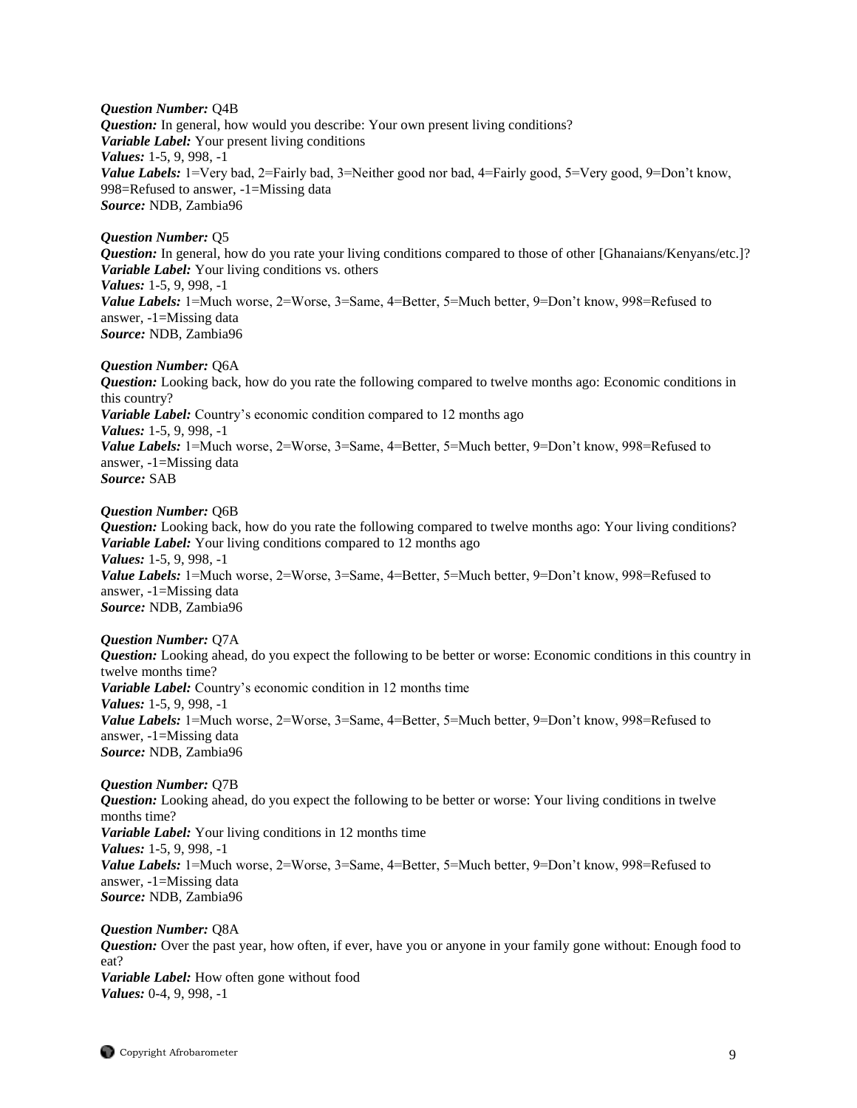*Question Number:* Q4B *Question:* In general, how would you describe: Your own present living conditions? *Variable Label:* Your present living conditions *Values:* 1-5, 9, 998, -1 *Value Labels:* 1=Very bad, 2=Fairly bad, 3=Neither good nor bad, 4=Fairly good, 5=Very good, 9=Don't know, 998=Refused to answer, -1=Missing data *Source:* NDB, Zambia96

*Question Number:* Q5 *Question:* In general, how do you rate your living conditions compared to those of other [Ghanaians/Kenyans/etc.]? *Variable Label:* Your living conditions vs. others *Values:* 1-5, 9, 998, -1 *Value Labels:* 1=Much worse, 2=Worse, 3=Same, 4=Better, 5=Much better, 9=Don't know, 998=Refused to answer, -1=Missing data *Source:* NDB, Zambia96

### *Question Number:* Q6A

*Question:* Looking back, how do you rate the following compared to twelve months ago: Economic conditions in this country? *Variable Label:* Country's economic condition compared to 12 months ago *Values:* 1-5, 9, 998, -1 *Value Labels:* 1=Much worse, 2=Worse, 3=Same, 4=Better, 5=Much better, 9=Don't know, 998=Refused to answer, -1=Missing data *Source:* SAB

### *Question Number:* Q6B

*Question:* Looking back, how do you rate the following compared to twelve months ago: Your living conditions? *Variable Label:* Your living conditions compared to 12 months ago *Values:* 1-5, 9, 998, -1 *Value Labels:* 1=Much worse, 2=Worse, 3=Same, 4=Better, 5=Much better, 9=Don't know, 998=Refused to answer, -1=Missing data *Source:* NDB, Zambia96

#### *Question Number:* Q7A

*Question:* Looking ahead, do you expect the following to be better or worse: Economic conditions in this country in twelve months time? *Variable Label:* Country's economic condition in 12 months time *Values:* 1-5, 9, 998, -1 *Value Labels:* 1=Much worse, 2=Worse, 3=Same, 4=Better, 5=Much better, 9=Don't know, 998=Refused to answer, -1=Missing data *Source:* NDB, Zambia96

#### *Question Number:* Q7B

*Question:* Looking ahead, do you expect the following to be better or worse: Your living conditions in twelve months time? *Variable Label:* Your living conditions in 12 months time *Values:* 1-5, 9, 998, -1 *Value Labels:* 1=Much worse, 2=Worse, 3=Same, 4=Better, 5=Much better, 9=Don't know, 998=Refused to answer, -1=Missing data *Source:* NDB, Zambia96

*Question Number:* Q8A *Question:* Over the past year, how often, if ever, have you or anyone in your family gone without: Enough food to eat? *Variable Label:* How often gone without food *Values:* 0-4, 9, 998, -1

Copyright Afrobarometer 9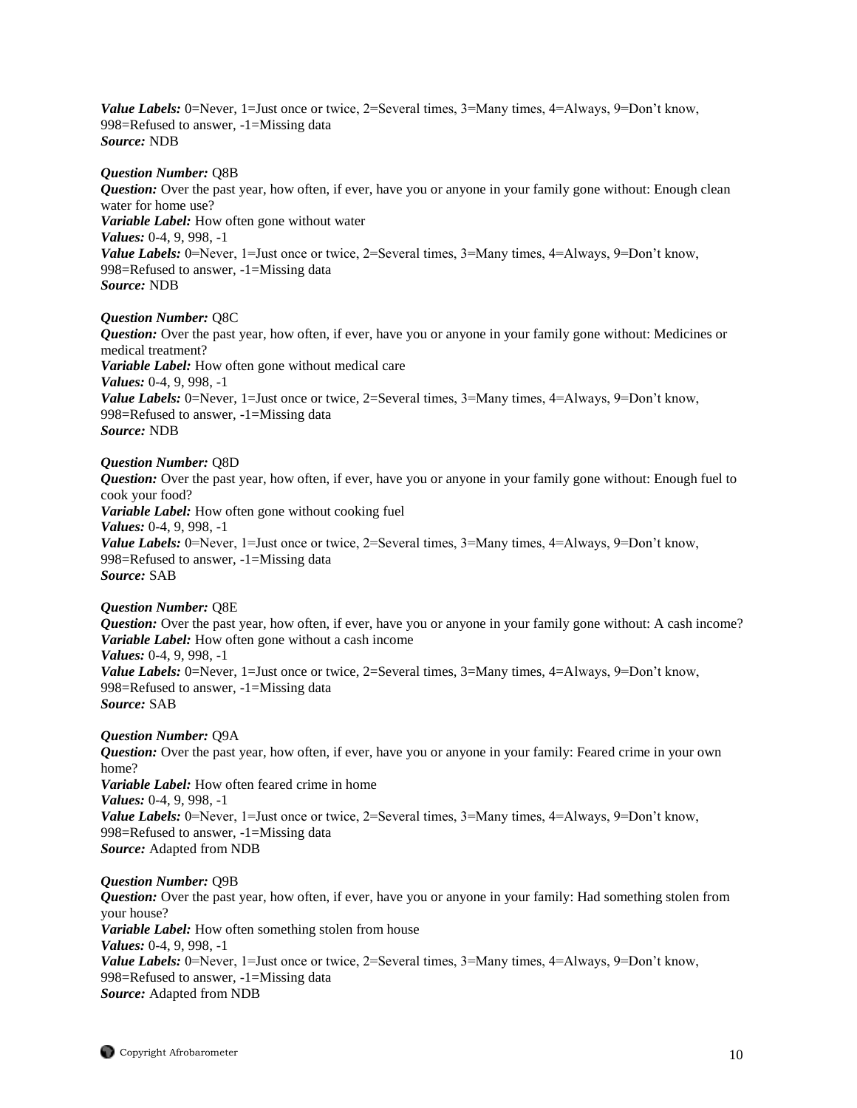*Value Labels:* 0=Never, 1=Just once or twice, 2=Several times, 3=Many times, 4=Always, 9=Don't know, 998=Refused to answer, -1=Missing data *Source:* NDB

#### *Question Number:* Q8B

*Question:* Over the past year, how often, if ever, have you or anyone in your family gone without: Enough clean water for home use? *Variable Label:* How often gone without water *Values:* 0-4, 9, 998, -1 *Value Labels:* 0=Never, 1=Just once or twice, 2=Several times, 3=Many times, 4=Always, 9=Don't know, 998=Refused to answer, -1=Missing data *Source:* NDB

#### *Question Number:* Q8C

*Question:* Over the past year, how often, if ever, have you or anyone in your family gone without: Medicines or medical treatment? *Variable Label:* How often gone without medical care *Values:* 0-4, 9, 998, -1 *Value Labels:* 0=Never, 1=Just once or twice, 2=Several times, 3=Many times, 4=Always, 9=Don't know, 998=Refused to answer, -1=Missing data *Source:* NDB

#### *Question Number:* Q8D

*Question:* Over the past year, how often, if ever, have you or anyone in your family gone without: Enough fuel to cook your food? *Variable Label:* How often gone without cooking fuel *Values:* 0-4, 9, 998, -1 *Value Labels:* 0=Never, 1=Just once or twice, 2=Several times, 3=Many times, 4=Always, 9=Don't know, 998=Refused to answer, -1=Missing data *Source:* SAB

#### *Question Number:* Q8E

*Question:* Over the past year, how often, if ever, have you or anyone in your family gone without: A cash income? *Variable Label:* How often gone without a cash income *Values:* 0-4, 9, 998, -1 *Value Labels:* 0=Never, 1=Just once or twice, 2=Several times, 3=Many times, 4=Always, 9=Don't know, 998=Refused to answer, -1=Missing data *Source:* SAB

### *Question Number:* Q9A

*Question:* Over the past year, how often, if ever, have you or anyone in your family: Feared crime in your own home? *Variable Label:* How often feared crime in home *Values:* 0-4, 9, 998, -1 *Value Labels:* 0=Never, 1=Just once or twice, 2=Several times, 3=Many times, 4=Always, 9=Don't know, 998=Refused to answer, -1=Missing data *Source:* Adapted from NDB

#### *Question Number:* Q9B

*Question:* Over the past year, how often, if ever, have you or anyone in your family: Had something stolen from your house? *Variable Label:* How often something stolen from house *Values:* 0-4, 9, 998, -1 *Value Labels:* 0=Never, 1=Just once or twice, 2=Several times, 3=Many times, 4=Always, 9=Don't know, 998=Refused to answer, -1=Missing data *Source:* Adapted from NDB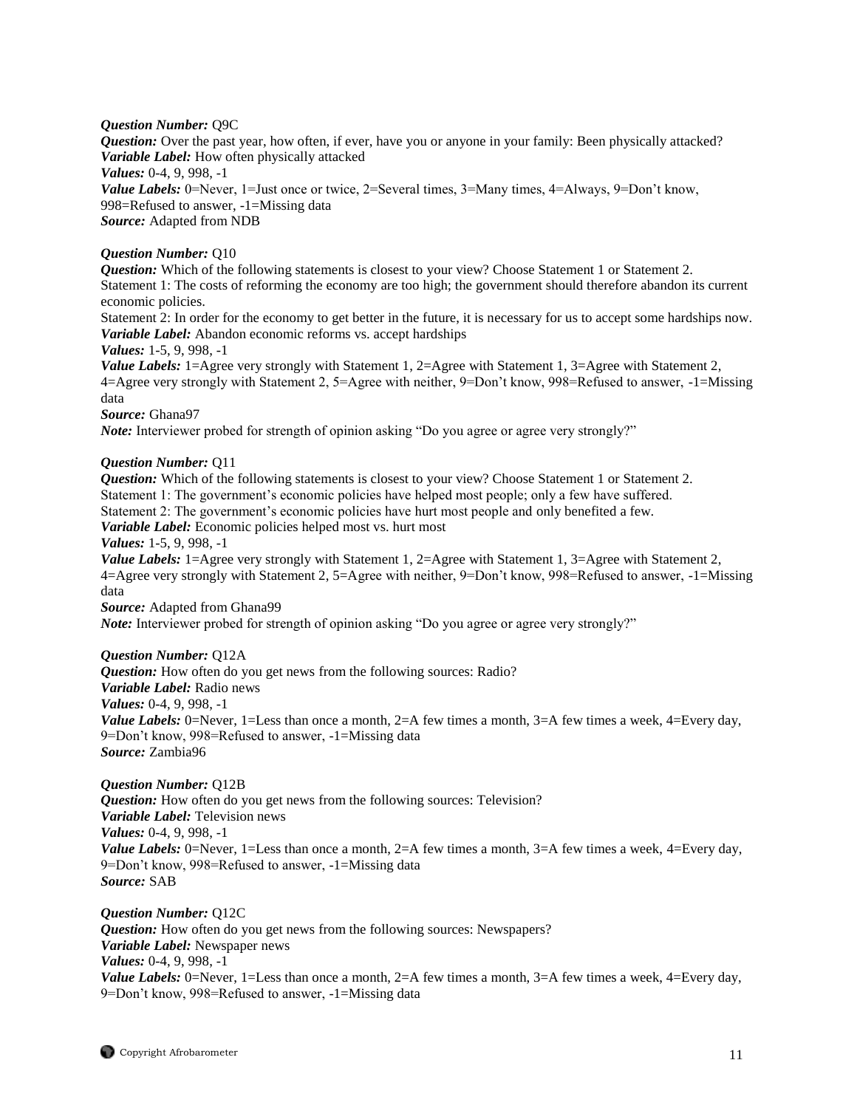*Question Number:* Q9C

*Question:* Over the past year, how often, if ever, have you or anyone in your family: Been physically attacked? *Variable Label:* How often physically attacked *Values:* 0-4, 9, 998, -1 *Value Labels:* 0=Never, 1=Just once or twice, 2=Several times, 3=Many times, 4=Always, 9=Don't know, 998=Refused to answer, -1=Missing data *Source:* Adapted from NDB

# *Question Number:* Q10

*Question:* Which of the following statements is closest to your view? Choose Statement 1 or Statement 2. Statement 1: The costs of reforming the economy are too high; the government should therefore abandon its current economic policies.

Statement 2: In order for the economy to get better in the future, it is necessary for us to accept some hardships now. *Variable Label:* Abandon economic reforms vs. accept hardships

*Values:* 1-5, 9, 998, -1

*Value Labels:* 1=Agree very strongly with Statement 1, 2=Agree with Statement 1, 3=Agree with Statement 2, 4=Agree very strongly with Statement 2, 5=Agree with neither, 9=Don't know, 998=Refused to answer, -1=Missing data

*Source:* Ghana97

*Note:* Interviewer probed for strength of opinion asking "Do you agree or agree very strongly?"

### *Question Number:* Q11

*Question:* Which of the following statements is closest to your view? Choose Statement 1 or Statement 2. Statement 1: The government's economic policies have helped most people; only a few have suffered. Statement 2: The government's economic policies have hurt most people and only benefited a few. *Variable Label:* Economic policies helped most vs. hurt most *Values:* 1-5, 9, 998, -1

*Value Labels:* 1=Agree very strongly with Statement 1, 2=Agree with Statement 1, 3=Agree with Statement 2, 4=Agree very strongly with Statement 2, 5=Agree with neither, 9=Don't know, 998=Refused to answer, -1=Missing data

*Source:* Adapted from Ghana99

*Note:* Interviewer probed for strength of opinion asking "Do you agree or agree very strongly?"

# *Question Number:* Q12A

*Question:* How often do you get news from the following sources: Radio? *Variable Label:* Radio news *Values:* 0-4, 9, 998, -1 *Value Labels:* 0=Never, 1=Less than once a month, 2=A few times a month, 3=A few times a week, 4=Every day, 9=Don't know, 998=Refused to answer, -1=Missing data *Source:* Zambia96

*Question Number:* Q12B

*Question:* How often do you get news from the following sources: Television? *Variable Label:* Television news *Values:* 0-4, 9, 998, -1 *Value Labels:* 0=Never, 1=Less than once a month, 2=A few times a month, 3=A few times a week, 4=Every day, 9=Don't know, 998=Refused to answer, -1=Missing data *Source:* SAB

*Question Number:* Q12C *Question:* How often do you get news from the following sources: Newspapers? *Variable Label:* Newspaper news *Values:* 0-4, 9, 998, -1 *Value Labels:* 0=Never, 1=Less than once a month, 2=A few times a month, 3=A few times a week, 4=Every day, 9=Don't know, 998=Refused to answer, -1=Missing data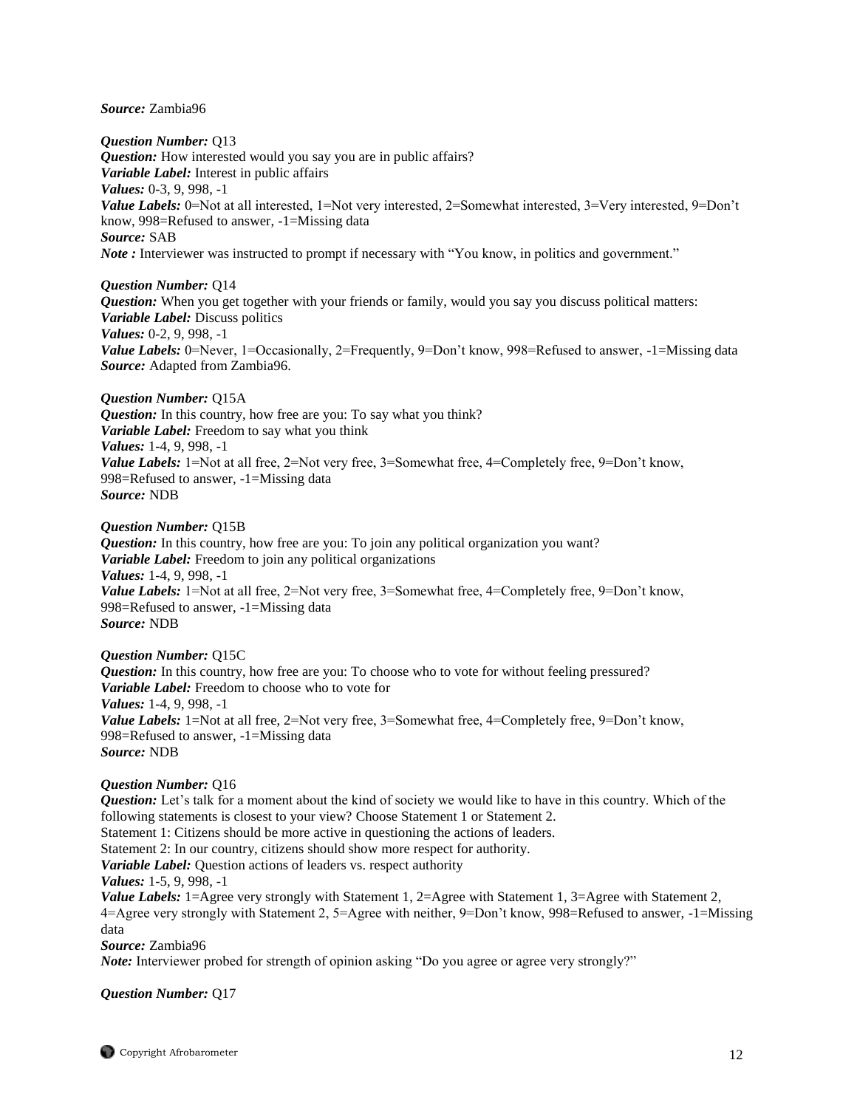#### *Source:* Zambia96

*Question Number:* Q13 *Question:* How interested would you say you are in public affairs? *Variable Label:* Interest in public affairs *Values:* 0-3, 9, 998, -1 *Value Labels:* 0=Not at all interested, 1=Not very interested, 2=Somewhat interested, 3=Very interested, 9=Don't know, 998=Refused to answer, -1=Missing data *Source:* SAB *Note* : Interviewer was instructed to prompt if necessary with "You know, in politics and government."

### *Question Number:* Q14

*Question:* When you get together with your friends or family, would you say you discuss political matters: *Variable Label:* Discuss politics *Values:* 0-2, 9, 998, -1 *Value Labels:* 0=Never, 1=Occasionally, 2=Frequently, 9=Don't know, 998=Refused to answer, -1=Missing data *Source:* Adapted from Zambia96.

*Question Number:* Q15A *Question:* In this country, how free are you: To say what you think? *Variable Label:* Freedom to say what you think *Values:* 1-4, 9, 998, -1 *Value Labels:* 1=Not at all free, 2=Not very free, 3=Somewhat free, 4=Completely free, 9=Don't know, 998=Refused to answer, -1=Missing data *Source:* NDB

*Question Number:* Q15B

*Question:* In this country, how free are you: To join any political organization you want? *Variable Label:* Freedom to join any political organizations *Values:* 1-4, 9, 998, -1 *Value Labels:* 1=Not at all free, 2=Not very free, 3=Somewhat free, 4=Completely free, 9=Don't know, 998=Refused to answer, -1=Missing data *Source:* NDB

#### *Question Number:* Q15C

*Question:* In this country, how free are you: To choose who to vote for without feeling pressured? *Variable Label:* Freedom to choose who to vote for *Values:* 1-4, 9, 998, -1 *Value Labels:* 1=Not at all free, 2=Not very free, 3=Somewhat free, 4=Completely free, 9=Don't know, 998=Refused to answer, -1=Missing data *Source:* NDB

#### *Question Number:* Q16

*Question:* Let's talk for a moment about the kind of society we would like to have in this country. Which of the following statements is closest to your view? Choose Statement 1 or Statement 2. Statement 1: Citizens should be more active in questioning the actions of leaders. Statement 2: In our country, citizens should show more respect for authority. *Variable Label:* Question actions of leaders vs. respect authority *Values:* 1-5, 9, 998, -1 *Value Labels:* 1=Agree very strongly with Statement 1, 2=Agree with Statement 1, 3=Agree with Statement 2, 4=Agree very strongly with Statement 2, 5=Agree with neither, 9=Don't know, 998=Refused to answer, -1=Missing data

*Source:* Zambia96

*Note:* Interviewer probed for strength of opinion asking "Do you agree or agree very strongly?"

*Question Number:* Q17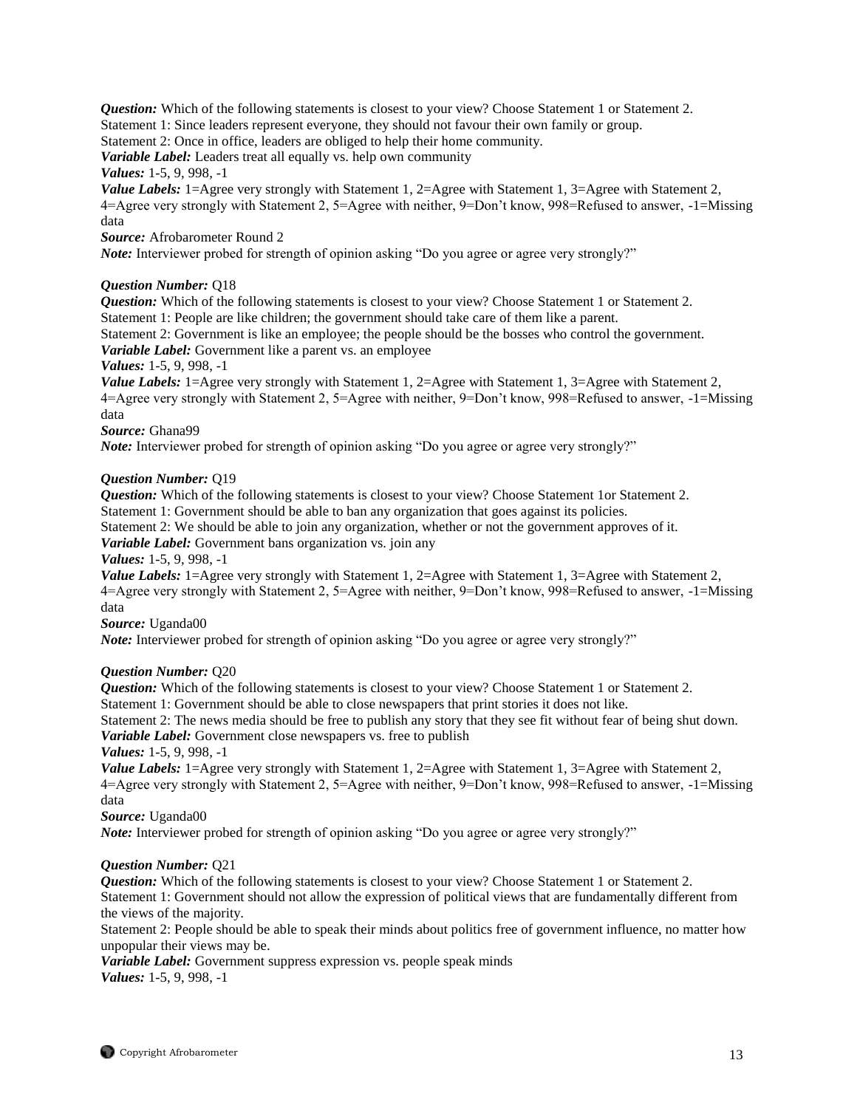**Question:** Which of the following statements is closest to your view? Choose Statement 1 or Statement 2. Statement 1: Since leaders represent everyone, they should not favour their own family or group.

Statement 2: Once in office, leaders are obliged to help their home community.

*Variable Label:* Leaders treat all equally vs. help own community

*Values:* 1-5, 9, 998, -1

*Value Labels:* 1=Agree very strongly with Statement 1, 2=Agree with Statement 1, 3=Agree with Statement 2, 4=Agree very strongly with Statement 2, 5=Agree with neither, 9=Don't know, 998=Refused to answer, -1=Missing data

*Source:* Afrobarometer Round 2

*Note:* Interviewer probed for strength of opinion asking "Do you agree or agree very strongly?"

### *Question Number:* Q18

*Question:* Which of the following statements is closest to your view? Choose Statement 1 or Statement 2. Statement 1: People are like children; the government should take care of them like a parent.

Statement 2: Government is like an employee; the people should be the bosses who control the government. *Variable Label:* Government like a parent vs. an employee

*Values:* 1-5, 9, 998, -1

*Value Labels:* 1=Agree very strongly with Statement 1, 2=Agree with Statement 1, 3=Agree with Statement 2, 4=Agree very strongly with Statement 2, 5=Agree with neither, 9=Don't know, 998=Refused to answer, -1=Missing data

*Source:* Ghana99

*Note:* Interviewer probed for strength of opinion asking "Do you agree or agree very strongly?"

### *Question Number:* Q19

*Question:* Which of the following statements is closest to your view? Choose Statement 1or Statement 2. Statement 1: Government should be able to ban any organization that goes against its policies.

Statement 2: We should be able to join any organization, whether or not the government approves of it.

*Variable Label:* Government bans organization vs. join any

#### *Values:* 1-5, 9, 998, -1

*Value Labels:* 1=Agree very strongly with Statement 1, 2=Agree with Statement 1, 3=Agree with Statement 2, 4=Agree very strongly with Statement 2, 5=Agree with neither, 9=Don't know, 998=Refused to answer, -1=Missing data

*Source:* Uganda00

*Note:* Interviewer probed for strength of opinion asking "Do you agree or agree very strongly?"

# *Question Number:* Q20

*Question:* Which of the following statements is closest to your view? Choose Statement 1 or Statement 2.

Statement 1: Government should be able to close newspapers that print stories it does not like.

Statement 2: The news media should be free to publish any story that they see fit without fear of being shut down. *Variable Label:* Government close newspapers vs. free to publish

*Values:* 1-5, 9, 998, -1

*Value Labels:* 1=Agree very strongly with Statement 1, 2=Agree with Statement 1, 3=Agree with Statement 2, 4=Agree very strongly with Statement 2, 5=Agree with neither, 9=Don't know, 998=Refused to answer, -1=Missing data

*Source:* Uganda00

*Note:* Interviewer probed for strength of opinion asking "Do you agree or agree very strongly?"

# *Question Number:* Q21

*Question:* Which of the following statements is closest to your view? Choose Statement 1 or Statement 2. Statement 1: Government should not allow the expression of political views that are fundamentally different from the views of the majority.

Statement 2: People should be able to speak their minds about politics free of government influence, no matter how unpopular their views may be.

*Variable Label:* Government suppress expression vs. people speak minds *Values:* 1-5, 9, 998, -1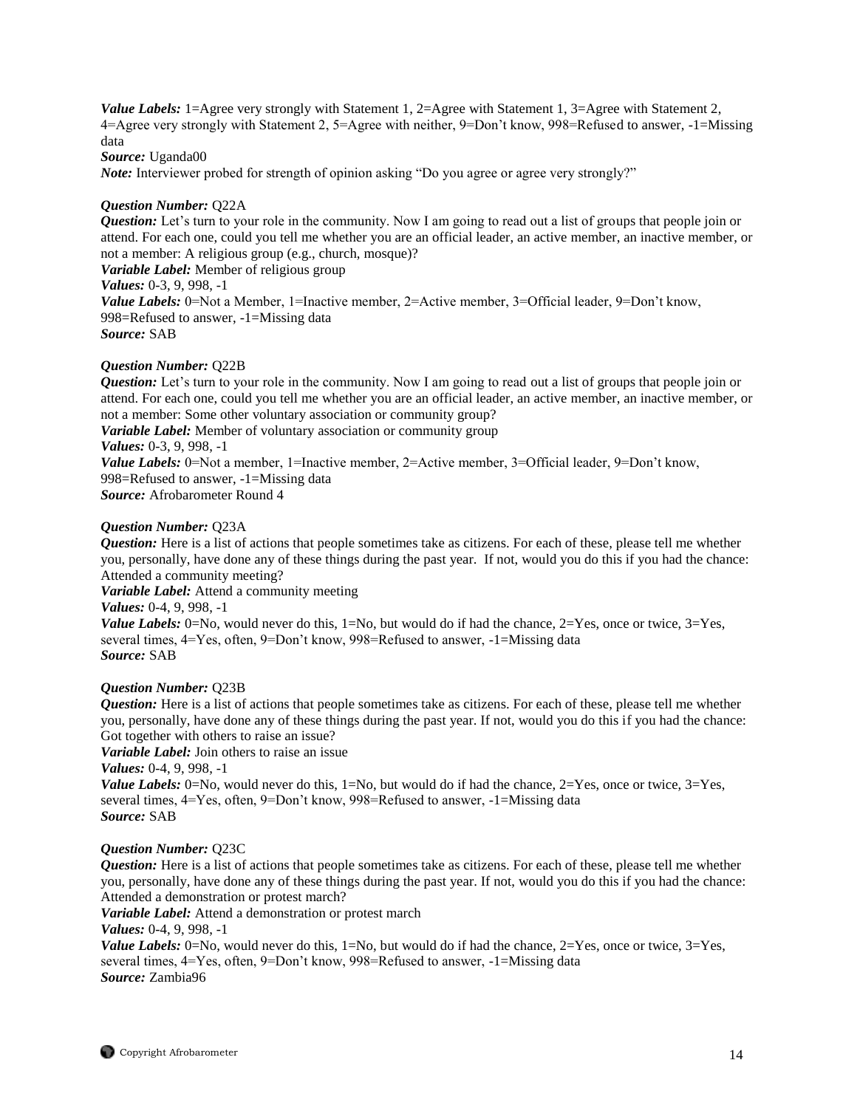*Value Labels:* 1=Agree very strongly with Statement 1, 2=Agree with Statement 1, 3=Agree with Statement 2, 4=Agree very strongly with Statement 2, 5=Agree with neither, 9=Don't know, 998=Refused to answer, -1=Missing data *Source:* Uganda00

*Note:* Interviewer probed for strength of opinion asking "Do you agree or agree very strongly?"

# *Question Number:* Q22A

*Question:* Let's turn to your role in the community. Now I am going to read out a list of groups that people join or attend. For each one, could you tell me whether you are an official leader, an active member, an inactive member, or not a member: A religious group (e.g., church, mosque)?

*Variable Label:* Member of religious group

*Values:* 0-3, 9, 998, -1 *Value Labels:* 0=Not a Member, 1=Inactive member, 2=Active member, 3=Official leader, 9=Don't know,

998=Refused to answer, -1=Missing data

*Source:* SAB

# *Question Number:* Q22B

*Question:* Let's turn to your role in the community. Now I am going to read out a list of groups that people join or attend. For each one, could you tell me whether you are an official leader, an active member, an inactive member, or not a member: Some other voluntary association or community group? *Variable Label:* Member of voluntary association or community group *Values:* 0-3, 9, 998, -1 *Value Labels:* 0=Not a member, 1=Inactive member, 2=Active member, 3=Official leader, 9=Don't know,

998=Refused to answer, -1=Missing data

*Source:* Afrobarometer Round 4

# *Question Number:* Q23A

*Question:* Here is a list of actions that people sometimes take as citizens. For each of these, please tell me whether you, personally, have done any of these things during the past year. If not, would you do this if you had the chance: Attended a community meeting?

*Variable Label:* Attend a community meeting

*Values:* 0-4, 9, 998, -1

*Value Labels:*  $0 = No$ , would never do this,  $1 = No$ , but would do if had the chance,  $2 = Yes$ , once or twice,  $3 = Yes$ , several times, 4=Yes, often, 9=Don't know, 998=Refused to answer, -1=Missing data *Source:* SAB

# *Question Number:* Q23B

*Question:* Here is a list of actions that people sometimes take as citizens. For each of these, please tell me whether you, personally, have done any of these things during the past year. If not, would you do this if you had the chance: Got together with others to raise an issue?

*Variable Label:* Join others to raise an issue

*Values:* 0-4, 9, 998, -1

*Value Labels:* 0=No, would never do this, 1=No, but would do if had the chance, 2=Yes, once or twice, 3=Yes, several times, 4=Yes, often, 9=Don't know, 998=Refused to answer, -1=Missing data *Source:* SAB

# *Question Number:* Q23C

*Question:* Here is a list of actions that people sometimes take as citizens. For each of these, please tell me whether you, personally, have done any of these things during the past year. If not, would you do this if you had the chance: Attended a demonstration or protest march?

*Variable Label:* Attend a demonstration or protest march

*Values:* 0-4, 9, 998, -1

*Value Labels:*  $0 = No$ , would never do this,  $1 = No$ , but would do if had the chance,  $2 = Yes$ , once or twice,  $3 = Yes$ , several times, 4=Yes, often, 9=Don't know, 998=Refused to answer, -1=Missing data *Source:* Zambia96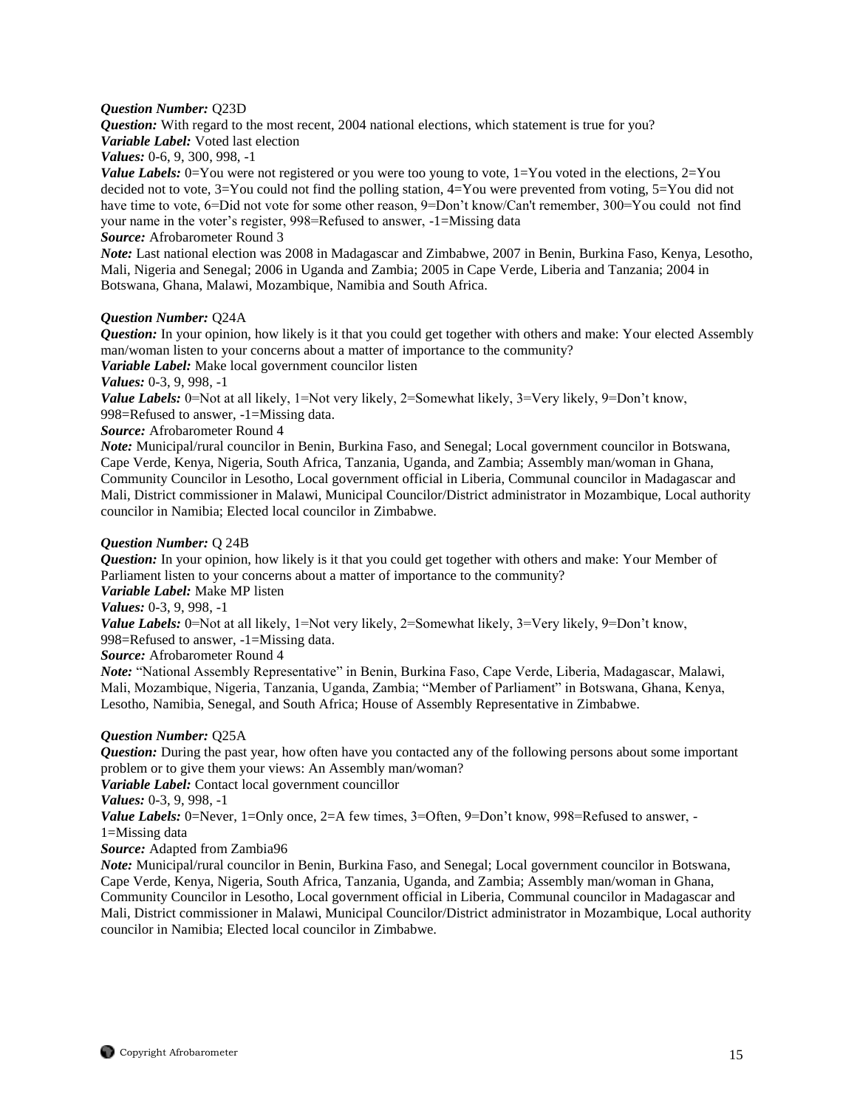#### *Question Number:* Q23D

*Question:* With regard to the most recent, 2004 national elections, which statement is true for you? *Variable Label:* Voted last election

*Values:* 0-6, 9, 300, 998, -1

*Value Labels:* 0=You were not registered or you were too young to vote, 1=You voted in the elections, 2=You decided not to vote, 3=You could not find the polling station, 4=You were prevented from voting, 5=You did not have time to vote, 6=Did not vote for some other reason, 9=Don't know/Can't remember, 300=You could not find your name in the voter's register, 998=Refused to answer, -1=Missing data

#### *Source:* Afrobarometer Round 3

*Note:* Last national election was 2008 in Madagascar and Zimbabwe, 2007 in Benin, Burkina Faso, Kenya, Lesotho, Mali, Nigeria and Senegal; 2006 in Uganda and Zambia; 2005 in Cape Verde, Liberia and Tanzania; 2004 in Botswana, Ghana, Malawi, Mozambique, Namibia and South Africa.

### *Question Number:* Q24A

*Question:* In your opinion, how likely is it that you could get together with others and make: Your elected Assembly man/woman listen to your concerns about a matter of importance to the community?

*Variable Label:* Make local government councilor listen

*Values:* 0-3, 9, 998, -1

*Value Labels:* 0=Not at all likely, 1=Not very likely, 2=Somewhat likely, 3=Very likely, 9=Don't know, 998=Refused to answer, -1=Missing data.

*Source:* Afrobarometer Round 4

*Note:* Municipal/rural councilor in Benin, Burkina Faso, and Senegal; Local government councilor in Botswana, Cape Verde, Kenya, Nigeria, South Africa, Tanzania, Uganda, and Zambia; Assembly man/woman in Ghana, Community Councilor in Lesotho, Local government official in Liberia, Communal councilor in Madagascar and Mali, District commissioner in Malawi, Municipal Councilor/District administrator in Mozambique, Local authority councilor in Namibia; Elected local councilor in Zimbabwe.

### *Question Number:* Q 24B

*Question:* In your opinion, how likely is it that you could get together with others and make: Your Member of Parliament listen to your concerns about a matter of importance to the community?

*Variable Label:* Make MP listen

*Values:* 0-3, 9, 998, -1

*Value Labels:* 0=Not at all likely, 1=Not very likely, 2=Somewhat likely, 3=Very likely, 9=Don't know, 998=Refused to answer, -1=Missing data.

*Source:* Afrobarometer Round 4

*Note:* "National Assembly Representative" in Benin, Burkina Faso, Cape Verde, Liberia, Madagascar, Malawi, Mali, Mozambique, Nigeria, Tanzania, Uganda, Zambia; "Member of Parliament" in Botswana, Ghana, Kenya, Lesotho, Namibia, Senegal, and South Africa; House of Assembly Representative in Zimbabwe.

# *Question Number:* Q25A

*Question:* During the past year, how often have you contacted any of the following persons about some important problem or to give them your views: An Assembly man/woman?

*Variable Label:* Contact local government councillor

*Values:* 0-3, 9, 998, -1

*Value Labels:* 0=Never, 1=Only once, 2=A few times, 3=Often, 9=Don't know, 998=Refused to answer, -1=Missing data

*Source:* Adapted from Zambia96

*Note:* Municipal/rural councilor in Benin, Burkina Faso, and Senegal; Local government councilor in Botswana, Cape Verde, Kenya, Nigeria, South Africa, Tanzania, Uganda, and Zambia; Assembly man/woman in Ghana, Community Councilor in Lesotho, Local government official in Liberia, Communal councilor in Madagascar and Mali, District commissioner in Malawi, Municipal Councilor/District administrator in Mozambique, Local authority councilor in Namibia; Elected local councilor in Zimbabwe.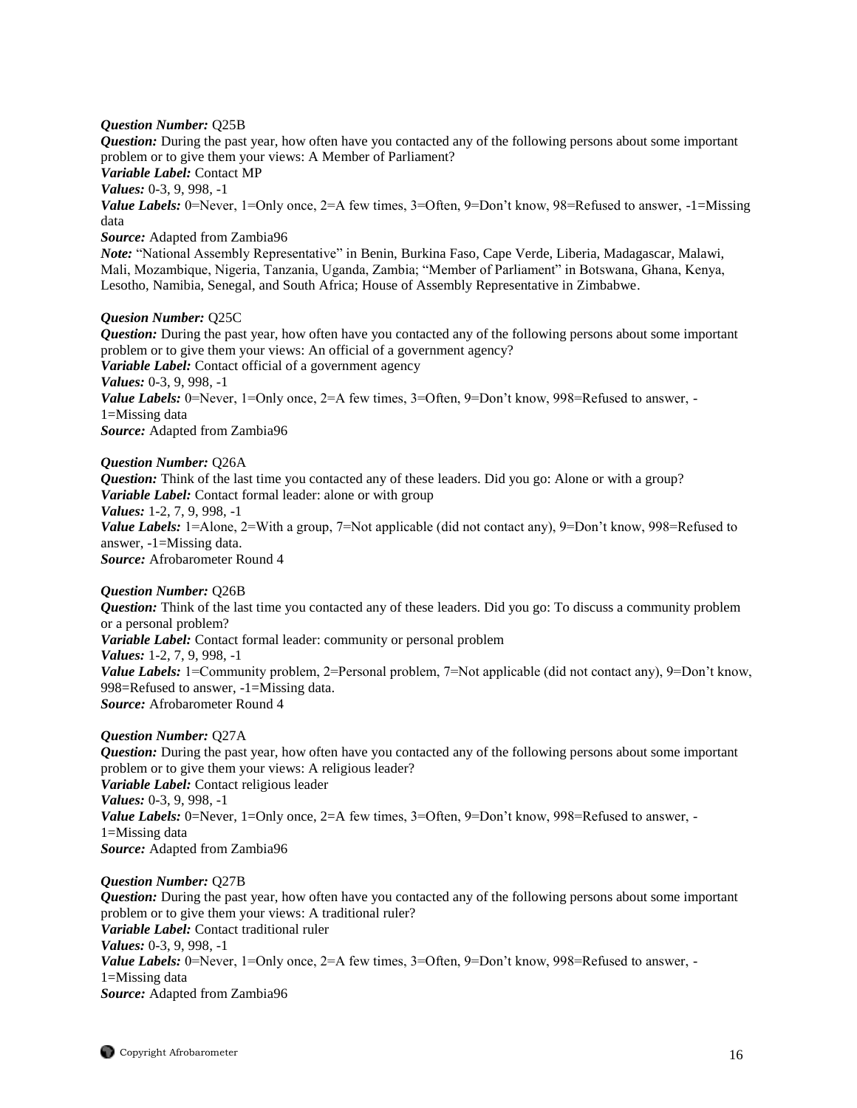#### *Question Number:* Q25B

*Question:* During the past year, how often have you contacted any of the following persons about some important problem or to give them your views: A Member of Parliament?

*Variable Label:* Contact MP

*Values:* 0-3, 9, 998, -1

*Value Labels:* 0=Never, 1=Only once, 2=A few times, 3=Often, 9=Don't know, 98=Refused to answer, -1=Missing data

# *Source:* Adapted from Zambia96

*Note:* "National Assembly Representative" in Benin, Burkina Faso, Cape Verde, Liberia, Madagascar, Malawi, Mali, Mozambique, Nigeria, Tanzania, Uganda, Zambia; "Member of Parliament" in Botswana, Ghana, Kenya, Lesotho, Namibia, Senegal, and South Africa; House of Assembly Representative in Zimbabwe.

#### *Quesion Number:* Q25C

*Question:* During the past year, how often have you contacted any of the following persons about some important problem or to give them your views: An official of a government agency? *Variable Label:* Contact official of a government agency *Values:* 0-3, 9, 998, -1 *Value Labels:* 0=Never, 1=Only once, 2=A few times, 3=Often, 9=Don't know, 998=Refused to answer, -1=Missing data *Source:* Adapted from Zambia96

*Question Number:* Q26A

*Question:* Think of the last time you contacted any of these leaders. Did you go: Alone or with a group? *Variable Label:* Contact formal leader: alone or with group *Values:* 1-2, 7, 9, 998, -1 *Value Labels:* 1=Alone, 2=With a group, 7=Not applicable (did not contact any), 9=Don't know, 998=Refused to answer, -1=Missing data. *Source:* Afrobarometer Round 4

#### *Question Number:* Q26B

*Question:* Think of the last time you contacted any of these leaders. Did you go: To discuss a community problem or a personal problem? *Variable Label:* Contact formal leader: community or personal problem *Values:* 1-2, 7, 9, 998, -1 *Value Labels:* 1=Community problem, 2=Personal problem, 7=Not applicable (did not contact any), 9=Don't know, 998=Refused to answer, -1=Missing data. *Source:* Afrobarometer Round 4

*Question Number:* Q27A *Question:* During the past year, how often have you contacted any of the following persons about some important problem or to give them your views: A religious leader? *Variable Label:* Contact religious leader *Values:* 0-3, 9, 998, -1 *Value Labels:* 0=Never, 1=Only once, 2=A few times, 3=Often, 9=Don't know, 998=Refused to answer, -1=Missing data *Source:* Adapted from Zambia96

*Question Number:* Q27B *Question:* During the past year, how often have you contacted any of the following persons about some important problem or to give them your views: A traditional ruler? *Variable Label:* Contact traditional ruler *Values:* 0-3, 9, 998, -1 *Value Labels:* 0=Never, 1=Only once, 2=A few times, 3=Often, 9=Don't know, 998=Refused to answer, -1=Missing data *Source:* Adapted from Zambia96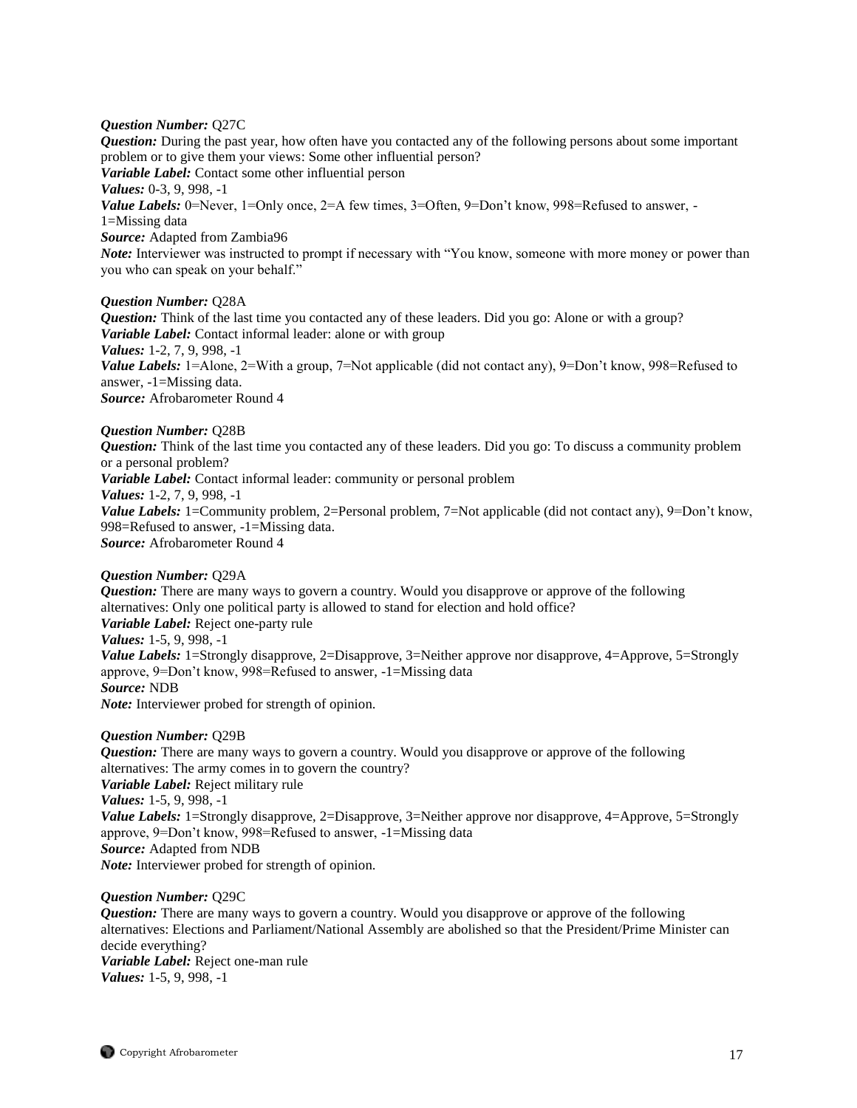# *Question Number:* Q27C

*Question:* During the past year, how often have you contacted any of the following persons about some important problem or to give them your views: Some other influential person? *Variable Label:* Contact some other influential person *Values:* 0-3, 9, 998, -1 *Value Labels:* 0=Never, 1=Only once, 2=A few times, 3=Often, 9=Don't know, 998=Refused to answer, -1=Missing data *Source:* Adapted from Zambia96 *Note:* Interviewer was instructed to prompt if necessary with "You know, someone with more money or power than you who can speak on your behalf."

#### *Question Number:* Q28A

*Question:* Think of the last time you contacted any of these leaders. Did you go: Alone or with a group? *Variable Label:* Contact informal leader: alone or with group *Values:* 1-2, 7, 9, 998, -1 *Value Labels:* 1=Alone, 2=With a group, 7=Not applicable (did not contact any), 9=Don't know, 998=Refused to answer, -1=Missing data. *Source:* Afrobarometer Round 4

### *Question Number:* Q28B

*Question:* Think of the last time you contacted any of these leaders. Did you go: To discuss a community problem or a personal problem? *Variable Label:* Contact informal leader: community or personal problem *Values:* 1-2, 7, 9, 998, -1 *Value Labels:* 1=Community problem, 2=Personal problem, 7=Not applicable (did not contact any), 9=Don't know, 998=Refused to answer, -1=Missing data. *Source:* Afrobarometer Round 4

#### *Question Number:* Q29A

*Question:* There are many ways to govern a country. Would you disapprove or approve of the following alternatives: Only one political party is allowed to stand for election and hold office? *Variable Label:* Reject one-party rule *Values:* 1-5, 9, 998, -1 *Value Labels:* 1=Strongly disapprove, 2=Disapprove, 3=Neither approve nor disapprove, 4=Approve, 5=Strongly approve, 9=Don't know, 998=Refused to answer, -1=Missing data *Source:* NDB *Note:* Interviewer probed for strength of opinion.

#### *Question Number:* Q29B

*Question:* There are many ways to govern a country. Would you disapprove or approve of the following alternatives: The army comes in to govern the country? *Variable Label:* Reject military rule *Values:* 1-5, 9, 998, -1 *Value Labels:* 1=Strongly disapprove, 2=Disapprove, 3=Neither approve nor disapprove, 4=Approve, 5=Strongly approve, 9=Don't know, 998=Refused to answer, -1=Missing data *Source:* Adapted from NDB *Note:* Interviewer probed for strength of opinion.

#### *Question Number:* Q29C

*Question:* There are many ways to govern a country. Would you disapprove or approve of the following alternatives: Elections and Parliament/National Assembly are abolished so that the President/Prime Minister can decide everything?

*Variable Label:* Reject one-man rule *Values:* 1-5, 9, 998, -1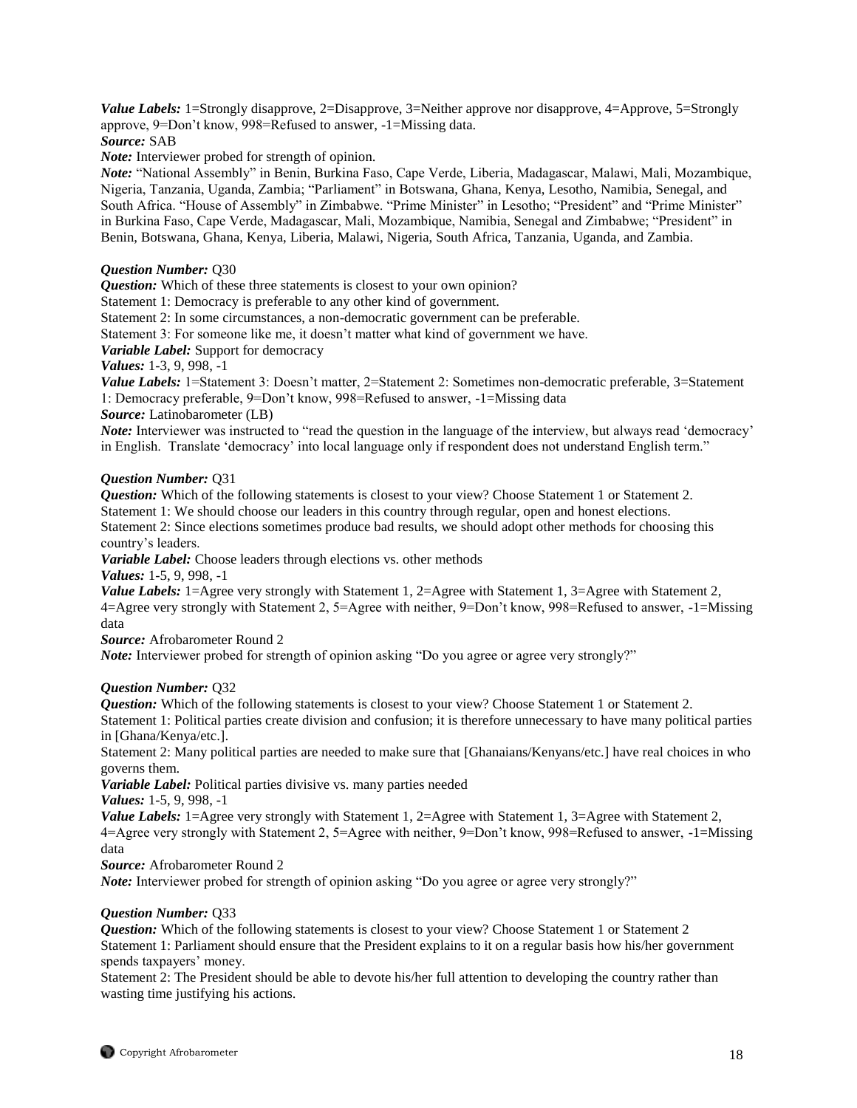*Value Labels:* 1=Strongly disapprove, 2=Disapprove, 3=Neither approve nor disapprove, 4=Approve, 5=Strongly approve, 9=Don't know, 998=Refused to answer, -1=Missing data.

# *Source:* SAB

*Note:* Interviewer probed for strength of opinion.

*Note:* "National Assembly" in Benin, Burkina Faso, Cape Verde, Liberia, Madagascar, Malawi, Mali, Mozambique, Nigeria, Tanzania, Uganda, Zambia; "Parliament" in Botswana, Ghana, Kenya, Lesotho, Namibia, Senegal, and South Africa. "House of Assembly" in Zimbabwe. "Prime Minister" in Lesotho; "President" and "Prime Minister" in Burkina Faso, Cape Verde, Madagascar, Mali, Mozambique, Namibia, Senegal and Zimbabwe; "President" in Benin, Botswana, Ghana, Kenya, Liberia, Malawi, Nigeria, South Africa, Tanzania, Uganda, and Zambia.

# *Question Number:* Q30

*Question:* Which of these three statements is closest to your own opinion?

Statement 1: Democracy is preferable to any other kind of government.

Statement 2: In some circumstances, a non-democratic government can be preferable.

Statement 3: For someone like me, it doesn't matter what kind of government we have.

*Variable Label:* Support for democracy

*Values:* 1-3, 9, 998, -1

*Value Labels:* 1=Statement 3: Doesn't matter, 2=Statement 2: Sometimes non-democratic preferable, 3=Statement 1: Democracy preferable, 9=Don't know, 998=Refused to answer, -1=Missing data *Source:* Latinobarometer (LB)

*Note:* Interviewer was instructed to "read the question in the language of the interview, but always read 'democracy' in English. Translate 'democracy' into local language only if respondent does not understand English term."

### *Question Number:* Q31

*Question:* Which of the following statements is closest to your view? Choose Statement 1 or Statement 2. Statement 1: We should choose our leaders in this country through regular, open and honest elections. Statement 2: Since elections sometimes produce bad results, we should adopt other methods for choosing this country's leaders.

*Variable Label:* Choose leaders through elections vs. other methods

*Values:* 1-5, 9, 998, -1

*Value Labels:* 1=Agree very strongly with Statement 1, 2=Agree with Statement 1, 3=Agree with Statement 2, 4=Agree very strongly with Statement 2, 5=Agree with neither, 9=Don't know, 998=Refused to answer, -1=Missing data

*Source:* Afrobarometer Round 2

*Note:* Interviewer probed for strength of opinion asking "Do you agree or agree very strongly?"

#### *Question Number:* Q32

*Question:* Which of the following statements is closest to your view? Choose Statement 1 or Statement 2.

Statement 1: Political parties create division and confusion; it is therefore unnecessary to have many political parties in [Ghana/Kenya/etc.].

Statement 2: Many political parties are needed to make sure that [Ghanaians/Kenyans/etc.] have real choices in who governs them.

*Variable Label:* Political parties divisive vs. many parties needed

*Values:* 1-5, 9, 998, -1

*Value Labels:* 1=Agree very strongly with Statement 1, 2=Agree with Statement 1, 3=Agree with Statement 2, 4=Agree very strongly with Statement 2, 5=Agree with neither, 9=Don't know, 998=Refused to answer, -1=Missing data

*Source:* Afrobarometer Round 2

*Note:* Interviewer probed for strength of opinion asking "Do you agree or agree very strongly?"

# *Question Number:* Q33

*Question:* Which of the following statements is closest to your view? Choose Statement 1 or Statement 2 Statement 1: Parliament should ensure that the President explains to it on a regular basis how his/her government spends taxpayers' money.

Statement 2: The President should be able to devote his/her full attention to developing the country rather than wasting time justifying his actions.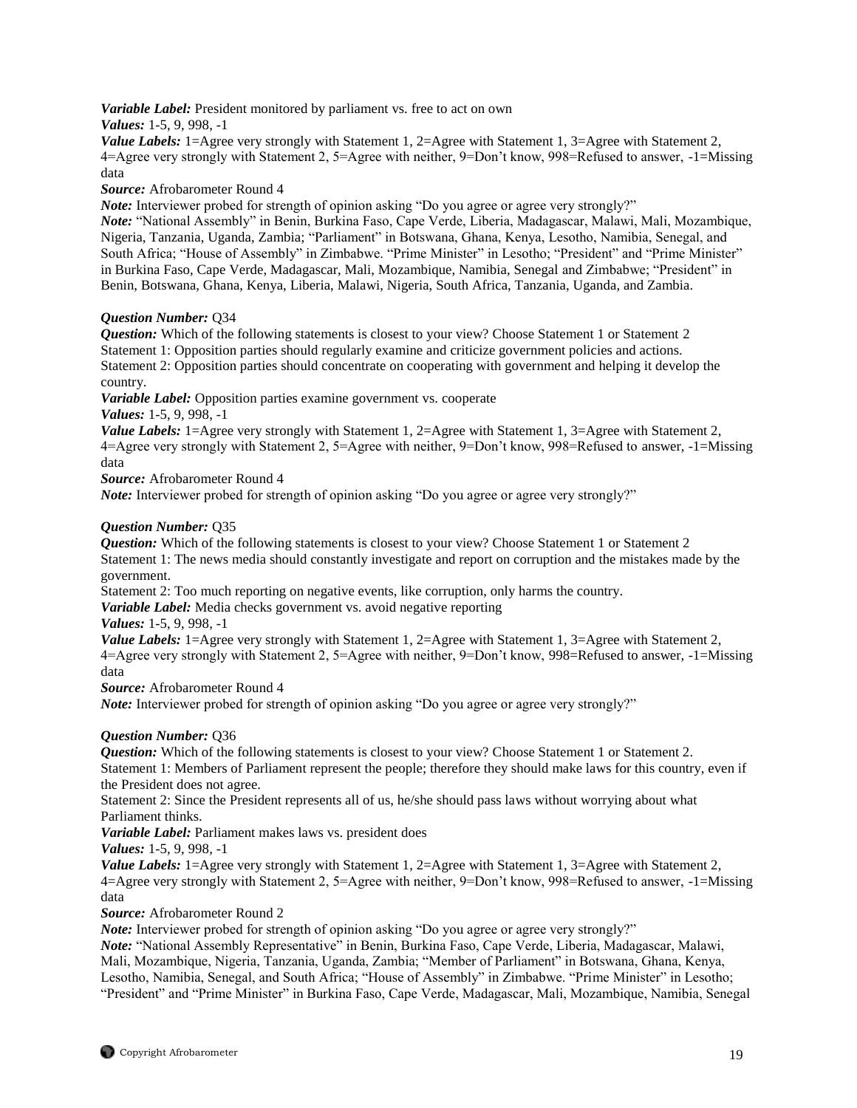*Variable Label:* President monitored by parliament vs. free to act on own

*Values:* 1-5, 9, 998, -1

*Value Labels:* 1=Agree very strongly with Statement 1, 2=Agree with Statement 1, 3=Agree with Statement 2, 4=Agree very strongly with Statement 2, 5=Agree with neither, 9=Don't know, 998=Refused to answer, -1=Missing data

*Source:* Afrobarometer Round 4

*Note:* Interviewer probed for strength of opinion asking "Do you agree or agree very strongly?"

*Note:* "National Assembly" in Benin, Burkina Faso, Cape Verde, Liberia, Madagascar, Malawi, Mali, Mozambique, Nigeria, Tanzania, Uganda, Zambia; "Parliament" in Botswana, Ghana, Kenya, Lesotho, Namibia, Senegal, and South Africa; "House of Assembly" in Zimbabwe. "Prime Minister" in Lesotho; "President" and "Prime Minister" in Burkina Faso, Cape Verde, Madagascar, Mali, Mozambique, Namibia, Senegal and Zimbabwe; "President" in Benin, Botswana, Ghana, Kenya, Liberia, Malawi, Nigeria, South Africa, Tanzania, Uganda, and Zambia.

# *Question Number:* Q34

*Question:* Which of the following statements is closest to your view? Choose Statement 1 or Statement 2 Statement 1: Opposition parties should regularly examine and criticize government policies and actions. Statement 2: Opposition parties should concentrate on cooperating with government and helping it develop the country.

*Variable Label:* Opposition parties examine government vs. cooperate

*Values:* 1-5, 9, 998, -1

*Value Labels:* 1=Agree very strongly with Statement 1, 2=Agree with Statement 1, 3=Agree with Statement 2, 4=Agree very strongly with Statement 2, 5=Agree with neither, 9=Don't know, 998=Refused to answer, -1=Missing data

*Source:* Afrobarometer Round 4

*Note:* Interviewer probed for strength of opinion asking "Do you agree or agree very strongly?"

# *Question Number:* Q35

*Question:* Which of the following statements is closest to your view? Choose Statement 1 or Statement 2 Statement 1: The news media should constantly investigate and report on corruption and the mistakes made by the government.

Statement 2: Too much reporting on negative events, like corruption, only harms the country.

*Variable Label:* Media checks government vs. avoid negative reporting

*Values:* 1-5, 9, 998, -1

*Value Labels:* 1=Agree very strongly with Statement 1, 2=Agree with Statement 1, 3=Agree with Statement 2, 4=Agree very strongly with Statement 2, 5=Agree with neither, 9=Don't know, 998=Refused to answer, -1=Missing data

*Source:* Afrobarometer Round 4

*Note:* Interviewer probed for strength of opinion asking "Do you agree or agree very strongly?"

# *Question Number:* Q36

*Question:* Which of the following statements is closest to your view? Choose Statement 1 or Statement 2. Statement 1: Members of Parliament represent the people; therefore they should make laws for this country, even if the President does not agree.

Statement 2: Since the President represents all of us, he/she should pass laws without worrying about what Parliament thinks.

*Variable Label:* Parliament makes laws vs. president does

*Values:* 1-5, 9, 998, -1

*Value Labels:* 1=Agree very strongly with Statement 1, 2=Agree with Statement 1, 3=Agree with Statement 2, 4=Agree very strongly with Statement 2, 5=Agree with neither, 9=Don't know, 998=Refused to answer, -1=Missing data

*Source:* Afrobarometer Round 2

*Note:* Interviewer probed for strength of opinion asking "Do you agree or agree very strongly?"

*Note:* "National Assembly Representative" in Benin, Burkina Faso, Cape Verde, Liberia, Madagascar, Malawi, Mali, Mozambique, Nigeria, Tanzania, Uganda, Zambia; "Member of Parliament" in Botswana, Ghana, Kenya, Lesotho, Namibia, Senegal, and South Africa; "House of Assembly" in Zimbabwe. "Prime Minister" in Lesotho; "President" and "Prime Minister" in Burkina Faso, Cape Verde, Madagascar, Mali, Mozambique, Namibia, Senegal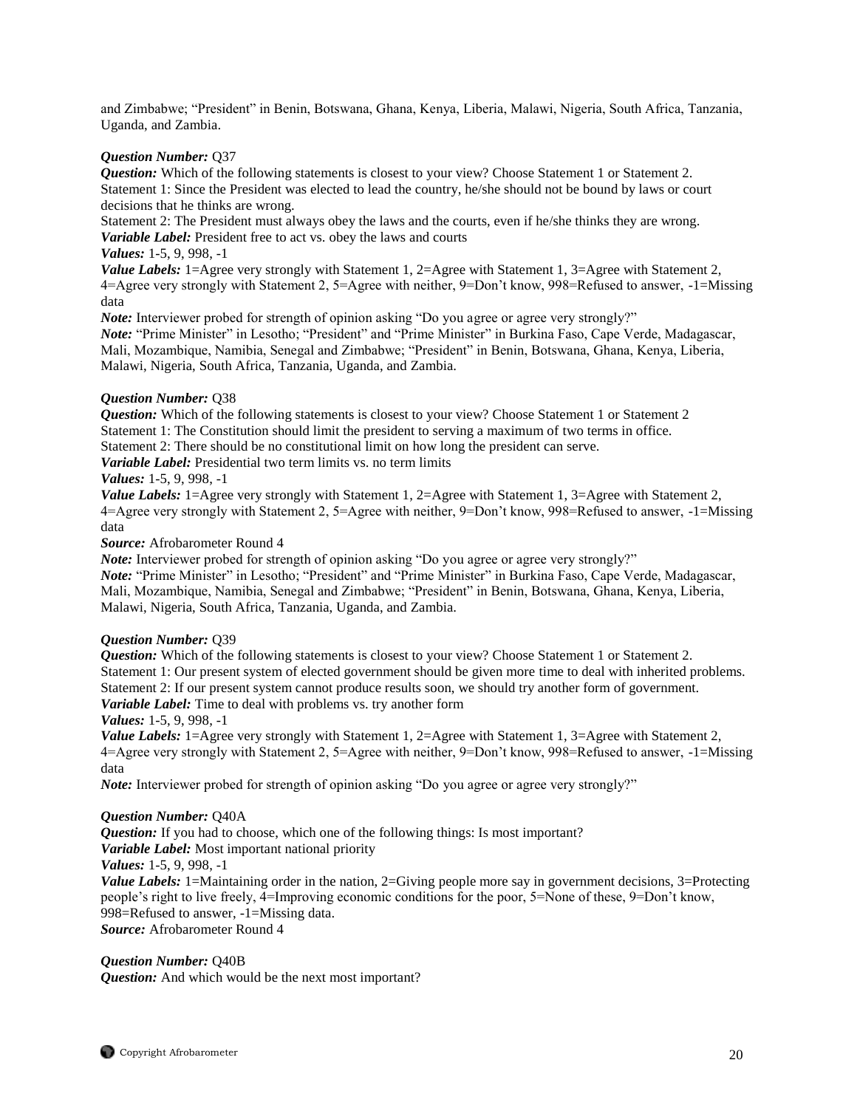and Zimbabwe; "President" in Benin, Botswana, Ghana, Kenya, Liberia, Malawi, Nigeria, South Africa, Tanzania, Uganda, and Zambia.

# *Question Number:* Q37

*Question:* Which of the following statements is closest to your view? Choose Statement 1 or Statement 2. Statement 1: Since the President was elected to lead the country, he/she should not be bound by laws or court decisions that he thinks are wrong.

Statement 2: The President must always obey the laws and the courts, even if he/she thinks they are wrong.

*Variable Label:* President free to act vs. obey the laws and courts

# *Values:* 1-5, 9, 998, -1

*Value Labels:* 1=Agree very strongly with Statement 1, 2=Agree with Statement 1, 3=Agree with Statement 2, 4=Agree very strongly with Statement 2, 5=Agree with neither, 9=Don't know, 998=Refused to answer, -1=Missing data

*Note:* Interviewer probed for strength of opinion asking "Do you agree or agree very strongly?"

*Note:* "Prime Minister" in Lesotho; "President" and "Prime Minister" in Burkina Faso, Cape Verde, Madagascar, Mali, Mozambique, Namibia, Senegal and Zimbabwe; "President" in Benin, Botswana, Ghana, Kenya, Liberia, Malawi, Nigeria, South Africa, Tanzania, Uganda, and Zambia.

# *Question Number:* Q38

*Question:* Which of the following statements is closest to your view? Choose Statement 1 or Statement 2 Statement 1: The Constitution should limit the president to serving a maximum of two terms in office.

Statement 2: There should be no constitutional limit on how long the president can serve.

*Variable Label:* Presidential two term limits vs. no term limits

# *Values:* 1-5, 9, 998, -1

*Value Labels:* 1=Agree very strongly with Statement 1, 2=Agree with Statement 1, 3=Agree with Statement 2, 4=Agree very strongly with Statement 2, 5=Agree with neither, 9=Don't know, 998=Refused to answer, -1=Missing data

*Source:* Afrobarometer Round 4

*Note:* Interviewer probed for strength of opinion asking "Do you agree or agree very strongly?"

*Note:* "Prime Minister" in Lesotho; "President" and "Prime Minister" in Burkina Faso, Cape Verde, Madagascar, Mali, Mozambique, Namibia, Senegal and Zimbabwe; "President" in Benin, Botswana, Ghana, Kenya, Liberia, Malawi, Nigeria, South Africa, Tanzania, Uganda, and Zambia.

#### *Question Number:* Q39

*Question:* Which of the following statements is closest to your view? Choose Statement 1 or Statement 2. Statement 1: Our present system of elected government should be given more time to deal with inherited problems. Statement 2: If our present system cannot produce results soon, we should try another form of government. *Variable Label:* Time to deal with problems vs. try another form

*Values:* 1-5, 9, 998, -1

*Value Labels:* 1=Agree very strongly with Statement 1, 2=Agree with Statement 1, 3=Agree with Statement 2, 4=Agree very strongly with Statement 2, 5=Agree with neither, 9=Don't know, 998=Refused to answer, -1=Missing data

*Note:* Interviewer probed for strength of opinion asking "Do you agree or agree very strongly?"

#### *Question Number:* Q40A

*Question:* If you had to choose, which one of the following things: Is most important? *Variable Label:* Most important national priority

*Values:* 1-5, 9, 998, -1

*Value Labels:* 1=Maintaining order in the nation, 2=Giving people more say in government decisions, 3=Protecting people's right to live freely, 4=Improving economic conditions for the poor, 5=None of these, 9=Don't know, 998=Refused to answer, -1=Missing data.

*Source:* Afrobarometer Round 4

# *Question Number:* Q40B

*Question:* And which would be the next most important?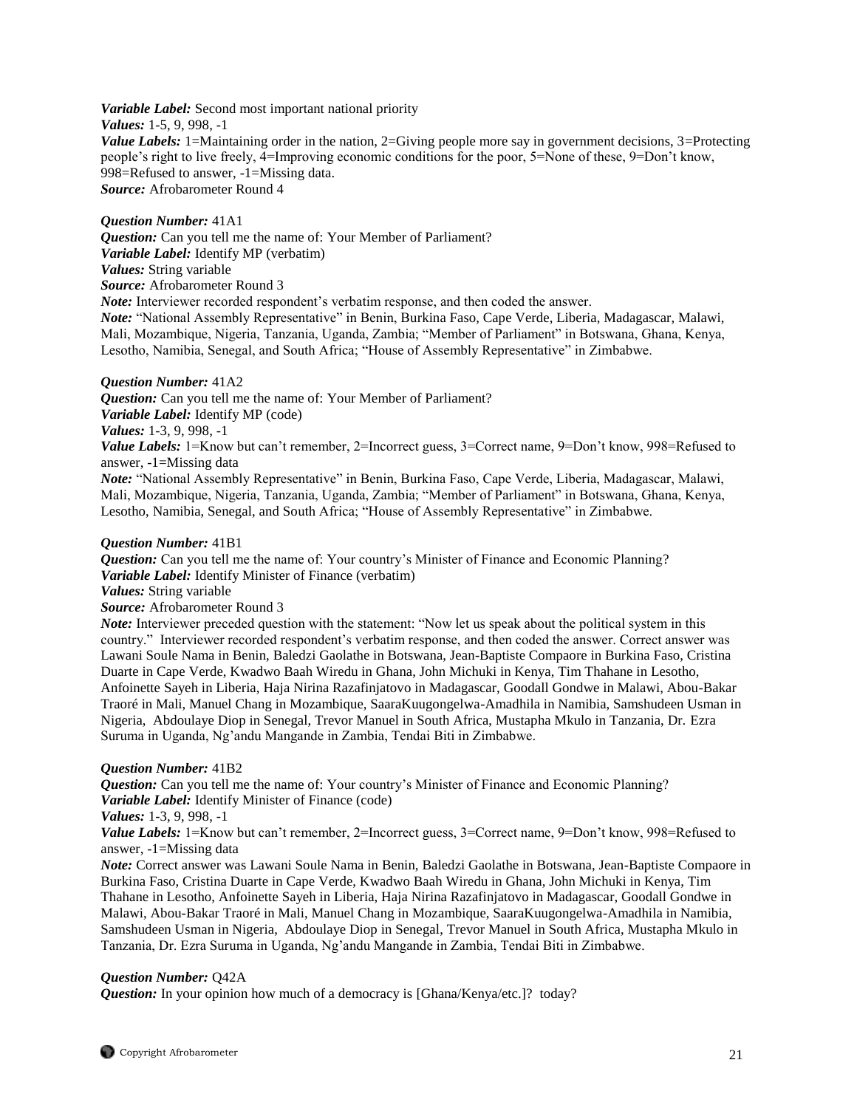*Variable Label:* Second most important national priority *Values:* 1-5, 9, 998, -1 *Value Labels:* 1=Maintaining order in the nation, 2=Giving people more say in government decisions, 3=Protecting people's right to live freely, 4=Improving economic conditions for the poor, 5=None of these, 9=Don't know, 998=Refused to answer, -1=Missing data. *Source:* Afrobarometer Round 4

#### *Question Number:* 41A1

*Question:* Can you tell me the name of: Your Member of Parliament? *Variable Label:* Identify MP (verbatim) *Values:* String variable *Source:* Afrobarometer Round 3

*Note:* Interviewer recorded respondent's verbatim response, and then coded the answer.

*Note:* "National Assembly Representative" in Benin, Burkina Faso, Cape Verde, Liberia, Madagascar, Malawi, Mali, Mozambique, Nigeria, Tanzania, Uganda, Zambia; "Member of Parliament" in Botswana, Ghana, Kenya, Lesotho, Namibia, Senegal, and South Africa; "House of Assembly Representative" in Zimbabwe.

#### *Question Number:* 41A2

*Question:* Can you tell me the name of: Your Member of Parliament? *Variable Label:* Identify MP (code) *Values:* 1-3, 9, 998, -1 *Value Labels:* 1=Know but can't remember, 2=Incorrect guess, 3=Correct name, 9=Don't know, 998=Refused to

answer, -1=Missing data

*Note:* "National Assembly Representative" in Benin, Burkina Faso, Cape Verde, Liberia, Madagascar, Malawi, Mali, Mozambique, Nigeria, Tanzania, Uganda, Zambia; "Member of Parliament" in Botswana, Ghana, Kenya, Lesotho, Namibia, Senegal, and South Africa; "House of Assembly Representative" in Zimbabwe.

#### *Question Number:* 41B1

*Question:* Can you tell me the name of: Your country's Minister of Finance and Economic Planning? *Variable Label:* Identify Minister of Finance (verbatim)

*Values:* String variable

*Source:* Afrobarometer Round 3

*Note:* Interviewer preceded question with the statement: "Now let us speak about the political system in this country." Interviewer recorded respondent's verbatim response, and then coded the answer. Correct answer was Lawani Soule Nama in Benin, Baledzi Gaolathe in Botswana, Jean-Baptiste Compaore in Burkina Faso, Cristina Duarte in Cape Verde, Kwadwo Baah Wiredu in Ghana, John Michuki in Kenya, Tim Thahane in Lesotho, Anfoinette Sayeh in Liberia, Haja Nirina Razafinjatovo in Madagascar, Goodall Gondwe in Malawi, Abou-Bakar Traoré in Mali, Manuel Chang in Mozambique, SaaraKuugongelwa-Amadhila in Namibia, Samshudeen Usman in Nigeria, Abdoulaye Diop in Senegal, Trevor Manuel in South Africa, Mustapha Mkulo in Tanzania, Dr. Ezra Suruma in Uganda, Ng'andu Mangande in Zambia, Tendai Biti in Zimbabwe.

#### *Question Number:* 41B2

*Question:* Can you tell me the name of: Your country's Minister of Finance and Economic Planning? *Variable Label:* Identify Minister of Finance (code)

*Values:* 1-3, 9, 998, -1

*Value Labels:* 1=Know but can't remember, 2=Incorrect guess, 3=Correct name, 9=Don't know, 998=Refused to answer, -1=Missing data

*Note:* Correct answer was Lawani Soule Nama in Benin, Baledzi Gaolathe in Botswana, Jean-Baptiste Compaore in Burkina Faso, Cristina Duarte in Cape Verde, Kwadwo Baah Wiredu in Ghana, John Michuki in Kenya, Tim Thahane in Lesotho, Anfoinette Sayeh in Liberia, Haja Nirina Razafinjatovo in Madagascar, Goodall Gondwe in Malawi, Abou-Bakar Traoré in Mali, Manuel Chang in Mozambique, SaaraKuugongelwa-Amadhila in Namibia, Samshudeen Usman in Nigeria, Abdoulaye Diop in Senegal, Trevor Manuel in South Africa, Mustapha Mkulo in Tanzania, Dr. Ezra Suruma in Uganda, Ng'andu Mangande in Zambia, Tendai Biti in Zimbabwe.

#### *Question Number:* Q42A

*Question:* In your opinion how much of a democracy is [Ghana/Kenya/etc.]? today?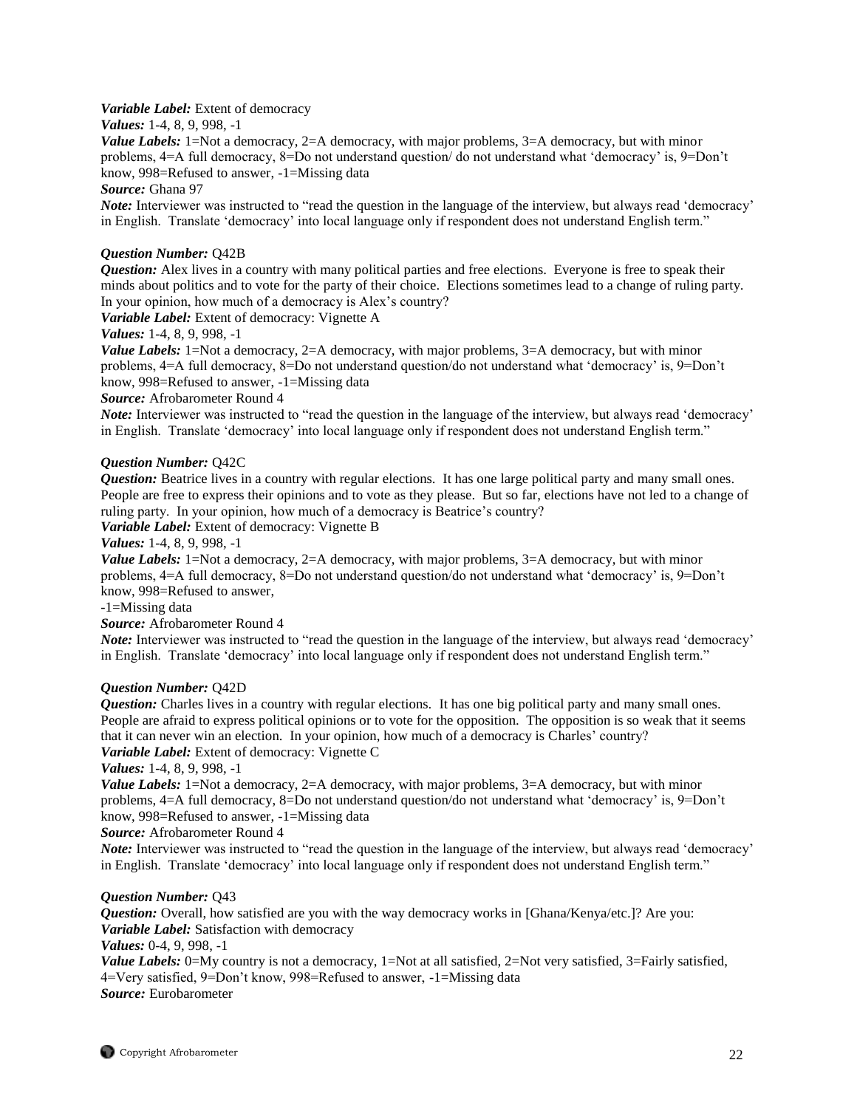# *Variable Label:* Extent of democracy

*Values:* 1-4, 8, 9, 998, -1

*Value Labels:* 1=Not a democracy, 2=A democracy, with major problems, 3=A democracy, but with minor problems, 4=A full democracy, 8=Do not understand question/ do not understand what 'democracy' is, 9=Don't know, 998=Refused to answer, -1=Missing data

*Source:* Ghana 97

*Note:* Interviewer was instructed to "read the question in the language of the interview, but always read 'democracy' in English. Translate 'democracy' into local language only if respondent does not understand English term."

# *Question Number:* Q42B

*Question:* Alex lives in a country with many political parties and free elections. Everyone is free to speak their minds about politics and to vote for the party of their choice. Elections sometimes lead to a change of ruling party. In your opinion, how much of a democracy is Alex's country?

*Variable Label:* Extent of democracy: Vignette A

*Values:* 1-4, 8, 9, 998, -1

*Value Labels:* 1=Not a democracy, 2=A democracy, with major problems, 3=A democracy, but with minor problems, 4=A full democracy, 8=Do not understand question/do not understand what 'democracy' is, 9=Don't know, 998=Refused to answer, -1=Missing data

*Source:* Afrobarometer Round 4

*Note:* Interviewer was instructed to "read the question in the language of the interview, but always read 'democracy' in English. Translate 'democracy' into local language only if respondent does not understand English term."

# *Question Number:* Q42C

*Question:* Beatrice lives in a country with regular elections. It has one large political party and many small ones. People are free to express their opinions and to vote as they please. But so far, elections have not led to a change of ruling party. In your opinion, how much of a democracy is Beatrice's country?

*Variable Label:* Extent of democracy: Vignette B

*Values:* 1-4, 8, 9, 998, -1

*Value Labels:* 1=Not a democracy, 2=A democracy, with major problems, 3=A democracy, but with minor problems, 4=A full democracy, 8=Do not understand question/do not understand what 'democracy' is, 9=Don't know, 998=Refused to answer,

-1=Missing data

*Source:* Afrobarometer Round 4

*Note:* Interviewer was instructed to "read the question in the language of the interview, but always read 'democracy' in English. Translate 'democracy' into local language only if respondent does not understand English term."

# *Question Number:* Q42D

*Question:* Charles lives in a country with regular elections. It has one big political party and many small ones. People are afraid to express political opinions or to vote for the opposition. The opposition is so weak that it seems that it can never win an election. In your opinion, how much of a democracy is Charles' country? *Variable Label:* Extent of democracy: Vignette C

*Values:* 1-4, 8, 9, 998, -1

*Value Labels:* 1=Not a democracy, 2=A democracy, with major problems, 3=A democracy, but with minor problems, 4=A full democracy, 8=Do not understand question/do not understand what 'democracy' is, 9=Don't know, 998=Refused to answer, -1=Missing data

*Source:* Afrobarometer Round 4

*Note:* Interviewer was instructed to "read the question in the language of the interview, but always read 'democracy' in English. Translate 'democracy' into local language only if respondent does not understand English term."

# *Question Number:* Q43

*Question:* Overall, how satisfied are you with the way democracy works in [Ghana/Kenya/etc.]? Are you: *Variable Label:* Satisfaction with democracy

*Values:* 0-4, 9, 998, -1

*Value Labels:* 0=My country is not a democracy, 1=Not at all satisfied, 2=Not very satisfied, 3=Fairly satisfied, 4=Very satisfied, 9=Don't know, 998=Refused to answer, -1=Missing data *Source:* Eurobarometer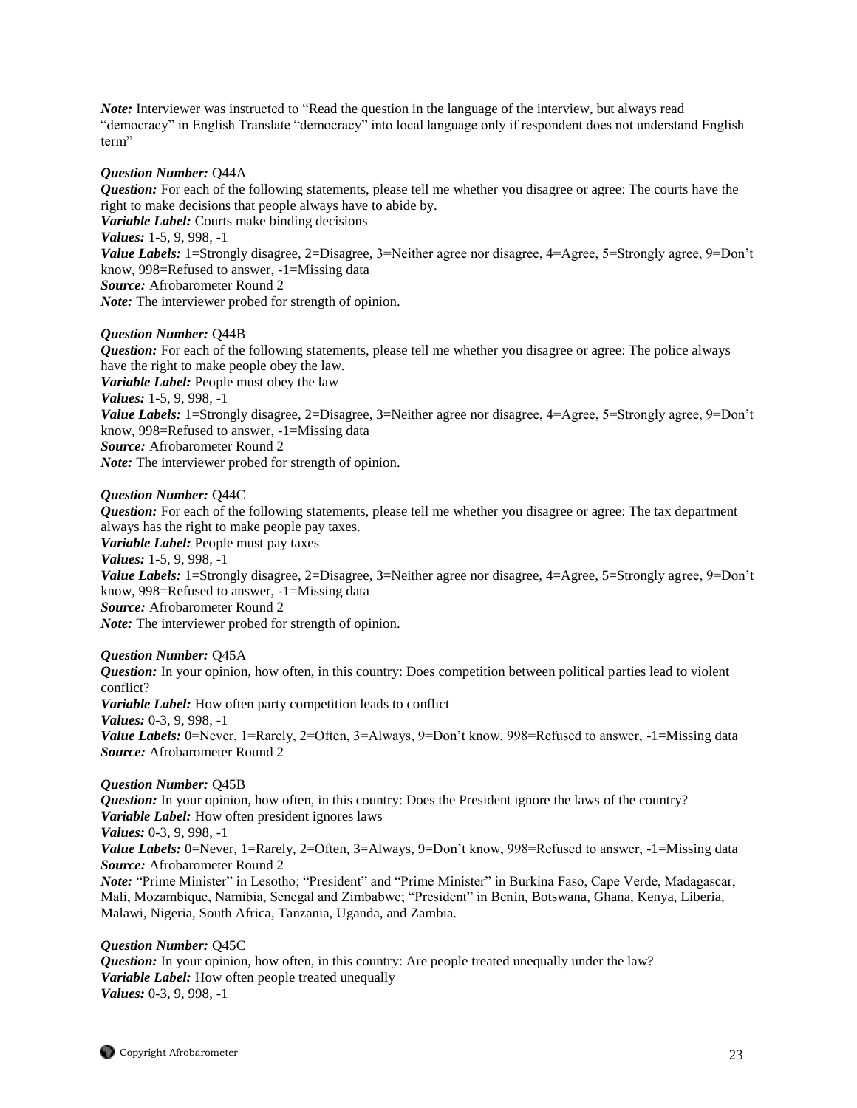*Note:* Interviewer was instructed to "Read the question in the language of the interview, but always read "democracy" in English Translate "democracy" into local language only if respondent does not understand English term"

#### *Question Number:* Q44A

*Question:* For each of the following statements, please tell me whether you disagree or agree: The courts have the right to make decisions that people always have to abide by. *Variable Label:* Courts make binding decisions *Values:* 1-5, 9, 998, -1 *Value Labels:* 1=Strongly disagree, 2=Disagree, 3=Neither agree nor disagree, 4=Agree, 5=Strongly agree, 9=Don't know, 998=Refused to answer, -1=Missing data *Source:* Afrobarometer Round 2 *Note:* The interviewer probed for strength of opinion.

#### *Question Number:* Q44B

*Question:* For each of the following statements, please tell me whether you disagree or agree: The police always have the right to make people obey the law. *Variable Label:* People must obey the law *Values:* 1-5, 9, 998, -1 *Value Labels:* 1=Strongly disagree, 2=Disagree, 3=Neither agree nor disagree, 4=Agree, 5=Strongly agree, 9=Don't know, 998=Refused to answer, -1=Missing data *Source:* Afrobarometer Round 2 *Note:* The interviewer probed for strength of opinion.

# *Question Number:* Q44C

*Question:* For each of the following statements, please tell me whether you disagree or agree: The tax department always has the right to make people pay taxes. *Variable Label:* People must pay taxes *Values:* 1-5, 9, 998, -1 *Value Labels:* 1=Strongly disagree, 2=Disagree, 3=Neither agree nor disagree, 4=Agree, 5=Strongly agree, 9=Don't know, 998=Refused to answer, -1=Missing data *Source:* Afrobarometer Round 2 *Note:* The interviewer probed for strength of opinion.

#### *Question Number:* Q45A

*Question:* In your opinion, how often, in this country: Does competition between political parties lead to violent conflict? *Variable Label:* How often party competition leads to conflict *Values:* 0-3, 9, 998, -1 *Value Labels:* 0=Never, 1=Rarely, 2=Often, 3=Always, 9=Don't know, 998=Refused to answer, -1=Missing data *Source:* Afrobarometer Round 2

#### *Question Number:* Q45B

*Question:* In your opinion, how often, in this country: Does the President ignore the laws of the country? *Variable Label:* How often president ignores laws

*Values:* 0-3, 9, 998, -1

*Value Labels:* 0=Never, 1=Rarely, 2=Often, 3=Always, 9=Don't know, 998=Refused to answer, -1=Missing data *Source:* Afrobarometer Round 2

*Note:* "Prime Minister" in Lesotho; "President" and "Prime Minister" in Burkina Faso, Cape Verde, Madagascar, Mali, Mozambique, Namibia, Senegal and Zimbabwe; "President" in Benin, Botswana, Ghana, Kenya, Liberia, Malawi, Nigeria, South Africa, Tanzania, Uganda, and Zambia.

#### *Question Number:* Q45C

*Question:* In your opinion, how often, in this country: Are people treated unequally under the law? *Variable Label:* How often people treated unequally *Values:* 0-3, 9, 998, -1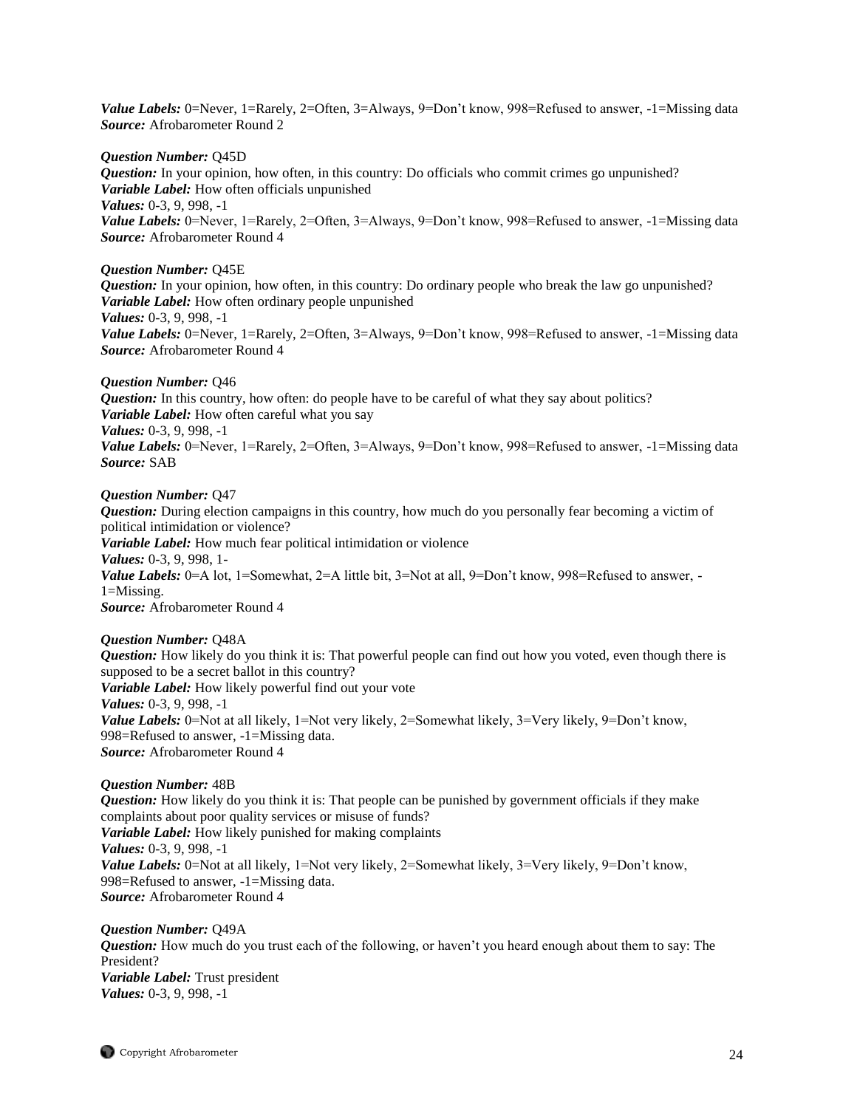Value Labels: 0=Never, 1=Rarely, 2=Often, 3=Always, 9=Don't know, 998=Refused to answer, -1=Missing data *Source:* Afrobarometer Round 2

*Question Number:* Q45D *Question:* In your opinion, how often, in this country: Do officials who commit crimes go unpunished? *Variable Label:* How often officials unpunished *Values:* 0-3, 9, 998, -1 *Value Labels:* 0=Never, 1=Rarely, 2=Often, 3=Always, 9=Don't know, 998=Refused to answer, -1=Missing data *Source:* Afrobarometer Round 4

#### *Question Number:* Q45E

*Question:* In your opinion, how often, in this country: Do ordinary people who break the law go unpunished? *Variable Label:* How often ordinary people unpunished *Values:* 0-3, 9, 998, -1 *Value Labels:* 0=Never, 1=Rarely, 2=Often, 3=Always, 9=Don't know, 998=Refused to answer, -1=Missing data *Source:* Afrobarometer Round 4

#### *Question Number:* Q46

*Question:* In this country, how often: do people have to be careful of what they say about politics? *Variable Label:* How often careful what you say *Values:* 0-3, 9, 998, -1 *Value Labels:* 0=Never, 1=Rarely, 2=Often, 3=Always, 9=Don't know, 998=Refused to answer, -1=Missing data *Source:* SAB

#### *Question Number:* Q47

*Question:* During election campaigns in this country, how much do you personally fear becoming a victim of political intimidation or violence? *Variable Label:* How much fear political intimidation or violence *Values:* 0-3, 9, 998, 1- *Value Labels:* 0=A lot, 1=Somewhat, 2=A little bit, 3=Not at all, 9=Don't know, 998=Refused to answer, -1=Missing. *Source:* Afrobarometer Round 4

#### *Question Number:* Q48A

*Question:* How likely do you think it is: That powerful people can find out how you voted, even though there is supposed to be a secret ballot in this country? *Variable Label:* How likely powerful find out your vote *Values:* 0-3, 9, 998, -1 *Value Labels:* 0=Not at all likely, 1=Not very likely, 2=Somewhat likely, 3=Very likely, 9=Don't know, 998=Refused to answer, -1=Missing data. *Source:* Afrobarometer Round 4

#### *Question Number:* 48B

*Question:* How likely do you think it is: That people can be punished by government officials if they make complaints about poor quality services or misuse of funds? *Variable Label:* How likely punished for making complaints *Values:* 0-3, 9, 998, -1 *Value Labels:* 0=Not at all likely, 1=Not very likely, 2=Somewhat likely, 3=Very likely, 9=Don't know, 998=Refused to answer, -1=Missing data. *Source:* Afrobarometer Round 4

*Question Number:* Q49A *Question:* How much do you trust each of the following, or haven't you heard enough about them to say: The President? *Variable Label:* Trust president *Values:* 0-3, 9, 998, -1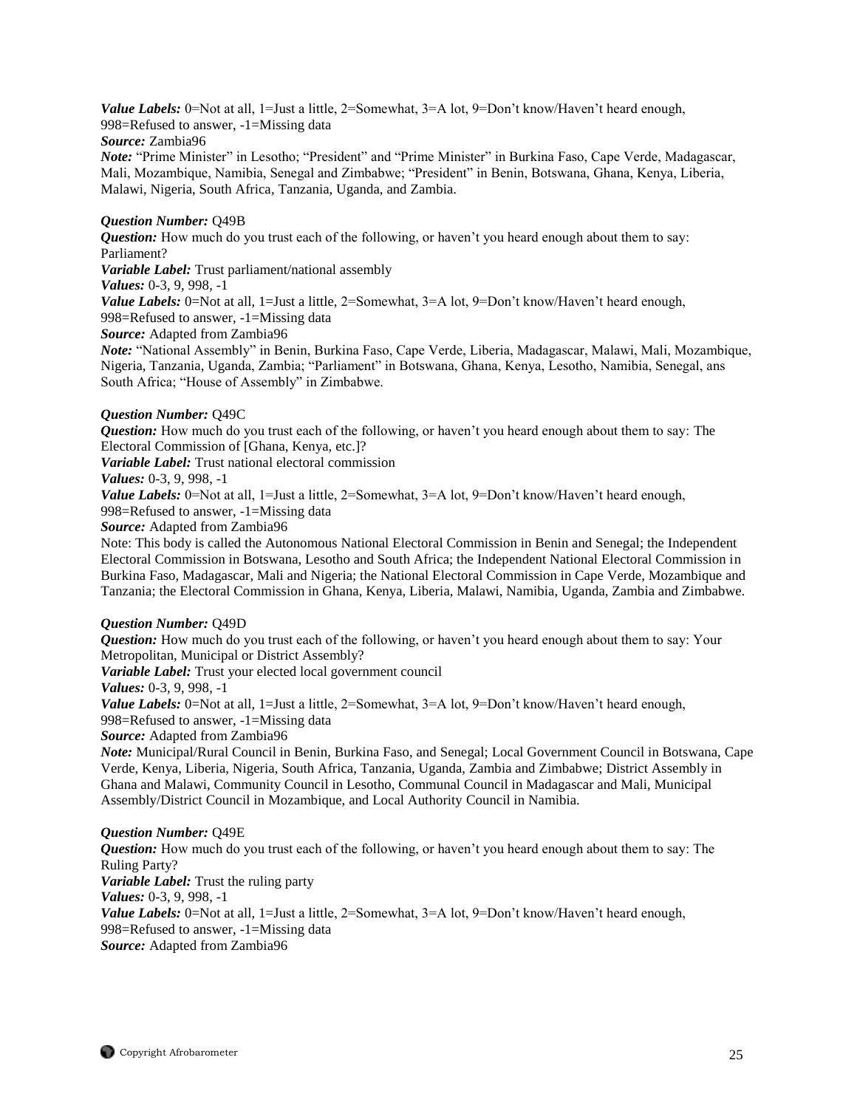Value Labels: 0=Not at all, 1=Just a little, 2=Somewhat, 3=A lot, 9=Don't know/Haven't heard enough, 998=Refused to answer, -1=Missing data

# *Source:* Zambia96

*Note:* "Prime Minister" in Lesotho; "President" and "Prime Minister" in Burkina Faso, Cape Verde, Madagascar, Mali, Mozambique, Namibia, Senegal and Zimbabwe; "President" in Benin, Botswana, Ghana, Kenya, Liberia, Malawi, Nigeria, South Africa, Tanzania, Uganda, and Zambia.

# *Question Number:* Q49B

*Question:* How much do you trust each of the following, or haven't you heard enough about them to say: Parliament?

*Variable Label:* Trust parliament/national assembly

*Values:* 0-3, 9, 998, -1

*Value Labels:* 0=Not at all, 1=Just a little, 2=Somewhat, 3=A lot, 9=Don't know/Haven't heard enough, 998=Refused to answer, -1=Missing data

# *Source:* Adapted from Zambia96

*Note:* "National Assembly" in Benin, Burkina Faso, Cape Verde, Liberia, Madagascar, Malawi, Mali, Mozambique, Nigeria, Tanzania, Uganda, Zambia; "Parliament" in Botswana, Ghana, Kenya, Lesotho, Namibia, Senegal, ans South Africa; "House of Assembly" in Zimbabwe.

# *Question Number:* Q49C

*Question:* How much do you trust each of the following, or haven't you heard enough about them to say: The Electoral Commission of [Ghana, Kenya, etc.]?

*Variable Label:* Trust national electoral commission

# *Values:* 0-3, 9, 998, -1

*Value Labels:* 0=Not at all, 1=Just a little, 2=Somewhat, 3=A lot, 9=Don't know/Haven't heard enough,

998=Refused to answer, -1=Missing data

*Source:* Adapted from Zambia96

Note: This body is called the Autonomous National Electoral Commission in Benin and Senegal; the Independent Electoral Commission in Botswana, Lesotho and South Africa; the Independent National Electoral Commission in Burkina Faso, Madagascar, Mali and Nigeria; the National Electoral Commission in Cape Verde, Mozambique and Tanzania; the Electoral Commission in Ghana, Kenya, Liberia, Malawi, Namibia, Uganda, Zambia and Zimbabwe.

# *Question Number:* Q49D

*Question:* How much do you trust each of the following, or haven't you heard enough about them to say: Your Metropolitan, Municipal or District Assembly? *Variable Label:* Trust your elected local government council *Values:* 0-3, 9, 998, -1 *Value Labels:* 0=Not at all, 1=Just a little, 2=Somewhat, 3=A lot, 9=Don't know/Haven't heard enough, 998=Refused to answer, -1=Missing data *Source:* Adapted from Zambia96 *Note:* Municipal/Rural Council in Benin, Burkina Faso, and Senegal; Local Government Council in Botswana, Cape Verde, Kenya, Liberia, Nigeria, South Africa, Tanzania, Uganda, Zambia and Zimbabwe; District Assembly in Ghana and Malawi, Community Council in Lesotho, Communal Council in Madagascar and Mali, Municipal

# *Question Number:* Q49E

*Question:* How much do you trust each of the following, or haven't you heard enough about them to say: The Ruling Party? *Variable Label:* Trust the ruling party *Values:* 0-3, 9, 998, -1 *Value Labels:* 0=Not at all, 1=Just a little, 2=Somewhat, 3=A lot, 9=Don't know/Haven't heard enough, 998=Refused to answer, -1=Missing data *Source:* Adapted from Zambia96

Assembly/District Council in Mozambique, and Local Authority Council in Namibia.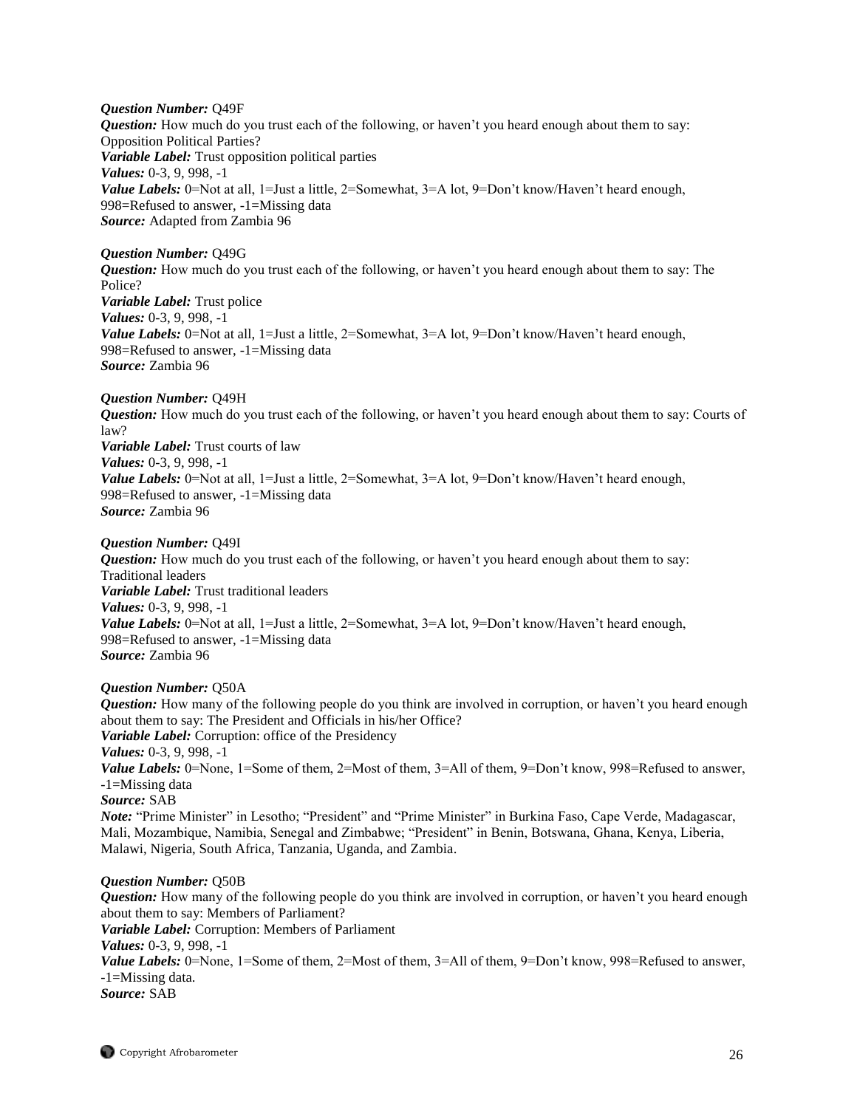*Question Number:* Q49F *Question:* How much do you trust each of the following, or haven't you heard enough about them to say: Opposition Political Parties? *Variable Label:* Trust opposition political parties *Values:* 0-3, 9, 998, -1 *Value Labels:* 0=Not at all, 1=Just a little, 2=Somewhat, 3=A lot, 9=Don't know/Haven't heard enough, 998=Refused to answer, -1=Missing data *Source:* Adapted from Zambia 96

*Question Number:* Q49G *Question:* How much do you trust each of the following, or haven't you heard enough about them to say: The Police? *Variable Label:* Trust police *Values:* 0-3, 9, 998, -1 *Value Labels:* 0=Not at all, 1=Just a little, 2=Somewhat, 3=A lot, 9=Don't know/Haven't heard enough, 998=Refused to answer, -1=Missing data *Source:* Zambia 96

#### *Question Number:* Q49H

*Question:* How much do you trust each of the following, or haven't you heard enough about them to say: Courts of law? *Variable Label:* Trust courts of law *Values:* 0-3, 9, 998, -1 *Value Labels:* 0=Not at all, 1=Just a little, 2=Somewhat, 3=A lot, 9=Don't know/Haven't heard enough, 998=Refused to answer, -1=Missing data *Source:* Zambia 96

#### *Question Number:* Q49I

*Question:* How much do you trust each of the following, or haven't you heard enough about them to say: Traditional leaders *Variable Label:* Trust traditional leaders *Values:* 0-3, 9, 998, -1 Value Labels: 0=Not at all, 1=Just a little, 2=Somewhat, 3=A lot, 9=Don't know/Haven't heard enough, 998=Refused to answer, -1=Missing data *Source:* Zambia 96

#### *Question Number:* Q50A

*Question:* How many of the following people do you think are involved in corruption, or haven't you heard enough about them to say: The President and Officials in his/her Office? *Variable Label:* Corruption: office of the Presidency *Values:* 0-3, 9, 998, -1 *Value Labels:* 0=None, 1=Some of them, 2=Most of them, 3=All of them, 9=Don't know, 998=Refused to answer, -1=Missing data *Source:* SAB *Note:* "Prime Minister" in Lesotho; "President" and "Prime Minister" in Burkina Faso, Cape Verde, Madagascar, Mali, Mozambique, Namibia, Senegal and Zimbabwe; "President" in Benin, Botswana, Ghana, Kenya, Liberia, Malawi, Nigeria, South Africa, Tanzania, Uganda, and Zambia.

#### *Question Number:* Q50B

*Question:* How many of the following people do you think are involved in corruption, or haven't you heard enough about them to say: Members of Parliament? *Variable Label:* Corruption: Members of Parliament *Values:* 0-3, 9, 998, -1 *Value Labels:* 0=None, 1=Some of them, 2=Most of them, 3=All of them, 9=Don't know, 998=Refused to answer, -1=Missing data. *Source:* SAB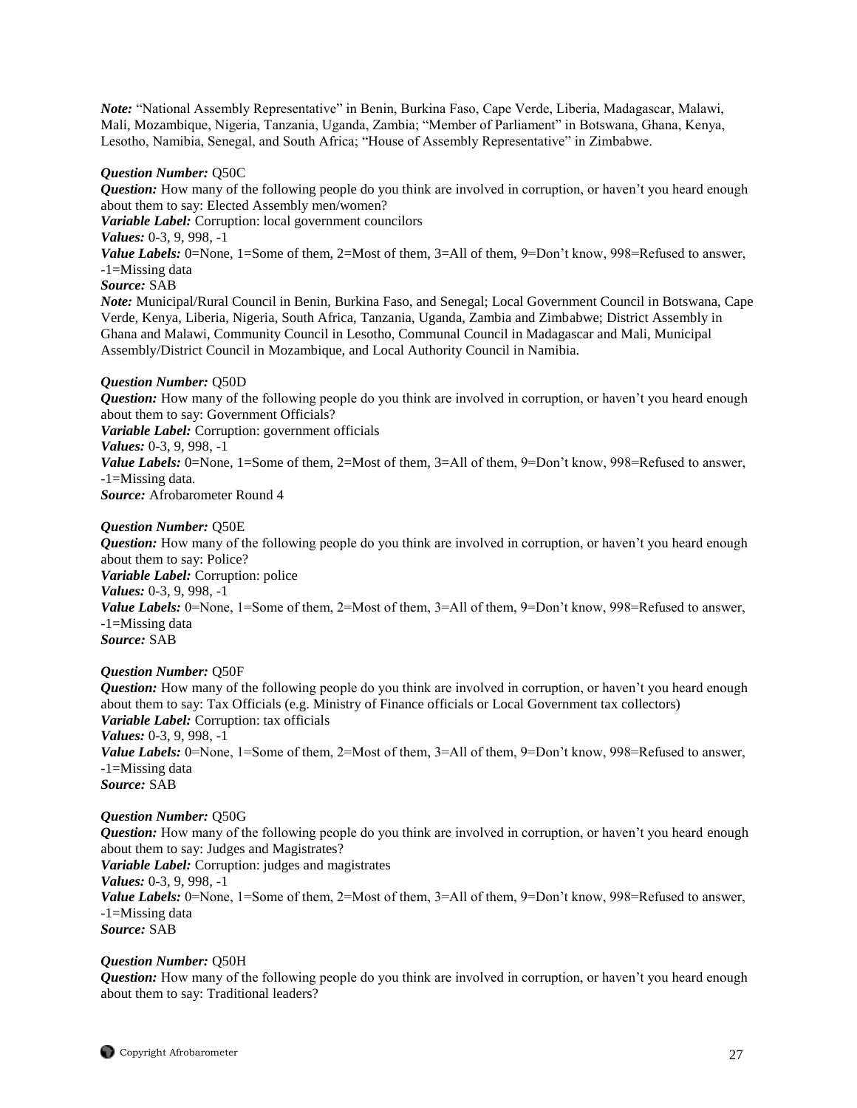*Note:* "National Assembly Representative" in Benin, Burkina Faso, Cape Verde, Liberia, Madagascar, Malawi, Mali, Mozambique, Nigeria, Tanzania, Uganda, Zambia; "Member of Parliament" in Botswana, Ghana, Kenya, Lesotho, Namibia, Senegal, and South Africa; "House of Assembly Representative" in Zimbabwe.

### *Question Number:* Q50C

*Question:* How many of the following people do you think are involved in corruption, or haven't you heard enough about them to say: Elected Assembly men/women?

*Variable Label:* Corruption: local government councilors

*Values:* 0-3, 9, 998, -1

*Value Labels:* 0=None, 1=Some of them, 2=Most of them, 3=All of them, 9=Don't know, 998=Refused to answer, -1=Missing data

# *Source:* SAB

*Note:* Municipal/Rural Council in Benin, Burkina Faso, and Senegal; Local Government Council in Botswana, Cape Verde, Kenya, Liberia, Nigeria, South Africa, Tanzania, Uganda, Zambia and Zimbabwe; District Assembly in Ghana and Malawi, Community Council in Lesotho, Communal Council in Madagascar and Mali, Municipal Assembly/District Council in Mozambique, and Local Authority Council in Namibia.

### *Question Number:* Q50D

*Question:* How many of the following people do you think are involved in corruption, or haven't you heard enough about them to say: Government Officials?

*Variable Label:* Corruption: government officials

*Values:* 0-3, 9, 998, -1

*Value Labels:* 0=None, 1=Some of them, 2=Most of them, 3=All of them, 9=Don't know, 998=Refused to answer, -1=Missing data.

*Source:* Afrobarometer Round 4

### *Question Number:* Q50E

*Question:* How many of the following people do you think are involved in corruption, or haven't you heard enough about them to say: Police? *Variable Label:* Corruption: police *Values:* 0-3, 9, 998, -1 *Value Labels:* 0=None, 1=Some of them, 2=Most of them, 3=All of them, 9=Don't know, 998=Refused to answer, -1=Missing data *Source:* SAB

# *Question Number:* Q50F

*Question:* How many of the following people do you think are involved in corruption, or haven't you heard enough about them to say: Tax Officials (e.g. Ministry of Finance officials or Local Government tax collectors) *Variable Label:* Corruption: tax officials *Values:* 0-3, 9, 998, -1 *Value Labels:* 0=None, 1=Some of them, 2=Most of them, 3=All of them, 9=Don't know, 998=Refused to answer, -1=Missing data *Source:* SAB

#### *Question Number:* Q50G

*Question:* How many of the following people do you think are involved in corruption, or haven't you heard enough about them to say: Judges and Magistrates? *Variable Label:* Corruption: judges and magistrates *Values:* 0-3, 9, 998, -1 *Value Labels:* 0=None, 1=Some of them, 2=Most of them, 3=All of them, 9=Don't know, 998=Refused to answer, -1=Missing data *Source:* SAB

# *Question Number:* Q50H

*Question:* How many of the following people do you think are involved in corruption, or haven't you heard enough about them to say: Traditional leaders?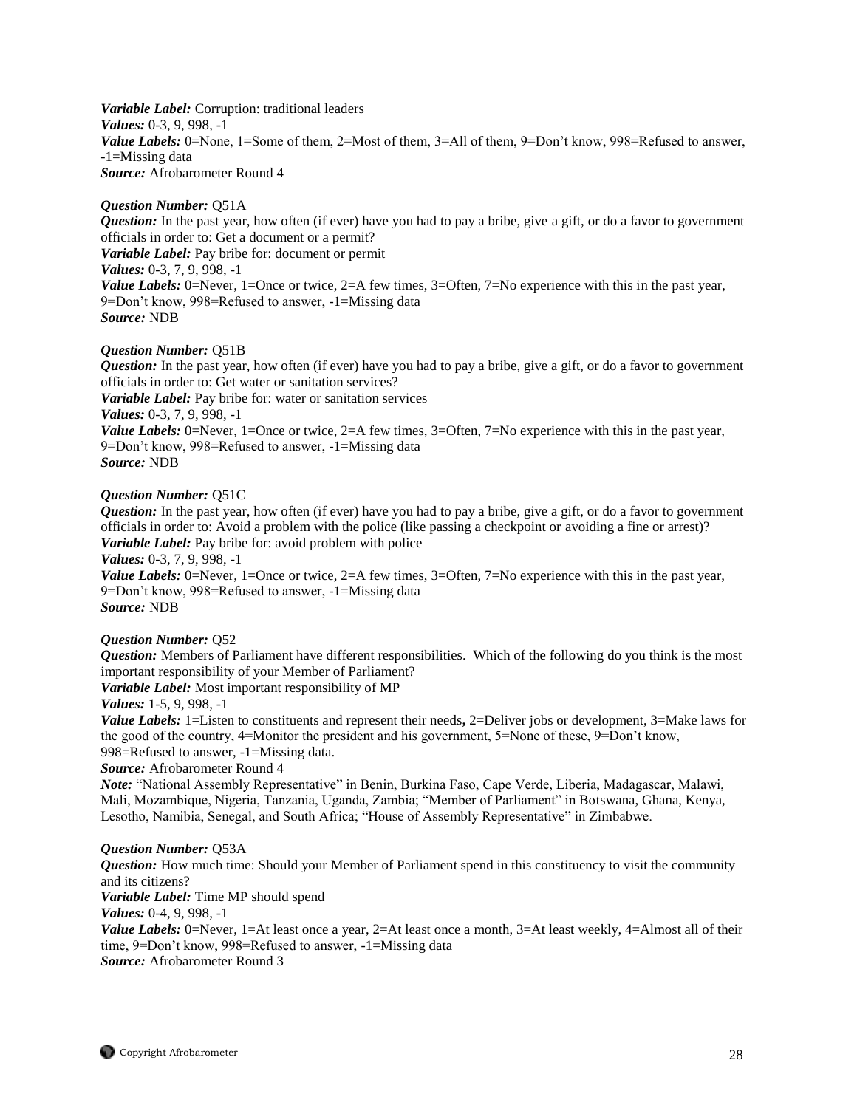*Variable Label:* Corruption: traditional leaders *Values:* 0-3, 9, 998, -1 *Value Labels:* 0=None, 1=Some of them, 2=Most of them, 3=All of them, 9=Don't know, 998=Refused to answer, -1=Missing data *Source:* Afrobarometer Round 4

#### *Question Number:* Q51A

*Question:* In the past year, how often (if ever) have you had to pay a bribe, give a gift, or do a favor to government officials in order to: Get a document or a permit? *Variable Label:* Pay bribe for: document or permit *Values:* 0-3, 7, 9, 998, -1 *Value Labels:* 0=Never, 1=Once or twice, 2=A few times, 3=Often, 7=No experience with this in the past year, 9=Don't know, 998=Refused to answer, -1=Missing data *Source:* NDB

#### *Question Number:* Q51B

*Question:* In the past year, how often (if ever) have you had to pay a bribe, give a gift, or do a favor to government officials in order to: Get water or sanitation services? *Variable Label:* Pay bribe for: water or sanitation services *Values:* 0-3, 7, 9, 998, -1 *Value Labels:* 0=Never, 1=Once or twice, 2=A few times, 3=Often, 7=No experience with this in the past year, 9=Don't know, 998=Refused to answer, -1=Missing data *Source:* NDB

#### *Question Number:* Q51C

*Question:* In the past year, how often (if ever) have you had to pay a bribe, give a gift, or do a favor to government officials in order to: Avoid a problem with the police (like passing a checkpoint or avoiding a fine or arrest)? *Variable Label:* Pay bribe for: avoid problem with police

#### *Values:* 0-3, 7, 9, 998, -1

*Value Labels:* 0=Never, 1=Once or twice, 2=A few times, 3=Often, 7=No experience with this in the past year, 9=Don't know, 998=Refused to answer, -1=Missing data *Source:* NDB

#### *Question Number:* Q52

*Question:* Members of Parliament have different responsibilities. Which of the following do you think is the most important responsibility of your Member of Parliament?

*Variable Label:* Most important responsibility of MP

#### *Values:* 1-5, 9, 998, -1

*Value Labels:* 1=Listen to constituents and represent their needs**,** 2=Deliver jobs or development, 3=Make laws for the good of the country, 4=Monitor the president and his government, 5=None of these, 9=Don't know, 998=Refused to answer, -1=Missing data.

#### *Source:* Afrobarometer Round 4

*Note:* "National Assembly Representative" in Benin, Burkina Faso, Cape Verde, Liberia, Madagascar, Malawi, Mali, Mozambique, Nigeria, Tanzania, Uganda, Zambia; "Member of Parliament" in Botswana, Ghana, Kenya, Lesotho, Namibia, Senegal, and South Africa; "House of Assembly Representative" in Zimbabwe.

#### *Question Number:* Q53A

*Question:* How much time: Should your Member of Parliament spend in this constituency to visit the community and its citizens? *Variable Label:* Time MP should spend *Values:* 0-4, 9, 998, -1 *Value Labels:* 0=Never, 1=At least once a year, 2=At least once a month, 3=At least weekly, 4=Almost all of their time, 9=Don't know, 998=Refused to answer, -1=Missing data

*Source:* Afrobarometer Round 3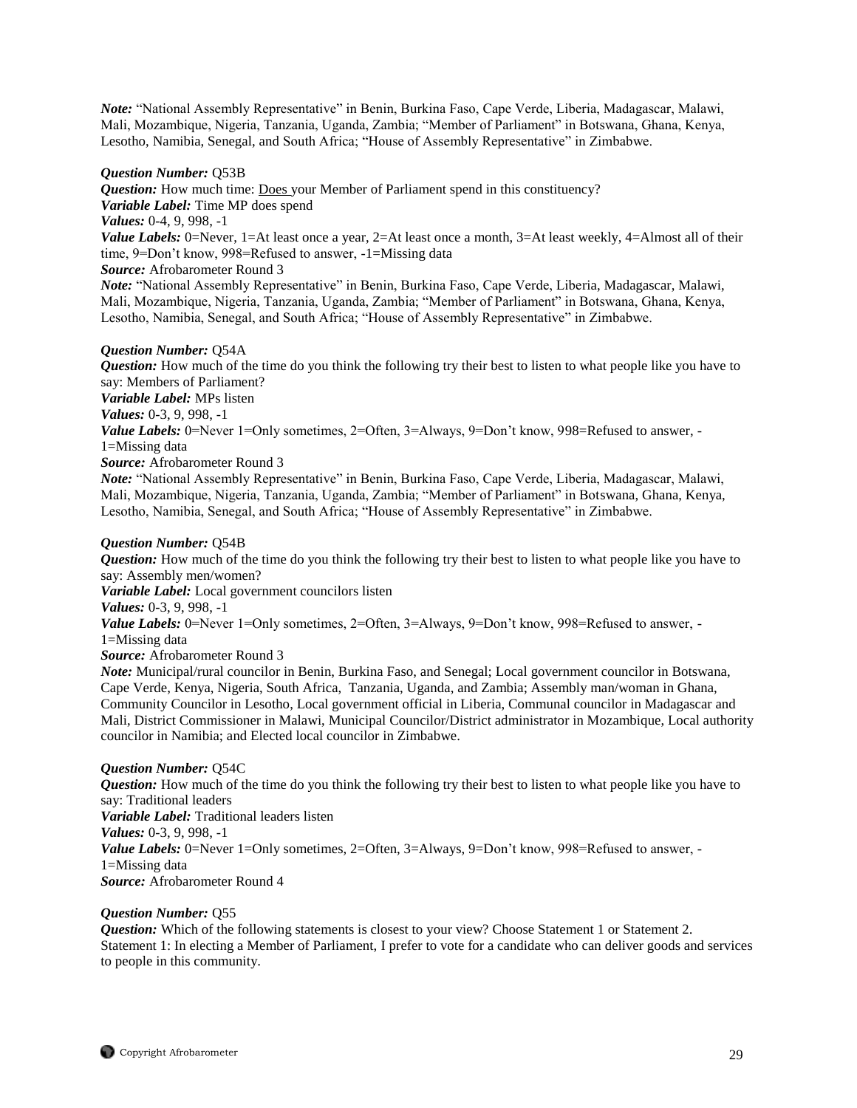*Note:* "National Assembly Representative" in Benin, Burkina Faso, Cape Verde, Liberia, Madagascar, Malawi, Mali, Mozambique, Nigeria, Tanzania, Uganda, Zambia; "Member of Parliament" in Botswana, Ghana, Kenya, Lesotho, Namibia, Senegal, and South Africa; "House of Assembly Representative" in Zimbabwe.

#### *Question Number:* Q53B

*Question:* How much time: Does your Member of Parliament spend in this constituency? *Variable Label:* Time MP does spend *Values:* 0-4, 9, 998, -1 *Value Labels:* 0=Never, 1=At least once a year, 2=At least once a month, 3=At least weekly, 4=Almost all of their time, 9=Don't know, 998=Refused to answer, -1=Missing data *Source:* Afrobarometer Round 3

*Note:* "National Assembly Representative" in Benin, Burkina Faso, Cape Verde, Liberia, Madagascar, Malawi, Mali, Mozambique, Nigeria, Tanzania, Uganda, Zambia; "Member of Parliament" in Botswana, Ghana, Kenya, Lesotho, Namibia, Senegal, and South Africa; "House of Assembly Representative" in Zimbabwe.

#### *Question Number:* Q54A

*Question:* How much of the time do you think the following try their best to listen to what people like you have to say: Members of Parliament? *Variable Label:* MPs listen *Values:* 0-3, 9, 998, -1 *Value Labels:* 0=Never 1=Only sometimes, 2=Often, 3=Always, 9=Don't know, 998=Refused to answer, -1=Missing data *Source:* Afrobarometer Round 3 *Note:* "National Assembly Representative" in Benin, Burkina Faso, Cape Verde, Liberia, Madagascar, Malawi, Mali, Mozambique, Nigeria, Tanzania, Uganda, Zambia; "Member of Parliament" in Botswana, Ghana, Kenya,

# Lesotho, Namibia, Senegal, and South Africa; "House of Assembly Representative" in Zimbabwe.

#### *Question Number:* Q54B

*Question:* How much of the time do you think the following try their best to listen to what people like you have to say: Assembly men/women?

*Variable Label:* Local government councilors listen

*Values:* 0-3, 9, 998, -1

*Value Labels:* 0=Never 1=Only sometimes, 2=Often, 3=Always, 9=Don't know, 998=Refused to answer, -

1=Missing data

*Source:* Afrobarometer Round 3

*Note:* Municipal/rural councilor in Benin, Burkina Faso, and Senegal; Local government councilor in Botswana, Cape Verde, Kenya, Nigeria, South Africa, Tanzania, Uganda, and Zambia; Assembly man/woman in Ghana, Community Councilor in Lesotho, Local government official in Liberia, Communal councilor in Madagascar and Mali, District Commissioner in Malawi, Municipal Councilor/District administrator in Mozambique, Local authority councilor in Namibia; and Elected local councilor in Zimbabwe.

#### *Question Number:* Q54C

*Question:* How much of the time do you think the following try their best to listen to what people like you have to say: Traditional leaders *Variable Label:* Traditional leaders listen *Values:* 0-3, 9, 998, -1

*Value Labels:* 0=Never 1=Only sometimes, 2=Often, 3=Always, 9=Don't know, 998=Refused to answer, -

1=Missing data *Source:* Afrobarometer Round 4

# *Question Number:* Q55

*Question:* Which of the following statements is closest to your view? Choose Statement 1 or Statement 2. Statement 1: In electing a Member of Parliament, I prefer to vote for a candidate who can deliver goods and services to people in this community.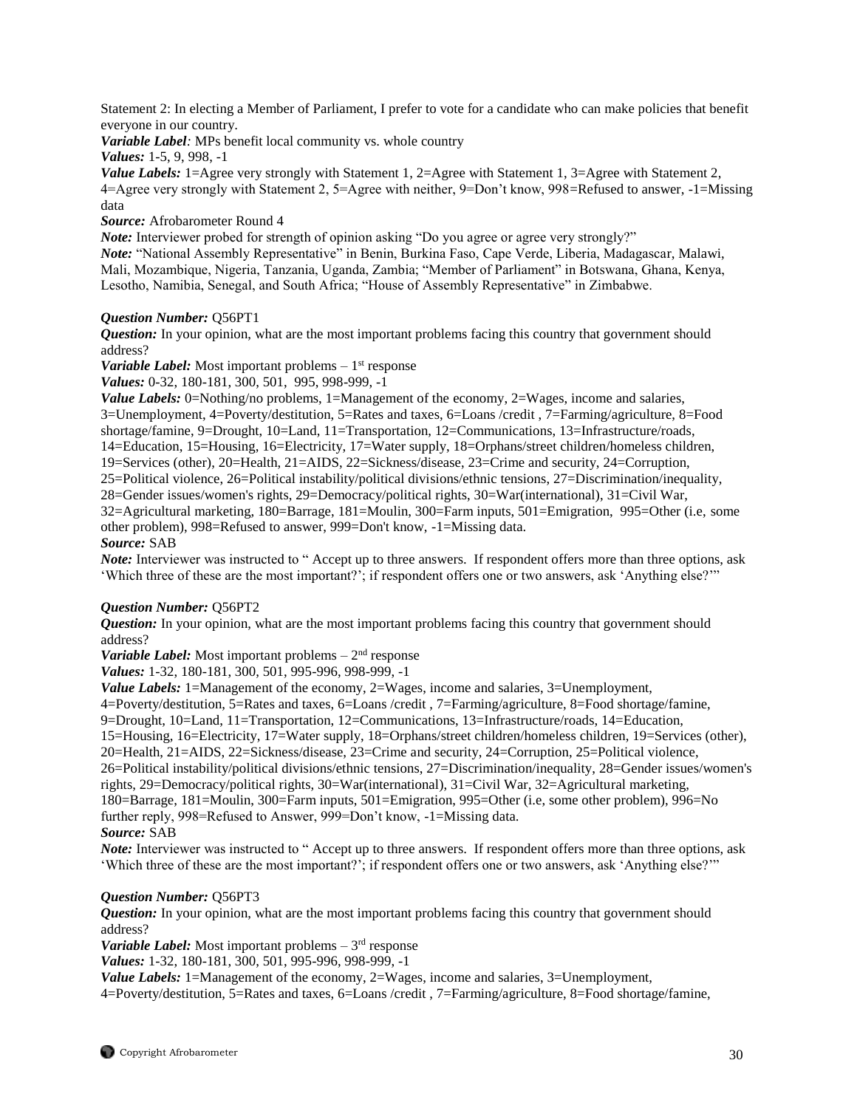Statement 2: In electing a Member of Parliament, I prefer to vote for a candidate who can make policies that benefit everyone in our country.

*Variable Label:* MPs benefit local community vs. whole country

*Values:* 1-5, 9, 998, -1

*Value Labels:* 1=Agree very strongly with Statement 1, 2=Agree with Statement 1, 3=Agree with Statement 2, 4=Agree very strongly with Statement 2, 5=Agree with neither, 9=Don't know, 998=Refused to answer, -1=Missing data

*Source:* Afrobarometer Round 4

*Note:* Interviewer probed for strength of opinion asking "Do you agree or agree very strongly?" *Note:* "National Assembly Representative" in Benin, Burkina Faso, Cape Verde, Liberia, Madagascar, Malawi, Mali, Mozambique, Nigeria, Tanzania, Uganda, Zambia; "Member of Parliament" in Botswana, Ghana, Kenya, Lesotho, Namibia, Senegal, and South Africa; "House of Assembly Representative" in Zimbabwe.

# *Question Number:* Q56PT1

*Question:* In your opinion, what are the most important problems facing this country that government should address?

Variable Label: Most important problems – 1<sup>st</sup> response

*Values:* 0-32, 180-181, 300, 501, 995, 998-999, -1

*Value Labels:* 0=Nothing/no problems, 1=Management of the economy, 2=Wages, income and salaries, 3=Unemployment, 4=Poverty/destitution, 5=Rates and taxes, 6=Loans /credit , 7=Farming/agriculture, 8=Food shortage/famine, 9=Drought, 10=Land, 11=Transportation, 12=Communications, 13=Infrastructure/roads, 14=Education, 15=Housing, 16=Electricity, 17=Water supply, 18=Orphans/street children/homeless children, 19=Services (other), 20=Health, 21=AIDS, 22=Sickness/disease, 23=Crime and security, 24=Corruption, 25=Political violence, 26=Political instability/political divisions/ethnic tensions, 27=Discrimination/inequality, 28=Gender issues/women's rights, 29=Democracy/political rights, 30=War(international), 31=Civil War, 32=Agricultural marketing, 180=Barrage, 181=Moulin, 300=Farm inputs, 501=Emigration, 995=Other (i.e, some other problem), 998=Refused to answer, 999=Don't know, -1=Missing data. *Source:* SAB

*Note:* Interviewer was instructed to "Accept up to three answers. If respondent offers more than three options, ask 'Which three of these are the most important?'; if respondent offers one or two answers, ask 'Anything else?'"

# *Question Number:* Q56PT2

*Question:* In your opinion, what are the most important problems facing this country that government should address?

*Variable Label:* Most important problems  $-2<sup>nd</sup>$  response

*Values:* 1-32, 180-181, 300, 501, 995-996, 998-999, -1

*Value Labels:* 1=Management of the economy, 2=Wages, income and salaries, 3=Unemployment,

4=Poverty/destitution, 5=Rates and taxes, 6=Loans /credit , 7=Farming/agriculture, 8=Food shortage/famine,

9=Drought, 10=Land, 11=Transportation, 12=Communications, 13=Infrastructure/roads, 14=Education,

15=Housing, 16=Electricity, 17=Water supply, 18=Orphans/street children/homeless children, 19=Services (other), 20=Health, 21=AIDS, 22=Sickness/disease, 23=Crime and security, 24=Corruption, 25=Political violence,

26=Political instability/political divisions/ethnic tensions, 27=Discrimination/inequality, 28=Gender issues/women's rights, 29=Democracy/political rights, 30=War(international), 31=Civil War, 32=Agricultural marketing, 180=Barrage, 181=Moulin, 300=Farm inputs, 501=Emigration, 995=Other (i.e, some other problem), 996=No

further reply, 998=Refused to Answer, 999=Don't know, -1=Missing data.

# *Source:* SAB

*Note:* Interviewer was instructed to " Accept up to three answers. If respondent offers more than three options, ask 'Which three of these are the most important?'; if respondent offers one or two answers, ask 'Anything else?'"

# *Question Number:* Q56PT3

*Question:* In your opinion, what are the most important problems facing this country that government should address?

Variable Label: Most important problems - 3<sup>rd</sup> response

*Values:* 1-32, 180-181, 300, 501, 995-996, 998-999, -1

*Value Labels:* 1=Management of the economy, 2=Wages, income and salaries, 3=Unemployment,

4=Poverty/destitution, 5=Rates and taxes, 6=Loans /credit , 7=Farming/agriculture, 8=Food shortage/famine,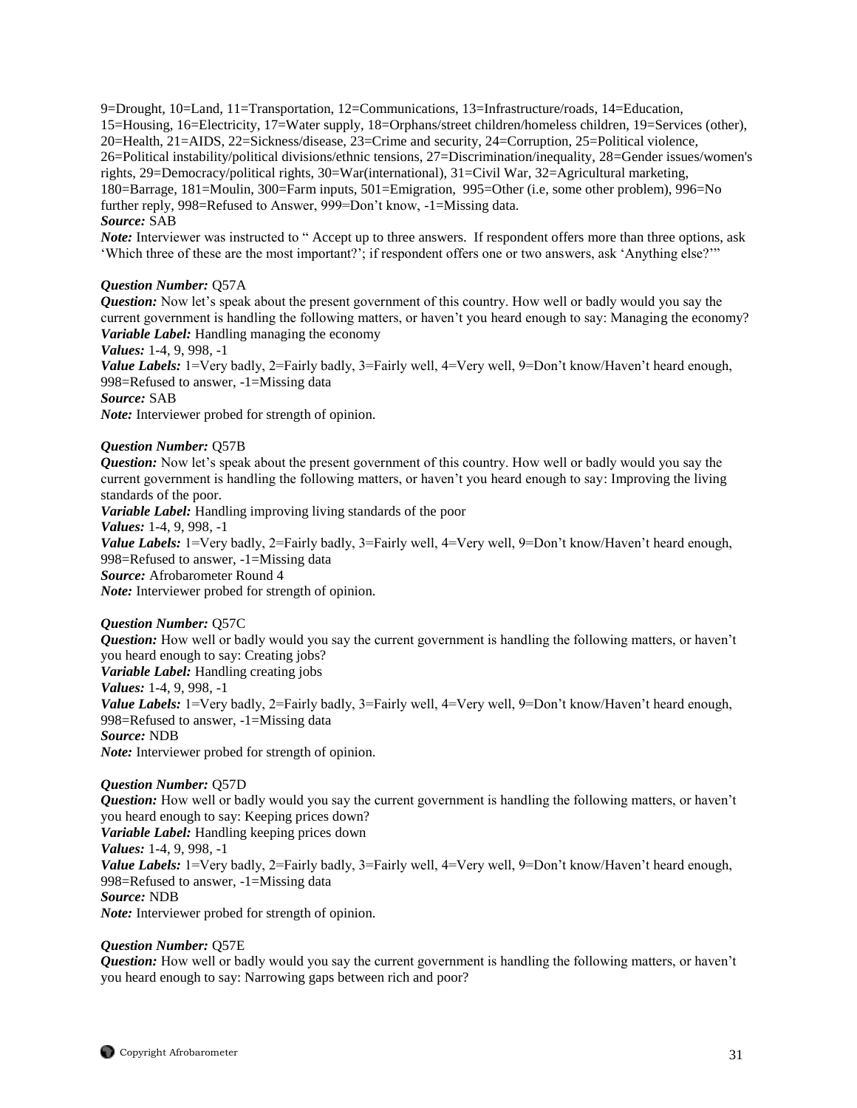9=Drought, 10=Land, 11=Transportation, 12=Communications, 13=Infrastructure/roads, 14=Education, 15=Housing, 16=Electricity, 17=Water supply, 18=Orphans/street children/homeless children, 19=Services (other), 20=Health, 21=AIDS, 22=Sickness/disease, 23=Crime and security, 24=Corruption, 25=Political violence, 26=Political instability/political divisions/ethnic tensions, 27=Discrimination/inequality, 28=Gender issues/women's rights, 29=Democracy/political rights, 30=War(international), 31=Civil War, 32=Agricultural marketing, 180=Barrage, 181=Moulin, 300=Farm inputs, 501=Emigration, 995=Other (i.e, some other problem), 996=No further reply, 998=Refused to Answer, 999=Don't know, -1=Missing data. *Source:* SAB

*Note:* Interviewer was instructed to " Accept up to three answers. If respondent offers more than three options, ask 'Which three of these are the most important?'; if respondent offers one or two answers, ask 'Anything else?'"

#### *Question Number:* Q57A

*Question:* Now let's speak about the present government of this country. How well or badly would you say the current government is handling the following matters, or haven't you heard enough to say: Managing the economy? *Variable Label:* Handling managing the economy

*Values:* 1-4, 9, 998, -1

*Value Labels:* 1=Very badly, 2=Fairly badly, 3=Fairly well, 4=Very well, 9=Don't know/Haven't heard enough, 998=Refused to answer, -1=Missing data

*Source:* SAB

*Note:* Interviewer probed for strength of opinion.

### *Question Number:* Q57B

*Question:* Now let's speak about the present government of this country. How well or badly would you say the current government is handling the following matters, or haven't you heard enough to say: Improving the living standards of the poor.

*Variable Label:* Handling improving living standards of the poor

*Values:* 1-4, 9, 998, -1

*Value Labels:* 1=Very badly, 2=Fairly badly, 3=Fairly well, 4=Very well, 9=Don't know/Haven't heard enough, 998=Refused to answer, -1=Missing data

*Source:* Afrobarometer Round 4

*Note:* Interviewer probed for strength of opinion.

#### *Question Number:* Q57C

*Question:* How well or badly would you say the current government is handling the following matters, or haven't you heard enough to say: Creating jobs? *Variable Label:* Handling creating jobs *Values:* 1-4, 9, 998, -1 *Value Labels:* 1=Very badly, 2=Fairly badly, 3=Fairly well, 4=Very well, 9=Don't know/Haven't heard enough, 998=Refused to answer, -1=Missing data *Source:* NDB *Note:* Interviewer probed for strength of opinion.

*Question Number:* Q57D

*Question:* How well or badly would you say the current government is handling the following matters, or haven't you heard enough to say: Keeping prices down? *Variable Label:* Handling keeping prices down *Values:* 1-4, 9, 998, -1 *Value Labels:* 1=Very badly, 2=Fairly badly, 3=Fairly well, 4=Very well, 9=Don't know/Haven't heard enough, 998=Refused to answer, -1=Missing data *Source:* NDB *Note:* Interviewer probed for strength of opinion.

# *Question Number:* Q57E

*Question:* How well or badly would you say the current government is handling the following matters, or haven't you heard enough to say: Narrowing gaps between rich and poor?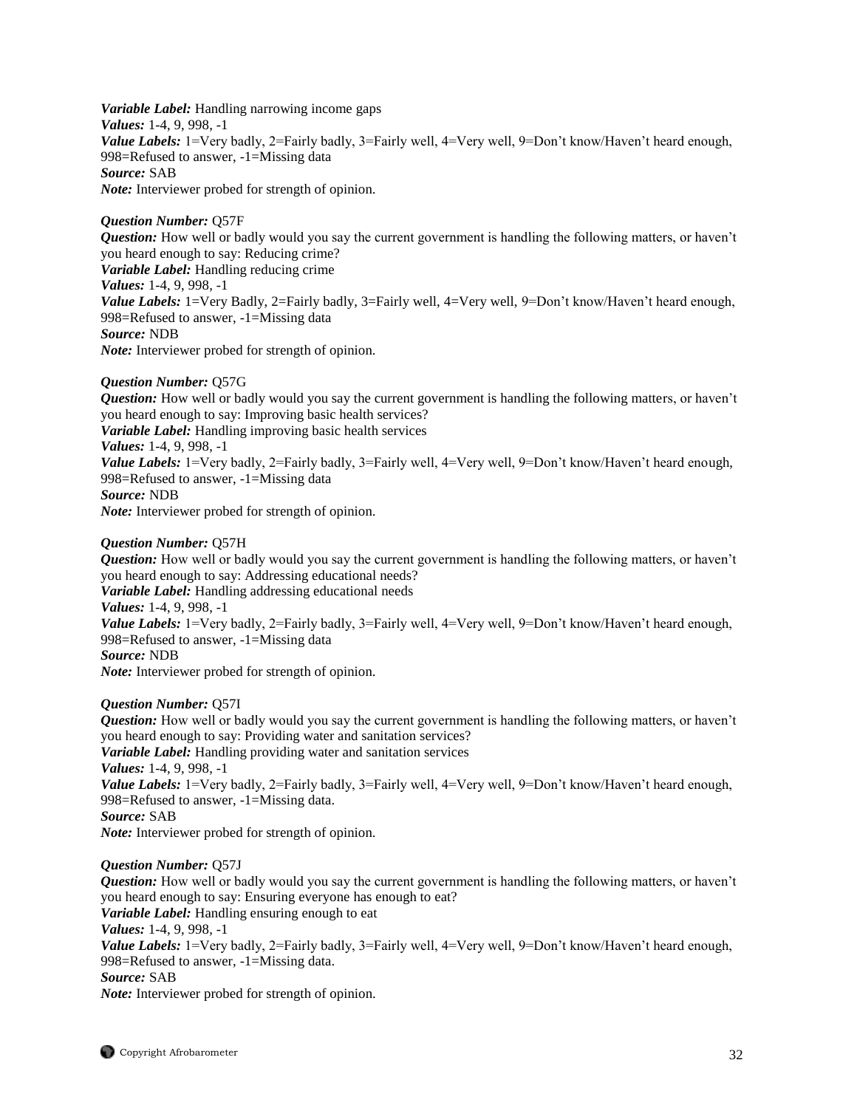*Variable Label:* Handling narrowing income gaps *Values:* 1-4, 9, 998, -1 *Value Labels:* 1=Very badly, 2=Fairly badly, 3=Fairly well, 4=Very well, 9=Don't know/Haven't heard enough, 998=Refused to answer, -1=Missing data *Source:* SAB *Note:* Interviewer probed for strength of opinion.

*Question Number:* Q57F *Question:* How well or badly would you say the current government is handling the following matters, or haven't you heard enough to say: Reducing crime? *Variable Label:* Handling reducing crime *Values:* 1-4, 9, 998, -1 *Value Labels:* 1=Very Badly, 2=Fairly badly, 3=Fairly well, 4=Very well, 9=Don't know/Haven't heard enough, 998=Refused to answer, -1=Missing data *Source:* NDB *Note:* Interviewer probed for strength of opinion.

*Question Number:* Q57G

*Question:* How well or badly would you say the current government is handling the following matters, or haven't you heard enough to say: Improving basic health services? *Variable Label:* Handling improving basic health services *Values:* 1-4, 9, 998, -1 *Value Labels:* 1=Very badly, 2=Fairly badly, 3=Fairly well, 4=Very well, 9=Don't know/Haven't heard enough, 998=Refused to answer, -1=Missing data *Source:* NDB *Note:* Interviewer probed for strength of opinion.

### *Question Number:* Q57H

*Question:* How well or badly would you say the current government is handling the following matters, or haven't you heard enough to say: Addressing educational needs? *Variable Label:* Handling addressing educational needs *Values:* 1-4, 9, 998, -1 *Value Labels:* 1=Very badly, 2=Fairly badly, 3=Fairly well, 4=Very well, 9=Don't know/Haven't heard enough, 998=Refused to answer, -1=Missing data *Source:* NDB

*Note:* Interviewer probed for strength of opinion.

#### *Question Number:* Q57I

*Question:* How well or badly would you say the current government is handling the following matters, or haven't you heard enough to say: Providing water and sanitation services? *Variable Label:* Handling providing water and sanitation services *Values:* 1-4, 9, 998, -1 *Value Labels:* 1=Very badly, 2=Fairly badly, 3=Fairly well, 4=Very well, 9=Don't know/Haven't heard enough, 998=Refused to answer, -1=Missing data. *Source:* SAB *Note:* Interviewer probed for strength of opinion.

#### *Question Number:* Q57J

*Question:* How well or badly would you say the current government is handling the following matters, or haven't you heard enough to say: Ensuring everyone has enough to eat? *Variable Label:* Handling ensuring enough to eat *Values:* 1-4, 9, 998, -1 *Value Labels:* 1=Very badly, 2=Fairly badly, 3=Fairly well, 4=Very well, 9=Don't know/Haven't heard enough, 998=Refused to answer, -1=Missing data. *Source:* SAB *Note:* Interviewer probed for strength of opinion.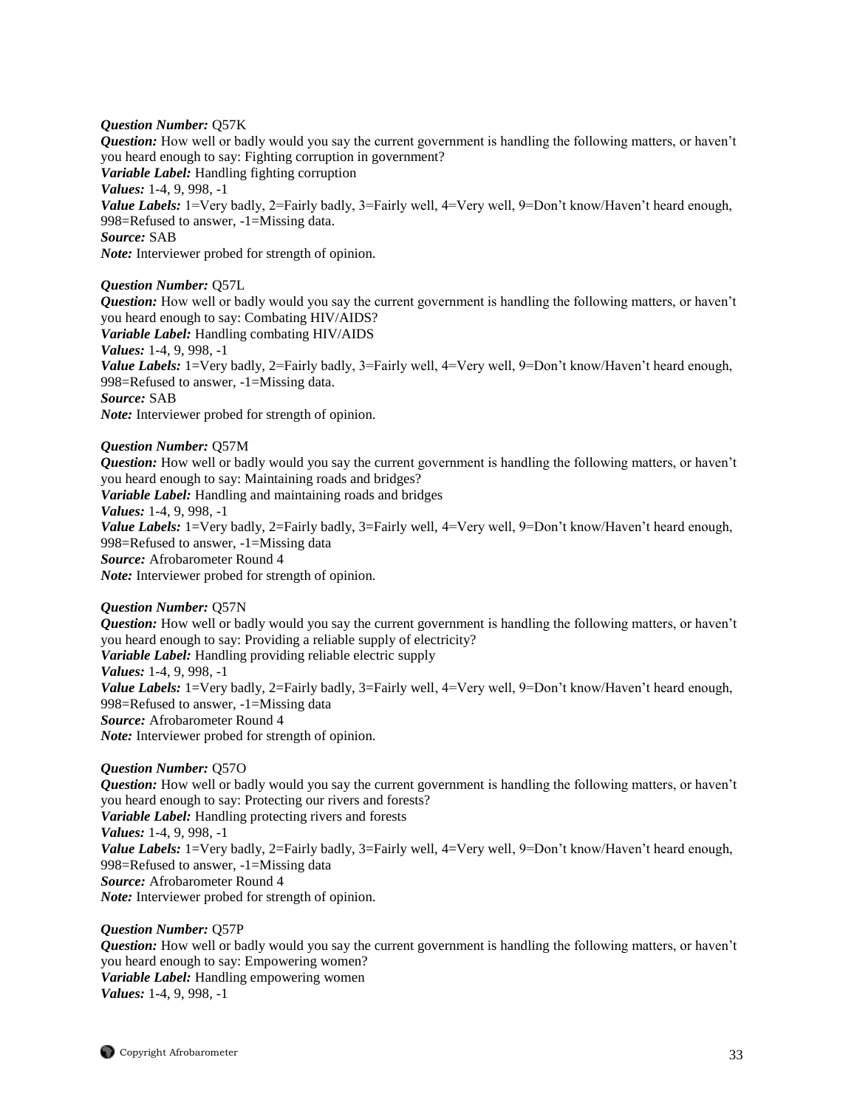#### *Question Number:* Q57K

*Question:* How well or badly would you say the current government is handling the following matters, or haven't you heard enough to say: Fighting corruption in government? *Variable Label:* Handling fighting corruption *Values:* 1-4, 9, 998, -1 *Value Labels:* 1=Very badly, 2=Fairly badly, 3=Fairly well, 4=Very well, 9=Don't know/Haven't heard enough, 998=Refused to answer, -1=Missing data. *Source:* SAB *Note:* Interviewer probed for strength of opinion.

#### *Question Number:* Q57L

*Question:* How well or badly would you say the current government is handling the following matters, or haven't you heard enough to say: Combating HIV/AIDS? *Variable Label:* Handling combating HIV/AIDS *Values:* 1-4, 9, 998, -1 *Value Labels:* 1=Very badly, 2=Fairly badly, 3=Fairly well, 4=Very well, 9=Don't know/Haven't heard enough, 998=Refused to answer, -1=Missing data. *Source:* SAB *Note:* Interviewer probed for strength of opinion.

### *Question Number:* Q57M

*Question:* How well or badly would you say the current government is handling the following matters, or haven't you heard enough to say: Maintaining roads and bridges? *Variable Label:* Handling and maintaining roads and bridges *Values:* 1-4, 9, 998, -1 *Value Labels:* 1=Very badly, 2=Fairly badly, 3=Fairly well, 4=Very well, 9=Don't know/Haven't heard enough, 998=Refused to answer, -1=Missing data *Source:* Afrobarometer Round 4 *Note:* Interviewer probed for strength of opinion.

#### *Question Number:* Q57N

*Question:* How well or badly would you say the current government is handling the following matters, or haven't you heard enough to say: Providing a reliable supply of electricity? *Variable Label:* Handling providing reliable electric supply *Values:* 1-4, 9, 998, -1 *Value Labels:* 1=Very badly, 2=Fairly badly, 3=Fairly well, 4=Very well, 9=Don't know/Haven't heard enough, 998=Refused to answer, -1=Missing data *Source:* Afrobarometer Round 4 *Note:* Interviewer probed for strength of opinion.

#### *Question Number:* Q57O

*Question:* How well or badly would you say the current government is handling the following matters, or haven't you heard enough to say: Protecting our rivers and forests? *Variable Label:* Handling protecting rivers and forests *Values:* 1-4, 9, 998, -1 *Value Labels:* 1=Very badly, 2=Fairly badly, 3=Fairly well, 4=Very well, 9=Don't know/Haven't heard enough, 998=Refused to answer, -1=Missing data *Source:* Afrobarometer Round 4 *Note:* Interviewer probed for strength of opinion.

*Question Number:* Q57P *Question:* How well or badly would you say the current government is handling the following matters, or haven't you heard enough to say: Empowering women? *Variable Label:* Handling empowering women *Values:* 1-4, 9, 998, -1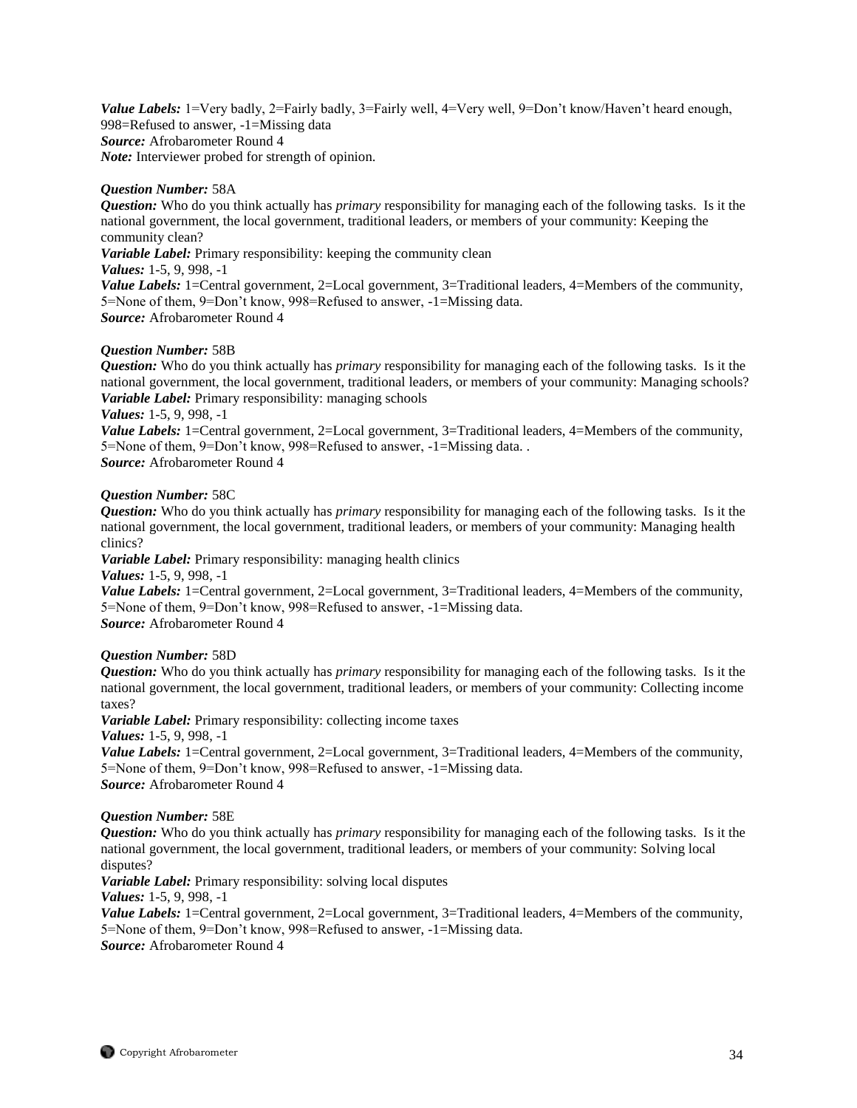Value Labels: 1=Very badly, 2=Fairly badly, 3=Fairly well, 4=Very well, 9=Don't know/Haven't heard enough, 998=Refused to answer, -1=Missing data *Source:* Afrobarometer Round 4 *Note:* Interviewer probed for strength of opinion.

#### *Question Number:* 58A

*Question:* Who do you think actually has *primary* responsibility for managing each of the following tasks. Is it the national government, the local government, traditional leaders, or members of your community: Keeping the community clean?

*Variable Label:* Primary responsibility: keeping the community clean

#### *Values:* 1-5, 9, 998, -1

*Value Labels:* 1=Central government, 2=Local government, 3=Traditional leaders, 4=Members of the community, 5=None of them, 9=Don't know, 998=Refused to answer, -1=Missing data. *Source:* Afrobarometer Round 4

# *Question Number:* 58B

*Question:* Who do you think actually has *primary* responsibility for managing each of the following tasks. Is it the national government, the local government, traditional leaders, or members of your community: Managing schools? *Variable Label:* Primary responsibility: managing schools

#### *Values:* 1-5, 9, 998, -1

*Value Labels:* 1=Central government, 2=Local government, 3=Traditional leaders, 4=Members of the community, 5=None of them, 9=Don't know, 998=Refused to answer, -1=Missing data. . *Source:* Afrobarometer Round 4

### *Question Number:* 58C

*Question:* Who do you think actually has *primary* responsibility for managing each of the following tasks. Is it the national government, the local government, traditional leaders, or members of your community: Managing health clinics?

*Variable Label:* Primary responsibility: managing health clinics

*Values:* 1-5, 9, 998, -1

*Value Labels:* 1=Central government, 2=Local government, 3=Traditional leaders, 4=Members of the community, 5=None of them, 9=Don't know, 998=Refused to answer, -1=Missing data. *Source:* Afrobarometer Round 4

#### *Question Number:* 58D

*Question:* Who do you think actually has *primary* responsibility for managing each of the following tasks. Is it the national government, the local government, traditional leaders, or members of your community: Collecting income taxes?

*Variable Label:* Primary responsibility: collecting income taxes

*Values:* 1-5, 9, 998, -1

*Value Labels:* 1=Central government, 2=Local government, 3=Traditional leaders, 4=Members of the community, 5=None of them, 9=Don't know, 998=Refused to answer, -1=Missing data. *Source:* Afrobarometer Round 4

#### *Question Number:* 58E

*Question:* Who do you think actually has *primary* responsibility for managing each of the following tasks. Is it the national government, the local government, traditional leaders, or members of your community: Solving local disputes?

*Variable Label:* Primary responsibility: solving local disputes

*Values:* 1-5, 9, 998, -1

*Value Labels:* 1=Central government, 2=Local government, 3=Traditional leaders, 4=Members of the community, 5=None of them, 9=Don't know, 998=Refused to answer, -1=Missing data. *Source:* Afrobarometer Round 4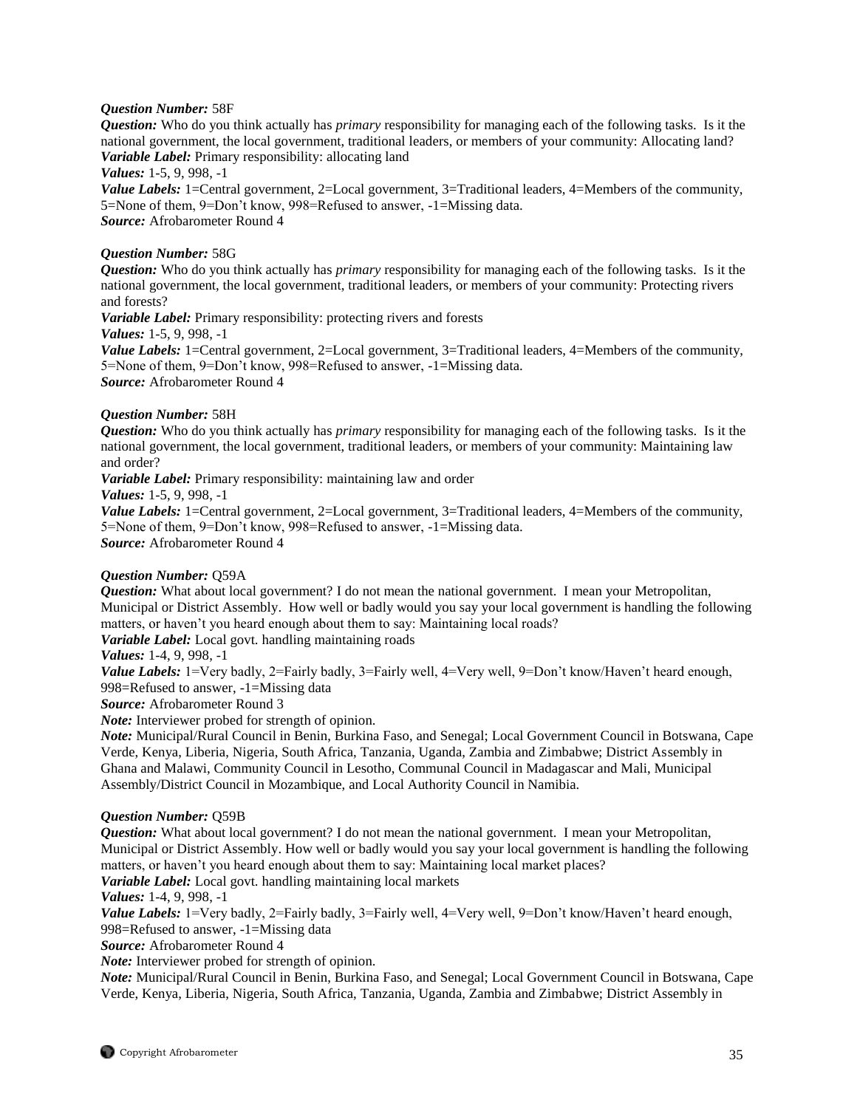# *Question Number:* 58F

*Question:* Who do you think actually has *primary* responsibility for managing each of the following tasks. Is it the national government, the local government, traditional leaders, or members of your community: Allocating land? *Variable Label:* Primary responsibility: allocating land

*Values:* 1-5, 9, 998, -1

*Value Labels:* 1=Central government, 2=Local government, 3=Traditional leaders, 4=Members of the community, 5=None of them, 9=Don't know, 998=Refused to answer, -1=Missing data. *Source:* Afrobarometer Round 4

# *Question Number:* 58G

*Question:* Who do you think actually has *primary* responsibility for managing each of the following tasks. Is it the national government, the local government, traditional leaders, or members of your community: Protecting rivers and forests?

*Variable Label:* Primary responsibility: protecting rivers and forests

*Values:* 1-5, 9, 998, -1

*Value Labels:* 1=Central government, 2=Local government, 3=Traditional leaders, 4=Members of the community, 5=None of them, 9=Don't know, 998=Refused to answer, -1=Missing data. *Source:* Afrobarometer Round 4

# *Question Number:* 58H

*Question:* Who do you think actually has *primary* responsibility for managing each of the following tasks. Is it the national government, the local government, traditional leaders, or members of your community: Maintaining law and order?

*Variable Label:* Primary responsibility: maintaining law and order

*Values:* 1-5, 9, 998, -1

*Value Labels:* 1=Central government, 2=Local government, 3=Traditional leaders, 4=Members of the community, 5=None of them, 9=Don't know, 998=Refused to answer, -1=Missing data. *Source:* Afrobarometer Round 4

#### *Question Number:* Q59A

*Question:* What about local government? I do not mean the national government. I mean your Metropolitan, Municipal or District Assembly. How well or badly would you say your local government is handling the following matters, or haven't you heard enough about them to say: Maintaining local roads?

*Variable Label:* Local govt. handling maintaining roads

# *Values:* 1-4, 9, 998, -1

*Value Labels:* 1=Very badly, 2=Fairly badly, 3=Fairly well, 4=Very well, 9=Don't know/Haven't heard enough, 998=Refused to answer, -1=Missing data

*Source:* Afrobarometer Round 3

*Note:* Interviewer probed for strength of opinion.

*Note:* Municipal/Rural Council in Benin, Burkina Faso, and Senegal; Local Government Council in Botswana, Cape Verde, Kenya, Liberia, Nigeria, South Africa, Tanzania, Uganda, Zambia and Zimbabwe; District Assembly in Ghana and Malawi, Community Council in Lesotho, Communal Council in Madagascar and Mali, Municipal Assembly/District Council in Mozambique, and Local Authority Council in Namibia.

#### *Question Number:* Q59B

*Question:* What about local government? I do not mean the national government. I mean your Metropolitan, Municipal or District Assembly. How well or badly would you say your local government is handling the following matters, or haven't you heard enough about them to say: Maintaining local market places?

*Variable Label:* Local govt. handling maintaining local markets

*Values:* 1-4, 9, 998, -1

*Value Labels:* 1=Very badly, 2=Fairly badly, 3=Fairly well, 4=Very well, 9=Don't know/Haven't heard enough, 998=Refused to answer, -1=Missing data

*Source:* Afrobarometer Round 4

*Note:* Interviewer probed for strength of opinion.

*Note:* Municipal/Rural Council in Benin, Burkina Faso, and Senegal; Local Government Council in Botswana, Cape Verde, Kenya, Liberia, Nigeria, South Africa, Tanzania, Uganda, Zambia and Zimbabwe; District Assembly in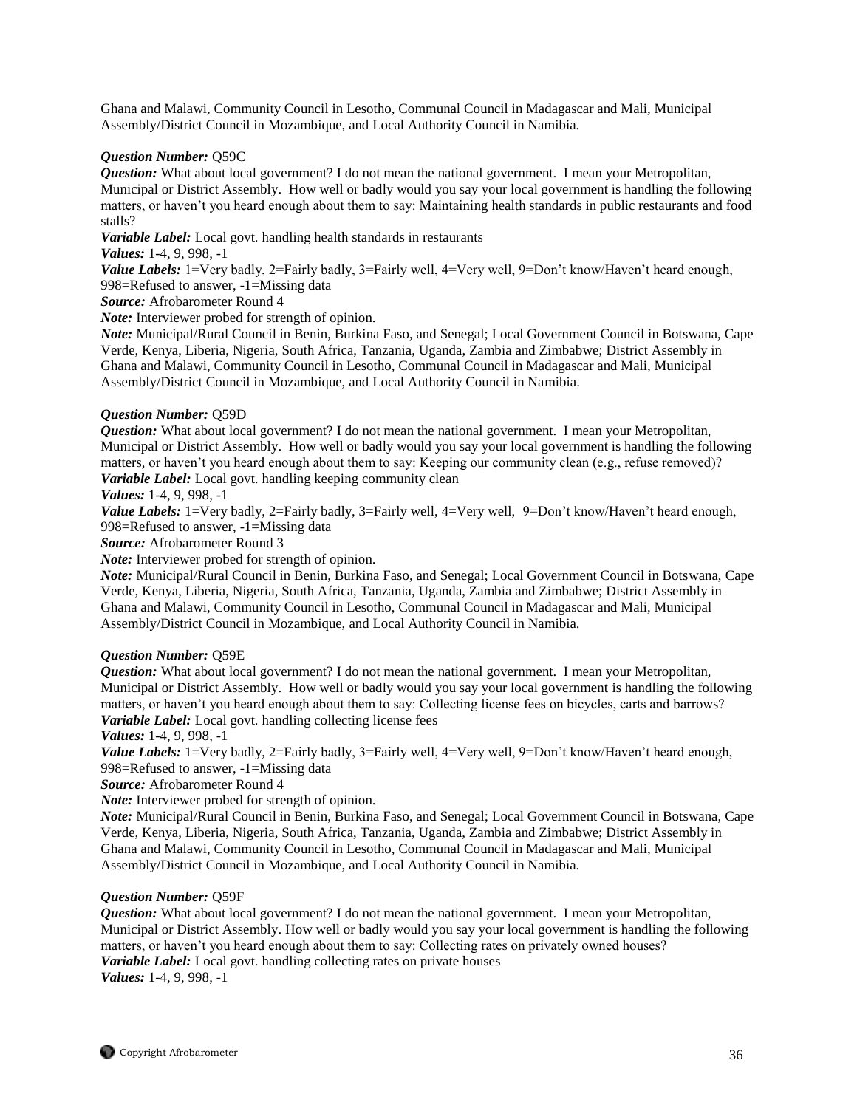Ghana and Malawi, Community Council in Lesotho, Communal Council in Madagascar and Mali, Municipal Assembly/District Council in Mozambique, and Local Authority Council in Namibia.

### *Question Number:* Q59C

*Question:* What about local government? I do not mean the national government. I mean your Metropolitan, Municipal or District Assembly. How well or badly would you say your local government is handling the following matters, or haven't you heard enough about them to say: Maintaining health standards in public restaurants and food stalls?

*Variable Label:* Local govt. handling health standards in restaurants

*Values:* 1-4, 9, 998, -1

*Value Labels:* 1=Very badly, 2=Fairly badly, 3=Fairly well, 4=Very well, 9=Don't know/Haven't heard enough, 998=Refused to answer, -1=Missing data

*Source:* Afrobarometer Round 4

*Note:* Interviewer probed for strength of opinion.

*Note:* Municipal/Rural Council in Benin, Burkina Faso, and Senegal; Local Government Council in Botswana, Cape Verde, Kenya, Liberia, Nigeria, South Africa, Tanzania, Uganda, Zambia and Zimbabwe; District Assembly in Ghana and Malawi, Community Council in Lesotho, Communal Council in Madagascar and Mali, Municipal Assembly/District Council in Mozambique, and Local Authority Council in Namibia.

### *Question Number:* Q59D

*Question:* What about local government? I do not mean the national government. I mean your Metropolitan, Municipal or District Assembly. How well or badly would you say your local government is handling the following matters, or haven't you heard enough about them to say: Keeping our community clean (e.g., refuse removed)? Variable Label: Local govt. handling keeping community clean

### *Values:* 1-4, 9, 998, -1

*Value Labels:* 1=Very badly, 2=Fairly badly, 3=Fairly well, 4=Very well, 9=Don't know/Haven't heard enough, 998=Refused to answer, -1=Missing data

*Source:* Afrobarometer Round 3

*Note:* Interviewer probed for strength of opinion.

*Note:* Municipal/Rural Council in Benin, Burkina Faso, and Senegal; Local Government Council in Botswana, Cape Verde, Kenya, Liberia, Nigeria, South Africa, Tanzania, Uganda, Zambia and Zimbabwe; District Assembly in Ghana and Malawi, Community Council in Lesotho, Communal Council in Madagascar and Mali, Municipal Assembly/District Council in Mozambique, and Local Authority Council in Namibia.

# *Question Number:* Q59E

*Question:* What about local government? I do not mean the national government. I mean your Metropolitan, Municipal or District Assembly. How well or badly would you say your local government is handling the following matters, or haven't you heard enough about them to say: Collecting license fees on bicycles, carts and barrows? *Variable Label:* Local govt. handling collecting license fees

*Values:* 1-4, 9, 998, -1

*Value Labels:* 1=Very badly, 2=Fairly badly, 3=Fairly well, 4=Very well, 9=Don't know/Haven't heard enough, 998=Refused to answer, -1=Missing data

*Source:* Afrobarometer Round 4

*Note:* Interviewer probed for strength of opinion.

*Note:* Municipal/Rural Council in Benin, Burkina Faso, and Senegal; Local Government Council in Botswana, Cape Verde, Kenya, Liberia, Nigeria, South Africa, Tanzania, Uganda, Zambia and Zimbabwe; District Assembly in Ghana and Malawi, Community Council in Lesotho, Communal Council in Madagascar and Mali, Municipal Assembly/District Council in Mozambique, and Local Authority Council in Namibia.

# *Question Number:* Q59F

*Question:* What about local government? I do not mean the national government. I mean your Metropolitan, Municipal or District Assembly. How well or badly would you say your local government is handling the following matters, or haven't you heard enough about them to say: Collecting rates on privately owned houses? *Variable Label:* Local govt. handling collecting rates on private houses *Values:* 1-4, 9, 998, -1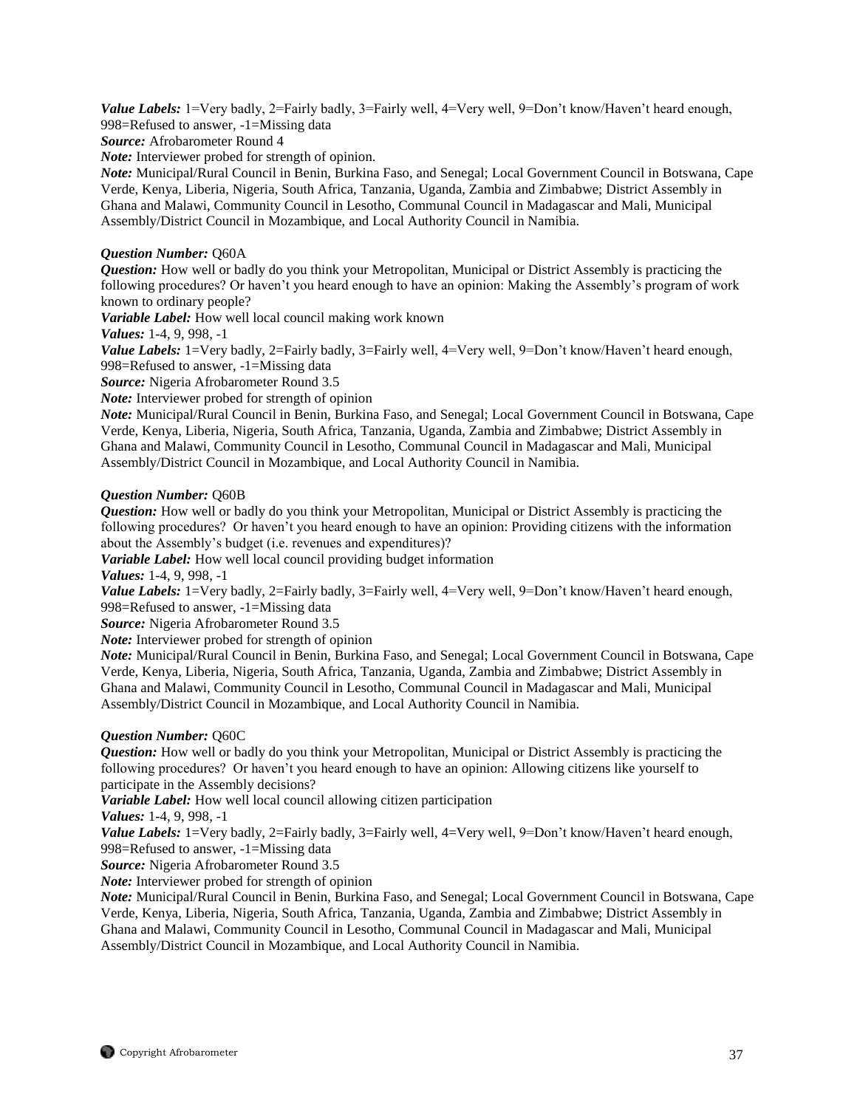Value Labels: 1=Very badly, 2=Fairly badly, 3=Fairly well, 4=Very well, 9=Don't know/Haven't heard enough, 998=Refused to answer, -1=Missing data

*Source:* Afrobarometer Round 4

*Note:* Interviewer probed for strength of opinion.

*Note:* Municipal/Rural Council in Benin, Burkina Faso, and Senegal; Local Government Council in Botswana, Cape Verde, Kenya, Liberia, Nigeria, South Africa, Tanzania, Uganda, Zambia and Zimbabwe; District Assembly in Ghana and Malawi, Community Council in Lesotho, Communal Council in Madagascar and Mali, Municipal Assembly/District Council in Mozambique, and Local Authority Council in Namibia.

## *Question Number:* Q60A

*Question:* How well or badly do you think your Metropolitan, Municipal or District Assembly is practicing the following procedures? Or haven't you heard enough to have an opinion: Making the Assembly's program of work known to ordinary people?

*Variable Label:* How well local council making work known

*Values:* 1-4, 9, 998, -1

*Value Labels:* 1=Very badly, 2=Fairly badly, 3=Fairly well, 4=Very well, 9=Don't know/Haven't heard enough, 998=Refused to answer, -1=Missing data

*Source:* Nigeria Afrobarometer Round 3.5

*Note:* Interviewer probed for strength of opinion

*Note:* Municipal/Rural Council in Benin, Burkina Faso, and Senegal; Local Government Council in Botswana, Cape Verde, Kenya, Liberia, Nigeria, South Africa, Tanzania, Uganda, Zambia and Zimbabwe; District Assembly in Ghana and Malawi, Community Council in Lesotho, Communal Council in Madagascar and Mali, Municipal Assembly/District Council in Mozambique, and Local Authority Council in Namibia.

## *Question Number:* Q60B

*Question:* How well or badly do you think your Metropolitan, Municipal or District Assembly is practicing the following procedures? Or haven't you heard enough to have an opinion: Providing citizens with the information about the Assembly's budget (i.e. revenues and expenditures)?

*Variable Label:* How well local council providing budget information

*Values:* 1-4, 9, 998, -1

*Value Labels:* 1=Very badly, 2=Fairly badly, 3=Fairly well, 4=Very well, 9=Don't know/Haven't heard enough, 998=Refused to answer, -1=Missing data

*Source:* Nigeria Afrobarometer Round 3.5

*Note:* Interviewer probed for strength of opinion

*Note:* Municipal/Rural Council in Benin, Burkina Faso, and Senegal; Local Government Council in Botswana, Cape Verde, Kenya, Liberia, Nigeria, South Africa, Tanzania, Uganda, Zambia and Zimbabwe; District Assembly in Ghana and Malawi, Community Council in Lesotho, Communal Council in Madagascar and Mali, Municipal Assembly/District Council in Mozambique, and Local Authority Council in Namibia.

## *Question Number:* Q60C

*Question:* How well or badly do you think your Metropolitan, Municipal or District Assembly is practicing the following procedures? Or haven't you heard enough to have an opinion: Allowing citizens like yourself to participate in the Assembly decisions?

*Variable Label:* How well local council allowing citizen participation

*Values:* 1-4, 9, 998, -1

*Value Labels:* 1=Very badly, 2=Fairly badly, 3=Fairly well, 4=Very well, 9=Don't know/Haven't heard enough, 998=Refused to answer, -1=Missing data

*Source:* Nigeria Afrobarometer Round 3.5

*Note:* Interviewer probed for strength of opinion

*Note:* Municipal/Rural Council in Benin, Burkina Faso, and Senegal; Local Government Council in Botswana, Cape Verde, Kenya, Liberia, Nigeria, South Africa, Tanzania, Uganda, Zambia and Zimbabwe; District Assembly in Ghana and Malawi, Community Council in Lesotho, Communal Council in Madagascar and Mali, Municipal Assembly/District Council in Mozambique, and Local Authority Council in Namibia.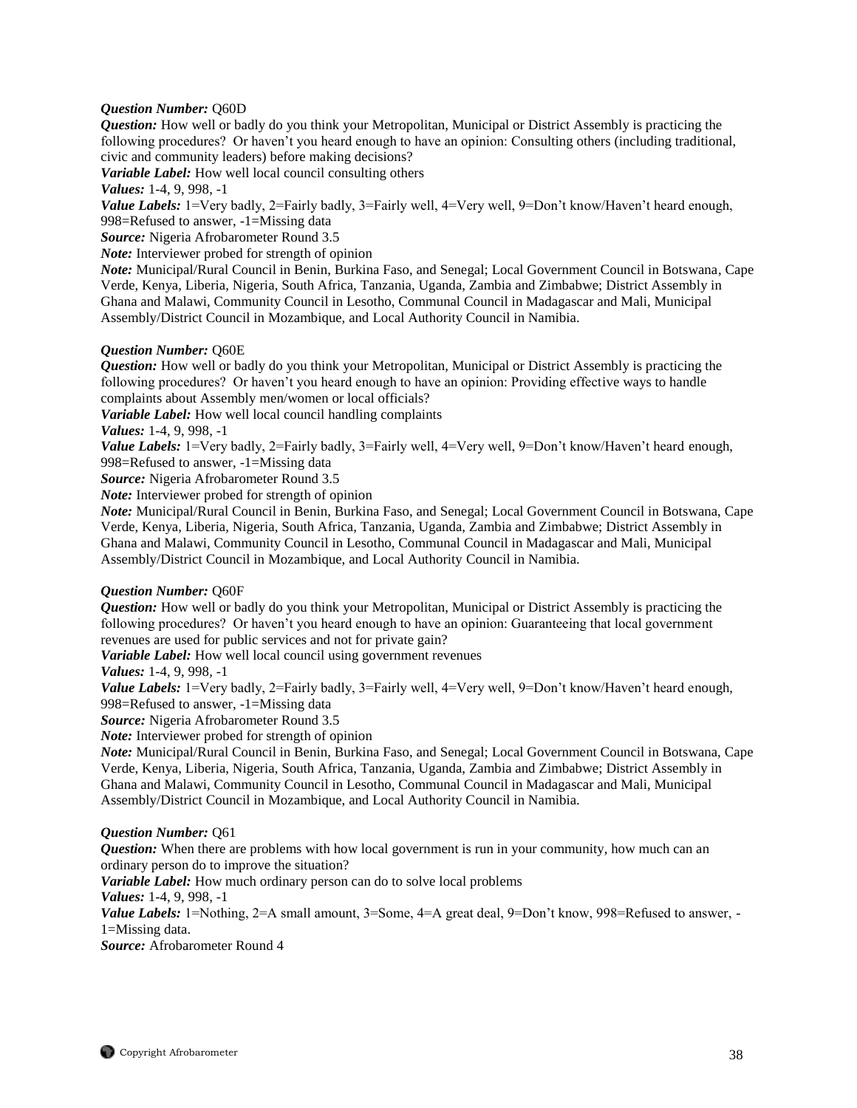## *Question Number:* Q60D

*Question:* How well or badly do you think your Metropolitan, Municipal or District Assembly is practicing the following procedures? Or haven't you heard enough to have an opinion: Consulting others (including traditional, civic and community leaders) before making decisions?

*Variable Label:* How well local council consulting others

*Values:* 1-4, 9, 998, -1

*Value Labels:* 1=Very badly, 2=Fairly badly, 3=Fairly well, 4=Very well, 9=Don't know/Haven't heard enough, 998=Refused to answer, -1=Missing data

*Source:* Nigeria Afrobarometer Round 3.5

*Note:* Interviewer probed for strength of opinion

*Note:* Municipal/Rural Council in Benin, Burkina Faso, and Senegal; Local Government Council in Botswana, Cape Verde, Kenya, Liberia, Nigeria, South Africa, Tanzania, Uganda, Zambia and Zimbabwe; District Assembly in Ghana and Malawi, Community Council in Lesotho, Communal Council in Madagascar and Mali, Municipal Assembly/District Council in Mozambique, and Local Authority Council in Namibia.

## *Question Number:* Q60E

*Question:* How well or badly do you think your Metropolitan, Municipal or District Assembly is practicing the following procedures? Or haven't you heard enough to have an opinion: Providing effective ways to handle complaints about Assembly men/women or local officials?

*Variable Label:* How well local council handling complaints

*Values:* 1-4, 9, 998, -1

*Value Labels:* 1=Very badly, 2=Fairly badly, 3=Fairly well, 4=Very well, 9=Don't know/Haven't heard enough, 998=Refused to answer, -1=Missing data

*Source:* Nigeria Afrobarometer Round 3.5

*Note:* Interviewer probed for strength of opinion

*Note:* Municipal/Rural Council in Benin, Burkina Faso, and Senegal; Local Government Council in Botswana, Cape Verde, Kenya, Liberia, Nigeria, South Africa, Tanzania, Uganda, Zambia and Zimbabwe; District Assembly in Ghana and Malawi, Community Council in Lesotho, Communal Council in Madagascar and Mali, Municipal Assembly/District Council in Mozambique, and Local Authority Council in Namibia.

#### *Question Number:* Q60F

*Question:* How well or badly do you think your Metropolitan, Municipal or District Assembly is practicing the following procedures? Or haven't you heard enough to have an opinion: Guaranteeing that local government revenues are used for public services and not for private gain?

*Variable Label:* How well local council using government revenues

*Values:* 1-4, 9, 998, -1

*Value Labels:* 1=Very badly, 2=Fairly badly, 3=Fairly well, 4=Very well, 9=Don't know/Haven't heard enough, 998=Refused to answer, -1=Missing data

*Source:* Nigeria Afrobarometer Round 3.5

*Note:* Interviewer probed for strength of opinion

*Note:* Municipal/Rural Council in Benin, Burkina Faso, and Senegal; Local Government Council in Botswana, Cape Verde, Kenya, Liberia, Nigeria, South Africa, Tanzania, Uganda, Zambia and Zimbabwe; District Assembly in Ghana and Malawi, Community Council in Lesotho, Communal Council in Madagascar and Mali, Municipal Assembly/District Council in Mozambique, and Local Authority Council in Namibia.

#### *Question Number:* Q61

*Question:* When there are problems with how local government is run in your community, how much can an ordinary person do to improve the situation?

*Variable Label:* How much ordinary person can do to solve local problems

*Values:* 1-4, 9, 998, -1

*Value Labels:* 1=Nothing, 2=A small amount, 3=Some, 4=A great deal, 9=Don't know, 998=Refused to answer, -1=Missing data.

*Source:* Afrobarometer Round 4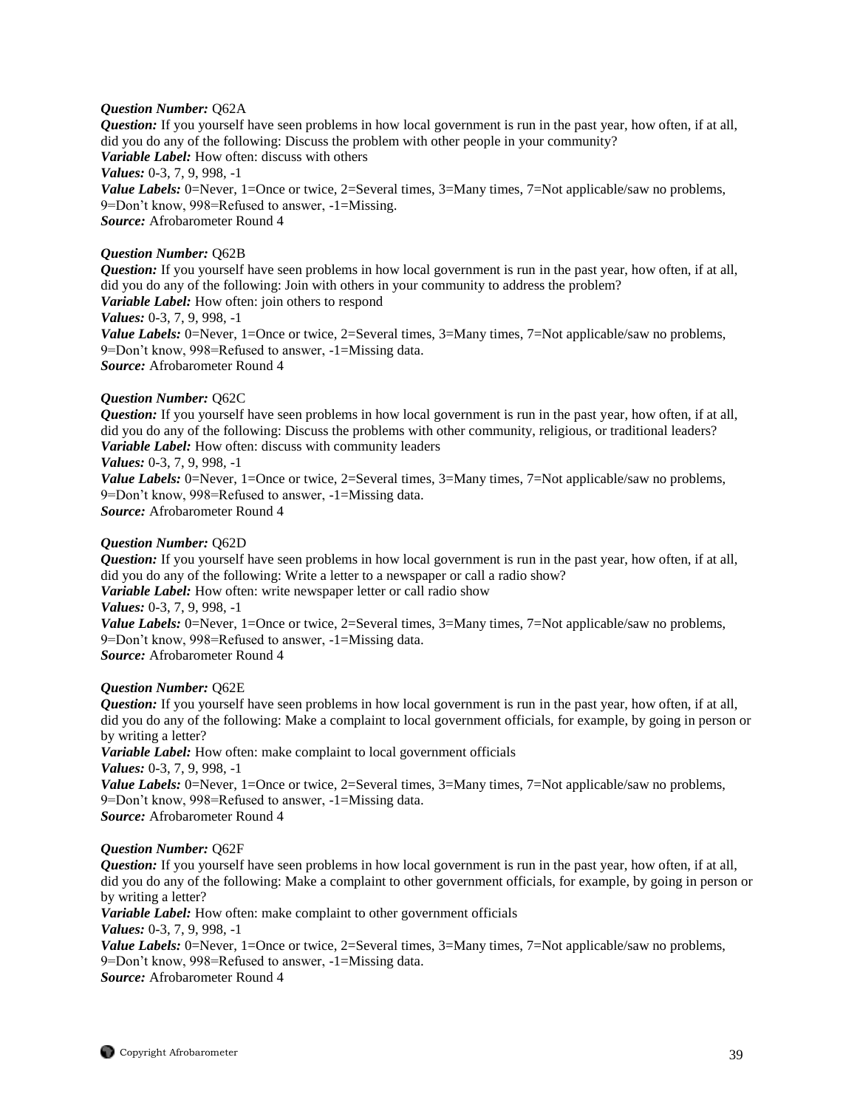## *Question Number:* Q62A

*Question:* If you yourself have seen problems in how local government is run in the past year, how often, if at all, did you do any of the following: Discuss the problem with other people in your community? *Variable Label:* How often: discuss with others *Values:* 0-3, 7, 9, 998, -1 *Value Labels:* 0=Never, 1=Once or twice, 2=Several times, 3=Many times, 7=Not applicable/saw no problems, 9=Don't know, 998=Refused to answer, -1=Missing. *Source:* Afrobarometer Round 4

## *Question Number:* Q62B

*Question:* If you yourself have seen problems in how local government is run in the past year, how often, if at all, did you do any of the following: Join with others in your community to address the problem? *Variable Label:* How often: join others to respond *Values:* 0-3, 7, 9, 998, -1 *Value Labels:* 0=Never, 1=Once or twice, 2=Several times, 3=Many times, 7=Not applicable/saw no problems, 9=Don't know, 998=Refused to answer, -1=Missing data. *Source:* Afrobarometer Round 4

#### *Question Number:* Q62C

*Question:* If you yourself have seen problems in how local government is run in the past year, how often, if at all, did you do any of the following: Discuss the problems with other community, religious, or traditional leaders? *Variable Label:* How often: discuss with community leaders

#### *Values:* 0-3, 7, 9, 998, -1

*Value Labels:* 0=Never, 1=Once or twice, 2=Several times, 3=Many times, 7=Not applicable/saw no problems, 9=Don't know, 998=Refused to answer, -1=Missing data. *Source:* Afrobarometer Round 4

*Question Number:* Q62D *Question:* If you yourself have seen problems in how local government is run in the past year, how often, if at all, did you do any of the following: Write a letter to a newspaper or call a radio show? *Variable Label:* How often: write newspaper letter or call radio show *Values:* 0-3, 7, 9, 998, -1 *Value Labels:* 0=Never, 1=Once or twice, 2=Several times, 3=Many times, 7=Not applicable/saw no problems, 9=Don't know, 998=Refused to answer, -1=Missing data.

*Source:* Afrobarometer Round 4

#### *Question Number:* Q62E

*Question:* If you yourself have seen problems in how local government is run in the past year, how often, if at all, did you do any of the following: Make a complaint to local government officials, for example, by going in person or by writing a letter?

*Variable Label:* How often: make complaint to local government officials *Values:* 0-3, 7, 9, 998, -1 *Value Labels:* 0=Never, 1=Once or twice, 2=Several times, 3=Many times, 7=Not applicable/saw no problems, 9=Don't know, 998=Refused to answer, -1=Missing data. *Source:* Afrobarometer Round 4

#### *Question Number:* Q62F

*Question:* If you yourself have seen problems in how local government is run in the past year, how often, if at all, did you do any of the following: Make a complaint to other government officials, for example, by going in person or by writing a letter?

*Variable Label:* How often: make complaint to other government officials *Values:* 0-3, 7, 9, 998, -1 *Value Labels:* 0=Never, 1=Once or twice, 2=Several times, 3=Many times, 7=Not applicable/saw no problems, 9=Don't know, 998=Refused to answer, -1=Missing data.

*Source:* Afrobarometer Round 4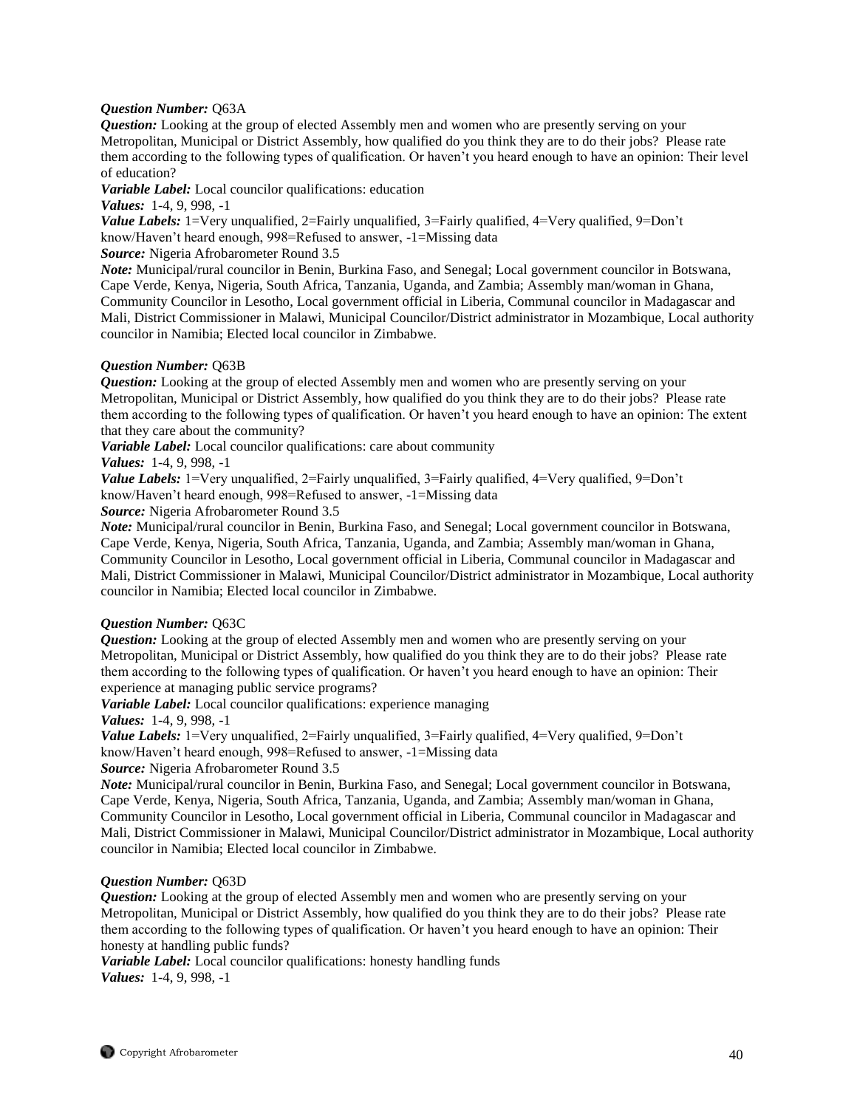## *Question Number:* Q63A

*Question:* Looking at the group of elected Assembly men and women who are presently serving on your Metropolitan, Municipal or District Assembly, how qualified do you think they are to do their jobs? Please rate them according to the following types of qualification. Or haven't you heard enough to have an opinion: Their level of education?

*Variable Label:* Local councilor qualifications: education

*Values:* 1-4, 9, 998, -1

*Value Labels:* 1=Very unqualified, 2=Fairly unqualified, 3=Fairly qualified, 4=Very qualified, 9=Don't know/Haven't heard enough, 998=Refused to answer, -1=Missing data

*Source:* Nigeria Afrobarometer Round 3.5

*Note:* Municipal/rural councilor in Benin, Burkina Faso, and Senegal; Local government councilor in Botswana, Cape Verde, Kenya, Nigeria, South Africa, Tanzania, Uganda, and Zambia; Assembly man/woman in Ghana, Community Councilor in Lesotho, Local government official in Liberia, Communal councilor in Madagascar and Mali, District Commissioner in Malawi, Municipal Councilor/District administrator in Mozambique, Local authority councilor in Namibia; Elected local councilor in Zimbabwe.

## *Question Number:* Q63B

*Question:* Looking at the group of elected Assembly men and women who are presently serving on your Metropolitan, Municipal or District Assembly, how qualified do you think they are to do their jobs? Please rate them according to the following types of qualification. Or haven't you heard enough to have an opinion: The extent that they care about the community?

*Variable Label:* Local councilor qualifications: care about community

*Values:* 1-4, 9, 998, -1

*Value Labels:* 1=Very unqualified, 2=Fairly unqualified, 3=Fairly qualified, 4=Very qualified, 9=Don't know/Haven't heard enough, 998=Refused to answer, -1=Missing data

*Source:* Nigeria Afrobarometer Round 3.5

*Note:* Municipal/rural councilor in Benin, Burkina Faso, and Senegal; Local government councilor in Botswana, Cape Verde, Kenya, Nigeria, South Africa, Tanzania, Uganda, and Zambia; Assembly man/woman in Ghana, Community Councilor in Lesotho, Local government official in Liberia, Communal councilor in Madagascar and Mali, District Commissioner in Malawi, Municipal Councilor/District administrator in Mozambique, Local authority councilor in Namibia; Elected local councilor in Zimbabwe.

## *Question Number:* Q63C

*Question:* Looking at the group of elected Assembly men and women who are presently serving on your Metropolitan, Municipal or District Assembly, how qualified do you think they are to do their jobs? Please rate them according to the following types of qualification. Or haven't you heard enough to have an opinion: Their experience at managing public service programs?

*Variable Label:* Local councilor qualifications: experience managing

*Values:* 1-4, 9, 998, -1

*Value Labels:* 1=Very unqualified, 2=Fairly unqualified, 3=Fairly qualified, 4=Very qualified, 9=Don't know/Haven't heard enough, 998=Refused to answer, -1=Missing data

*Source:* Nigeria Afrobarometer Round 3.5

*Note:* Municipal/rural councilor in Benin, Burkina Faso, and Senegal; Local government councilor in Botswana, Cape Verde, Kenya, Nigeria, South Africa, Tanzania, Uganda, and Zambia; Assembly man/woman in Ghana, Community Councilor in Lesotho, Local government official in Liberia, Communal councilor in Madagascar and Mali, District Commissioner in Malawi, Municipal Councilor/District administrator in Mozambique, Local authority councilor in Namibia; Elected local councilor in Zimbabwe.

#### *Question Number:* Q63D

*Question:* Looking at the group of elected Assembly men and women who are presently serving on your Metropolitan, Municipal or District Assembly, how qualified do you think they are to do their jobs? Please rate them according to the following types of qualification. Or haven't you heard enough to have an opinion: Their honesty at handling public funds?

*Variable Label:* Local councilor qualifications: honesty handling funds *Values:* 1-4, 9, 998, -1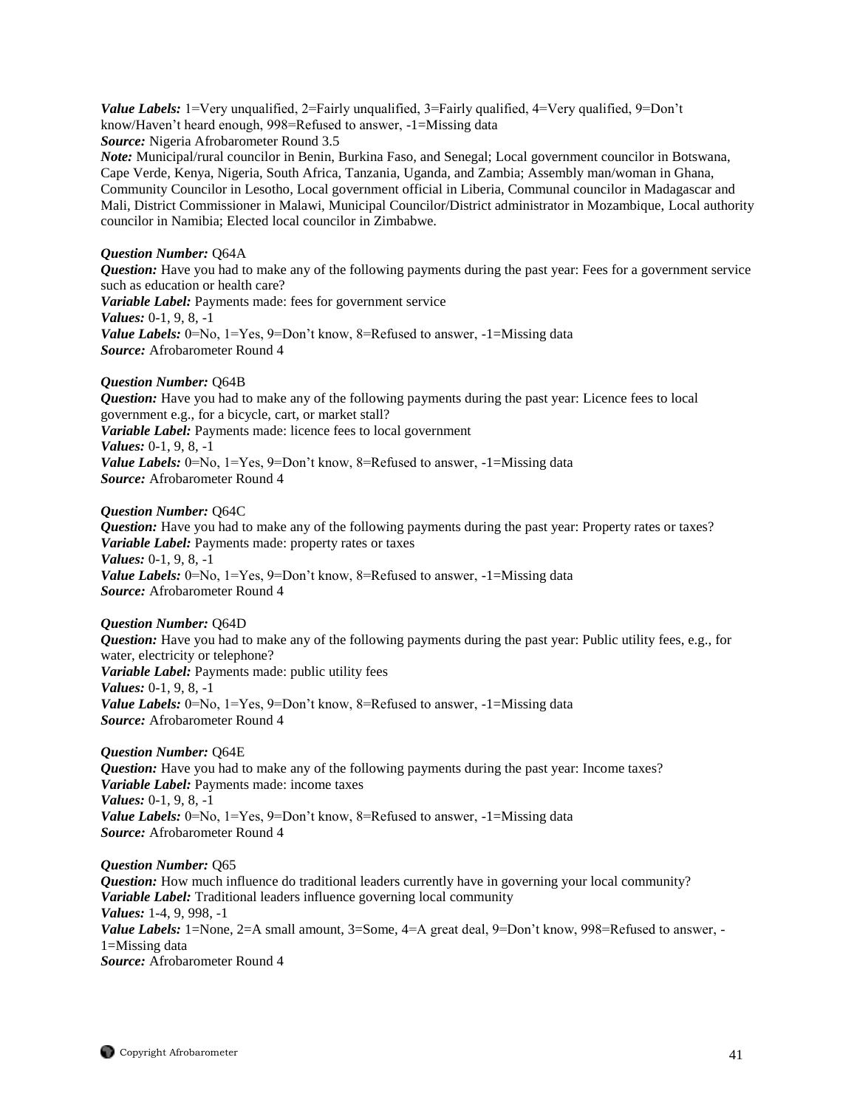*Value Labels:* 1=Very unqualified, 2=Fairly unqualified, 3=Fairly qualified, 4=Very qualified, 9=Don't know/Haven't heard enough, 998=Refused to answer, -1=Missing data

*Source:* Nigeria Afrobarometer Round 3.5

*Note:* Municipal/rural councilor in Benin, Burkina Faso, and Senegal; Local government councilor in Botswana, Cape Verde, Kenya, Nigeria, South Africa, Tanzania, Uganda, and Zambia; Assembly man/woman in Ghana, Community Councilor in Lesotho, Local government official in Liberia, Communal councilor in Madagascar and Mali, District Commissioner in Malawi, Municipal Councilor/District administrator in Mozambique, Local authority councilor in Namibia; Elected local councilor in Zimbabwe.

# *Question Number:* Q64A

*Question:* Have you had to make any of the following payments during the past year: Fees for a government service such as education or health care? *Variable Label:* Payments made: fees for government service *Values:* 0-1, 9, 8, -1 *Value Labels:* 0=No, 1=Yes, 9=Don't know, 8=Refused to answer, -1=Missing data *Source:* Afrobarometer Round 4

# *Question Number:* Q64B

*Question:* Have you had to make any of the following payments during the past year: Licence fees to local government e.g., for a bicycle, cart, or market stall? *Variable Label:* Payments made: licence fees to local government *Values:* 0-1, 9, 8, -1 *Value Labels:* 0=No, 1=Yes, 9=Don't know, 8=Refused to answer, -1=Missing data *Source:* Afrobarometer Round 4

## *Question Number:* Q64C

*Question:* Have you had to make any of the following payments during the past year: Property rates or taxes? *Variable Label:* Payments made: property rates or taxes *Values:* 0-1, 9, 8, -1 *Value Labels:* 0=No, 1=Yes, 9=Don't know, 8=Refused to answer, -1=Missing data *Source:* Afrobarometer Round 4

## *Question Number:* Q64D

*Question:* Have you had to make any of the following payments during the past year: Public utility fees, e.g., for water, electricity or telephone? *Variable Label:* Payments made: public utility fees *Values:* 0-1, 9, 8, -1 *Value Labels:* 0=No, 1=Yes, 9=Don't know, 8=Refused to answer, -1=Missing data *Source:* Afrobarometer Round 4

## *Question Number:* Q64E

*Question:* Have you had to make any of the following payments during the past year: Income taxes? *Variable Label:* Payments made: income taxes *Values:* 0-1, 9, 8, -1 *Value Labels:* 0=No, 1=Yes, 9=Don't know, 8=Refused to answer, -1=Missing data *Source:* Afrobarometer Round 4

*Question Number:* Q65 *Question:* How much influence do traditional leaders currently have in governing your local community? *Variable Label:* Traditional leaders influence governing local community *Values:* 1-4, 9, 998, -1 *Value Labels:* 1=None, 2=A small amount, 3=Some, 4=A great deal, 9=Don't know, 998=Refused to answer, -1=Missing data *Source:* Afrobarometer Round 4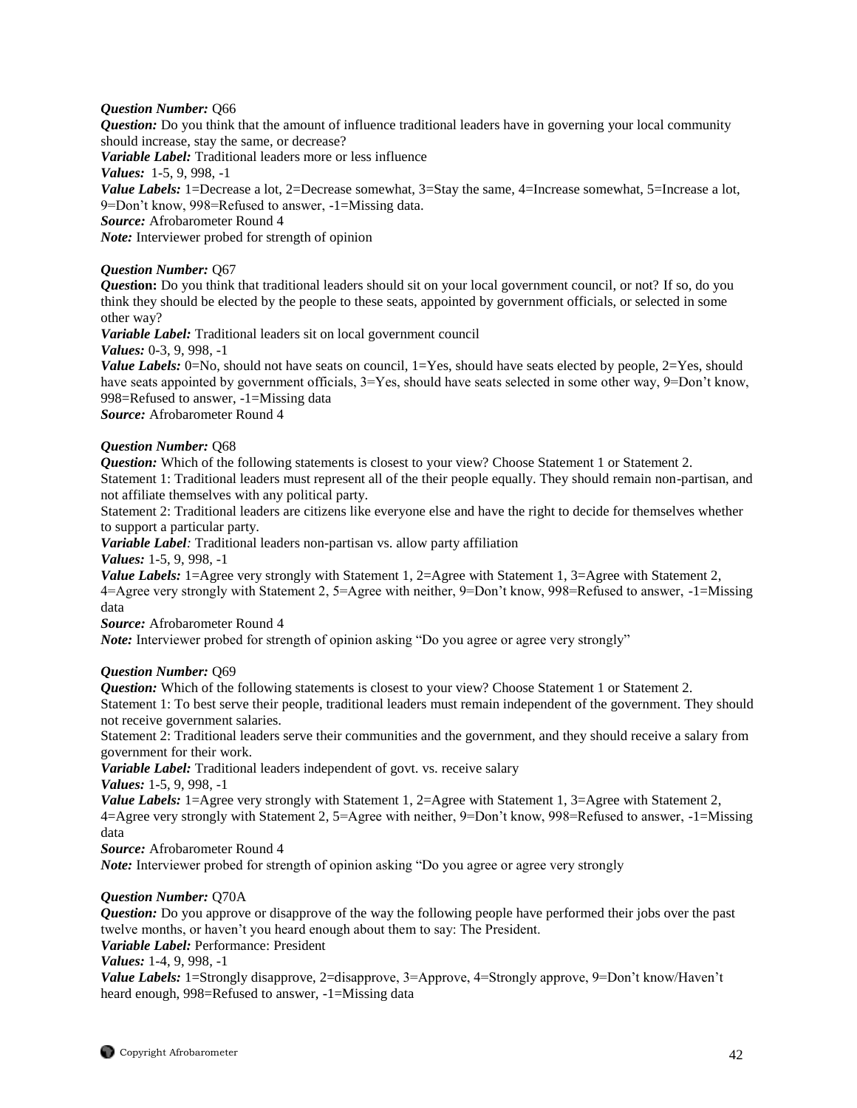## *Question Number:* Q66

*Question:* Do you think that the amount of influence traditional leaders have in governing your local community should increase, stay the same, or decrease?

*Variable Label:* Traditional leaders more or less influence

*Values:* 1-5, 9, 998, -1

*Value Labels:* 1=Decrease a lot, 2=Decrease somewhat, 3=Stay the same, 4=Increase somewhat, 5=Increase a lot, 9=Don't know, 998=Refused to answer, -1=Missing data.

*Source:* Afrobarometer Round 4

*Note:* Interviewer probed for strength of opinion

## *Question Number:* Q67

*Quest***ion:** Do you think that traditional leaders should sit on your local government council, or not? If so, do you think they should be elected by the people to these seats, appointed by government officials, or selected in some other way?

*Variable Label:* Traditional leaders sit on local government council

*Values:* 0-3, 9, 998, -1

*Value Labels:* 0=No, should not have seats on council, 1=Yes, should have seats elected by people, 2=Yes, should have seats appointed by government officials,  $3=Yes$ , should have seats selected in some other way,  $9=Don't know$ , 998=Refused to answer, -1=Missing data

*Source:* Afrobarometer Round 4

## *Question Number:* Q68

**Question:** Which of the following statements is closest to your view? Choose Statement 1 or Statement 2.

Statement 1: Traditional leaders must represent all of the their people equally. They should remain non-partisan, and not affiliate themselves with any political party.

Statement 2: Traditional leaders are citizens like everyone else and have the right to decide for themselves whether to support a particular party.

*Variable Label:* Traditional leaders non-partisan vs. allow party affiliation

*Values:* 1-5, 9, 998, -1

*Value Labels:* 1=Agree very strongly with Statement 1, 2=Agree with Statement 1, 3=Agree with Statement 2, 4=Agree very strongly with Statement 2, 5=Agree with neither, 9=Don't know, 998=Refused to answer, -1=Missing data

*Source:* Afrobarometer Round 4

*Note:* Interviewer probed for strength of opinion asking "Do you agree or agree very strongly"

# *Question Number:* Q69

*Question:* Which of the following statements is closest to your view? Choose Statement 1 or Statement 2. Statement 1: To best serve their people, traditional leaders must remain independent of the government. They should not receive government salaries.

Statement 2: Traditional leaders serve their communities and the government, and they should receive a salary from government for their work.

*Variable Label:* Traditional leaders independent of govt. vs. receive salary

*Values:* 1-5, 9, 998, -1

*Value Labels:* 1=Agree very strongly with Statement 1, 2=Agree with Statement 1, 3=Agree with Statement 2, 4=Agree very strongly with Statement 2, 5=Agree with neither, 9=Don't know, 998=Refused to answer, -1=Missing data

*Source:* Afrobarometer Round 4

*Note:* Interviewer probed for strength of opinion asking "Do you agree or agree very strongly

## *Question Number:* Q70A

*Question:* Do you approve or disapprove of the way the following people have performed their jobs over the past twelve months, or haven't you heard enough about them to say: The President.

*Variable Label:* Performance: President

*Values:* 1-4, 9, 998, -1

*Value Labels:* 1=Strongly disapprove, 2=disapprove, 3=Approve, 4=Strongly approve, 9=Don't know/Haven't heard enough, 998=Refused to answer, -1=Missing data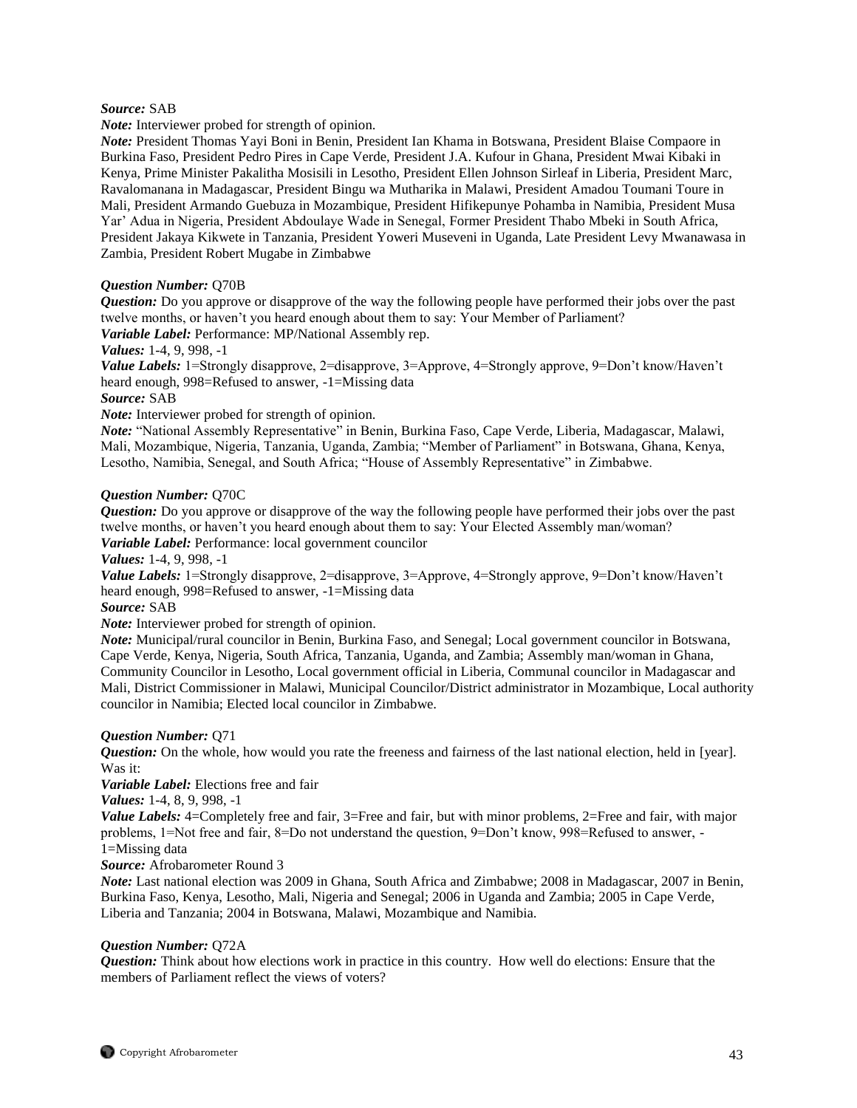# *Source:* SAB

*Note:* Interviewer probed for strength of opinion.

*Note:* President Thomas Yayi Boni in Benin, President Ian Khama in Botswana, President Blaise Compaore in Burkina Faso, President Pedro Pires in Cape Verde, President J.A. Kufour in Ghana, President Mwai Kibaki in Kenya, Prime Minister Pakalitha Mosisili in Lesotho, President Ellen Johnson Sirleaf in Liberia, President Marc, Ravalomanana in Madagascar, President Bingu wa Mutharika in Malawi, President Amadou Toumani Toure in Mali, President Armando Guebuza in Mozambique, President Hifikepunye Pohamba in Namibia, President Musa Yar' Adua in Nigeria, President Abdoulaye Wade in Senegal, Former President Thabo Mbeki in South Africa, President Jakaya Kikwete in Tanzania, President Yoweri Museveni in Uganda, Late President Levy Mwanawasa in Zambia, President Robert Mugabe in Zimbabwe

## *Question Number:* Q70B

*Question:* Do you approve or disapprove of the way the following people have performed their jobs over the past twelve months, or haven't you heard enough about them to say: Your Member of Parliament?

*Variable Label:* Performance: MP/National Assembly rep.

*Values:* 1-4, 9, 998, -1

*Value Labels:* 1=Strongly disapprove, 2=disapprove, 3=Approve, 4=Strongly approve, 9=Don't know/Haven't heard enough, 998=Refused to answer, -1=Missing data

#### *Source:* SAB

*Note:* Interviewer probed for strength of opinion.

*Note:* "National Assembly Representative" in Benin, Burkina Faso, Cape Verde, Liberia, Madagascar, Malawi, Mali, Mozambique, Nigeria, Tanzania, Uganda, Zambia; "Member of Parliament" in Botswana, Ghana, Kenya, Lesotho, Namibia, Senegal, and South Africa; "House of Assembly Representative" in Zimbabwe.

#### *Question Number:* Q70C

*Question:* Do you approve or disapprove of the way the following people have performed their jobs over the past twelve months, or haven't you heard enough about them to say: Your Elected Assembly man/woman? *Variable Label:* Performance: local government councilor

*Values:* 1-4, 9, 998, -1

*Value Labels:* 1=Strongly disapprove, 2=disapprove, 3=Approve, 4=Strongly approve, 9=Don't know/Haven't heard enough, 998=Refused to answer, -1=Missing data

## *Source:* SAB

*Note:* Interviewer probed for strength of opinion.

*Note:* Municipal/rural councilor in Benin, Burkina Faso, and Senegal; Local government councilor in Botswana, Cape Verde, Kenya, Nigeria, South Africa, Tanzania, Uganda, and Zambia; Assembly man/woman in Ghana, Community Councilor in Lesotho, Local government official in Liberia, Communal councilor in Madagascar and Mali, District Commissioner in Malawi, Municipal Councilor/District administrator in Mozambique, Local authority councilor in Namibia; Elected local councilor in Zimbabwe.

## *Question Number:* Q71

*Question:* On the whole, how would you rate the freeness and fairness of the last national election, held in [year]. Was it:

*Variable Label:* Elections free and fair

*Values:* 1-4, 8, 9, 998, -1

*Value Labels:* 4=Completely free and fair, 3=Free and fair, but with minor problems, 2=Free and fair, with major problems, 1=Not free and fair, 8=Do not understand the question, 9=Don't know, 998=Refused to answer, - 1=Missing data

# *Source:* Afrobarometer Round 3

*Note:* Last national election was 2009 in Ghana, South Africa and Zimbabwe; 2008 in Madagascar, 2007 in Benin, Burkina Faso, Kenya, Lesotho, Mali, Nigeria and Senegal; 2006 in Uganda and Zambia; 2005 in Cape Verde, Liberia and Tanzania; 2004 in Botswana, Malawi, Mozambique and Namibia.

## *Question Number:* Q72A

*Question:* Think about how elections work in practice in this country. How well do elections: Ensure that the members of Parliament reflect the views of voters?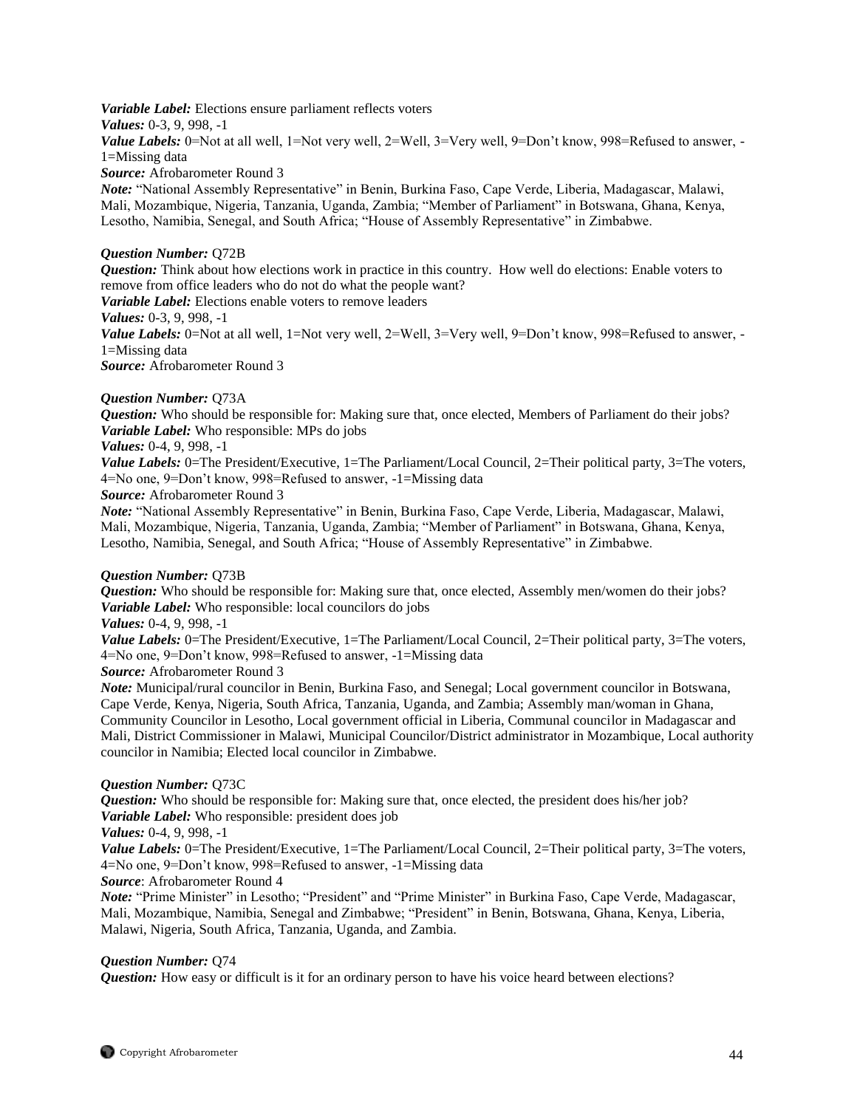*Variable Label:* Elections ensure parliament reflects voters *Values:* 0-3, 9, 998, -1 *Value Labels:* 0=Not at all well, 1=Not very well, 2=Well, 3=Very well, 9=Don't know, 998=Refused to answer, -1=Missing data

*Source:* Afrobarometer Round 3

*Note:* "National Assembly Representative" in Benin, Burkina Faso, Cape Verde, Liberia, Madagascar, Malawi, Mali, Mozambique, Nigeria, Tanzania, Uganda, Zambia; "Member of Parliament" in Botswana, Ghana, Kenya, Lesotho, Namibia, Senegal, and South Africa; "House of Assembly Representative" in Zimbabwe.

## *Question Number:* Q72B

*Question:* Think about how elections work in practice in this country. How well do elections: Enable voters to remove from office leaders who do not do what the people want?

*Variable Label:* Elections enable voters to remove leaders

*Values:* 0-3, 9, 998, -1

Value Labels: 0=Not at all well, 1=Not very well, 2=Well, 3=Very well, 9=Don't know, 998=Refused to answer, -1=Missing data

*Source:* Afrobarometer Round 3

## *Question Number:* Q73A

*Question:* Who should be responsible for: Making sure that, once elected, Members of Parliament do their jobs? *Variable Label:* Who responsible: MPs do jobs

## *Values:* 0-4, 9, 998, -1

*Value Labels:* 0=The President/Executive, 1=The Parliament/Local Council, 2=Their political party, 3=The voters, 4=No one, 9=Don't know, 998=Refused to answer, -1=Missing data

*Source:* Afrobarometer Round 3

*Note:* "National Assembly Representative" in Benin, Burkina Faso, Cape Verde, Liberia, Madagascar, Malawi, Mali, Mozambique, Nigeria, Tanzania, Uganda, Zambia; "Member of Parliament" in Botswana, Ghana, Kenya, Lesotho, Namibia, Senegal, and South Africa; "House of Assembly Representative" in Zimbabwe.

## *Question Number:* Q73B

*Question:* Who should be responsible for: Making sure that, once elected, Assembly men/women do their jobs? *Variable Label:* Who responsible: local councilors do jobs

## *Values:* 0-4, 9, 998, -1

*Value Labels:* 0=The President/Executive, 1=The Parliament/Local Council, 2=Their political party, 3=The voters, 4=No one, 9=Don't know, 998=Refused to answer, -1=Missing data

*Source:* Afrobarometer Round 3

*Note:* Municipal/rural councilor in Benin, Burkina Faso, and Senegal; Local government councilor in Botswana, Cape Verde, Kenya, Nigeria, South Africa, Tanzania, Uganda, and Zambia; Assembly man/woman in Ghana, Community Councilor in Lesotho, Local government official in Liberia, Communal councilor in Madagascar and Mali, District Commissioner in Malawi, Municipal Councilor/District administrator in Mozambique, Local authority councilor in Namibia; Elected local councilor in Zimbabwe.

## *Question Number:* Q73C

*Question:* Who should be responsible for: Making sure that, once elected, the president does his/her job? *Variable Label:* Who responsible: president does job

*Values:* 0-4, 9, 998, -1

*Value Labels:* 0=The President/Executive, 1=The Parliament/Local Council, 2=Their political party, 3=The voters, 4=No one, 9=Don't know, 998=Refused to answer, -1=Missing data

*Source*: Afrobarometer Round 4

*Note:* "Prime Minister" in Lesotho; "President" and "Prime Minister" in Burkina Faso, Cape Verde, Madagascar, Mali, Mozambique, Namibia, Senegal and Zimbabwe; "President" in Benin, Botswana, Ghana, Kenya, Liberia, Malawi, Nigeria, South Africa, Tanzania, Uganda, and Zambia.

## *Question Number:* Q74

*Question:* How easy or difficult is it for an ordinary person to have his voice heard between elections?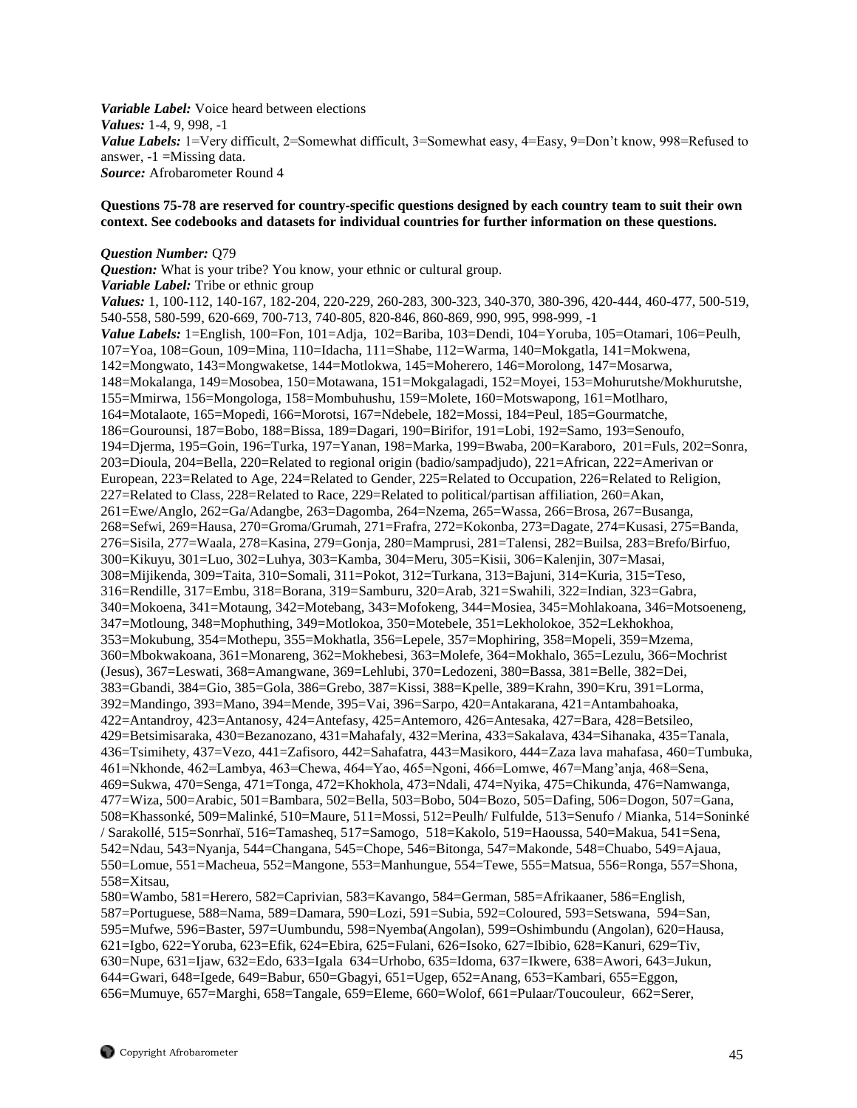*Variable Label:* Voice heard between elections *Values:* 1-4, 9, 998, -1 *Value Labels:* 1=Very difficult, 2=Somewhat difficult, 3=Somewhat easy, 4=Easy, 9=Don't know, 998=Refused to answer, -1 =Missing data. *Source:* Afrobarometer Round 4

## **Questions 75-78 are reserved for country-specific questions designed by each country team to suit their own context. See codebooks and datasets for individual countries for further information on these questions.**

## *Question Number:* Q79

*Question:* What is your tribe? You know, your ethnic or cultural group. *Variable Label:* Tribe or ethnic group *Values:* 1, 100-112, 140-167, 182-204, 220-229, 260-283, 300-323, 340-370, 380-396, 420-444, 460-477, 500-519, 540-558, 580-599, 620-669, 700-713, 740-805, 820-846, 860-869, 990, 995, 998-999, -1 *Value Labels:* 1=English, 100=Fon, 101=Adja, 102=Bariba, 103=Dendi, 104=Yoruba, 105=Otamari, 106=Peulh, 107=Yoa, 108=Goun, 109=Mina, 110=Idacha, 111=Shabe, 112=Warma, 140=Mokgatla, 141=Mokwena, 142=Mongwato, 143=Mongwaketse, 144=Motlokwa, 145=Moherero, 146=Morolong, 147=Mosarwa, 148=Mokalanga, 149=Mosobea, 150=Motawana, 151=Mokgalagadi, 152=Moyei, 153=Mohurutshe/Mokhurutshe, 155=Mmirwa, 156=Mongologa, 158=Mombuhushu, 159=Molete, 160=Motswapong, 161=Motlharo, 164=Motalaote, 165=Mopedi, 166=Morotsi, 167=Ndebele, 182=Mossi, 184=Peul, 185=Gourmatche, 186=Gourounsi, 187=Bobo, 188=Bissa, 189=Dagari, 190=Birifor, 191=Lobi, 192=Samo, 193=Senoufo, 194=Djerma, 195=Goin, 196=Turka, 197=Yanan, 198=Marka, 199=Bwaba, 200=Karaboro, 201=Fuls, 202=Sonra, 203=Dioula, 204=Bella, 220=Related to regional origin (badio/sampadjudo), 221=African, 222=Amerivan or European, 223=Related to Age, 224=Related to Gender, 225=Related to Occupation, 226=Related to Religion, 227=Related to Class, 228=Related to Race, 229=Related to political/partisan affiliation, 260=Akan, 261=Ewe/Anglo, 262=Ga/Adangbe, 263=Dagomba, 264=Nzema, 265=Wassa, 266=Brosa, 267=Busanga, 268=Sefwi, 269=Hausa, 270=Groma/Grumah, 271=Frafra, 272=Kokonba, 273=Dagate, 274=Kusasi, 275=Banda, 276=Sisila, 277=Waala, 278=Kasina, 279=Gonja, 280=Mamprusi, 281=Talensi, 282=Builsa, 283=Brefo/Birfuo, 300=Kikuyu, 301=Luo, 302=Luhya, 303=Kamba, 304=Meru, 305=Kisii, 306=Kalenjin, 307=Masai, 308=Mijikenda, 309=Taita, 310=Somali, 311=Pokot, 312=Turkana, 313=Bajuni, 314=Kuria, 315=Teso, 316=Rendille, 317=Embu, 318=Borana, 319=Samburu, 320=Arab, 321=Swahili, 322=Indian, 323=Gabra, 340=Mokoena, 341=Motaung, 342=Motebang, 343=Mofokeng, 344=Mosiea, 345=Mohlakoana, 346=Motsoeneng, 347=Motloung, 348=Mophuthing, 349=Motlokoa, 350=Motebele, 351=Lekholokoe, 352=Lekhokhoa, 353=Mokubung, 354=Mothepu, 355=Mokhatla, 356=Lepele, 357=Mophiring, 358=Mopeli, 359=Mzema, 360=Mbokwakoana, 361=Monareng, 362=Mokhebesi, 363=Molefe, 364=Mokhalo, 365=Lezulu, 366=Mochrist (Jesus), 367=Leswati, 368=Amangwane, 369=Lehlubi, 370=Ledozeni, 380=Bassa, 381=Belle, 382=Dei, 383=Gbandi, 384=Gio, 385=Gola, 386=Grebo, 387=Kissi, 388=Kpelle, 389=Krahn, 390=Kru, 391=Lorma, 392=Mandingo, 393=Mano, 394=Mende, 395=Vai, 396=Sarpo, 420=Antakarana, 421=Antambahoaka, 422=Antandroy, 423=Antanosy, 424=Antefasy, 425=Antemoro, 426=Antesaka, 427=Bara, 428=Betsileo, 429=Betsimisaraka, 430=Bezanozano, 431=Mahafaly, 432=Merina, 433=Sakalava, 434=Sihanaka, 435=Tanala, 436=Tsimihety, 437=Vezo, 441=Zafisoro, 442=Sahafatra, 443=Masikoro, 444=Zaza lava mahafasa, 460=Tumbuka, 461=Nkhonde, 462=Lambya, 463=Chewa, 464=Yao, 465=Ngoni, 466=Lomwe, 467=Mang'anja, 468=Sena, 469=Sukwa, 470=Senga, 471=Tonga, 472=Khokhola, 473=Ndali, 474=Nyika, 475=Chikunda, 476=Namwanga, 477=Wiza, 500=Arabic, 501=Bambara, 502=Bella, 503=Bobo, 504=Bozo, 505=Dafing, 506=Dogon, 507=Gana, 508=Khassonké, 509=Malinké, 510=Maure, 511=Mossi, 512=Peulh/ Fulfulde, 513=Senufo / Mianka, 514=Soninké / Sarakollé, 515=Sonrhaï, 516=Tamasheq, 517=Samogo, 518=Kakolo, 519=Haoussa, 540=Makua, 541=Sena, 542=Ndau, 543=Nyanja, 544=Changana, 545=Chope, 546=Bitonga, 547=Makonde, 548=Chuabo, 549=Ajaua, 550=Lomue, 551=Macheua, 552=Mangone, 553=Manhungue, 554=Tewe, 555=Matsua, 556=Ronga, 557=Shona, 558=Xitsau,

580=Wambo, 581=Herero, 582=Caprivian, 583=Kavango, 584=German, 585=Afrikaaner, 586=English, 587=Portuguese, 588=Nama, 589=Damara, 590=Lozi, 591=Subia, 592=Coloured, 593=Setswana, 594=San, 595=Mufwe, 596=Baster, 597=Uumbundu, 598=Nyemba(Angolan), 599=Oshimbundu (Angolan), 620=Hausa, 621=Igbo, 622=Yoruba, 623=Efik, 624=Ebira, 625=Fulani, 626=Isoko, 627=Ibibio, 628=Kanuri, 629=Tiv, 630=Nupe, 631=Ijaw, 632=Edo, 633=Igala 634=Urhobo, 635=Idoma, 637=Ikwere, 638=Awori, 643=Jukun, 644=Gwari, 648=Igede, 649=Babur, 650=Gbagyi, 651=Ugep, 652=Anang, 653=Kambari, 655=Eggon, 656=Mumuye, 657=Marghi, 658=Tangale, 659=Eleme, 660=Wolof, 661=Pulaar/Toucouleur, 662=Serer,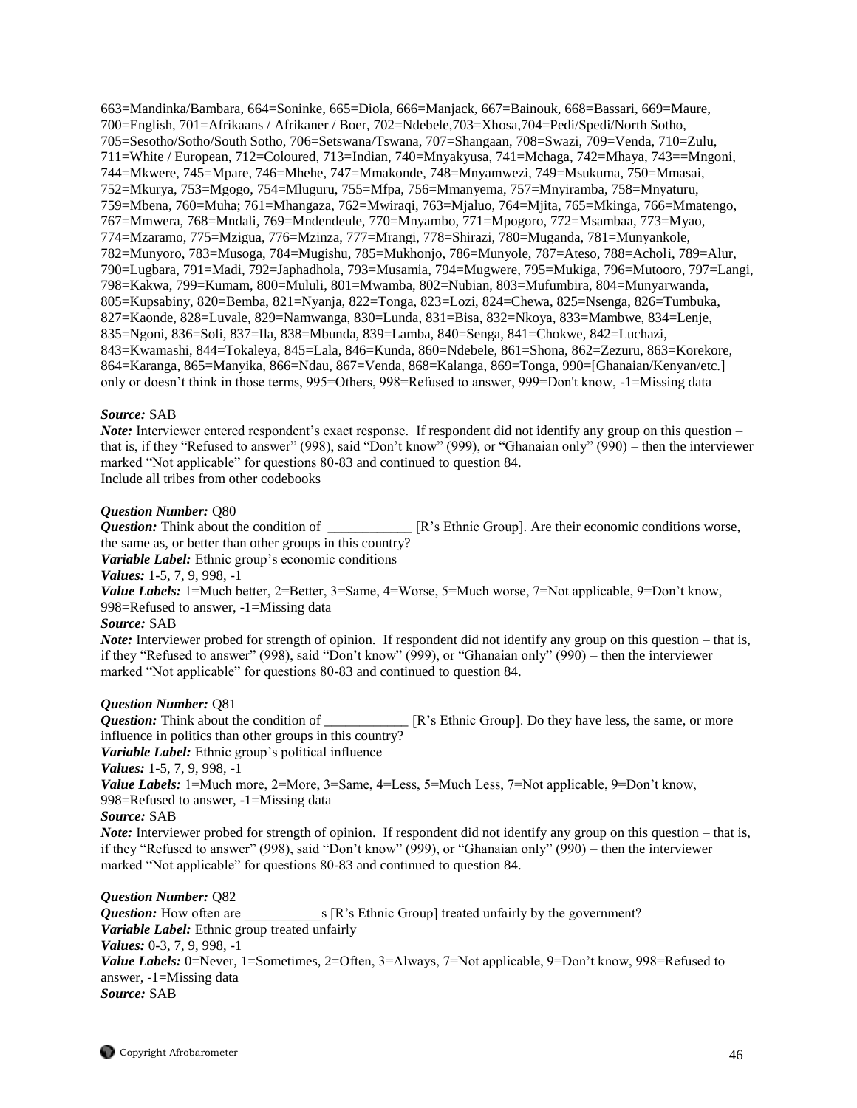663=Mandinka/Bambara, 664=Soninke, 665=Diola, 666=Manjack, 667=Bainouk, 668=Bassari, 669=Maure, 700=English, 701=Afrikaans / Afrikaner / Boer, 702=Ndebele,703=Xhosa,704=Pedi/Spedi/North Sotho, 705=Sesotho/Sotho/South Sotho, 706=Setswana/Tswana, 707=Shangaan, 708=Swazi, 709=Venda, 710=Zulu, 711=White / European, 712=Coloured, 713=Indian, 740=Mnyakyusa, 741=Mchaga, 742=Mhaya, 743==Mngoni, 744=Mkwere, 745=Mpare, 746=Mhehe, 747=Mmakonde, 748=Mnyamwezi, 749=Msukuma, 750=Mmasai, 752=Mkurya, 753=Mgogo, 754=Mluguru, 755=Mfpa, 756=Mmanyema, 757=Mnyiramba, 758=Mnyaturu, 759=Mbena, 760=Muha; 761=Mhangaza, 762=Mwiraqi, 763=Mjaluo, 764=Mjita, 765=Mkinga, 766=Mmatengo, 767=Mmwera, 768=Mndali, 769=Mndendeule, 770=Mnyambo, 771=Mpogoro, 772=Msambaa, 773=Myao, 774=Mzaramo, 775=Mzigua, 776=Mzinza, 777=Mrangi, 778=Shirazi, 780=Muganda, 781=Munyankole, 782=Munyoro, 783=Musoga, 784=Mugishu, 785=Mukhonjo, 786=Munyole, 787=Ateso, 788=Acholi, 789=Alur, 790=Lugbara, 791=Madi, 792=Japhadhola, 793=Musamia, 794=Mugwere, 795=Mukiga, 796=Mutooro, 797=Langi, 798=Kakwa, 799=Kumam, 800=Mululi, 801=Mwamba, 802=Nubian, 803=Mufumbira, 804=Munyarwanda, 805=Kupsabiny, 820=Bemba, 821=Nyanja, 822=Tonga, 823=Lozi, 824=Chewa, 825=Nsenga, 826=Tumbuka, 827=Kaonde, 828=Luvale, 829=Namwanga, 830=Lunda, 831=Bisa, 832=Nkoya, 833=Mambwe, 834=Lenje, 835=Ngoni, 836=Soli, 837=Ila, 838=Mbunda, 839=Lamba, 840=Senga, 841=Chokwe, 842=Luchazi, 843=Kwamashi, 844=Tokaleya, 845=Lala, 846=Kunda, 860=Ndebele, 861=Shona, 862=Zezuru, 863=Korekore, 864=Karanga, 865=Manyika, 866=Ndau, 867=Venda, 868=Kalanga, 869=Tonga, 990=[Ghanaian/Kenyan/etc.] only or doesn't think in those terms, 995=Others, 998=Refused to answer, 999=Don't know, -1=Missing data

#### *Source:* SAB

*Note:* Interviewer entered respondent's exact response. If respondent did not identify any group on this question – that is, if they "Refused to answer" (998), said "Don't know" (999), or "Ghanaian only" (990) – then the interviewer marked "Not applicable" for questions 80-83 and continued to question 84. Include all tribes from other codebooks

#### *Question Number:* Q80

*Question:* Think about the condition of \_\_\_\_\_\_\_\_\_\_\_\_ [R's Ethnic Group]. Are their economic conditions worse, the same as, or better than other groups in this country?

*Variable Label:* Ethnic group's economic conditions

*Values:* 1-5, 7, 9, 998, -1

*Value Labels:* 1=Much better, 2=Better, 3=Same, 4=Worse, 5=Much worse, 7=Not applicable, 9=Don't know, 998=Refused to answer, -1=Missing data

#### *Source:* SAB

*Note:* Interviewer probed for strength of opinion. If respondent did not identify any group on this question – that is, if they "Refused to answer" (998), said "Don't know" (999), or "Ghanaian only" (990) – then the interviewer marked "Not applicable" for questions 80-83 and continued to question 84.

*Question Number:* Q81  $\Box$  [R's Ethnic Group]. Do they have less, the same, or more influence in politics than other groups in this country?

*Variable Label:* Ethnic group's political influence

*Values:* 1-5, 7, 9, 998, -1

*Value Labels:* 1=Much more, 2=More, 3=Same, 4=Less, 5=Much Less, 7=Not applicable, 9=Don't know, 998=Refused to answer, -1=Missing data

#### *Source:* SAB

*Note:* Interviewer probed for strength of opinion. If respondent did not identify any group on this question – that is, if they "Refused to answer" (998), said "Don't know" (999), or "Ghanaian only" (990) – then the interviewer marked "Not applicable" for questions 80-83 and continued to question 84.

## *Question Number:* Q82

*Question:* How often are \_\_\_\_\_\_\_\_\_\_\_s [R's Ethnic Group] treated unfairly by the government? *Variable Label:* Ethnic group treated unfairly *Values:* 0-3, 7, 9, 998, -1 *Value Labels:* 0=Never, 1=Sometimes, 2=Often, 3=Always, 7=Not applicable, 9=Don't know, 998=Refused to answer, -1=Missing data *Source:* SAB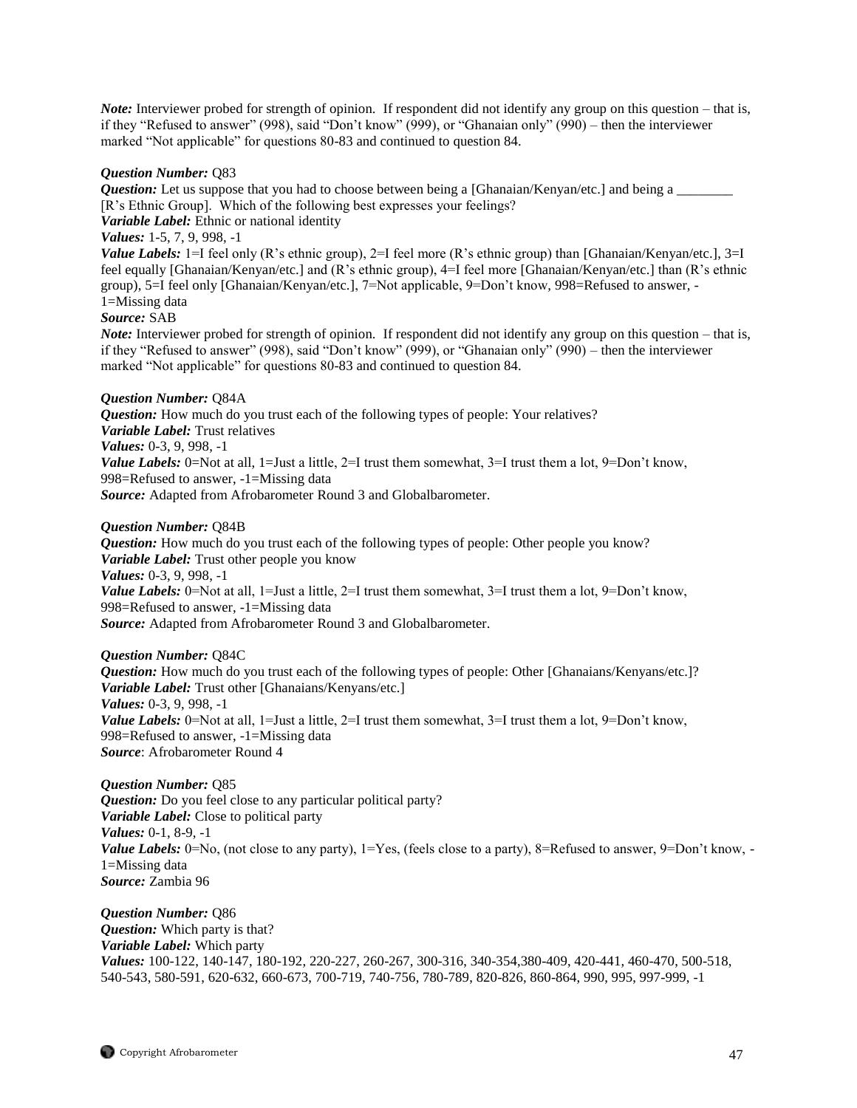*Note:* Interviewer probed for strength of opinion. If respondent did not identify any group on this question – that is, if they "Refused to answer" (998), said "Don't know" (999), or "Ghanaian only" (990) – then the interviewer marked "Not applicable" for questions 80-83 and continued to question 84.

#### *Question Number:* Q83

*Question:* Let us suppose that you had to choose between being a [Ghanaian/Kenyan/etc.] and being a \_\_\_\_\_\_\_\_ [R's Ethnic Group]. Which of the following best expresses your feelings?

*Variable Label:* Ethnic or national identity

# *Values:* 1-5, 7, 9, 998, -1

*Value Labels:* 1=I feel only (R's ethnic group), 2=I feel more (R's ethnic group) than [Ghanaian/Kenyan/etc.], 3=I feel equally [Ghanaian/Kenyan/etc.] and (R's ethnic group), 4=I feel more [Ghanaian/Kenyan/etc.] than (R's ethnic group), 5=I feel only [Ghanaian/Kenyan/etc.], 7=Not applicable, 9=Don't know*,* 998=Refused to answer, - 1=Missing data

## *Source:* SAB

*Note:* Interviewer probed for strength of opinion. If respondent did not identify any group on this question – that is, if they "Refused to answer" (998), said "Don't know" (999), or "Ghanaian only" (990) – then the interviewer marked "Not applicable" for questions 80-83 and continued to question 84.

## *Question Number:* Q84A

*Question:* How much do you trust each of the following types of people: Your relatives? *Variable Label:* Trust relatives *Values:* 0-3, 9, 998, -1 *Value Labels:* 0=Not at all, 1=Just a little, 2=I trust them somewhat, 3=I trust them a lot, 9=Don't know, 998=Refused to answer, -1=Missing data *Source:* Adapted from Afrobarometer Round 3 and Globalbarometer.

#### *Question Number:* Q84B

*Question:* How much do you trust each of the following types of people: Other people you know? *Variable Label:* Trust other people you know *Values:* 0-3, 9, 998, -1 *Value Labels:* 0=Not at all, 1=Just a little, 2=I trust them somewhat, 3=I trust them a lot, 9=Don't know, 998=Refused to answer, -1=Missing data *Source:* Adapted from Afrobarometer Round 3 and Globalbarometer.

## *Question Number:* Q84C

*Question:* How much do you trust each of the following types of people: Other [Ghanaians/Kenyans/etc.]? *Variable Label:* Trust other [Ghanaians/Kenyans/etc.] *Values:* 0-3, 9, 998, -1 *Value Labels:* 0=Not at all, 1=Just a little, 2=I trust them somewhat, 3=I trust them a lot, 9=Don't know, 998=Refused to answer, -1=Missing data *Source*: Afrobarometer Round 4

*Question Number:* Q85 *Question:* Do you feel close to any particular political party? *Variable Label:* Close to political party *Values:* 0-1, 8-9, -1 *Value Labels:* 0=No, (not close to any party), 1=Yes, (feels close to a party), 8=Refused to answer, 9=Don't know, -1=Missing data *Source:* Zambia 96

*Question Number:* Q86 *Question:* Which party is that? *Variable Label:* Which party *Values:* 100-122, 140-147, 180-192, 220-227, 260-267, 300-316, 340-354,380-409, 420-441, 460-470, 500-518, 540-543, 580-591, 620-632, 660-673, 700-719, 740-756, 780-789, 820-826, 860-864, 990, 995, 997-999, -1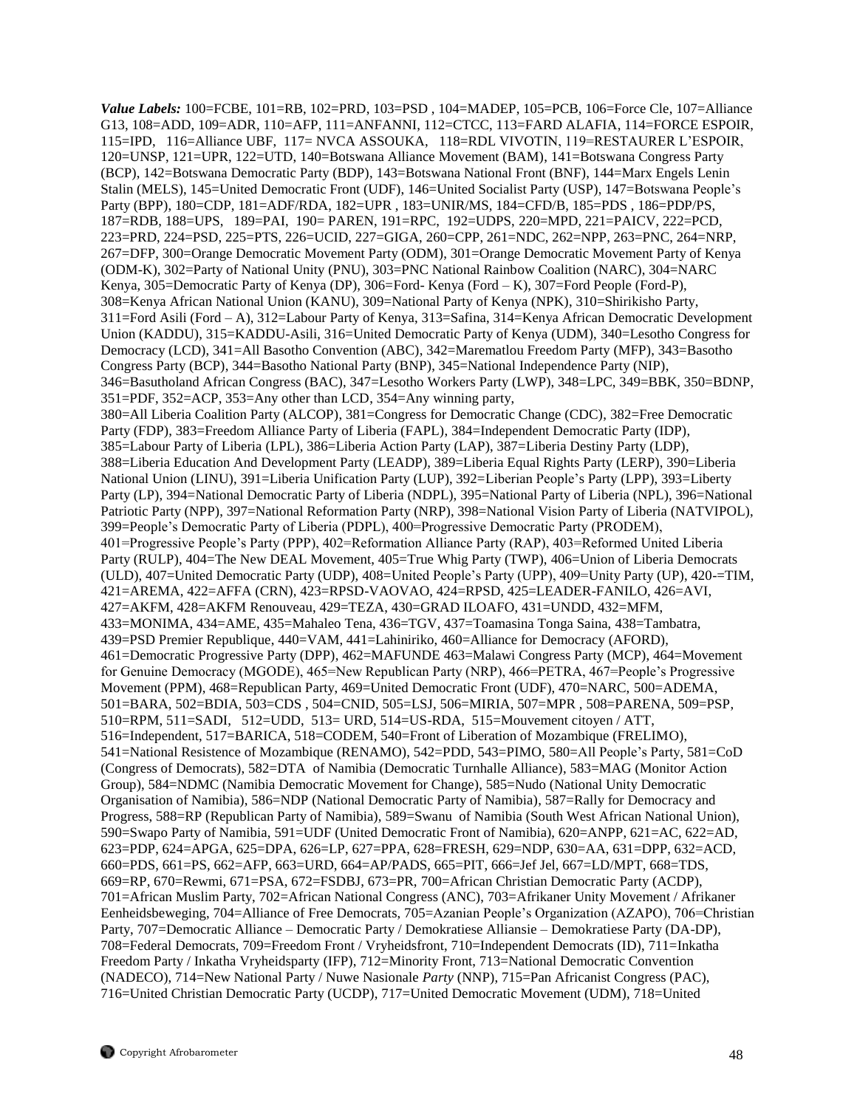*Value Labels:* 100=FCBE, 101=RB, 102=PRD, 103=PSD , 104=MADEP, 105=PCB, 106=Force Cle, 107=Alliance G13, 108=ADD, 109=ADR, 110=AFP, 111=ANFANNI, 112=CTCC, 113=FARD ALAFIA, 114=FORCE ESPOIR, 115=IPD, 116=Alliance UBF, 117= NVCA ASSOUKA, 118=RDL VIVOTIN, 119=RESTAURER L'ESPOIR, 120=UNSP, 121=UPR, 122=UTD, 140=Botswana Alliance Movement (BAM), 141=Botswana Congress Party (BCP), 142=Botswana Democratic Party (BDP), 143=Botswana National Front (BNF), 144=Marx Engels Lenin Stalin (MELS), 145=United Democratic Front (UDF), 146=United Socialist Party (USP), 147=Botswana People's Party (BPP), 180=CDP, 181=ADF/RDA, 182=UPR , 183=UNIR/MS, 184=CFD/B, 185=PDS , 186=PDP/PS, 187=RDB, 188=UPS, 189=PAI, 190= PAREN, 191=RPC, 192=UDPS, 220=MPD, 221=PAICV, 222=PCD, 223=PRD, 224=PSD, 225=PTS, 226=UCID, 227=GIGA, 260=CPP, 261=NDC, 262=NPP, 263=PNC, 264=NRP, 267=DFP, 300=Orange Democratic Movement Party (ODM), 301=Orange Democratic Movement Party of Kenya (ODM-K), 302=Party of National Unity (PNU), 303=PNC National Rainbow Coalition (NARC), 304=NARC Kenya, 305=Democratic Party of Kenya (DP), 306=Ford- Kenya (Ford – K), 307=Ford People (Ford-P), 308=Kenya African National Union (KANU), 309=National Party of Kenya (NPK), 310=Shirikisho Party, 311=Ford Asili (Ford – A), 312=Labour Party of Kenya, 313=Safina, 314=Kenya African Democratic Development Union (KADDU), 315=KADDU-Asili, 316=United Democratic Party of Kenya (UDM), 340=Lesotho Congress for Democracy (LCD), 341=All Basotho Convention (ABC), 342=Marematlou Freedom Party (MFP), 343=Basotho Congress Party (BCP), 344=Basotho National Party (BNP), 345=National Independence Party (NIP), 346=Basutholand African Congress (BAC), 347=Lesotho Workers Party (LWP), 348=LPC, 349=BBK, 350=BDNP, 351=PDF, 352=ACP, 353=Any other than LCD, 354=Any winning party, 380=All Liberia Coalition Party (ALCOP), 381=Congress for Democratic Change (CDC), 382=Free Democratic Party (FDP), 383=Freedom Alliance Party of Liberia (FAPL), 384=Independent Democratic Party (IDP), 385=Labour Party of Liberia (LPL), 386=Liberia Action Party (LAP), 387=Liberia Destiny Party (LDP), 388=Liberia Education And Development Party (LEADP), 389=Liberia Equal Rights Party (LERP), 390=Liberia National Union (LINU), 391=Liberia Unification Party (LUP), 392=Liberian People's Party (LPP), 393=Liberty Party (LP), 394=National Democratic Party of Liberia (NDPL), 395=National Party of Liberia (NPL), 396=National Patriotic Party (NPP), 397=National Reformation Party (NRP), 398=National Vision Party of Liberia (NATVIPOL), 399=People's Democratic Party of Liberia (PDPL), 400=Progressive Democratic Party (PRODEM), 401=Progressive People's Party (PPP), 402=Reformation Alliance Party (RAP), 403=Reformed United Liberia Party (RULP), 404=The New DEAL Movement, 405=True Whig Party (TWP), 406=Union of Liberia Democrats (ULD), 407=United Democratic Party (UDP), 408=United People's Party (UPP), 409=Unity Party (UP), 420-=TIM, 421=AREMA, 422=AFFA (CRN), 423=RPSD-VAOVAO, 424=RPSD, 425=LEADER-FANILO, 426=AVI, 427=AKFM, 428=AKFM Renouveau, 429=TEZA, 430=GRAD ILOAFO, 431=UNDD, 432=MFM, 433=MONIMA, 434=AME, 435=Mahaleo Tena, 436=TGV, 437=Toamasina Tonga Saina, 438=Tambatra, 439=PSD Premier Republique, 440=VAM, 441=Lahiniriko, 460=Alliance for Democracy (AFORD), 461=Democratic Progressive Party (DPP), 462=MAFUNDE 463=Malawi Congress Party (MCP), 464=Movement for Genuine Democracy (MGODE), 465=New Republican Party (NRP), 466=PETRA, 467=People's Progressive Movement (PPM), 468=Republican Party, 469=United Democratic Front (UDF), 470=NARC, 500=ADEMA, 501=BARA, 502=BDIA, 503=CDS , 504=CNID, 505=LSJ, 506=MIRIA, 507=MPR , 508=PARENA, 509=PSP, 510=RPM, 511=SADI, 512=UDD, 513= URD, 514=US-RDA, 515=Mouvement citoyen / ATT, 516=Independent, 517=BARICA, 518=CODEM, 540=Front of Liberation of Mozambique (FRELIMO), 541=National Resistence of Mozambique (RENAMO), 542=PDD, 543=PIMO, 580=All People's Party, 581=CoD (Congress of Democrats), 582=DTA of Namibia (Democratic Turnhalle Alliance), 583=MAG (Monitor Action Group), 584=NDMC (Namibia Democratic Movement for Change), 585=Nudo (National Unity Democratic Organisation of Namibia), 586=NDP (National Democratic Party of Namibia), 587=Rally for Democracy and Progress, 588=RP (Republican Party of Namibia), 589=Swanu of Namibia (South West African National Union), 590=Swapo Party of Namibia, 591=UDF (United Democratic Front of Namibia), 620=ANPP, 621=AC, 622=AD, 623=PDP, 624=APGA, 625=DPA, 626=LP, 627=PPA, 628=FRESH, 629=NDP, 630=AA, 631=DPP, 632=ACD, 660=PDS, 661=PS, 662=AFP, 663=URD, 664=AP/PADS, 665=PIT, 666=Jef Jel, 667=LD/MPT, 668=TDS, 669=RP, 670=Rewmi, 671=PSA, 672=FSDBJ, 673=PR, 700=African Christian Democratic Party (ACDP), 701=African Muslim Party, 702=African National Congress (ANC), 703=Afrikaner Unity Movement / Afrikaner Eenheidsbeweging, 704=Alliance of Free Democrats, 705=Azanian People's Organization (AZAPO), 706=Christian Party, 707=Democratic Alliance – Democratic Party / Demokratiese Alliansie – Demokratiese Party (DA-DP), 708=Federal Democrats, 709=Freedom Front / Vryheidsfront, 710=Independent Democrats (ID), 711=Inkatha Freedom Party / Inkatha Vryheidsparty (IFP), 712=Minority Front, 713=National Democratic Convention (NADECO), 714=New National Party / Nuwe Nasionale *Party* (NNP), 715=Pan Africanist Congress (PAC), 716=United Christian Democratic Party (UCDP), 717=United Democratic Movement (UDM), 718=United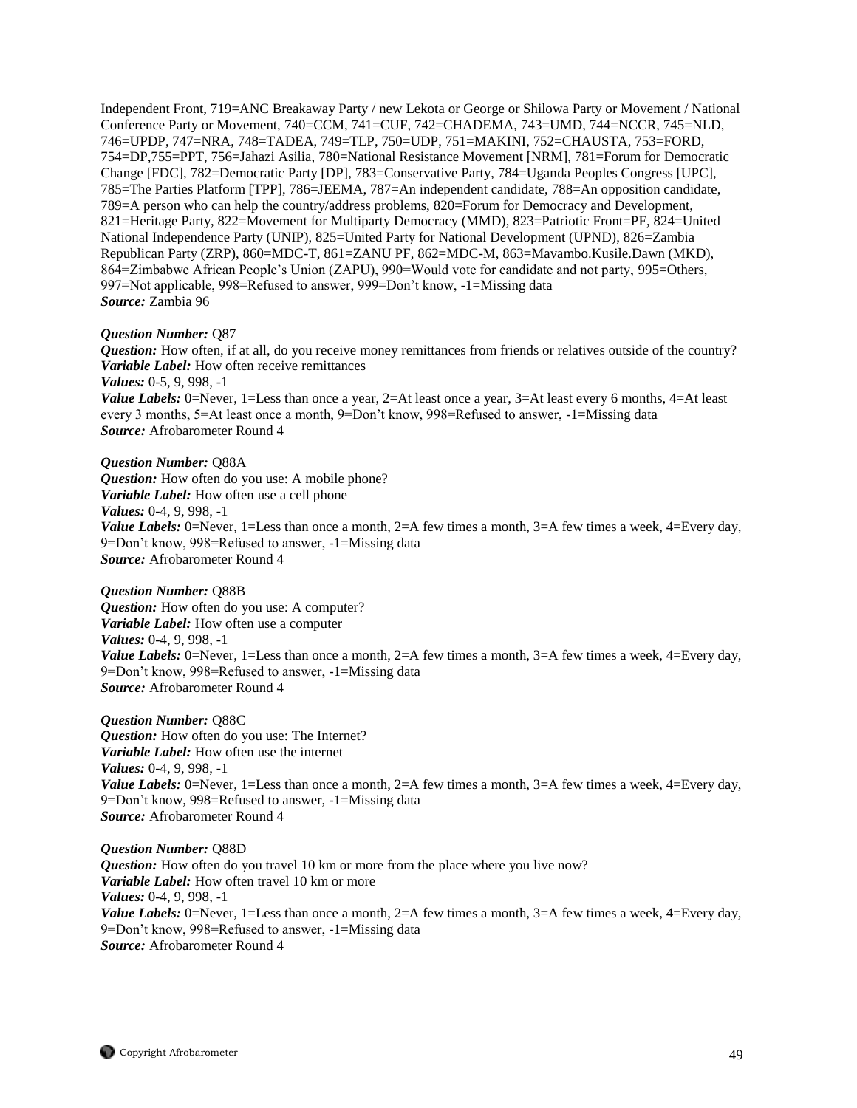Independent Front, 719=ANC Breakaway Party / new Lekota or George or Shilowa Party or Movement / National Conference Party or Movement, 740=CCM, 741=CUF, 742=CHADEMA, 743=UMD, 744=NCCR, 745=NLD, 746=UPDP, 747=NRA, 748=TADEA, 749=TLP, 750=UDP, 751=MAKINI, 752=CHAUSTA, 753=FORD, 754=DP,755=PPT, 756=Jahazi Asilia, 780=National Resistance Movement [NRM], 781=Forum for Democratic Change [FDC], 782=Democratic Party [DP], 783=Conservative Party, 784=Uganda Peoples Congress [UPC], 785=The Parties Platform [TPP], 786=JEEMA, 787=An independent candidate, 788=An opposition candidate, 789=A person who can help the country/address problems, 820=Forum for Democracy and Development, 821=Heritage Party, 822=Movement for Multiparty Democracy (MMD), 823=Patriotic Front=PF, 824=United National Independence Party (UNIP), 825=United Party for National Development (UPND), 826=Zambia Republican Party (ZRP), 860=MDC-T, 861=ZANU PF, 862=MDC-M, 863=Mavambo.Kusile.Dawn (MKD), 864=Zimbabwe African People's Union (ZAPU), 990=Would vote for candidate and not party, 995=Others, 997=Not applicable, 998=Refused to answer, 999=Don't know, -1=Missing data *Source:* Zambia 96

#### *Question Number:* Q87

*Question:* How often, if at all, do you receive money remittances from friends or relatives outside of the country? *Variable Label:* How often receive remittances *Values:* 0-5, 9, 998, -1 *Value Labels:* 0=Never, 1=Less than once a year, 2=At least once a year, 3=At least every 6 months, 4=At least every 3 months, 5=At least once a month, 9=Don't know, 998=Refused to answer, -1=Missing data *Source:* Afrobarometer Round 4

*Question Number:* Q88A *Question:* How often do you use: A mobile phone? *Variable Label:* How often use a cell phone *Values:* 0-4, 9, 998, -1 *Value Labels:* 0=Never, 1=Less than once a month, 2=A few times a month, 3=A few times a week, 4=Every day, 9=Don't know, 998=Refused to answer, -1=Missing data *Source:* Afrobarometer Round 4

*Question Number:* Q88B *Question:* How often do you use: A computer? *Variable Label:* How often use a computer *Values:* 0-4, 9, 998, -1 *Value Labels:* 0=Never, 1=Less than once a month, 2=A few times a month, 3=A few times a week, 4=Every day, 9=Don't know, 998=Refused to answer, -1=Missing data *Source:* Afrobarometer Round 4

*Question Number:* Q88C *Question:* How often do you use: The Internet? *Variable Label:* How often use the internet *Values:* 0-4, 9, 998, -1 *Value Labels:* 0=Never, 1=Less than once a month, 2=A few times a month, 3=A few times a week, 4=Every day, 9=Don't know, 998=Refused to answer, -1=Missing data *Source:* Afrobarometer Round 4

*Question Number:* Q88D *Question:* How often do you travel 10 km or more from the place where you live now? *Variable Label:* How often travel 10 km or more *Values:* 0-4, 9, 998, -1 *Value Labels:* 0=Never, 1=Less than once a month, 2=A few times a month, 3=A few times a week, 4=Every day, 9=Don't know, 998=Refused to answer, -1=Missing data *Source:* Afrobarometer Round 4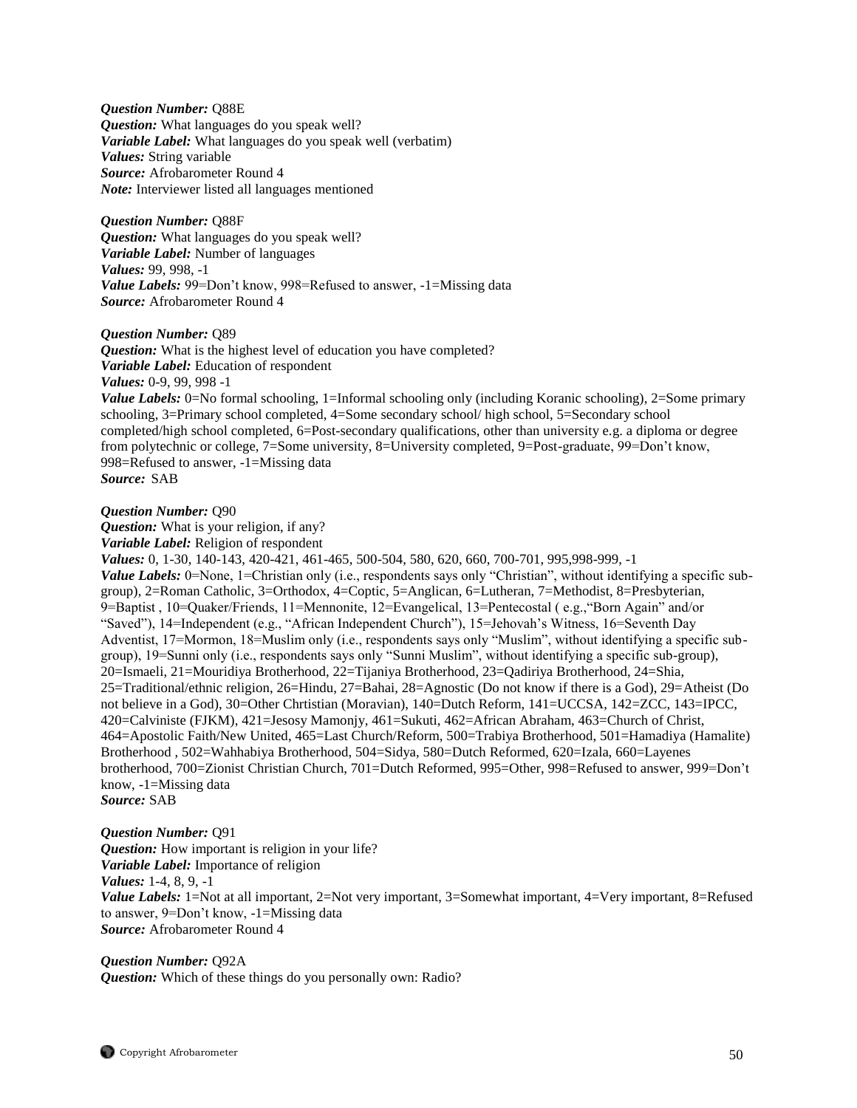*Question Number:* Q88E *Question:* What languages do you speak well? *Variable Label:* What languages do you speak well (verbatim) *Values:* String variable *Source:* Afrobarometer Round 4 *Note:* Interviewer listed all languages mentioned

*Question Number:* Q88F *Question:* What languages do you speak well? *Variable Label:* Number of languages *Values:* 99, 998, -1 *Value Labels:* 99=Don't know, 998=Refused to answer, -1=Missing data *Source:* Afrobarometer Round 4

*Question Number:* Q89

*Question:* What is the highest level of education you have completed? *Variable Label:* Education of respondent *Values:* 0-9, 99, 998 -1

*Value Labels:* 0=No formal schooling, 1=Informal schooling only (including Koranic schooling), 2=Some primary schooling, 3=Primary school completed, 4=Some secondary school/ high school, 5=Secondary school completed/high school completed, 6=Post-secondary qualifications, other than university e.g. a diploma or degree from polytechnic or college, 7=Some university, 8=University completed, 9=Post-graduate, 99=Don't know, 998=Refused to answer, -1=Missing data *Source:* SAB

*Question Number:* Q90

*Question:* What is your religion, if any? *Variable Label:* Religion of respondent

*Values:* 0, 1-30, 140-143, 420-421, 461-465, 500-504, 580, 620, 660, 700-701, 995,998-999, -1 *Value Labels:* 0=None, 1=Christian only (i.e., respondents says only "Christian", without identifying a specific subgroup), 2=Roman Catholic, 3=Orthodox, 4=Coptic, 5=Anglican, 6=Lutheran, 7=Methodist, 8=Presbyterian, 9=Baptist , 10=Quaker/Friends, 11=Mennonite, 12=Evangelical, 13=Pentecostal ( e.g.,"Born Again" and/or "Saved"), 14=Independent (e.g., "African Independent Church"), 15=Jehovah's Witness, 16=Seventh Day Adventist, 17=Mormon, 18=Muslim only (i.e., respondents says only "Muslim", without identifying a specific subgroup), 19=Sunni only (i.e., respondents says only "Sunni Muslim", without identifying a specific sub-group), 20=Ismaeli, 21=Mouridiya Brotherhood, 22=Tijaniya Brotherhood, 23=Qadiriya Brotherhood, 24=Shia, 25=Traditional/ethnic religion, 26=Hindu, 27=Bahai, 28=Agnostic (Do not know if there is a God), 29=Atheist (Do not believe in a God), 30=Other Chrtistian (Moravian), 140=Dutch Reform, 141=UCCSA, 142=ZCC, 143=IPCC, 420=Calviniste (FJKM), 421=Jesosy Mamonjy, 461=Sukuti, 462=African Abraham, 463=Church of Christ, 464=Apostolic Faith/New United, 465=Last Church/Reform, 500=Trabiya Brotherhood, 501=Hamadiya (Hamalite) Brotherhood , 502=Wahhabiya Brotherhood, 504=Sidya, 580=Dutch Reformed, 620=Izala, 660=Layenes brotherhood, 700=Zionist Christian Church, 701=Dutch Reformed, 995=Other, 998=Refused to answer, 999=Don't know, -1=Missing data

*Source:* SAB

*Question Number:* Q91 *Question:* How important is religion in your life? *Variable Label:* Importance of religion *Values:* 1-4, 8, 9, -1 *Value Labels:* 1=Not at all important, 2=Not very important, 3=Somewhat important, 4=Very important, 8=Refused to answer, 9=Don't know, -1=Missing data *Source:* Afrobarometer Round 4

*Question Number:* Q92A

*Question:* Which of these things do you personally own: Radio?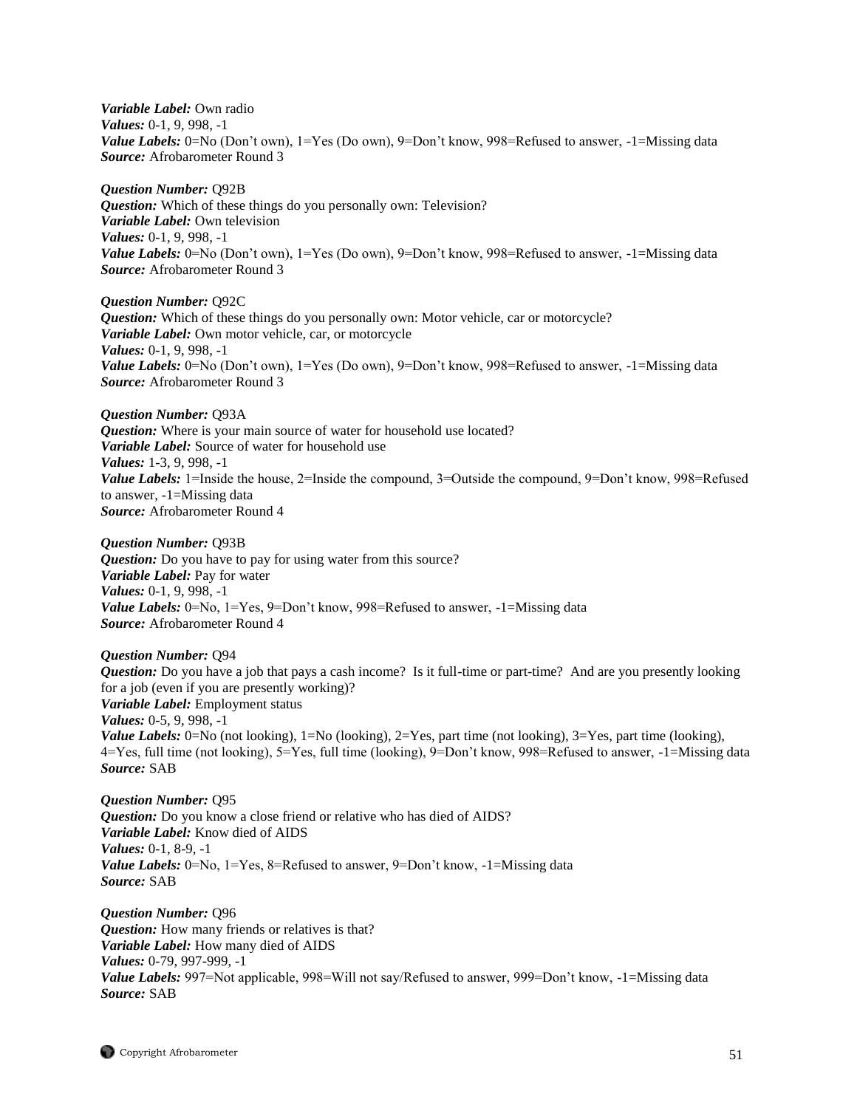*Variable Label:* Own radio *Values:* 0-1, 9, 998, -1 *Value Labels:* 0=No (Don't own), 1=Yes (Do own), 9=Don't know, 998=Refused to answer, -1=Missing data *Source:* Afrobarometer Round 3

*Question Number:* Q92B *Question:* Which of these things do you personally own: Television? *Variable Label:* Own television *Values:* 0-1, 9, 998, -1 *Value Labels:* 0=No (Don't own), 1=Yes (Do own), 9=Don't know, 998=Refused to answer, -1=Missing data *Source:* Afrobarometer Round 3

*Question Number:* Q92C *Question:* Which of these things do you personally own: Motor vehicle, car or motorcycle? *Variable Label:* Own motor vehicle, car, or motorcycle *Values:* 0-1, 9, 998, -1 *Value Labels:* 0=No (Don't own), 1=Yes (Do own), 9=Don't know, 998=Refused to answer, -1=Missing data *Source:* Afrobarometer Round 3

*Question Number:* Q93A

*Question:* Where is your main source of water for household use located? *Variable Label:* Source of water for household use *Values:* 1-3, 9, 998, -1 *Value Labels:* 1=Inside the house, 2=Inside the compound, 3=Outside the compound, 9=Don't know, 998=Refused to answer, -1=Missing data *Source:* Afrobarometer Round 4

*Question Number:* Q93B *Question:* Do you have to pay for using water from this source? *Variable Label:* Pay for water *Values:* 0-1, 9, 998, -1 *Value Labels:* 0=No, 1=Yes, 9=Don't know, 998=Refused to answer, -1=Missing data *Source:* Afrobarometer Round 4

*Question Number:* Q94 *Question:* Do you have a job that pays a cash income? Is it full-time or part-time? And are you presently looking for a job (even if you are presently working)? *Variable Label:* Employment status *Values:* 0-5, 9, 998, -1

*Value Labels:* 0=No (not looking), 1=No (looking), 2=Yes, part time (not looking), 3=Yes, part time (looking), 4=Yes, full time (not looking), 5=Yes, full time (looking), 9=Don't know, 998=Refused to answer, -1=Missing data *Source:* SAB

*Question Number:* Q95 *Question:* Do you know a close friend or relative who has died of AIDS? *Variable Label:* Know died of AIDS *Values:* 0-1, 8-9, -1 *Value Labels:* 0=No, 1=Yes, 8=Refused to answer, 9=Don't know, -1=Missing data *Source:* SAB

*Question Number:* Q96 *Question:* How many friends or relatives is that? *Variable Label:* How many died of AIDS *Values:* 0-79, 997-999, -1 *Value Labels:* 997=Not applicable, 998=Will not say/Refused to answer, 999=Don't know, -1=Missing data *Source:* SAB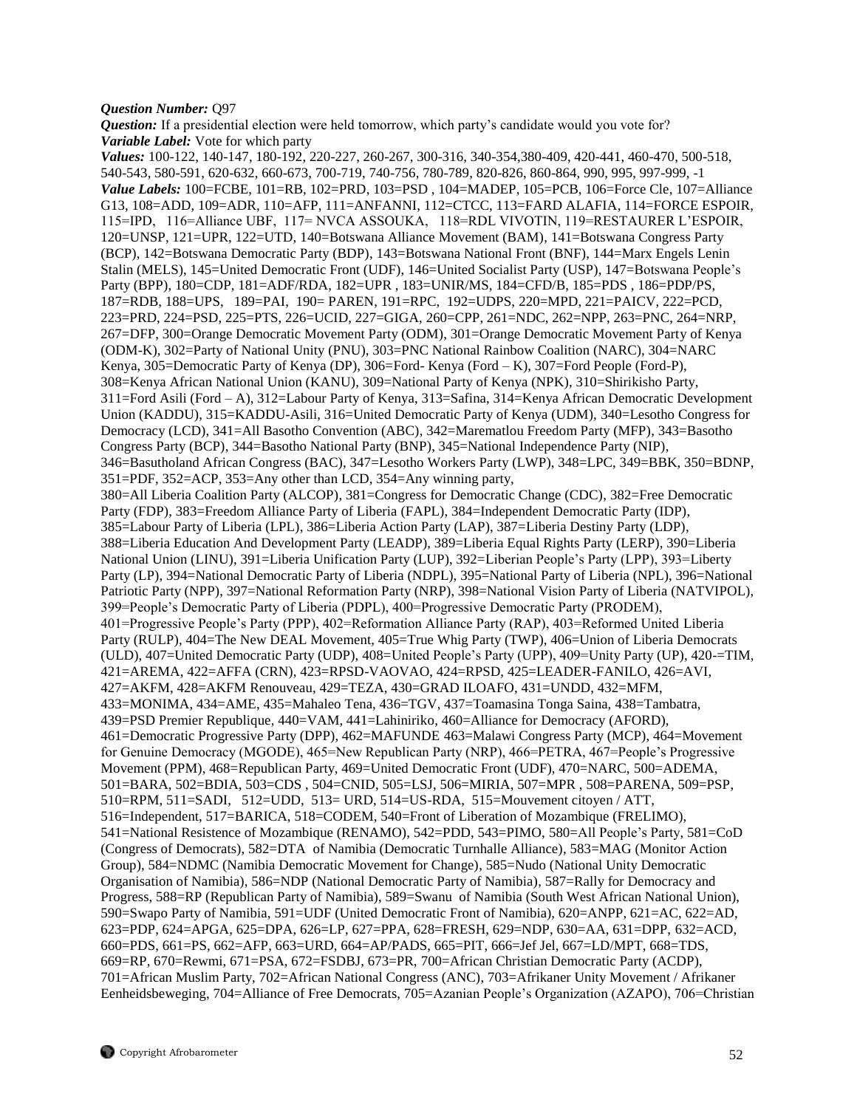#### *Question Number:* Q97

*Question:* If a presidential election were held tomorrow, which party's candidate would you vote for? *Variable Label:* Vote for which party

*Values:* 100-122, 140-147, 180-192, 220-227, 260-267, 300-316, 340-354,380-409, 420-441, 460-470, 500-518, 540-543, 580-591, 620-632, 660-673, 700-719, 740-756, 780-789, 820-826, 860-864, 990, 995, 997-999, -1 *Value Labels:* 100=FCBE, 101=RB, 102=PRD, 103=PSD , 104=MADEP, 105=PCB, 106=Force Cle, 107=Alliance G13, 108=ADD, 109=ADR, 110=AFP, 111=ANFANNI, 112=CTCC, 113=FARD ALAFIA, 114=FORCE ESPOIR, 115=IPD, 116=Alliance UBF, 117= NVCA ASSOUKA, 118=RDL VIVOTIN, 119=RESTAURER L'ESPOIR, 120=UNSP, 121=UPR, 122=UTD, 140=Botswana Alliance Movement (BAM), 141=Botswana Congress Party (BCP), 142=Botswana Democratic Party (BDP), 143=Botswana National Front (BNF), 144=Marx Engels Lenin Stalin (MELS), 145=United Democratic Front (UDF), 146=United Socialist Party (USP), 147=Botswana People's Party (BPP), 180=CDP, 181=ADF/RDA, 182=UPR , 183=UNIR/MS, 184=CFD/B, 185=PDS , 186=PDP/PS, 187=RDB, 188=UPS, 189=PAI, 190= PAREN, 191=RPC, 192=UDPS, 220=MPD, 221=PAICV, 222=PCD, 223=PRD, 224=PSD, 225=PTS, 226=UCID, 227=GIGA, 260=CPP, 261=NDC, 262=NPP, 263=PNC, 264=NRP, 267=DFP, 300=Orange Democratic Movement Party (ODM), 301=Orange Democratic Movement Party of Kenya (ODM-K), 302=Party of National Unity (PNU), 303=PNC National Rainbow Coalition (NARC), 304=NARC Kenya, 305=Democratic Party of Kenya (DP), 306=Ford- Kenya (Ford – K), 307=Ford People (Ford-P), 308=Kenya African National Union (KANU), 309=National Party of Kenya (NPK), 310=Shirikisho Party, 311=Ford Asili (Ford – A), 312=Labour Party of Kenya, 313=Safina, 314=Kenya African Democratic Development Union (KADDU), 315=KADDU-Asili, 316=United Democratic Party of Kenya (UDM), 340=Lesotho Congress for Democracy (LCD), 341=All Basotho Convention (ABC), 342=Marematlou Freedom Party (MFP), 343=Basotho Congress Party (BCP), 344=Basotho National Party (BNP), 345=National Independence Party (NIP), 346=Basutholand African Congress (BAC), 347=Lesotho Workers Party (LWP), 348=LPC, 349=BBK, 350=BDNP, 351=PDF, 352=ACP, 353=Any other than LCD, 354=Any winning party, 380=All Liberia Coalition Party (ALCOP), 381=Congress for Democratic Change (CDC), 382=Free Democratic Party (FDP), 383=Freedom Alliance Party of Liberia (FAPL), 384=Independent Democratic Party (IDP), 385=Labour Party of Liberia (LPL), 386=Liberia Action Party (LAP), 387=Liberia Destiny Party (LDP), 388=Liberia Education And Development Party (LEADP), 389=Liberia Equal Rights Party (LERP), 390=Liberia National Union (LINU), 391=Liberia Unification Party (LUP), 392=Liberian People's Party (LPP), 393=Liberty Party (LP), 394=National Democratic Party of Liberia (NDPL), 395=National Party of Liberia (NPL), 396=National Patriotic Party (NPP), 397=National Reformation Party (NRP), 398=National Vision Party of Liberia (NATVIPOL), 399=People's Democratic Party of Liberia (PDPL), 400=Progressive Democratic Party (PRODEM), 401=Progressive People's Party (PPP), 402=Reformation Alliance Party (RAP), 403=Reformed United Liberia Party (RULP), 404=The New DEAL Movement, 405=True Whig Party (TWP), 406=Union of Liberia Democrats (ULD), 407=United Democratic Party (UDP), 408=United People's Party (UPP), 409=Unity Party (UP), 420-=TIM, 421=AREMA, 422=AFFA (CRN), 423=RPSD-VAOVAO, 424=RPSD, 425=LEADER-FANILO, 426=AVI, 427=AKFM, 428=AKFM Renouveau, 429=TEZA, 430=GRAD ILOAFO, 431=UNDD, 432=MFM, 433=MONIMA, 434=AME, 435=Mahaleo Tena, 436=TGV, 437=Toamasina Tonga Saina, 438=Tambatra, 439=PSD Premier Republique, 440=VAM, 441=Lahiniriko, 460=Alliance for Democracy (AFORD), 461=Democratic Progressive Party (DPP), 462=MAFUNDE 463=Malawi Congress Party (MCP), 464=Movement for Genuine Democracy (MGODE), 465=New Republican Party (NRP), 466=PETRA, 467=People's Progressive Movement (PPM), 468=Republican Party, 469=United Democratic Front (UDF), 470=NARC, 500=ADEMA, 501=BARA, 502=BDIA, 503=CDS , 504=CNID, 505=LSJ, 506=MIRIA, 507=MPR , 508=PARENA, 509=PSP, 510=RPM, 511=SADI, 512=UDD, 513= URD, 514=US-RDA, 515=Mouvement citoyen / ATT, 516=Independent, 517=BARICA, 518=CODEM, 540=Front of Liberation of Mozambique (FRELIMO), 541=National Resistence of Mozambique (RENAMO), 542=PDD, 543=PIMO, 580=All People's Party, 581=CoD (Congress of Democrats), 582=DTA of Namibia (Democratic Turnhalle Alliance), 583=MAG (Monitor Action Group), 584=NDMC (Namibia Democratic Movement for Change), 585=Nudo (National Unity Democratic Organisation of Namibia), 586=NDP (National Democratic Party of Namibia), 587=Rally for Democracy and Progress, 588=RP (Republican Party of Namibia), 589=Swanu of Namibia (South West African National Union), 590=Swapo Party of Namibia, 591=UDF (United Democratic Front of Namibia), 620=ANPP, 621=AC, 622=AD, 623=PDP, 624=APGA, 625=DPA, 626=LP, 627=PPA, 628=FRESH, 629=NDP, 630=AA, 631=DPP, 632=ACD, 660=PDS, 661=PS, 662=AFP, 663=URD, 664=AP/PADS, 665=PIT, 666=Jef Jel, 667=LD/MPT, 668=TDS, 669=RP, 670=Rewmi, 671=PSA, 672=FSDBJ, 673=PR, 700=African Christian Democratic Party (ACDP), 701=African Muslim Party, 702=African National Congress (ANC), 703=Afrikaner Unity Movement / Afrikaner Eenheidsbeweging, 704=Alliance of Free Democrats, 705=Azanian People's Organization (AZAPO), 706=Christian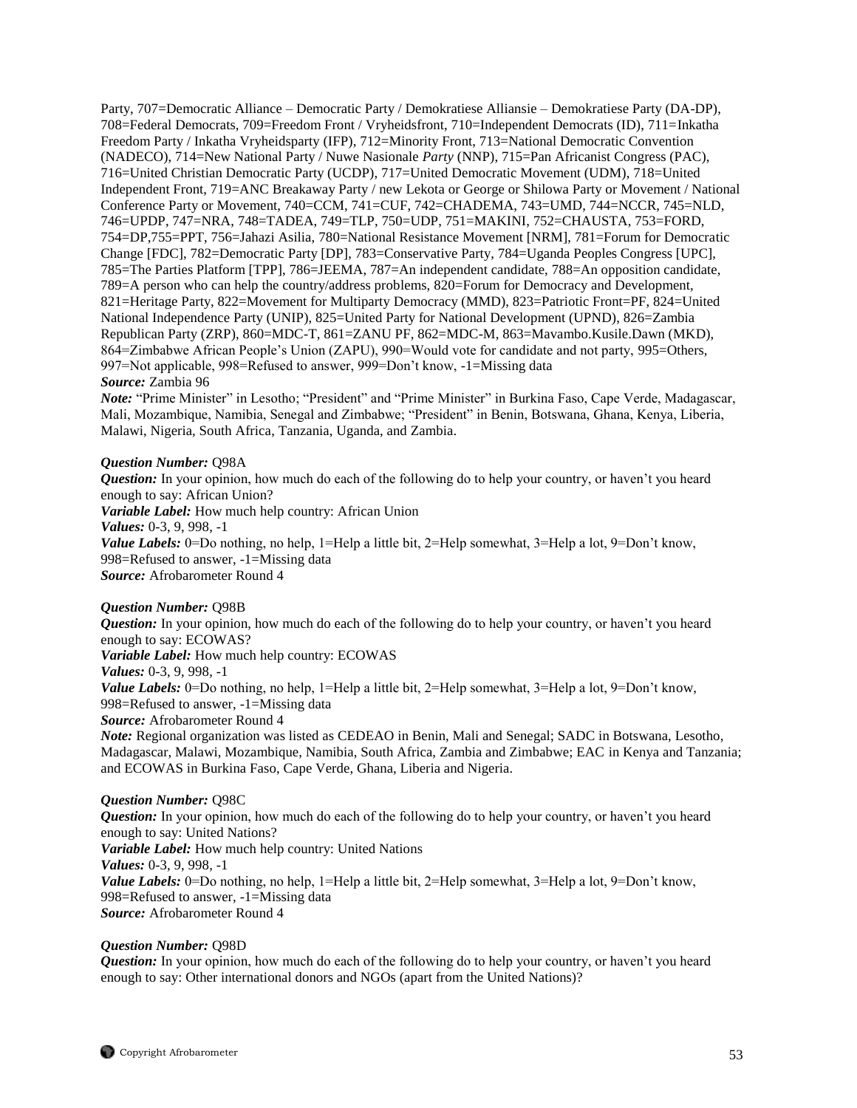Party, 707=Democratic Alliance – Democratic Party / Demokratiese Alliansie – Demokratiese Party (DA-DP), 708=Federal Democrats, 709=Freedom Front / Vryheidsfront, 710=Independent Democrats (ID), 711=Inkatha Freedom Party / Inkatha Vryheidsparty (IFP), 712=Minority Front, 713=National Democratic Convention (NADECO), 714=New National Party / Nuwe Nasionale *Party* (NNP), 715=Pan Africanist Congress (PAC), 716=United Christian Democratic Party (UCDP), 717=United Democratic Movement (UDM), 718=United Independent Front, 719=ANC Breakaway Party / new Lekota or George or Shilowa Party or Movement / National Conference Party or Movement, 740=CCM, 741=CUF, 742=CHADEMA, 743=UMD, 744=NCCR, 745=NLD, 746=UPDP, 747=NRA, 748=TADEA, 749=TLP, 750=UDP, 751=MAKINI, 752=CHAUSTA, 753=FORD, 754=DP,755=PPT, 756=Jahazi Asilia, 780=National Resistance Movement [NRM], 781=Forum for Democratic Change [FDC], 782=Democratic Party [DP], 783=Conservative Party, 784=Uganda Peoples Congress [UPC], 785=The Parties Platform [TPP], 786=JEEMA, 787=An independent candidate, 788=An opposition candidate, 789=A person who can help the country/address problems, 820=Forum for Democracy and Development, 821=Heritage Party, 822=Movement for Multiparty Democracy (MMD), 823=Patriotic Front=PF, 824=United National Independence Party (UNIP), 825=United Party for National Development (UPND), 826=Zambia Republican Party (ZRP), 860=MDC-T, 861=ZANU PF, 862=MDC-M, 863=Mavambo.Kusile.Dawn (MKD), 864=Zimbabwe African People's Union (ZAPU), 990=Would vote for candidate and not party, 995=Others, 997=Not applicable, 998=Refused to answer, 999=Don't know, -1=Missing data *Source:* Zambia 96

*Note:* "Prime Minister" in Lesotho; "President" and "Prime Minister" in Burkina Faso, Cape Verde, Madagascar, Mali, Mozambique, Namibia, Senegal and Zimbabwe; "President" in Benin, Botswana, Ghana, Kenya, Liberia, Malawi, Nigeria, South Africa, Tanzania, Uganda, and Zambia.

#### *Question Number:* Q98A

*Question:* In your opinion, how much do each of the following do to help your country, or haven't you heard enough to say: African Union? *Variable Label:* How much help country: African Union *Values:* 0-3, 9, 998, -1 *Value Labels:* 0=Do nothing, no help, 1=Help a little bit, 2=Help somewhat, 3=Help a lot, 9=Don't know, 998=Refused to answer, -1=Missing data *Source:* Afrobarometer Round 4

## *Question Number:* Q98B

*Question:* In your opinion, how much do each of the following do to help your country, or haven't you heard enough to say: ECOWAS? *Variable Label:* How much help country: ECOWAS *Values:* 0-3, 9, 998, -1 *Value Labels:* 0=Do nothing, no help, 1=Help a little bit, 2=Help somewhat, 3=Help a lot, 9=Don't know, 998=Refused to answer, -1=Missing data *Source:* Afrobarometer Round 4 *Note:* Regional organization was listed as CEDEAO in Benin, Mali and Senegal; SADC in Botswana, Lesotho, Madagascar, Malawi, Mozambique, Namibia, South Africa, Zambia and Zimbabwe; EAC in Kenya and Tanzania; and ECOWAS in Burkina Faso, Cape Verde, Ghana, Liberia and Nigeria.

#### *Question Number:* Q98C

*Question:* In your opinion, how much do each of the following do to help your country, or haven't you heard enough to say: United Nations? *Variable Label:* How much help country: United Nations *Values:* 0-3, 9, 998, -1 *Value Labels:* 0=Do nothing, no help, 1=Help a little bit, 2=Help somewhat, 3=Help a lot, 9=Don't know, 998=Refused to answer, -1=Missing data *Source:* Afrobarometer Round 4

#### *Question Number:* Q98D

*Question:* In your opinion, how much do each of the following do to help your country, or haven't you heard enough to say: Other international donors and NGOs (apart from the United Nations)?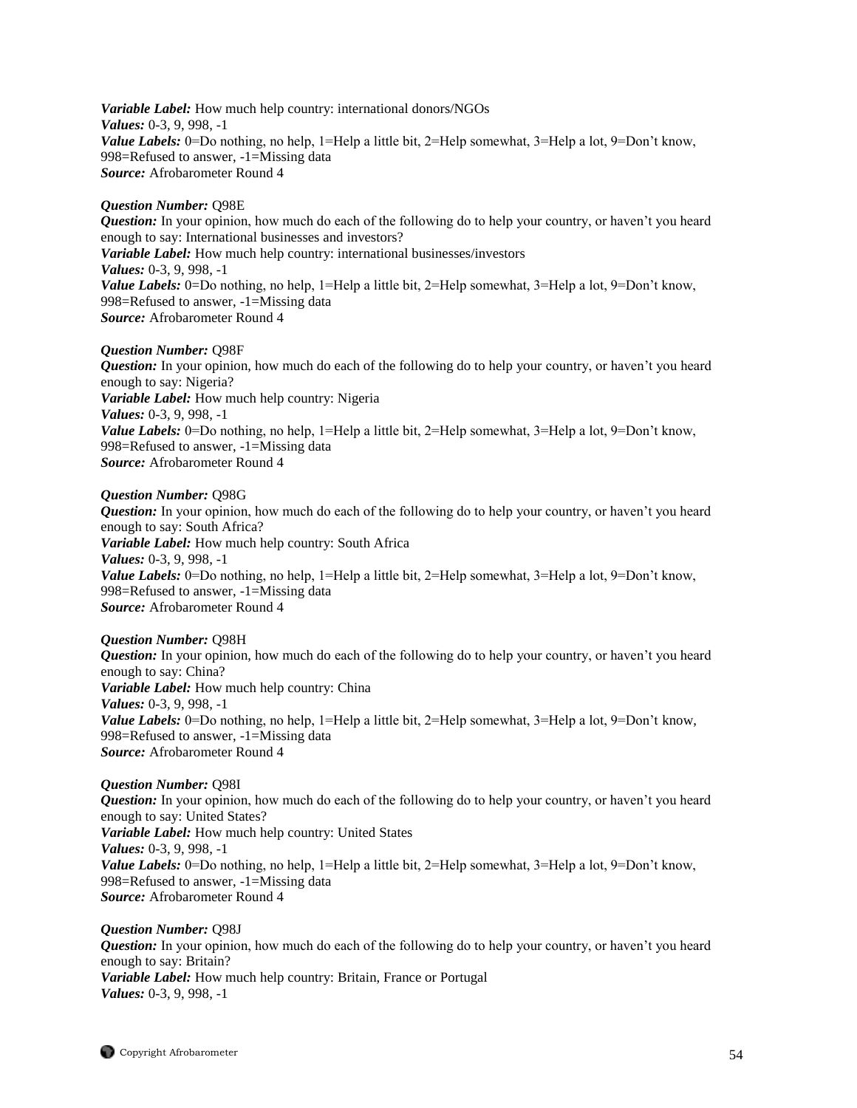*Variable Label:* How much help country: international donors/NGOs *Values:* 0-3, 9, 998, -1 *Value Labels:* 0=Do nothing, no help, 1=Help a little bit, 2=Help somewhat, 3=Help a lot, 9=Don't know, 998=Refused to answer, -1=Missing data *Source:* Afrobarometer Round 4

## *Question Number:* Q98E

*Question:* In your opinion, how much do each of the following do to help your country, or haven't you heard enough to say: International businesses and investors? *Variable Label:* How much help country: international businesses/investors *Values:* 0-3, 9, 998, -1 *Value Labels:* 0=Do nothing, no help, 1=Help a little bit, 2=Help somewhat, 3=Help a lot, 9=Don't know, 998=Refused to answer, -1=Missing data *Source:* Afrobarometer Round 4

## *Question Number:* Q98F

*Question:* In your opinion, how much do each of the following do to help your country, or haven't you heard enough to say: Nigeria? *Variable Label:* How much help country: Nigeria *Values:* 0-3, 9, 998, -1 *Value Labels:* 0=Do nothing, no help, 1=Help a little bit, 2=Help somewhat, 3=Help a lot, 9=Don't know, 998=Refused to answer, -1=Missing data *Source:* Afrobarometer Round 4

#### *Question Number:* Q98G

*Question:* In your opinion, how much do each of the following do to help your country, or haven't you heard enough to say: South Africa? *Variable Label:* How much help country: South Africa *Values:* 0-3, 9, 998, -1 *Value Labels:* 0=Do nothing, no help, 1=Help a little bit, 2=Help somewhat, 3=Help a lot, 9=Don't know, 998=Refused to answer, -1=Missing data *Source:* Afrobarometer Round 4

#### *Question Number:* Q98H

*Question:* In your opinion, how much do each of the following do to help your country, or haven't you heard enough to say: China? *Variable Label:* How much help country: China *Values:* 0-3, 9, 998, -1 *Value Labels:* 0=Do nothing, no help, 1=Help a little bit, 2=Help somewhat, 3=Help a lot, 9=Don't know, 998=Refused to answer, -1=Missing data *Source:* Afrobarometer Round 4

## *Question Number:* Q98I

*Question:* In your opinion, how much do each of the following do to help your country, or haven't you heard enough to say: United States? *Variable Label:* How much help country: United States *Values:* 0-3, 9, 998, -1 *Value Labels:* 0=Do nothing, no help, 1=Help a little bit, 2=Help somewhat, 3=Help a lot, 9=Don't know, 998=Refused to answer, -1=Missing data *Source:* Afrobarometer Round 4

*Question Number:* Q98J *Question:* In your opinion, how much do each of the following do to help your country, or haven't you heard enough to say: Britain? *Variable Label:* How much help country: Britain, France or Portugal *Values:* 0-3, 9, 998, -1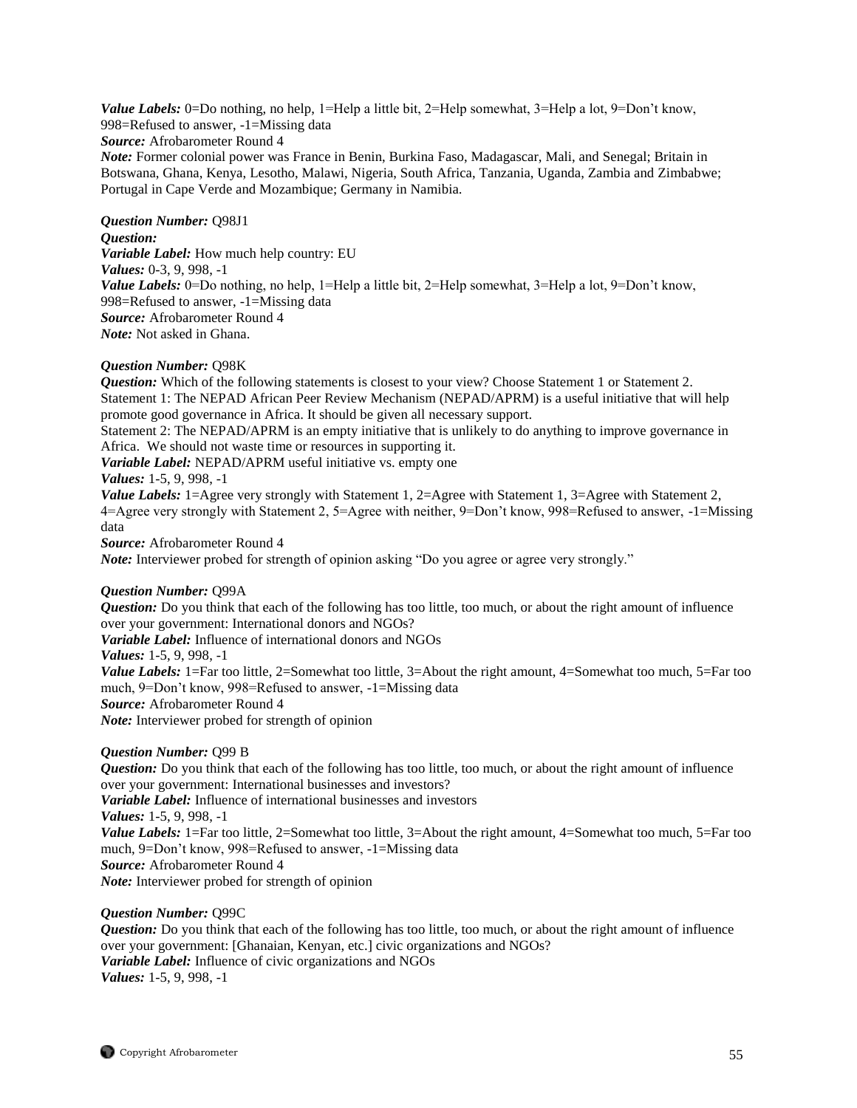*Value Labels:* 0=Do nothing, no help, 1=Help a little bit, 2=Help somewhat, 3=Help a lot, 9=Don't know, 998=Refused to answer, -1=Missing data *Source:* Afrobarometer Round 4 *Note:* Former colonial power was France in Benin, Burkina Faso, Madagascar, Mali, and Senegal; Britain in Botswana, Ghana, Kenya, Lesotho, Malawi, Nigeria, South Africa, Tanzania, Uganda, Zambia and Zimbabwe; Portugal in Cape Verde and Mozambique; Germany in Namibia.

*Question Number:* Q98J1 *Question: Variable Label:* How much help country: EU *Values:* 0-3, 9, 998, -1 *Value Labels:* 0=Do nothing, no help, 1=Help a little bit, 2=Help somewhat, 3=Help a lot, 9=Don't know, 998=Refused to answer, -1=Missing data *Source:* Afrobarometer Round 4 *Note:* Not asked in Ghana.

#### *Question Number:* Q98K

**Question:** Which of the following statements is closest to your view? Choose Statement 1 or Statement 2. Statement 1: The NEPAD African Peer Review Mechanism (NEPAD/APRM) is a useful initiative that will help promote good governance in Africa. It should be given all necessary support.

Statement 2: The NEPAD/APRM is an empty initiative that is unlikely to do anything to improve governance in Africa. We should not waste time or resources in supporting it.

*Variable Label:* NEPAD/APRM useful initiative vs. empty one

## *Values:* 1-5, 9, 998, -1

*Value Labels:* 1=Agree very strongly with Statement 1, 2=Agree with Statement 1, 3=Agree with Statement 2, 4=Agree very strongly with Statement 2, 5=Agree with neither, 9=Don't know, 998=Refused to answer, -1=Missing data

*Source:* Afrobarometer Round 4

*Note:* Interviewer probed for strength of opinion asking "Do you agree or agree very strongly."

#### *Question Number:* Q99A

*Question:* Do you think that each of the following has too little, too much, or about the right amount of influence over your government: International donors and NGOs?

*Variable Label:* Influence of international donors and NGOs

*Values:* 1-5, 9, 998, -1

*Value Labels:* 1=Far too little, 2=Somewhat too little, 3=About the right amount, 4=Somewhat too much, 5=Far too much, 9=Don't know, 998=Refused to answer, -1=Missing data

*Source:* Afrobarometer Round 4

*Note:* Interviewer probed for strength of opinion

## *Question Number:* Q99 B

*Question:* Do you think that each of the following has too little, too much, or about the right amount of influence over your government: International businesses and investors? *Variable Label:* Influence of international businesses and investors *Values:* 1-5, 9, 998, -1 *Value Labels:* 1=Far too little, 2=Somewhat too little, 3=About the right amount, 4=Somewhat too much, 5=Far too much, 9=Don't know, 998=Refused to answer, -1=Missing data *Source:* Afrobarometer Round 4 *Note:* Interviewer probed for strength of opinion

#### *Question Number:* Q99C

*Question:* Do you think that each of the following has too little, too much, or about the right amount of influence over your government: [Ghanaian, Kenyan, etc.] civic organizations and NGOs? *Variable Label:* Influence of civic organizations and NGOs *Values:* 1-5, 9, 998, -1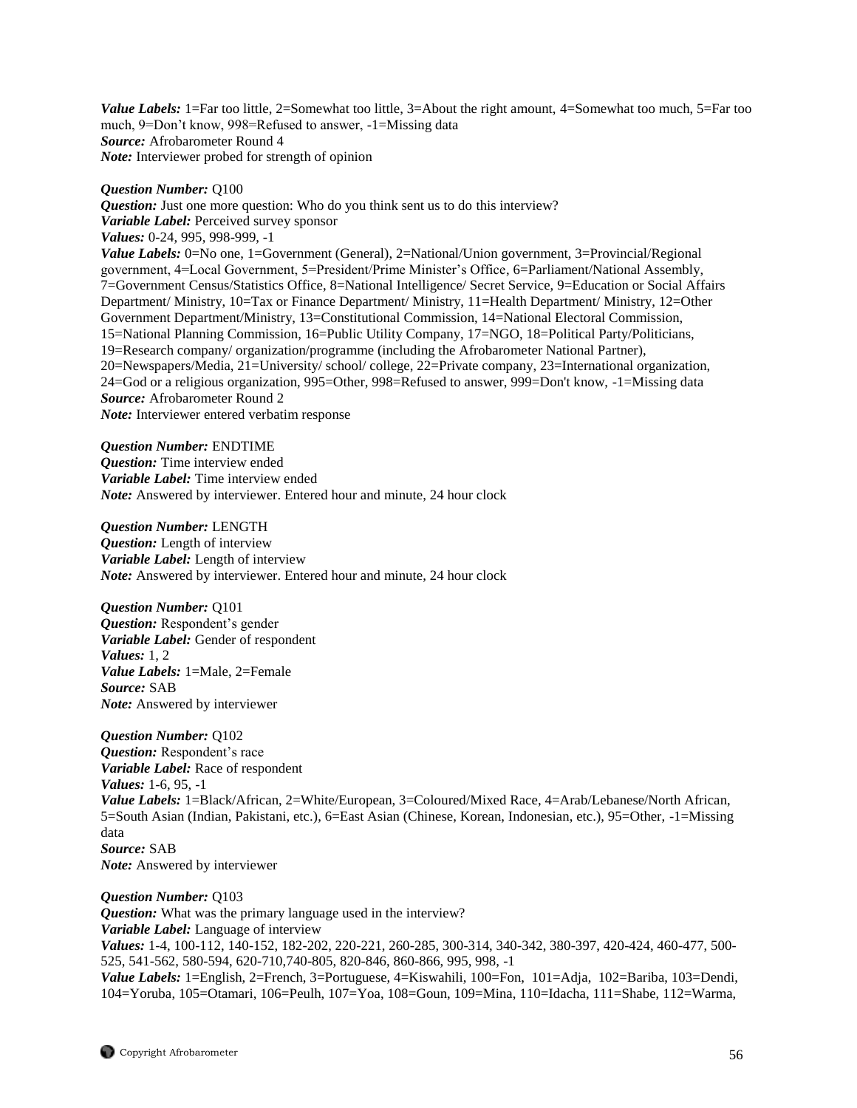*Value Labels:* 1=Far too little, 2=Somewhat too little, 3=About the right amount, 4=Somewhat too much, 5=Far too much, 9=Don't know, 998=Refused to answer, -1=Missing data *Source:* Afrobarometer Round 4 *Note:* Interviewer probed for strength of opinion

## *Question Number:* Q100

*Question:* Just one more question: Who do you think sent us to do this interview? *Variable Label:* Perceived survey sponsor *Values:* 0-24, 995, 998-999, -1 *Value Labels:* 0=No one, 1=Government (General), 2=National/Union government, 3=Provincial/Regional government, 4=Local Government, 5=President/Prime Minister's Office, 6=Parliament/National Assembly, 7=Government Census/Statistics Office, 8=National Intelligence/ Secret Service, 9=Education or Social Affairs Department/ Ministry, 10=Tax or Finance Department/ Ministry, 11=Health Department/ Ministry, 12=Other Government Department/Ministry, 13=Constitutional Commission, 14=National Electoral Commission, 15=National Planning Commission, 16=Public Utility Company, 17=NGO, 18=Political Party/Politicians, 19=Research company/ organization/programme (including the Afrobarometer National Partner), 20=Newspapers/Media, 21=University/ school/ college, 22=Private company, 23=International organization, 24=God or a religious organization, 995=Other, 998=Refused to answer, 999=Don't know, -1=Missing data *Source:* Afrobarometer Round 2 *Note:* Interviewer entered verbatim response

*Question Number:* ENDTIME *Question:* Time interview ended *Variable Label:* Time interview ended *Note:* Answered by interviewer. Entered hour and minute, 24 hour clock

*Question Number:* LENGTH *Question:* Length of interview *Variable Label:* Length of interview *Note:* Answered by interviewer. Entered hour and minute, 24 hour clock

*Question Number:* Q101 *Question:* Respondent's gender *Variable Label:* Gender of respondent *Values:* 1, 2 *Value Labels:* 1=Male, 2=Female *Source:* SAB *Note:* Answered by interviewer

*Question Number:* Q102 *Question:* Respondent's race *Variable Label:* Race of respondent *Values:* 1-6, 95, -1 *Value Labels:* 1=Black/African, 2=White/European, 3=Coloured/Mixed Race, 4=Arab/Lebanese/North African, 5=South Asian (Indian, Pakistani, etc.), 6=East Asian (Chinese, Korean, Indonesian, etc.), 95=Other, -1=Missing data *Source:* SAB *Note:* Answered by interviewer

*Question Number:* Q103 *Question:* What was the primary language used in the interview? *Variable Label:* Language of interview *Values:* 1-4, 100-112, 140-152, 182-202, 220-221, 260-285, 300-314, 340-342, 380-397, 420-424, 460-477, 500- 525, 541-562, 580-594, 620-710,740-805, 820-846, 860-866, 995, 998, -1 *Value Labels:* 1=English, 2=French, 3=Portuguese, 4=Kiswahili, 100=Fon, 101=Adja, 102=Bariba, 103=Dendi, 104=Yoruba, 105=Otamari, 106=Peulh, 107=Yoa, 108=Goun, 109=Mina, 110=Idacha, 111=Shabe, 112=Warma,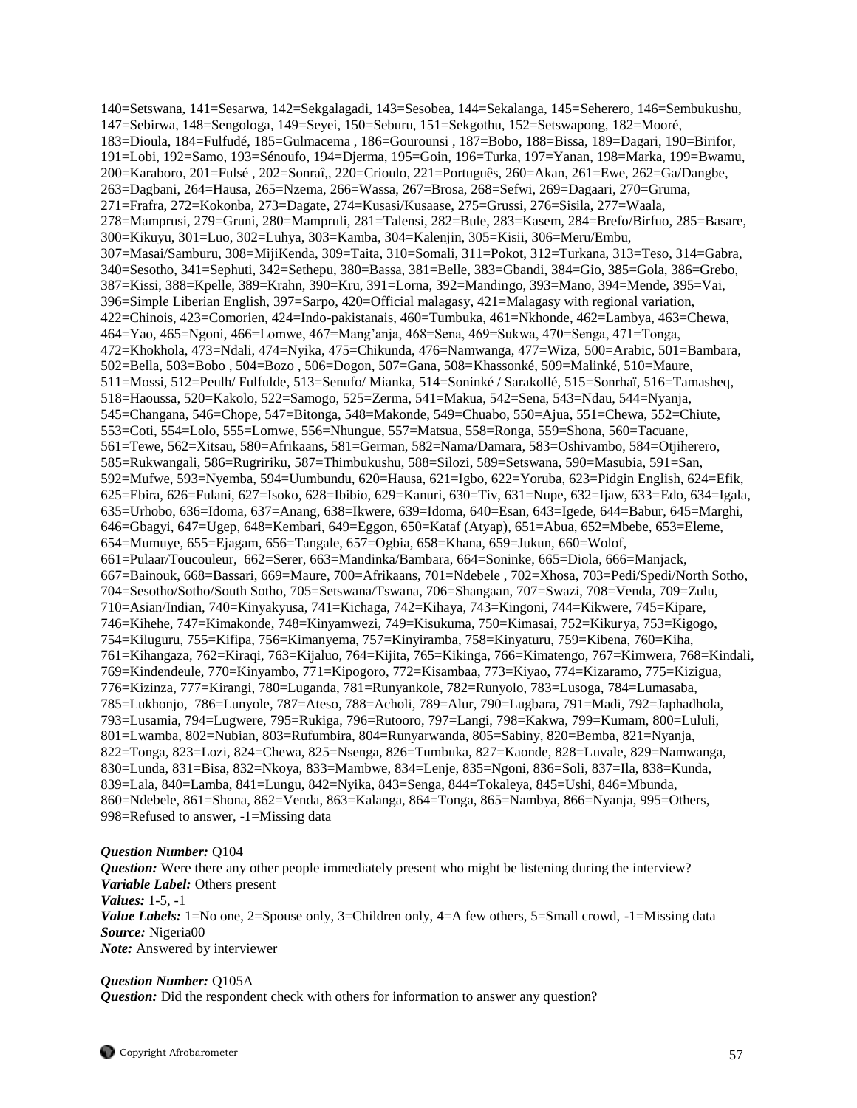140=Setswana, 141=Sesarwa, 142=Sekgalagadi, 143=Sesobea, 144=Sekalanga, 145=Seherero, 146=Sembukushu, 147=Sebirwa, 148=Sengologa, 149=Seyei, 150=Seburu, 151=Sekgothu, 152=Setswapong, 182=Mooré, 183=Dioula, 184=Fulfudé, 185=Gulmacema , 186=Gourounsi , 187=Bobo, 188=Bissa, 189=Dagari, 190=Birifor, 191=Lobi, 192=Samo, 193=Sénoufo, 194=Djerma, 195=Goin, 196=Turka, 197=Yanan, 198=Marka, 199=Bwamu, 200=Karaboro, 201=Fulsé , 202=Sonraî,, 220=Crioulo, 221=Português, 260=Akan, 261=Ewe, 262=Ga/Dangbe, 263=Dagbani, 264=Hausa, 265=Nzema, 266=Wassa, 267=Brosa, 268=Sefwi, 269=Dagaari, 270=Gruma, 271=Frafra, 272=Kokonba, 273=Dagate, 274=Kusasi/Kusaase, 275=Grussi, 276=Sisila, 277=Waala, 278=Mamprusi, 279=Gruni, 280=Mampruli, 281=Talensi, 282=Bule, 283=Kasem, 284=Brefo/Birfuo, 285=Basare, 300=Kikuyu, 301=Luo, 302=Luhya, 303=Kamba, 304=Kalenjin, 305=Kisii, 306=Meru/Embu, 307=Masai/Samburu, 308=MijiKenda, 309=Taita, 310=Somali, 311=Pokot, 312=Turkana, 313=Teso, 314=Gabra, 340=Sesotho, 341=Sephuti, 342=Sethepu, 380=Bassa, 381=Belle, 383=Gbandi, 384=Gio, 385=Gola, 386=Grebo, 387=Kissi, 388=Kpelle, 389=Krahn, 390=Kru, 391=Lorna, 392=Mandingo, 393=Mano, 394=Mende, 395=Vai, 396=Simple Liberian English, 397=Sarpo, 420=Official malagasy, 421=Malagasy with regional variation, 422=Chinois, 423=Comorien, 424=Indo-pakistanais, 460=Tumbuka, 461=Nkhonde, 462=Lambya, 463=Chewa, 464=Yao, 465=Ngoni, 466=Lomwe, 467=Mang'anja, 468=Sena, 469=Sukwa, 470=Senga, 471=Tonga, 472=Khokhola, 473=Ndali, 474=Nyika, 475=Chikunda, 476=Namwanga, 477=Wiza, 500=Arabic, 501=Bambara, 502=Bella, 503=Bobo , 504=Bozo , 506=Dogon, 507=Gana, 508=Khassonké, 509=Malinké, 510=Maure, 511=Mossi, 512=Peulh/ Fulfulde, 513=Senufo/ Mianka, 514=Soninké / Sarakollé, 515=Sonrhaï, 516=Tamasheq, 518=Haoussa, 520=Kakolo, 522=Samogo, 525=Zerma, 541=Makua, 542=Sena, 543=Ndau, 544=Nyanja, 545=Changana, 546=Chope, 547=Bitonga, 548=Makonde, 549=Chuabo, 550=Ajua, 551=Chewa, 552=Chiute, 553=Coti, 554=Lolo, 555=Lomwe, 556=Nhungue, 557=Matsua, 558=Ronga, 559=Shona, 560=Tacuane, 561=Tewe, 562=Xitsau, 580=Afrikaans, 581=German, 582=Nama/Damara, 583=Oshivambo, 584=Otjiherero, 585=Rukwangali, 586=Rugririku, 587=Thimbukushu, 588=Silozi, 589=Setswana, 590=Masubia, 591=San, 592=Mufwe, 593=Nyemba, 594=Uumbundu, 620=Hausa, 621=Igbo, 622=Yoruba, 623=Pidgin English, 624=Efik, 625=Ebira, 626=Fulani, 627=Isoko, 628=Ibibio, 629=Kanuri, 630=Tiv, 631=Nupe, 632=Ijaw, 633=Edo, 634=Igala, 635=Urhobo, 636=Idoma, 637=Anang, 638=Ikwere, 639=Idoma, 640=Esan, 643=Igede, 644=Babur, 645=Marghi, 646=Gbagyi, 647=Ugep, 648=Kembari, 649=Eggon, 650=Kataf (Atyap), 651=Abua, 652=Mbebe, 653=Eleme, 654=Mumuye, 655=Ejagam, 656=Tangale, 657=Ogbia, 658=Khana, 659=Jukun, 660=Wolof, 661=Pulaar/Toucouleur, 662=Serer, 663=Mandinka/Bambara, 664=Soninke, 665=Diola, 666=Manjack, 667=Bainouk, 668=Bassari, 669=Maure, 700=Afrikaans, 701=Ndebele , 702=Xhosa, 703=Pedi/Spedi/North Sotho, 704=Sesotho/Sotho/South Sotho, 705=Setswana/Tswana, 706=Shangaan, 707=Swazi, 708=Venda, 709=Zulu, 710=Asian/Indian, 740=Kinyakyusa, 741=Kichaga, 742=Kihaya, 743=Kingoni, 744=Kikwere, 745=Kipare, 746=Kihehe, 747=Kimakonde, 748=Kinyamwezi, 749=Kisukuma, 750=Kimasai, 752=Kikurya, 753=Kigogo, 754=Kiluguru, 755=Kifipa, 756=Kimanyema, 757=Kinyiramba, 758=Kinyaturu, 759=Kibena, 760=Kiha, 761=Kihangaza, 762=Kiraqi, 763=Kijaluo, 764=Kijita, 765=Kikinga, 766=Kimatengo, 767=Kimwera, 768=Kindali, 769=Kindendeule, 770=Kinyambo, 771=Kipogoro, 772=Kisambaa, 773=Kiyao, 774=Kizaramo, 775=Kizigua, 776=Kizinza, 777=Kirangi, 780=Luganda, 781=Runyankole, 782=Runyolo, 783=Lusoga, 784=Lumasaba, 785=Lukhonjo, 786=Lunyole, 787=Ateso, 788=Acholi, 789=Alur, 790=Lugbara, 791=Madi, 792=Japhadhola, 793=Lusamia, 794=Lugwere, 795=Rukiga, 796=Rutooro, 797=Langi, 798=Kakwa, 799=Kumam, 800=Lululi, 801=Lwamba, 802=Nubian, 803=Rufumbira, 804=Runyarwanda, 805=Sabiny, 820=Bemba, 821=Nyanja, 822=Tonga, 823=Lozi, 824=Chewa, 825=Nsenga, 826=Tumbuka, 827=Kaonde, 828=Luvale, 829=Namwanga, 830=Lunda, 831=Bisa, 832=Nkoya, 833=Mambwe, 834=Lenje, 835=Ngoni, 836=Soli, 837=Ila, 838=Kunda, 839=Lala, 840=Lamba, 841=Lungu, 842=Nyika, 843=Senga, 844=Tokaleya, 845=Ushi, 846=Mbunda, 860=Ndebele, 861=Shona, 862=Venda, 863=Kalanga, 864=Tonga, 865=Nambya, 866=Nyanja, 995=Others, 998=Refused to answer, -1=Missing data

#### *Question Number:* Q104

*Question:* Were there any other people immediately present who might be listening during the interview? *Variable Label:* Others present *Values:* 1-5, -1 *Value Labels:* 1=No one, 2=Spouse only, 3=Children only, 4=A few others, 5=Small crowd, -1=Missing data *Source:* Nigeria00 *Note:* Answered by interviewer

#### *Question Number:* Q105A

*Question:* Did the respondent check with others for information to answer any question?

Copyright Afrobarometer 57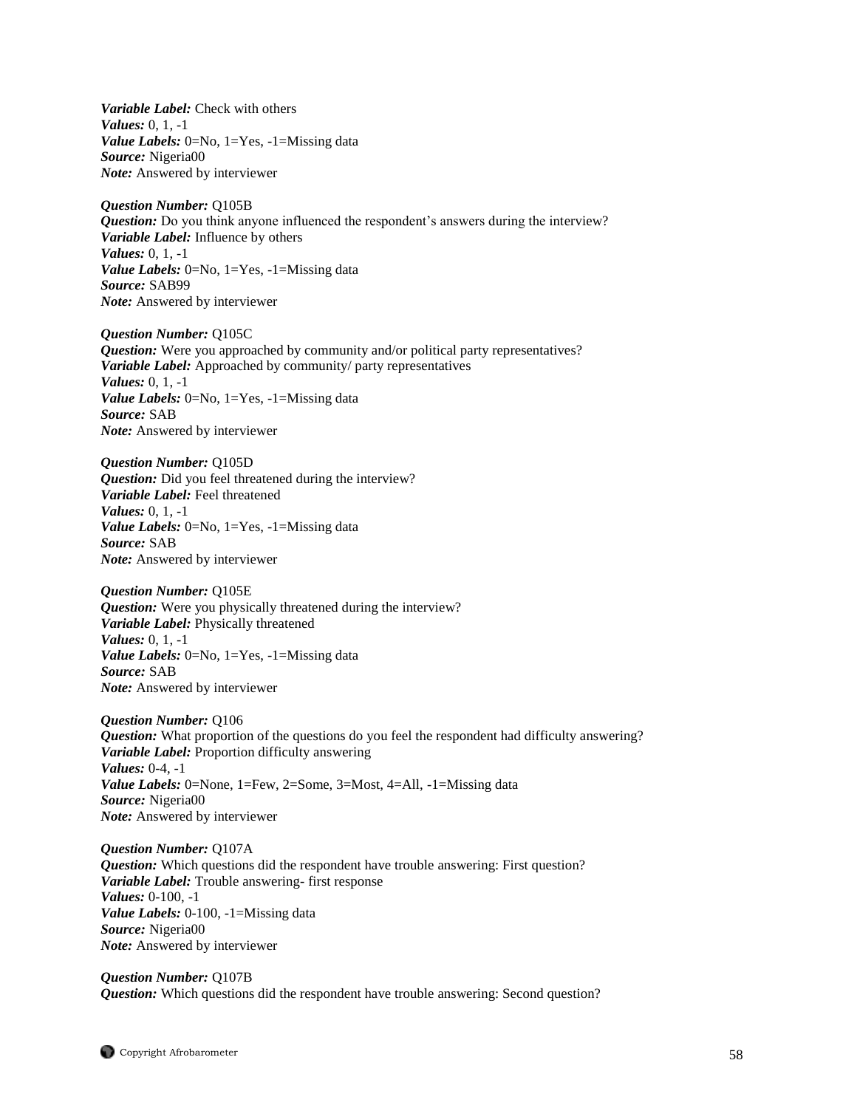*Variable Label:* Check with others *Values:* 0, 1, -1 *Value Labels:* 0=No, 1=Yes, -1=Missing data *Source:* Nigeria00 *Note:* Answered by interviewer

*Question Number:* Q105B *Question:* Do you think anyone influenced the respondent's answers during the interview? *Variable Label:* Influence by others *Values:* 0, 1, -1 *Value Labels:* 0=No, 1=Yes, -1=Missing data *Source:* SAB99 *Note:* Answered by interviewer

*Question Number:* Q105C *Question:* Were you approached by community and/or political party representatives? *Variable Label:* Approached by community/ party representatives *Values:* 0, 1, -1 *Value Labels:* 0=No, 1=Yes, -1=Missing data *Source:* SAB *Note:* Answered by interviewer

*Question Number:* Q105D *Question:* Did you feel threatened during the interview? *Variable Label:* Feel threatened *Values:* 0, 1, -1 *Value Labels:* 0=No, 1=Yes, -1=Missing data *Source:* SAB *Note:* Answered by interviewer

*Question Number:* Q105E *Question:* Were you physically threatened during the interview? *Variable Label:* Physically threatened *Values:* 0, 1, -1 *Value Labels:* 0=No, 1=Yes, -1=Missing data *Source:* SAB *Note:* Answered by interviewer

*Question Number:* Q106 *Question:* What proportion of the questions do you feel the respondent had difficulty answering? *Variable Label:* Proportion difficulty answering *Values:* 0-4, -1 *Value Labels:* 0=None, 1=Few, 2=Some, 3=Most, 4=All, -1=Missing data *Source:* Nigeria00 *Note:* Answered by interviewer

*Question Number:* Q107A *Question:* Which questions did the respondent have trouble answering: First question? *Variable Label:* Trouble answering- first response *Values:* 0-100, -1 *Value Labels:* 0-100, -1=Missing data *Source:* Nigeria00 *Note:* Answered by interviewer

*Question Number:* Q107B *Question:* Which questions did the respondent have trouble answering: Second question?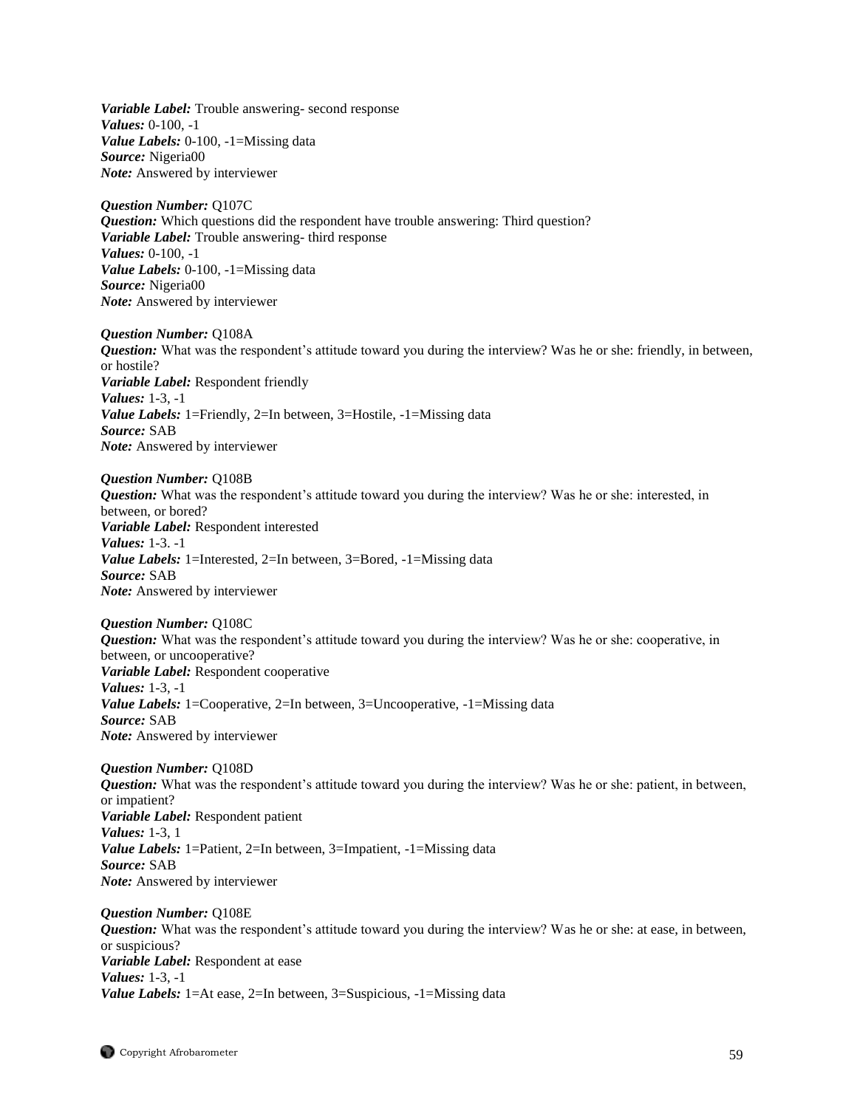*Variable Label:* Trouble answering- second response *Values:* 0-100, -1 *Value Labels:* 0-100, -1=Missing data *Source:* Nigeria00 *Note:* Answered by interviewer

*Question Number:* Q107C *Question:* Which questions did the respondent have trouble answering: Third question? *Variable Label:* Trouble answering- third response *Values:* 0-100, -1 *Value Labels:* 0-100, -1=Missing data *Source:* Nigeria00 *Note:* Answered by interviewer

*Question Number:* Q108A *Question:* What was the respondent's attitude toward you during the interview? Was he or she: friendly, in between, or hostile? *Variable Label:* Respondent friendly *Values:* 1-3, -1 *Value Labels:* 1=Friendly, 2=In between, 3=Hostile, -1=Missing data *Source:* SAB *Note:* Answered by interviewer

*Question Number:* Q108B *Question:* What was the respondent's attitude toward you during the interview? Was he or she: interested, in between, or bored? *Variable Label:* Respondent interested *Values:* 1-3. -1 *Value Labels:* 1=Interested, 2=In between, 3=Bored, -1=Missing data *Source:* SAB *Note:* Answered by interviewer

*Question Number:* Q108C *Question:* What was the respondent's attitude toward you during the interview? Was he or she: cooperative, in between, or uncooperative? *Variable Label:* Respondent cooperative *Values:* 1-3, -1 *Value Labels:* 1=Cooperative, 2=In between, 3=Uncooperative, -1=Missing data *Source:* SAB *Note:* Answered by interviewer

*Question Number:* Q108D *Question:* What was the respondent's attitude toward you during the interview? Was he or she: patient, in between, or impatient? *Variable Label:* Respondent patient *Values:* 1-3, 1 *Value Labels:* 1=Patient, 2=In between, 3=Impatient, -1=Missing data *Source:* SAB *Note:* Answered by interviewer

*Question Number:* Q108E *Question:* What was the respondent's attitude toward you during the interview? Was he or she: at ease, in between, or suspicious? *Variable Label:* Respondent at ease *Values:* 1-3, -1 *Value Labels:* 1=At ease, 2=In between, 3=Suspicious, -1=Missing data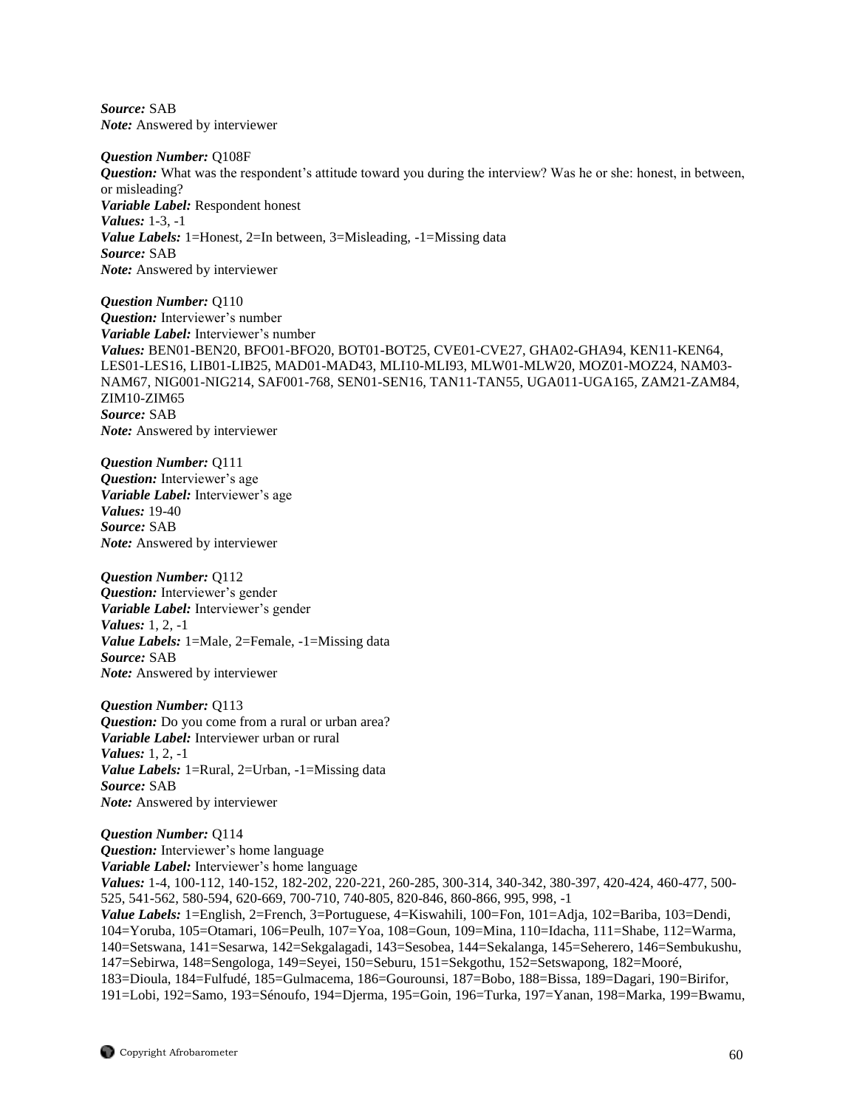*Source:* SAB *Note:* Answered by interviewer

*Question Number:* Q108F *Question:* What was the respondent's attitude toward you during the interview? Was he or she: honest, in between, or misleading? *Variable Label:* Respondent honest *Values:* 1-3, -1 *Value Labels:* 1=Honest, 2=In between, 3=Misleading, -1=Missing data *Source:* SAB *Note:* Answered by interviewer

*Question Number:* Q110 *Question:* Interviewer's number *Variable Label:* Interviewer's number *Values:* BEN01-BEN20, BFO01-BFO20, BOT01-BOT25, CVE01-CVE27, GHA02-GHA94, KEN11-KEN64, LES01-LES16, LIB01-LIB25, MAD01-MAD43, MLI10-MLI93, MLW01-MLW20, MOZ01-MOZ24, NAM03- NAM67, NIG001-NIG214, SAF001-768, SEN01-SEN16, TAN11-TAN55, UGA011-UGA165, ZAM21-ZAM84, ZIM10-ZIM65 *Source:* SAB *Note:* Answered by interviewer

*Question Number:* Q111 *Question:* Interviewer's age *Variable Label:* Interviewer's age *Values:* 19-40 *Source:* SAB *Note:* Answered by interviewer

*Question Number:* Q112 *Question:* Interviewer's gender *Variable Label:* Interviewer's gender *Values:* 1, 2, -1 *Value Labels:* 1=Male, 2=Female, -1=Missing data *Source:* SAB *Note:* Answered by interviewer

*Question Number:* Q113 *Question:* Do you come from a rural or urban area? *Variable Label:* Interviewer urban or rural *Values:* 1, 2, -1 *Value Labels:* 1=Rural, 2=Urban, -1=Missing data *Source:* SAB *Note:* Answered by interviewer

*Question Number:* Q114 *Question:* Interviewer's home language *Variable Label:* Interviewer's home language *Values:* 1-4, 100-112, 140-152, 182-202, 220-221, 260-285, 300-314, 340-342, 380-397, 420-424, 460-477, 500- 525, 541-562, 580-594, 620-669, 700-710, 740-805, 820-846, 860-866, 995, 998, -1 *Value Labels:* 1=English, 2=French, 3=Portuguese, 4=Kiswahili, 100=Fon, 101=Adja, 102=Bariba, 103=Dendi, 104=Yoruba, 105=Otamari, 106=Peulh, 107=Yoa, 108=Goun, 109=Mina, 110=Idacha, 111=Shabe, 112=Warma, 140=Setswana, 141=Sesarwa, 142=Sekgalagadi, 143=Sesobea, 144=Sekalanga, 145=Seherero, 146=Sembukushu, 147=Sebirwa, 148=Sengologa, 149=Seyei, 150=Seburu, 151=Sekgothu, 152=Setswapong, 182=Mooré, 183=Dioula, 184=Fulfudé, 185=Gulmacema, 186=Gourounsi, 187=Bobo, 188=Bissa, 189=Dagari, 190=Birifor, 191=Lobi, 192=Samo, 193=Sénoufo, 194=Djerma, 195=Goin, 196=Turka, 197=Yanan, 198=Marka, 199=Bwamu,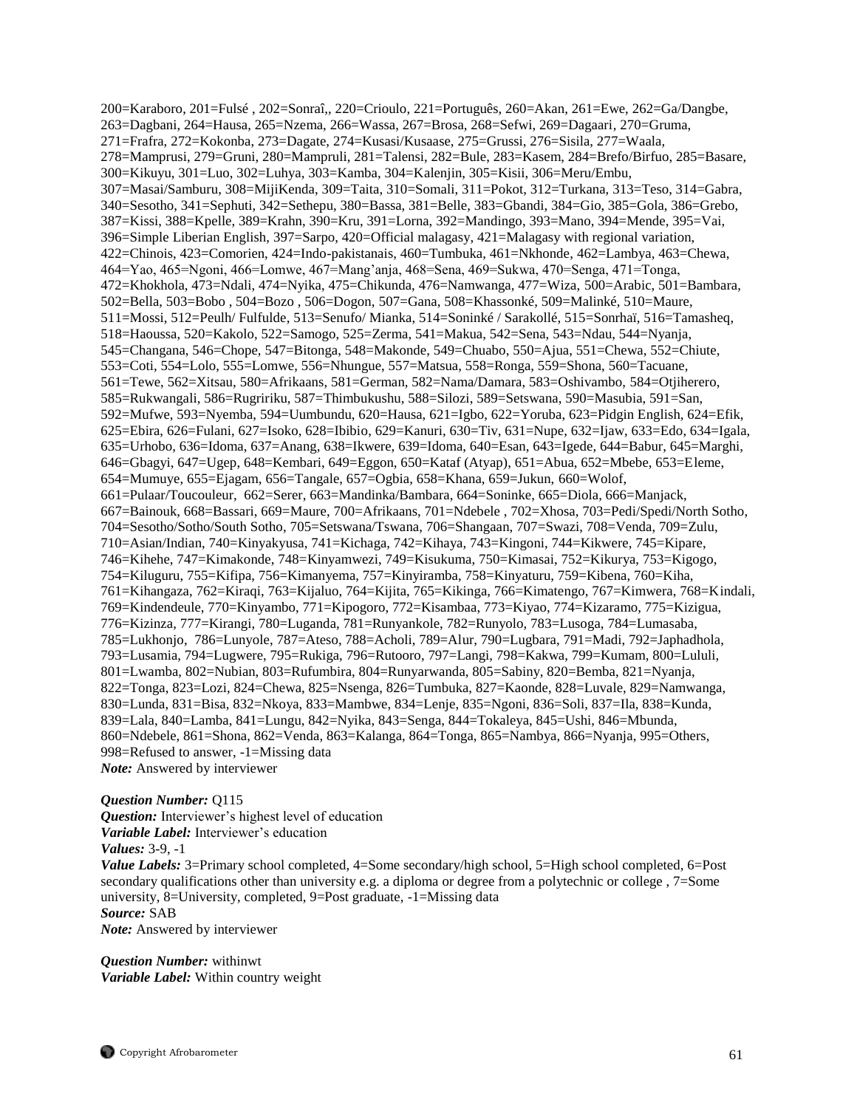200=Karaboro, 201=Fulsé , 202=Sonraî,, 220=Crioulo, 221=Português, 260=Akan, 261=Ewe, 262=Ga/Dangbe, 263=Dagbani, 264=Hausa, 265=Nzema, 266=Wassa, 267=Brosa, 268=Sefwi, 269=Dagaari, 270=Gruma, 271=Frafra, 272=Kokonba, 273=Dagate, 274=Kusasi/Kusaase, 275=Grussi, 276=Sisila, 277=Waala, 278=Mamprusi, 279=Gruni, 280=Mampruli, 281=Talensi, 282=Bule, 283=Kasem, 284=Brefo/Birfuo, 285=Basare, 300=Kikuyu, 301=Luo, 302=Luhya, 303=Kamba, 304=Kalenjin, 305=Kisii, 306=Meru/Embu, 307=Masai/Samburu, 308=MijiKenda, 309=Taita, 310=Somali, 311=Pokot, 312=Turkana, 313=Teso, 314=Gabra, 340=Sesotho, 341=Sephuti, 342=Sethepu, 380=Bassa, 381=Belle, 383=Gbandi, 384=Gio, 385=Gola, 386=Grebo, 387=Kissi, 388=Kpelle, 389=Krahn, 390=Kru, 391=Lorna, 392=Mandingo, 393=Mano, 394=Mende, 395=Vai, 396=Simple Liberian English, 397=Sarpo, 420=Official malagasy, 421=Malagasy with regional variation, 422=Chinois, 423=Comorien, 424=Indo-pakistanais, 460=Tumbuka, 461=Nkhonde, 462=Lambya, 463=Chewa, 464=Yao, 465=Ngoni, 466=Lomwe, 467=Mang'anja, 468=Sena, 469=Sukwa, 470=Senga, 471=Tonga, 472=Khokhola, 473=Ndali, 474=Nyika, 475=Chikunda, 476=Namwanga, 477=Wiza, 500=Arabic, 501=Bambara, 502=Bella, 503=Bobo , 504=Bozo , 506=Dogon, 507=Gana, 508=Khassonké, 509=Malinké, 510=Maure, 511=Mossi, 512=Peulh/ Fulfulde, 513=Senufo/ Mianka, 514=Soninké / Sarakollé, 515=Sonrhaï, 516=Tamasheq, 518=Haoussa, 520=Kakolo, 522=Samogo, 525=Zerma, 541=Makua, 542=Sena, 543=Ndau, 544=Nyanja, 545=Changana, 546=Chope, 547=Bitonga, 548=Makonde, 549=Chuabo, 550=Ajua, 551=Chewa, 552=Chiute, 553=Coti, 554=Lolo, 555=Lomwe, 556=Nhungue, 557=Matsua, 558=Ronga, 559=Shona, 560=Tacuane, 561=Tewe, 562=Xitsau, 580=Afrikaans, 581=German, 582=Nama/Damara, 583=Oshivambo, 584=Otjiherero, 585=Rukwangali, 586=Rugririku, 587=Thimbukushu, 588=Silozi, 589=Setswana, 590=Masubia, 591=San, 592=Mufwe, 593=Nyemba, 594=Uumbundu, 620=Hausa, 621=Igbo, 622=Yoruba, 623=Pidgin English, 624=Efik, 625=Ebira, 626=Fulani, 627=Isoko, 628=Ibibio, 629=Kanuri, 630=Tiv, 631=Nupe, 632=Ijaw, 633=Edo, 634=Igala, 635=Urhobo, 636=Idoma, 637=Anang, 638=Ikwere, 639=Idoma, 640=Esan, 643=Igede, 644=Babur, 645=Marghi, 646=Gbagyi, 647=Ugep, 648=Kembari, 649=Eggon, 650=Kataf (Atyap), 651=Abua, 652=Mbebe, 653=Eleme, 654=Mumuye, 655=Ejagam, 656=Tangale, 657=Ogbia, 658=Khana, 659=Jukun, 660=Wolof, 661=Pulaar/Toucouleur, 662=Serer, 663=Mandinka/Bambara, 664=Soninke, 665=Diola, 666=Manjack, 667=Bainouk, 668=Bassari, 669=Maure, 700=Afrikaans, 701=Ndebele , 702=Xhosa, 703=Pedi/Spedi/North Sotho, 704=Sesotho/Sotho/South Sotho, 705=Setswana/Tswana, 706=Shangaan, 707=Swazi, 708=Venda, 709=Zulu, 710=Asian/Indian, 740=Kinyakyusa, 741=Kichaga, 742=Kihaya, 743=Kingoni, 744=Kikwere, 745=Kipare, 746=Kihehe, 747=Kimakonde, 748=Kinyamwezi, 749=Kisukuma, 750=Kimasai, 752=Kikurya, 753=Kigogo, 754=Kiluguru, 755=Kifipa, 756=Kimanyema, 757=Kinyiramba, 758=Kinyaturu, 759=Kibena, 760=Kiha, 761=Kihangaza, 762=Kiraqi, 763=Kijaluo, 764=Kijita, 765=Kikinga, 766=Kimatengo, 767=Kimwera, 768=Kindali, 769=Kindendeule, 770=Kinyambo, 771=Kipogoro, 772=Kisambaa, 773=Kiyao, 774=Kizaramo, 775=Kizigua, 776=Kizinza, 777=Kirangi, 780=Luganda, 781=Runyankole, 782=Runyolo, 783=Lusoga, 784=Lumasaba, 785=Lukhonjo, 786=Lunyole, 787=Ateso, 788=Acholi, 789=Alur, 790=Lugbara, 791=Madi, 792=Japhadhola, 793=Lusamia, 794=Lugwere, 795=Rukiga, 796=Rutooro, 797=Langi, 798=Kakwa, 799=Kumam, 800=Lululi, 801=Lwamba, 802=Nubian, 803=Rufumbira, 804=Runyarwanda, 805=Sabiny, 820=Bemba, 821=Nyanja, 822=Tonga, 823=Lozi, 824=Chewa, 825=Nsenga, 826=Tumbuka, 827=Kaonde, 828=Luvale, 829=Namwanga, 830=Lunda, 831=Bisa, 832=Nkoya, 833=Mambwe, 834=Lenje, 835=Ngoni, 836=Soli, 837=Ila, 838=Kunda, 839=Lala, 840=Lamba, 841=Lungu, 842=Nyika, 843=Senga, 844=Tokaleya, 845=Ushi, 846=Mbunda, 860=Ndebele, 861=Shona, 862=Venda, 863=Kalanga, 864=Tonga, 865=Nambya, 866=Nyanja, 995=Others, 998=Refused to answer, -1=Missing data *Note:* Answered by interviewer

#### *Question Number:* Q115

*Question:* Interviewer's highest level of education *Variable Label:* Interviewer's education *Values:* 3-9, -1

*Value Labels:* 3=Primary school completed, 4=Some secondary/high school, 5=High school completed, 6=Post secondary qualifications other than university e.g. a diploma or degree from a polytechnic or college , 7=Some university, 8=University, completed, 9=Post graduate, -1=Missing data *Source:* SAB

*Note:* Answered by interviewer

*Question Number:* withinwt *Variable Label:* Within country weight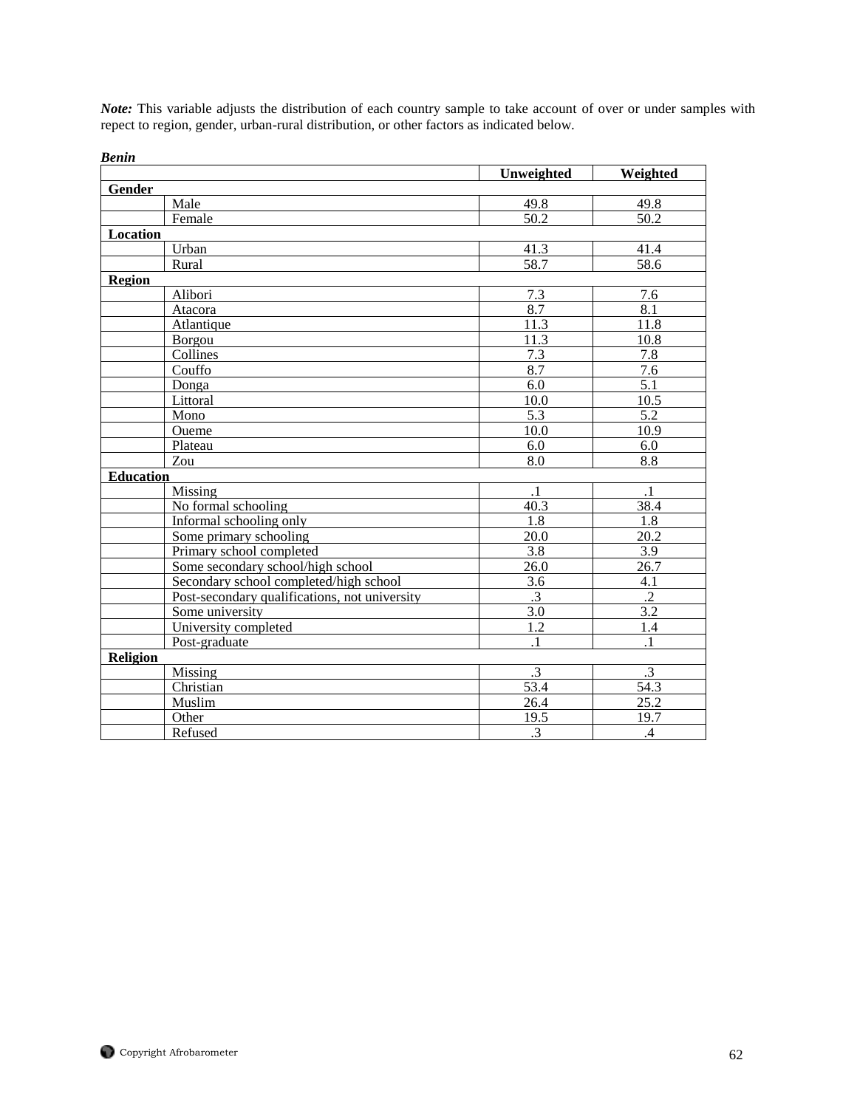*Note:* This variable adjusts the distribution of each country sample to take account of over or under samples with repect to region, gender, urban-rural distribution, or other factors as indicated below.

| venn             |                                               | Unweighted        | Weighted          |
|------------------|-----------------------------------------------|-------------------|-------------------|
| Gender           |                                               |                   |                   |
|                  | Male                                          | 49.8              | 49.8              |
|                  | Female                                        | $\overline{50.2}$ | 50.2              |
| Location         |                                               |                   |                   |
|                  | Urban                                         | 41.3              | 41.4              |
|                  | Rural                                         | 58.7              | 58.6              |
| <b>Region</b>    |                                               |                   |                   |
|                  | Alibori                                       | 7.3               | 7.6               |
|                  | Atacora                                       | 8.7               | 8.1               |
|                  | Atlantique                                    | 11.3              | 11.8              |
|                  | Borgou                                        | 11.3              | 10.8              |
|                  | Collines                                      | 7.3               | 7.8               |
|                  | Couffo                                        | 8.7               | 7.6               |
|                  | Donga                                         | 6.0               | 5.1               |
|                  | Littoral                                      | 10.0              | 10.5              |
|                  | Mono                                          | $\overline{5.3}$  | 5.2               |
|                  | Oueme                                         | 10.0              | 10.9              |
|                  | Plateau                                       | 6.0               | 6.0               |
|                  | Zou                                           | $\overline{8.0}$  | $\overline{8.8}$  |
| <b>Education</b> |                                               |                   |                   |
|                  | Missing                                       | $\cdot$ 1         | $\cdot$ 1         |
|                  | No formal schooling                           | 40.3              | 38.4              |
|                  | Informal schooling only                       | 1.8               | 1.8               |
|                  | Some primary schooling                        | 20.0              | 20.2              |
|                  | Primary school completed                      | 3.8               | 3.9               |
|                  | Some secondary school/high school             | 26.0              | 26.7              |
|                  | Secondary school completed/high school        | 3.6               | 4.1               |
|                  | Post-secondary qualifications, not university | $\overline{.3}$   | $\overline{.2}$   |
|                  | Some university                               | $\overline{3.0}$  | $\overline{3.2}$  |
|                  | University completed                          | 1.2               | 1.4               |
|                  | Post-graduate                                 | $\mathbf{1}$      | $\overline{1}$    |
| <b>Religion</b>  |                                               |                   |                   |
|                  | Missing                                       | $\overline{.3}$   | $\overline{.3}$   |
|                  | Christian                                     | $\overline{53.4}$ | $\overline{54.3}$ |
|                  | Muslim                                        | 26.4              | 25.2              |
|                  | Other                                         | 19.5              | 19.7              |
|                  | Refused                                       | $\cdot$ 3         | $\mathcal{A}$     |

*Benin*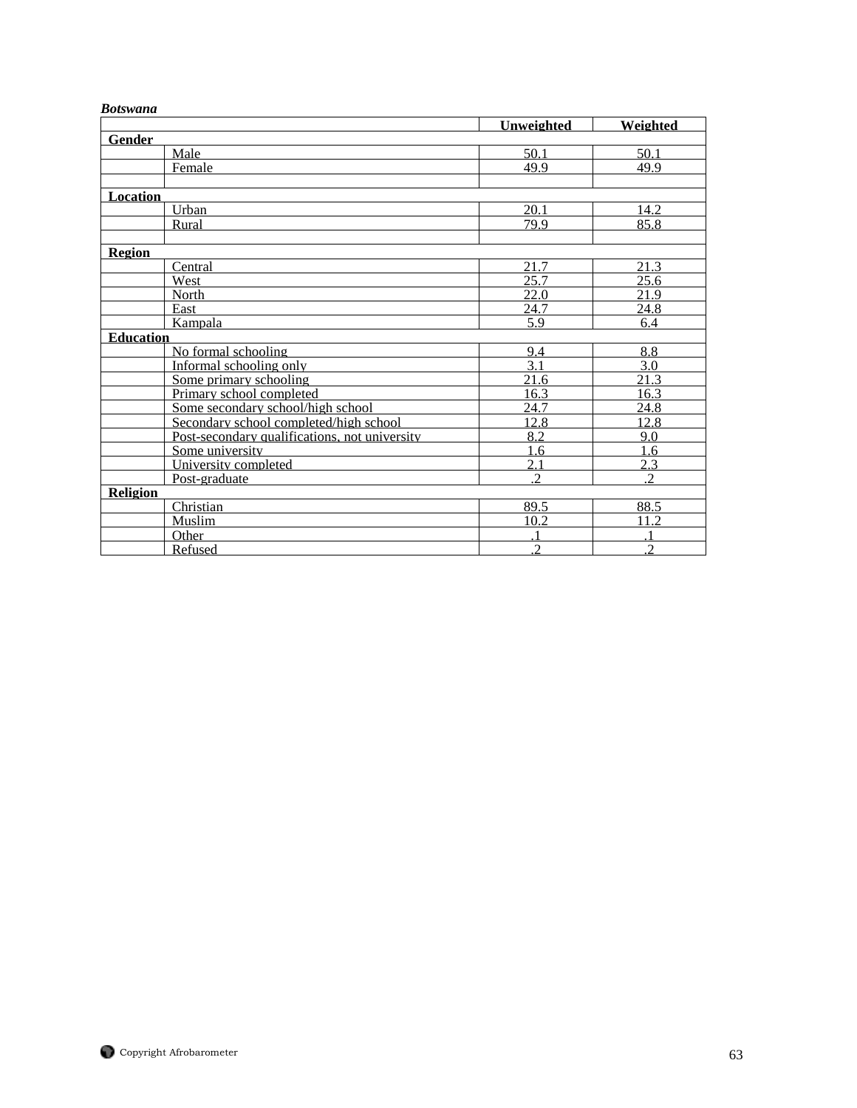## *Botswana*

|                  |                                               | Unweighted     | Weighted       |
|------------------|-----------------------------------------------|----------------|----------------|
| <b>Gender</b>    |                                               |                |                |
|                  | Male                                          | 50.1           | 50.1           |
|                  | Female                                        | 49.9           | 49.9           |
|                  |                                               |                |                |
| <b>Location</b>  |                                               |                |                |
|                  | Urban                                         | 20.1           | 14.2           |
|                  | Rural                                         | 79.9           | 85.8           |
|                  |                                               |                |                |
| <b>Region</b>    |                                               |                |                |
|                  | Central                                       | 21.7           | 21.3           |
|                  | West                                          | 25.7           | 25.6           |
|                  | North                                         | 22.0           | 21.9           |
|                  | East                                          | 24.7           | 24.8           |
|                  | Kampala                                       | 5.9            | 6.4            |
| <b>Education</b> |                                               |                |                |
|                  | No formal schooling                           | 9.4            | 8.8            |
|                  | Informal schooling only                       | 3.1            | 3.0            |
|                  | Some primary schooling                        | 21.6           | 21.3           |
|                  | Primary school completed                      | 16.3           | 16.3           |
|                  | Some secondary school/high school             | 24.7           | 24.8           |
|                  | Secondary school completed/high school        | 12.8           | 12.8           |
|                  | Post-secondary qualifications, not university | 8.2            | 9.0            |
|                  | Some university                               | 1.6            | 1.6            |
|                  | University completed                          | 2.1            | 2.3            |
|                  | Post-graduate                                 | $\overline{2}$ | $\overline{2}$ |
| <b>Religion</b>  |                                               |                |                |
|                  | Christian                                     | 89.5           | 88.5           |
|                  | Muslim                                        | 10.2           | 11.2           |
|                  | Other                                         |                |                |
|                  | Refused                                       | $\overline{2}$ | $\overline{c}$ |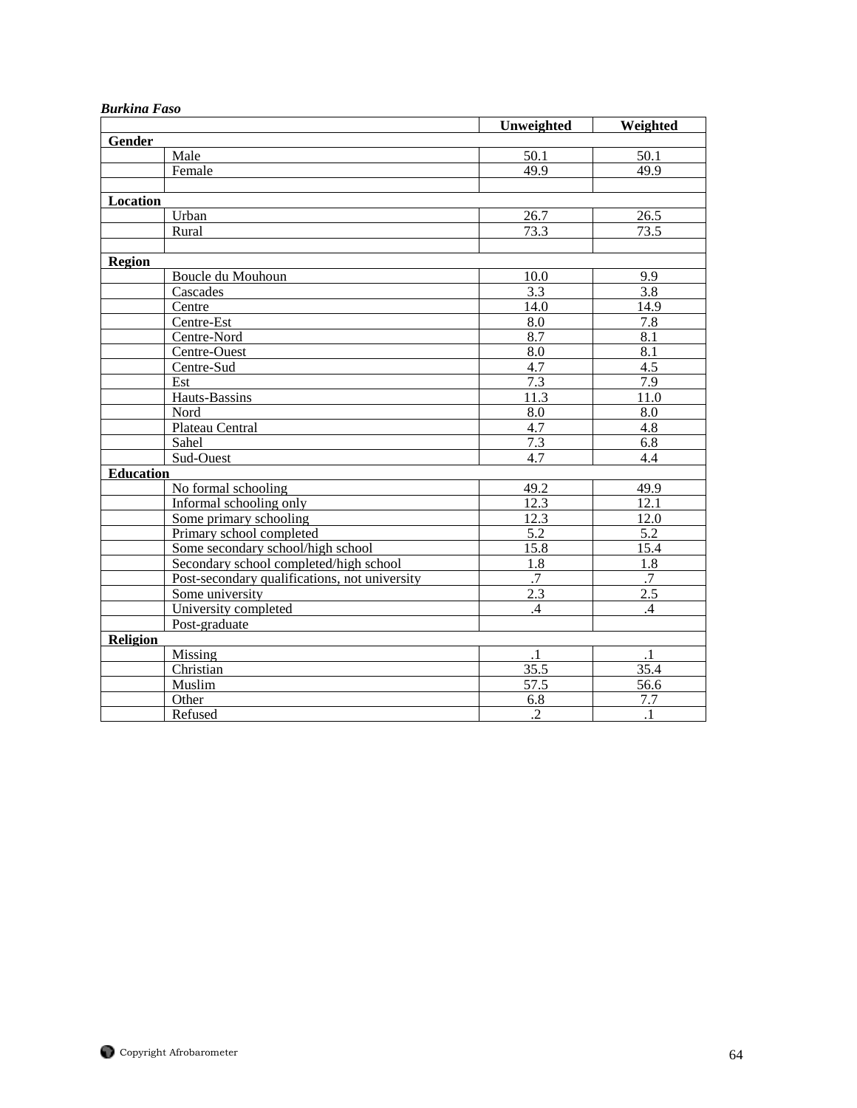| ригкиш гизо      |                                               |                  |                  |
|------------------|-----------------------------------------------|------------------|------------------|
|                  |                                               | Unweighted       | Weighted         |
| Gender           |                                               |                  |                  |
|                  | Male                                          | 50.1             | 50.1             |
|                  | Female                                        | 49.9             | 49.9             |
|                  |                                               |                  |                  |
| Location         |                                               |                  |                  |
|                  | Urban                                         | 26.7             | 26.5             |
|                  | Rural                                         | 73.3             | 73.5             |
|                  |                                               |                  |                  |
| Region           |                                               |                  |                  |
|                  | Boucle du Mouhoun                             | 10.0             | 9.9              |
|                  | Cascades                                      | 3.3              | 3.8              |
|                  | Centre                                        | 14.0             | 14.9             |
|                  | Centre-Est                                    | 8.0              | 7.8              |
|                  | Centre-Nord                                   | 8.7              | $\overline{8.1}$ |
|                  | Centre-Ouest                                  | 8.0              | 8.1              |
|                  | Centre-Sud                                    | 4.7              | 4.5              |
|                  | Est                                           | 7.3              | 7.9              |
|                  | Hauts-Bassins                                 | 11.3             | 11.0             |
|                  | Nord                                          | $\overline{8.0}$ | $\overline{8.0}$ |
|                  | Plateau Central                               | 4.7              | 4.8              |
|                  | Sahel                                         | 7.3              | 6.8              |
|                  | Sud-Ouest                                     | 4.7              | 4.4              |
| <b>Education</b> |                                               |                  |                  |
|                  | No formal schooling                           | 49.2             | 49.9             |
|                  | Informal schooling only                       | 12.3             | 12.1             |
|                  | Some primary schooling                        | 12.3             | 12.0             |
|                  | Primary school completed                      | 5.2              | 5.2              |
|                  | Some secondary school/high school             | 15.8             | 15.4             |
|                  | Secondary school completed/high school        | 1.8              | 1.8              |
|                  | Post-secondary qualifications, not university | $\overline{.7}$  | .7               |
|                  | Some university                               | 2.3              | 2.5              |
|                  | University completed                          | .4               | $\overline{A}$   |
|                  | Post-graduate                                 |                  |                  |
| Religion         |                                               |                  |                  |
|                  | Missing                                       | $\cdot$ 1        | $\cdot$ 1        |
|                  | Christian                                     | 35.5             | 35.4             |
|                  | Muslim                                        | 57.5             | 56.6             |
|                  | Other                                         | 6.8              | 7.7              |
|                  | Refused                                       | $\overline{.2}$  | $\overline{.1}$  |

# *Burkina Faso*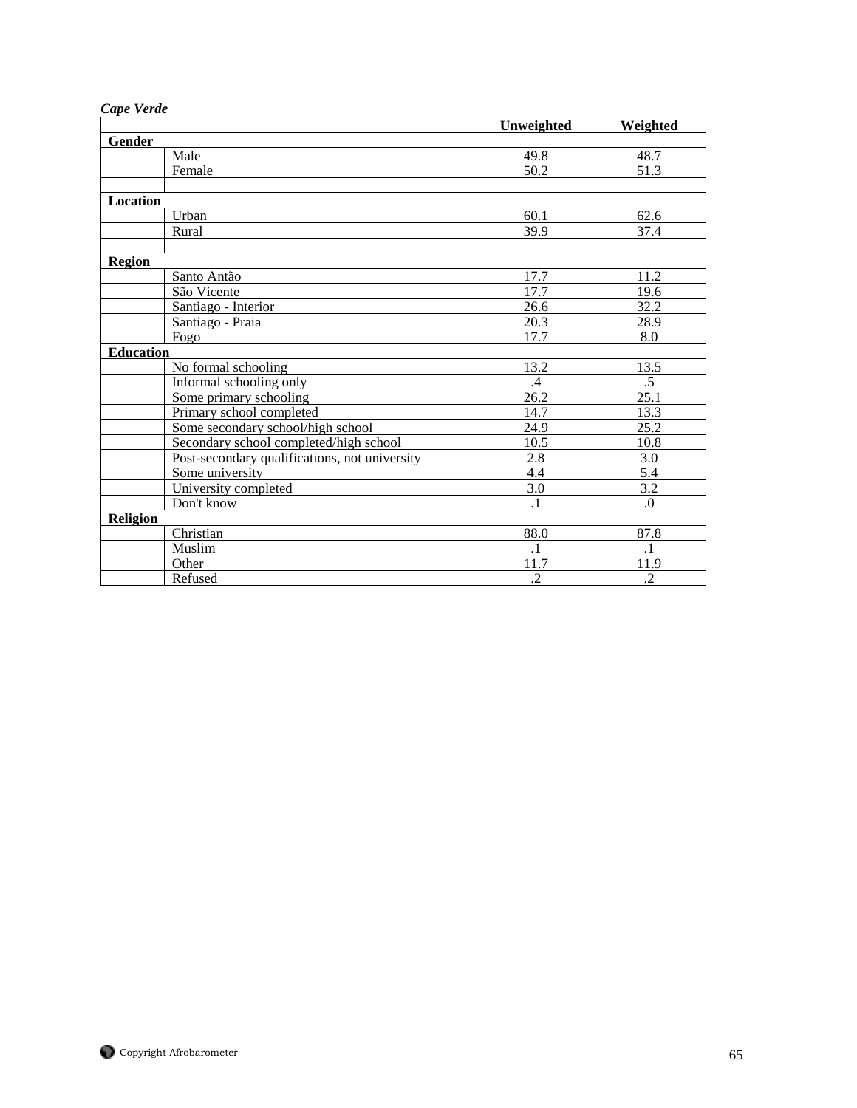| Cape Verde |
|------------|
|            |

|                  |                                               | Unweighted        | Weighted          |
|------------------|-----------------------------------------------|-------------------|-------------------|
| Gender           |                                               |                   |                   |
|                  | Male                                          | 49.8              | 48.7              |
|                  | Female                                        | $\overline{50.2}$ | $\overline{51.3}$ |
|                  |                                               |                   |                   |
| Location         |                                               |                   |                   |
|                  | Urban                                         | 60.1              | 62.6              |
|                  | Rural                                         | 39.9              | 37.4              |
|                  |                                               |                   |                   |
| <b>Region</b>    |                                               |                   |                   |
|                  | Santo Antão                                   | 17.7              | 11.2              |
|                  | São Vicente                                   | 17.7              | 19.6              |
|                  | Santiago - Interior                           | 26.6              | 32.2              |
|                  | Santiago - Praia                              | 20.3              | 28.9              |
| Fogo             |                                               | 17.7              | 8.0               |
| <b>Education</b> |                                               |                   |                   |
|                  | No formal schooling                           | 13.2              | 13.5              |
|                  | Informal schooling only                       | $\cdot$           | $.5\,$            |
|                  | Some primary schooling                        | 26.2              | 25.1              |
|                  | Primary school completed                      | 14.7              | 13.3              |
|                  | Some secondary school/high school             | 24.9              | 25.2              |
|                  | Secondary school completed/high school        | 10.5              | 10.8              |
|                  | Post-secondary qualifications, not university | 2.8               | 3.0               |
|                  | Some university                               | 4.4               | 5.4               |
|                  | University completed                          | 3.0               | 3.2               |
|                  | Don't know                                    | $\cdot$           | $\boldsymbol{0}$  |
| <b>Religion</b>  |                                               |                   |                   |
|                  | Christian                                     | 88.0              | 87.8              |
|                  | Muslim                                        | $\cdot$ 1         | $\cdot$ 1         |
|                  | Other                                         | 11.7              | 11.9              |
|                  | Refused                                       | $\overline{2}$    | $\overline{2}$    |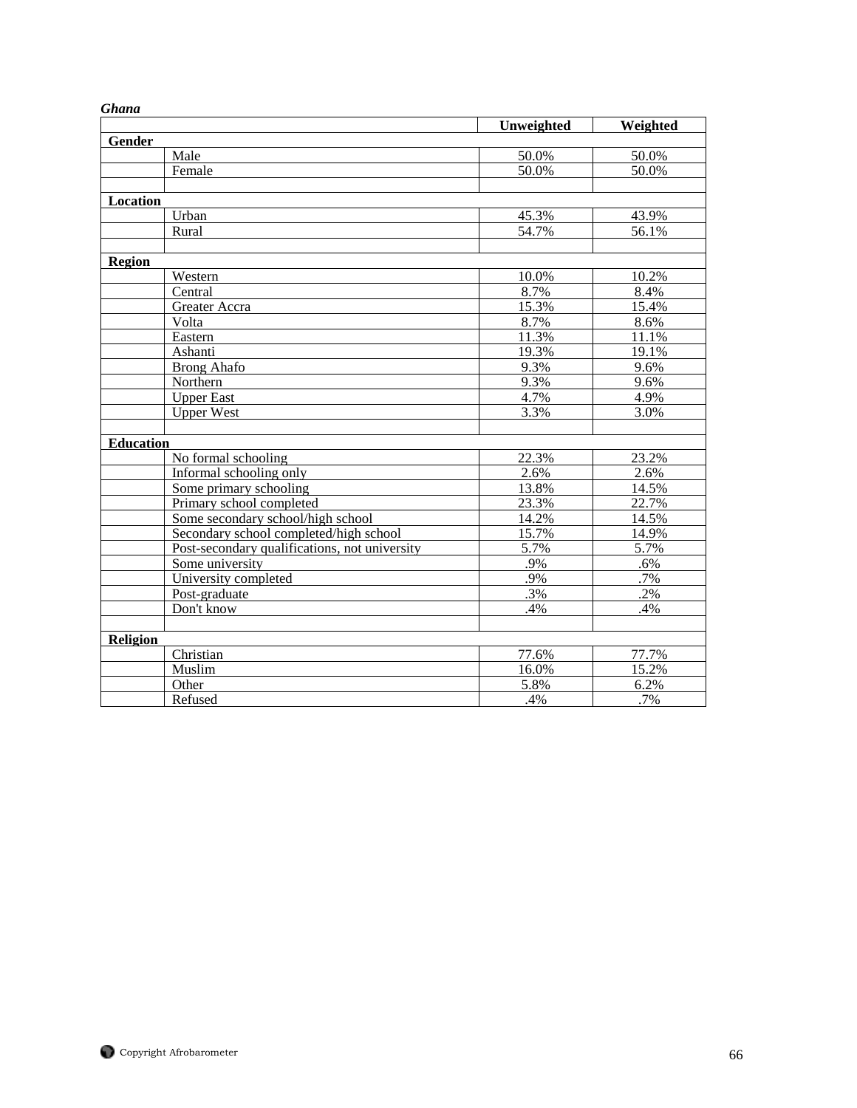| ununu            |                                               |                |                   |
|------------------|-----------------------------------------------|----------------|-------------------|
|                  |                                               | Unweighted     | Weighted          |
| Gender           | Male                                          |                |                   |
|                  | Female                                        | 50.0%<br>50.0% | 50.0%<br>50.0%    |
|                  |                                               |                |                   |
|                  |                                               |                |                   |
| Location         |                                               |                |                   |
|                  | Urban                                         | 45.3%          | 43.9%             |
|                  | Rural                                         | 54.7%          | 56.1%             |
|                  |                                               |                |                   |
| Region           |                                               |                |                   |
|                  | Western                                       | 10.0%          | 10.2%             |
|                  | Central                                       | 8.7%           | 8.4%              |
|                  | Greater Accra                                 | 15.3%          | 15.4%             |
|                  | Volta                                         | 8.7%           | 8.6%              |
|                  | Eastern                                       | 11.3%          | 11.1%             |
|                  | Ashanti                                       | 19.3%          | 19.1%             |
|                  | <b>Brong Ahafo</b>                            | 9.3%           | 9.6%              |
|                  | Northern                                      | 9.3%           | 9.6%              |
|                  | <b>Upper East</b>                             | 4.7%           | 4.9%              |
|                  | <b>Upper West</b>                             | 3.3%           | 3.0%              |
|                  |                                               |                |                   |
| <b>Education</b> |                                               |                |                   |
|                  | No formal schooling                           | 22.3%          | 23.2%             |
|                  | Informal schooling only                       | 2.6%           | 2.6%              |
|                  | Some primary schooling                        | 13.8%          | 14.5%             |
|                  | Primary school completed                      | 23.3%          | 22.7%             |
|                  | Some secondary school/high school             | 14.2%          | 14.5%             |
|                  | Secondary school completed/high school        | 15.7%          | 14.9%             |
|                  | Post-secondary qualifications, not university | 5.7%           | 5.7%              |
|                  | Some university                               | .9%            | $.6\%$            |
|                  | University completed                          | .9%            | .7%               |
|                  | Post-graduate                                 | .3%            | $\overline{.2\%}$ |
|                  | Don't know                                    | .4%            | .4%               |
|                  |                                               |                |                   |
| Religion         |                                               |                |                   |
|                  | Christian                                     | 77.6%          | 77.7%             |
|                  | Muslim                                        | 16.0%          | 15.2%             |
|                  | Other                                         | 5.8%           | 6.2%              |
|                  | Refused                                       | .4%            | .7%               |

# *Ghana*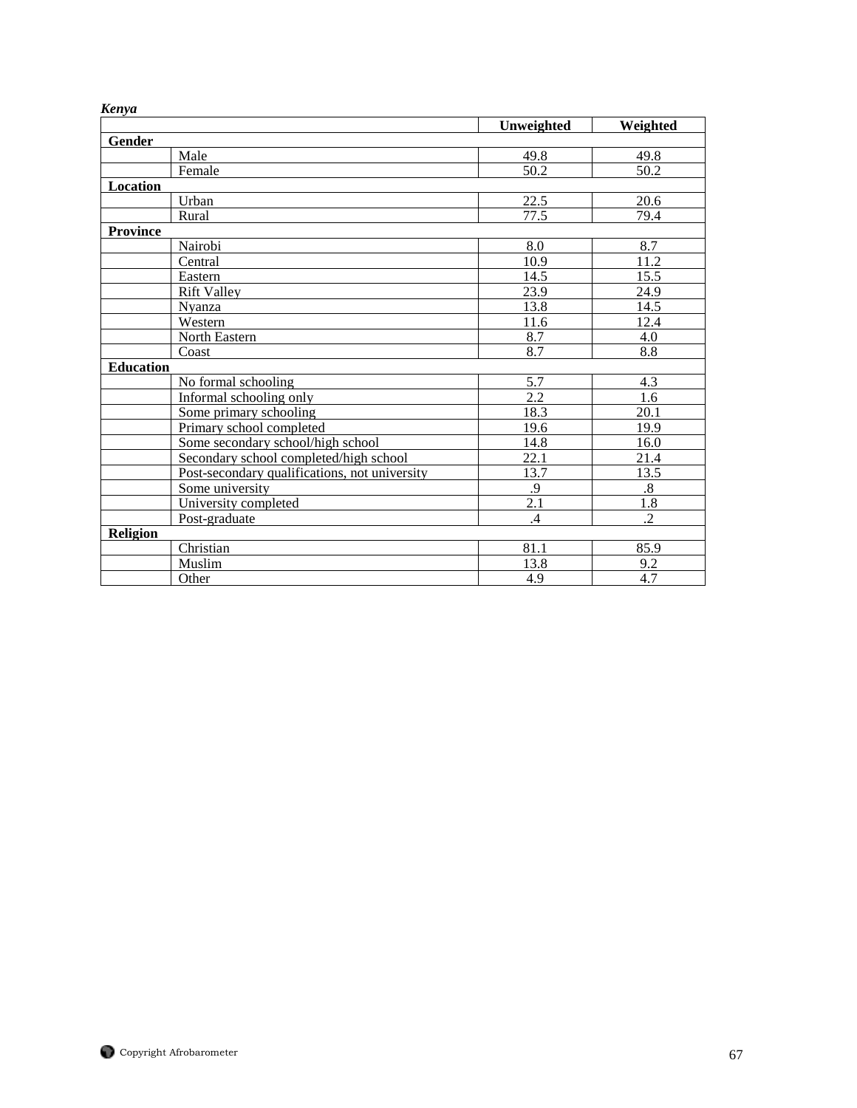| nen yu           |                                               |            |                   |
|------------------|-----------------------------------------------|------------|-------------------|
|                  |                                               | Unweighted | Weighted          |
| Gender           |                                               |            |                   |
|                  | Male                                          | 49.8       | 49.8              |
|                  | Female                                        | 50.2       | 50.2              |
| Location         |                                               |            |                   |
|                  | Urban                                         | 22.5       | 20.6              |
|                  | Rural                                         | 77.5       | 79.4              |
| <b>Province</b>  |                                               |            |                   |
|                  | Nairobi                                       | 8.0        | 8.7               |
|                  | Central                                       | 10.9       | 11.2              |
|                  | Eastern                                       | 14.5       | 15.5              |
|                  | <b>Rift Valley</b>                            | 23.9       | 24.9              |
|                  | Nvanza                                        | 13.8       | 14.5              |
|                  | Western                                       | 11.6       | 12.4              |
|                  | North Eastern                                 | 8.7        | 4.0               |
|                  | Coast                                         | 8.7        | 8.8               |
| <b>Education</b> |                                               |            |                   |
|                  | No formal schooling                           | 5.7        | 4.3               |
|                  | Informal schooling only                       | 2.2        | 1.6               |
|                  | Some primary schooling                        | 18.3       | 20.1              |
|                  | Primary school completed                      | 19.6       | 19.9              |
|                  | Some secondary school/high school             | 14.8       | 16.0              |
|                  | Secondary school completed/high school        | 22.1       | 21.4              |
|                  | Post-secondary qualifications, not university | 13.7       | 13.5              |
|                  | Some university                               | .9         | $\boldsymbol{.8}$ |
|                  | University completed                          | 2.1        | 1.8               |
|                  | Post-graduate                                 | .4         | .2                |
| Religion         |                                               |            |                   |
|                  | Christian                                     | 81.1       | 85.9              |
|                  | Muslim                                        | 13.8       | 9.2               |
|                  | Other                                         | 4.9        | 4.7               |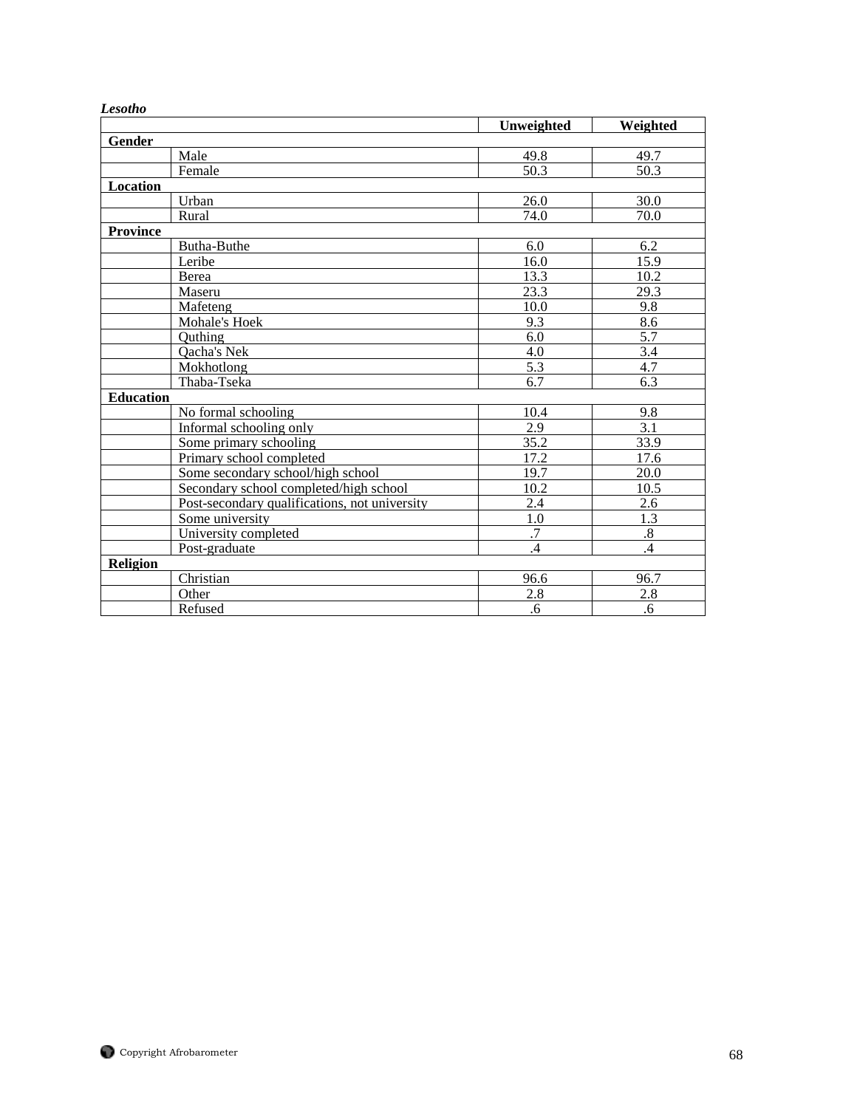| Lesotho          |                                               | Unweighted      | Weighted       |
|------------------|-----------------------------------------------|-----------------|----------------|
| Gender           |                                               |                 |                |
|                  | Male                                          | 49.8            | 49.7           |
|                  | Female                                        | 50.3            | 50.3           |
|                  |                                               |                 |                |
| Location         |                                               |                 | 30.0           |
|                  | Urban                                         | 26.0            |                |
|                  | Rural                                         | 74.0            | 70.0           |
| <b>Province</b>  |                                               |                 |                |
|                  | Butha-Buthe                                   | 6.0             | 6.2            |
|                  | Leribe                                        | 16.0            | 15.9           |
|                  | Berea                                         | 13.3            | 10.2           |
|                  | Maseru                                        | 23.3            | 29.3           |
|                  | Mafeteng                                      | 10.0            | 9.8            |
|                  | Mohale's Hoek                                 | 9.3             | 8.6            |
|                  | Outhing                                       | 6.0             | 5.7            |
|                  | Qacha's Nek                                   | 4.0             | 3.4            |
|                  | Mokhotlong                                    | 5.3             | 4.7            |
|                  | Thaba-Tseka                                   | 6.7             | 6.3            |
| <b>Education</b> |                                               |                 |                |
|                  | No formal schooling                           | 10.4            | 9.8            |
|                  | Informal schooling only                       | 2.9             | 3.1            |
|                  | Some primary schooling                        | 35.2            | 33.9           |
|                  | Primary school completed                      | 17.2            | 17.6           |
|                  | Some secondary school/high school             | 19.7            | 20.0           |
|                  | Secondary school completed/high school        | 10.2            | 10.5           |
|                  | Post-secondary qualifications, not university | 2.4             | 2.6            |
|                  | Some university                               | 1.0             | 1.3            |
|                  | University completed                          | $\overline{.7}$ | $\overline{8}$ |
|                  |                                               |                 |                |
|                  | Post-graduate                                 | $\overline{A}$  | $\overline{A}$ |
| <b>Religion</b>  |                                               |                 |                |
|                  | Christian                                     | 96.6            | 96.7           |
|                  | Other                                         | 2.8             | 2.8            |
|                  | Refused                                       | .6              | .6             |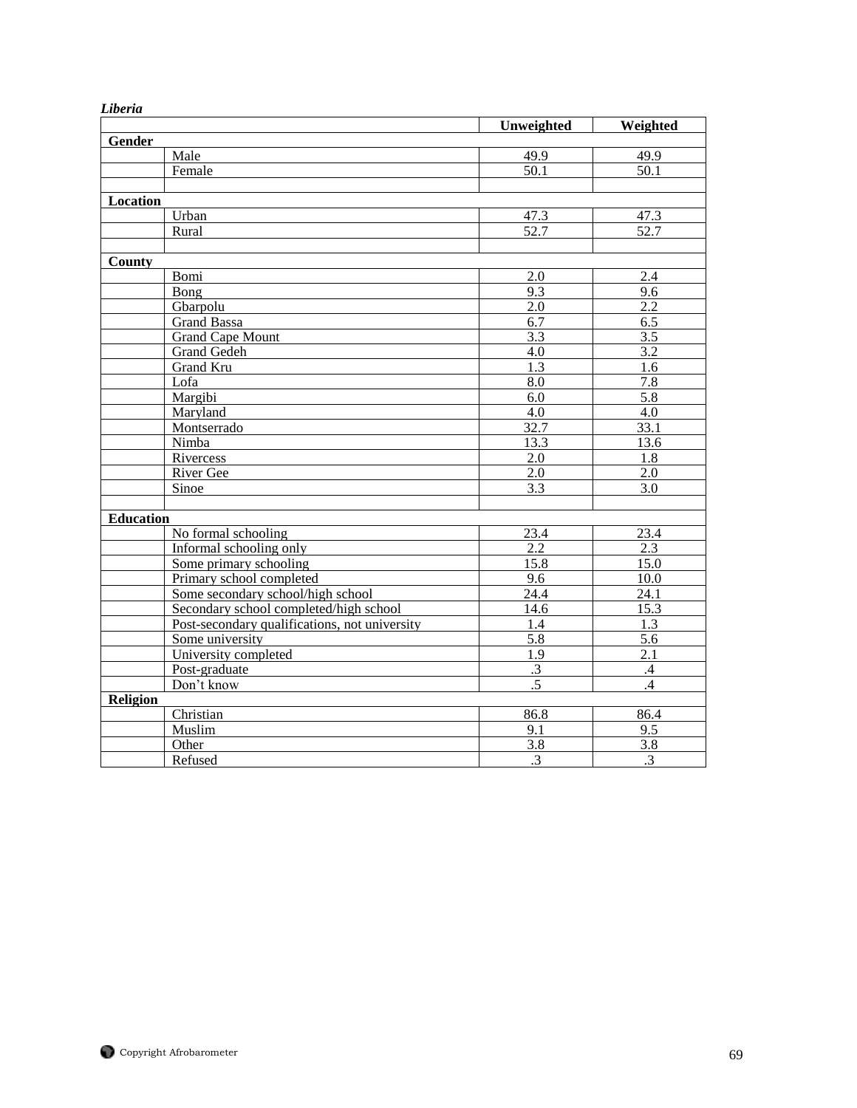| Lwer ш           |                                               |                  |                   |
|------------------|-----------------------------------------------|------------------|-------------------|
|                  |                                               | Unweighted       | Weighted          |
| Gender           |                                               |                  |                   |
|                  | Male                                          | 49.9             | 49.9              |
|                  | Female                                        | 50.1             | $\overline{50.1}$ |
|                  |                                               |                  |                   |
| <b>Location</b>  |                                               |                  |                   |
|                  | Urban                                         | 47.3             | 47.3              |
|                  | Rural                                         | 52.7             | 52.7              |
|                  |                                               |                  |                   |
| County           |                                               |                  |                   |
|                  | Bomi                                          | 2.0              | 2.4               |
|                  | Bong                                          | 9.3              | 9.6               |
|                  | Gbarpolu                                      | 2.0              | 2.2               |
|                  | <b>Grand Bassa</b>                            | 6.7              | 6.5               |
|                  | <b>Grand Cape Mount</b>                       | $\overline{3.3}$ | $\overline{3.5}$  |
|                  | Grand Gedeh                                   | 4.0              | $\overline{3.2}$  |
|                  | Grand Kru                                     | 1.3              | 1.6               |
|                  | Lofa                                          | 8.0              | 7.8               |
|                  | Margibi                                       | 6.0              | 5.8               |
|                  | Maryland                                      | 4.0              | 4.0               |
|                  | Montserrado                                   | 32.7             | 33.1              |
|                  | Nimba                                         | 13.3             | 13.6              |
|                  | Rivercess                                     | 2.0              | 1.8               |
|                  | River Gee                                     | 2.0              | 2.0               |
|                  | Sinoe                                         | 3.3              | 3.0               |
|                  |                                               |                  |                   |
| <b>Education</b> |                                               |                  |                   |
|                  | No formal schooling                           | 23.4             | 23.4              |
|                  | Informal schooling only                       | 2.2              | 2.3               |
|                  | Some primary schooling                        | 15.8             | $\overline{15.0}$ |
|                  | Primary school completed                      | 9.6              | 10.0              |
|                  | Some secondary school/high school             | 24.4             | 24.1              |
|                  | Secondary school completed/high school        | 14.6             | 15.3              |
|                  | Post-secondary qualifications, not university | 1.4              | 1.3               |
|                  | Some university                               | 5.8              | 5.6               |
|                  | University completed                          | $\overline{1.9}$ | $\overline{2.1}$  |
|                  | Post-graduate                                 | $\cdot$ 3        | .4                |
|                  | Don't know                                    | $.5\,$           | .4                |
| Religion         |                                               |                  |                   |
|                  | Christian                                     | 86.8             | 86.4              |
|                  | Muslim                                        | $\overline{9.1}$ | 9.5               |
|                  | Other                                         | 3.8              | 3.8               |
|                  | Refused                                       | $\overline{.3}$  | $\overline{.3}$   |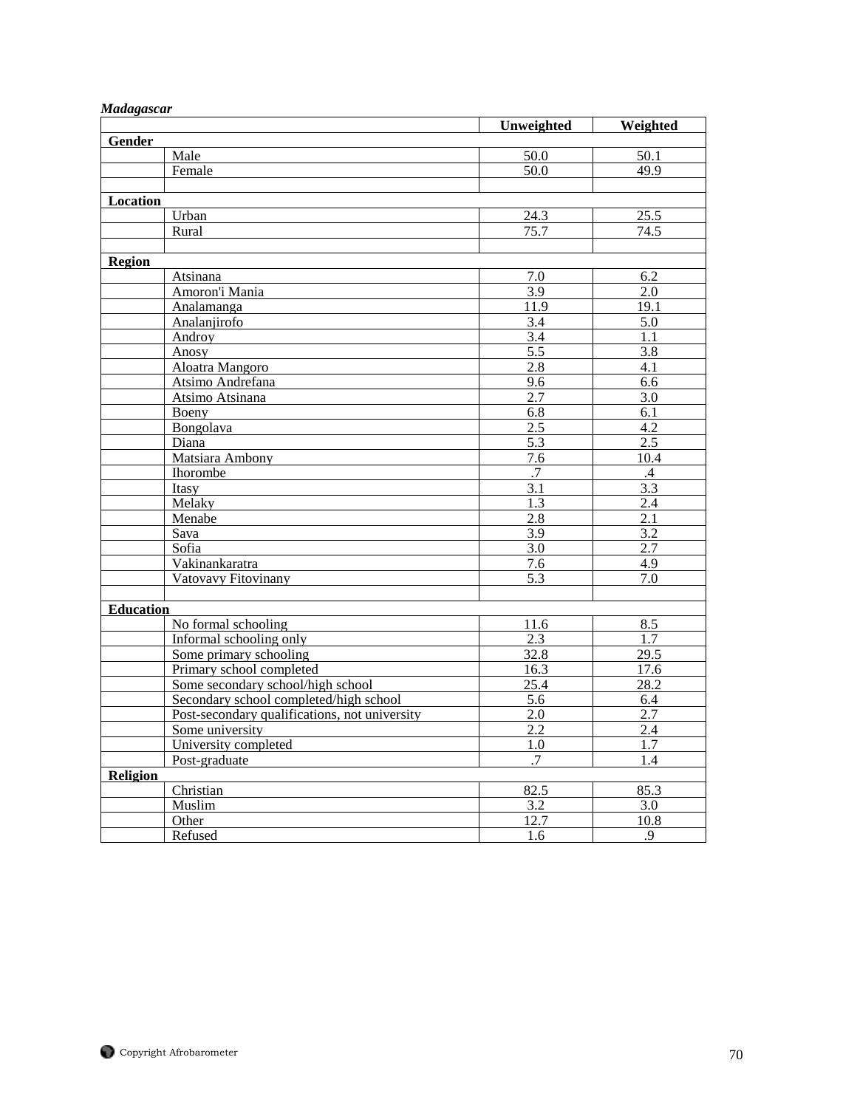| Madagascar       |                                               | Unweighted       | Weighted         |
|------------------|-----------------------------------------------|------------------|------------------|
| Gender           |                                               |                  |                  |
|                  | Male                                          | 50.0             | 50.1             |
|                  | Female                                        | 50.0             | 49.9             |
|                  |                                               |                  |                  |
| Location         |                                               |                  |                  |
|                  | Urban                                         | 24.3             | 25.5             |
|                  | Rural                                         | 75.7             | 74.5             |
|                  |                                               |                  |                  |
| Region           |                                               |                  |                  |
|                  | Atsinana                                      | 7.0              | 6.2              |
|                  | Amoron'i Mania                                | 3.9              | 2.0              |
|                  | Analamanga                                    | 11.9             | 19.1             |
|                  | Analanjirofo                                  | 3.4              | 5.0              |
|                  | Androy                                        | 3.4              | 1.1              |
|                  | Anosy                                         | $\overline{5.5}$ | 3.8              |
|                  | Aloatra Mangoro                               | 2.8              | 4.1              |
|                  | Atsimo Andrefana                              | 9.6              | 6.6              |
|                  | Atsimo Atsinana                               | 2.7              | 3.0              |
|                  | Boeny                                         | 6.8              | 6.1              |
|                  | Bongolava                                     | 2.5              | 4.2              |
|                  | Diana                                         | 5.3              | 2.5              |
|                  | Matsiara Ambony                               | 7.6              | 10.4             |
|                  | Ihorombe                                      | .7               | $.4\,$           |
|                  | Itasy                                         | 3.1              | 3.3              |
|                  | Melaky                                        | 1.3              | 2.4              |
|                  | Menabe                                        | 2.8              | 2.1              |
|                  | Sava                                          | $\overline{3.9}$ | $\overline{3.2}$ |
|                  | Sofia                                         | 3.0              | 2.7              |
|                  | Vakinankaratra                                | 7.6              | 4.9              |
|                  | Vatovavy Fitovinany                           | 5.3              | 7.0              |
|                  |                                               |                  |                  |
| <b>Education</b> |                                               |                  |                  |
|                  | No formal schooling                           | 11.6             | 8.5              |
|                  | Informal schooling only                       | 2.3              | 1.7              |
|                  | Some primary schooling                        | 32.8             | 29.5             |
|                  | Primary school completed                      | 16.3             | 17.6             |
|                  | Some secondary school/high school             | 25.4             | 28.2             |
|                  | Secondary school completed/high school        | 5.6              | 6.4              |
|                  | Post-secondary qualifications, not university | 2.0              | 2.7              |
|                  | Some university                               | 2.2              | 2.4              |
|                  | University completed                          | 1.0              | 1.7              |
|                  | Post-graduate                                 | $\overline{.7}$  | 1.4              |
| Religion         |                                               |                  |                  |
|                  | Christian                                     | 82.5             | 85.3             |
|                  | Muslim                                        | 3.2              | 3.0              |
|                  | Other                                         | 12.7             | 10.8             |
|                  | Refused                                       | 1.6              | .9               |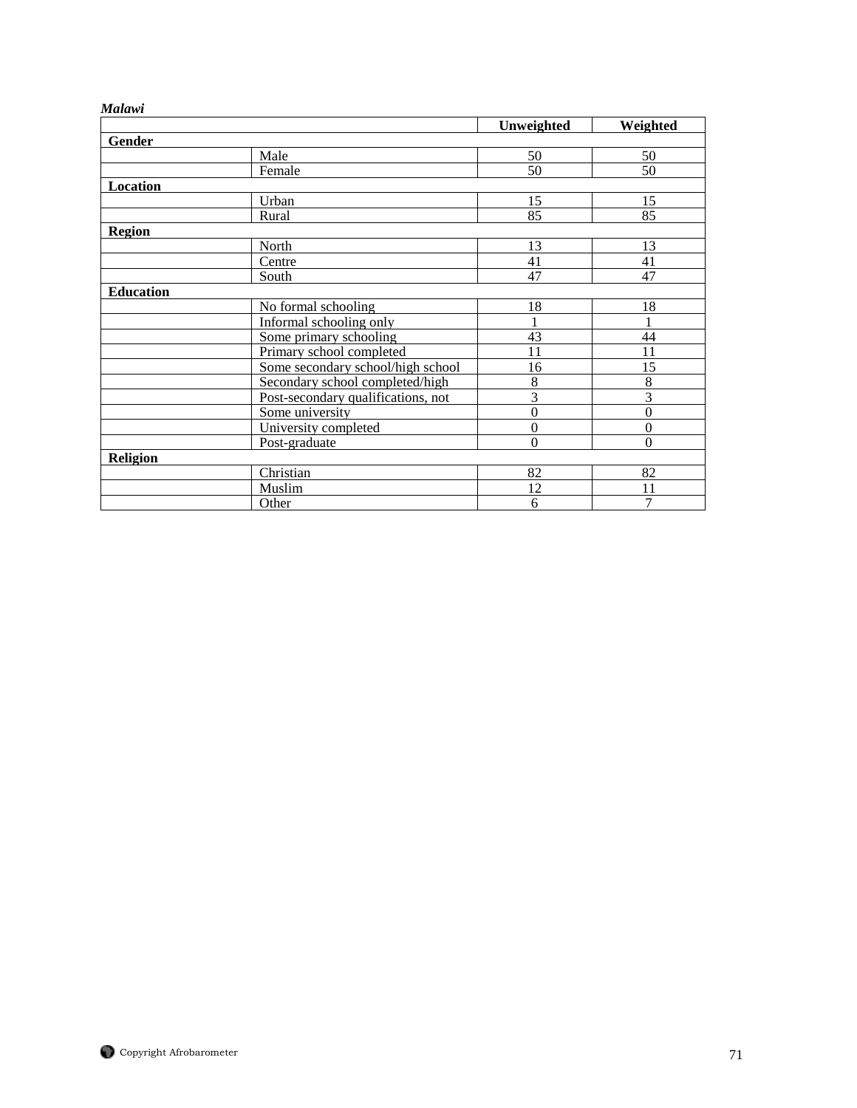# *Malawi*

|                  |                                    | Unweighted   | Weighted         |
|------------------|------------------------------------|--------------|------------------|
| Gender           |                                    |              |                  |
|                  | Male                               | 50           | 50               |
|                  | Female                             | 50           | 50               |
| Location         |                                    |              |                  |
|                  | Urban                              | 15           | 15               |
|                  | Rural                              | 85           | 85               |
| <b>Region</b>    |                                    |              |                  |
|                  | North                              | 13           | 13               |
|                  | Centre                             | 41           | 41               |
|                  | South                              | 47           | 47               |
| <b>Education</b> |                                    |              |                  |
|                  | No formal schooling                | 18           | 18               |
|                  | Informal schooling only            |              |                  |
|                  | Some primary schooling             | 43           | 44               |
|                  | Primary school completed           | 11           | 11               |
|                  | Some secondary school/high school  | 16           | 15               |
|                  | Secondary school completed/high    | 8            | 8                |
|                  | Post-secondary qualifications, not | 3            | 3                |
|                  | Some university                    | $\mathbf{0}$ | $\boldsymbol{0}$ |
|                  | University completed               | $\theta$     | $\theta$         |
|                  | Post-graduate                      | $\Omega$     | $\Omega$         |
| <b>Religion</b>  |                                    |              |                  |
|                  | Christian                          | 82           | 82               |
|                  | Muslim                             | 12           | 11               |
|                  | Other                              | 6            | 7                |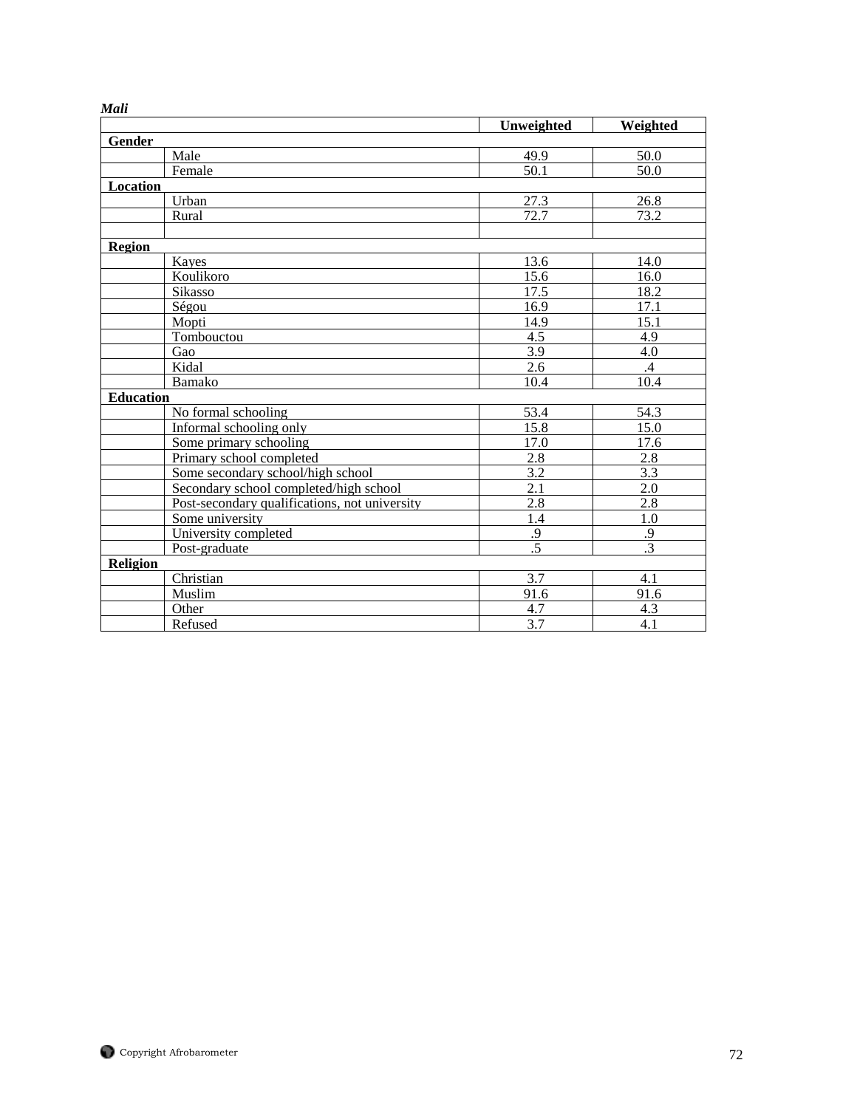|                  |                                               | Unweighted        | Weighted          |
|------------------|-----------------------------------------------|-------------------|-------------------|
| Gender           |                                               |                   |                   |
|                  | Male                                          | 49.9              | 50.0              |
|                  | Female                                        | $\overline{5}0.1$ | $\overline{50.0}$ |
| Location         |                                               |                   |                   |
|                  | Urban                                         | 27.3              | 26.8              |
|                  | Rural                                         | 72.7              | 73.2              |
|                  |                                               |                   |                   |
| Region           |                                               |                   |                   |
|                  | Kayes                                         | 13.6              | 14.0              |
|                  | Koulikoro                                     | 15.6              | 16.0              |
|                  | Sikasso                                       | 17.5              | 18.2              |
|                  | Ségou                                         | 16.9              | 17.1              |
|                  | Mopti                                         | 14.9              | 15.1              |
|                  | Tombouctou                                    | 4.5               | 4.9               |
|                  | Gao                                           | 3.9               | 4.0               |
|                  | Kidal                                         | 2.6               | .4                |
|                  | Bamako                                        | 10.4              | 10.4              |
| <b>Education</b> |                                               |                   |                   |
|                  | No formal schooling                           | 53.4              | 54.3              |
|                  | Informal schooling only                       | 15.8              | 15.0              |
|                  | Some primary schooling                        | 17.0              | 17.6              |
|                  | Primary school completed                      | 2.8               | 2.8               |
|                  | Some secondary school/high school             | 3.2               | 3.3               |
|                  | Secondary school completed/high school        | $\overline{2.1}$  | 2.0               |
|                  | Post-secondary qualifications, not university | 2.8               | 2.8               |
|                  | Some university                               | 1.4               | 1.0               |
|                  | University completed                          | .9                | .9                |
|                  | Post-graduate                                 | $\overline{.5}$   | $\overline{.3}$   |
| Religion         |                                               |                   |                   |
|                  | Christian                                     | 3.7               | 4.1               |
|                  | Muslim                                        | 91.6              | 91.6              |
|                  | Other                                         | 4.7               | 4.3               |
|                  | Refused                                       | 3.7               | 4.1               |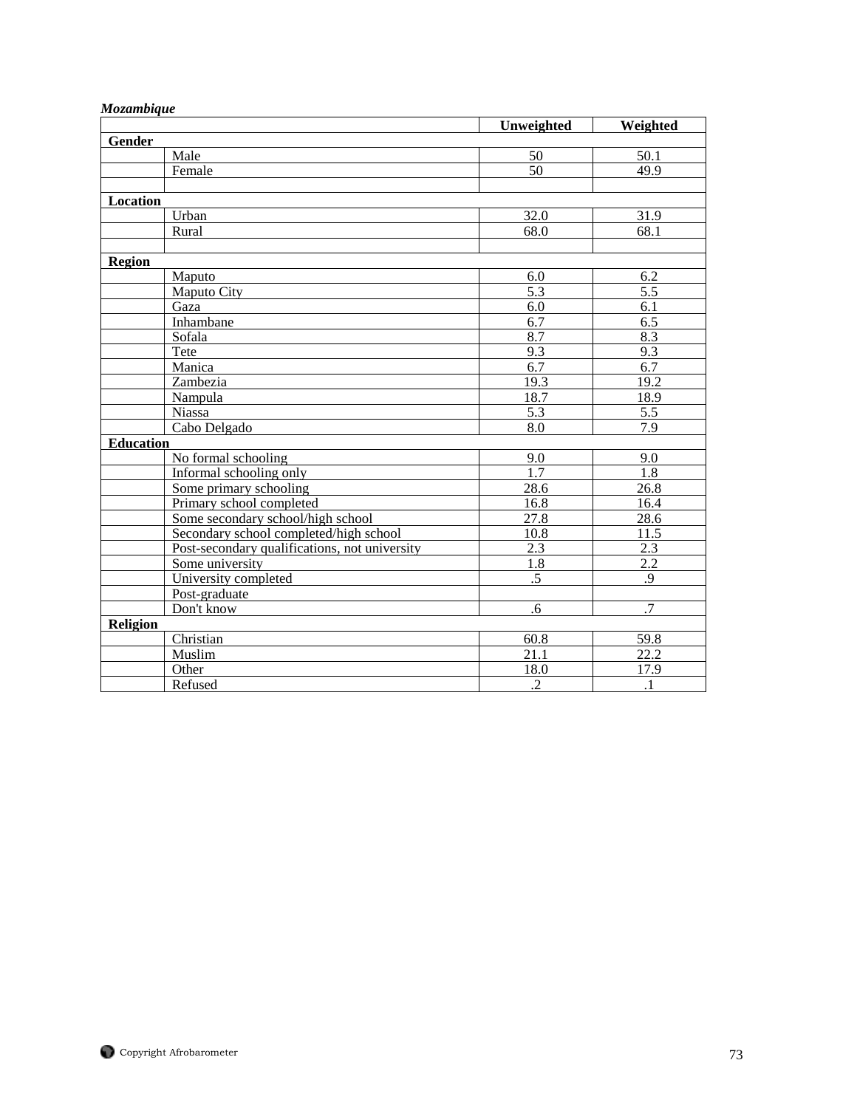| модитощие        |                                               | Unweighted       | Weighted         |
|------------------|-----------------------------------------------|------------------|------------------|
| Gender           |                                               |                  |                  |
|                  | Male                                          | 50               | 50.1             |
|                  | Female                                        | $\overline{50}$  | 49.9             |
|                  |                                               |                  |                  |
| Location         |                                               |                  |                  |
|                  | Urban                                         | 32.0             | 31.9             |
|                  | Rural                                         | 68.0             | 68.1             |
|                  |                                               |                  |                  |
| <b>Region</b>    |                                               |                  |                  |
|                  | Maputo                                        | 6.0              | 6.2              |
|                  | Maputo City                                   | $\overline{5.3}$ | $\overline{5.5}$ |
|                  | Gaza                                          | 6.0              | $\overline{6.1}$ |
|                  | Inhambane                                     | 6.7              | 6.5              |
|                  | Sofala                                        | 8.7              | 8.3              |
|                  | Tete                                          | 9.3              | 9.3              |
|                  | Manica                                        | 6.7              | 6.7              |
|                  | Zambezia                                      | 19.3             | 19.2             |
|                  | Nampula                                       | 18.7             | 18.9             |
|                  | Niassa                                        | 5.3              | 5.5              |
|                  | Cabo Delgado                                  | 8.0              | 7.9              |
| <b>Education</b> |                                               |                  |                  |
|                  | No formal schooling                           | 9.0              | 9.0              |
|                  | Informal schooling only                       | 1.7              | 1.8              |
|                  | Some primary schooling                        | 28.6             | 26.8             |
|                  | Primary school completed                      | 16.8             | 16.4             |
|                  | Some secondary school/high school             | 27.8             | 28.6             |
|                  | Secondary school completed/high school        | 10.8             | 11.5             |
|                  | Post-secondary qualifications, not university | 2.3              | 2.3              |
|                  | Some university                               | 1.8              | 2.2              |
|                  | University completed                          | $\overline{.5}$  | .9               |
|                  | Post-graduate                                 |                  |                  |
|                  | Don't know                                    | $.6\,$           | $\overline{.7}$  |
| <b>Religion</b>  |                                               |                  |                  |
|                  | Christian                                     | 60.8             | 59.8             |
|                  | Muslim                                        | 21.1             | 22.2             |
|                  | Other                                         | 18.0             | 17.9             |
|                  | Refused                                       | $\overline{c}$   | $\cdot$          |

## *Mozambique*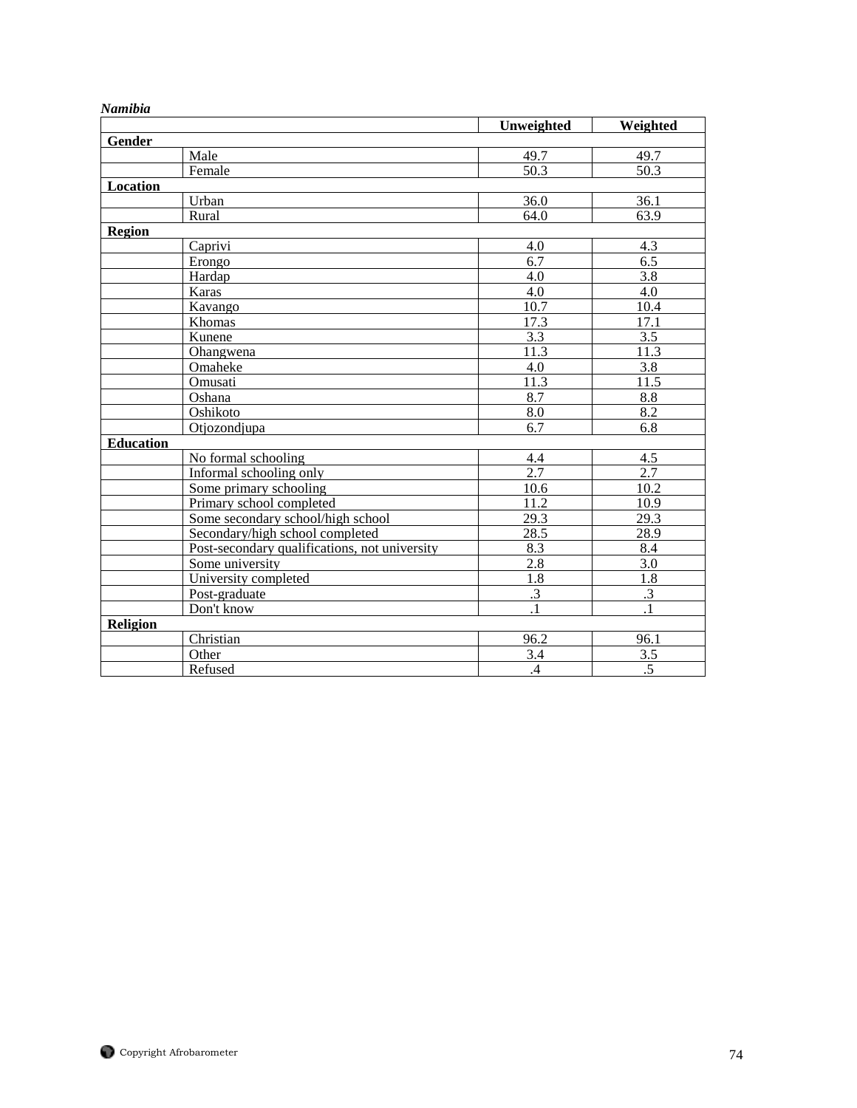| ramwa            |                                               | Unweighted        | Weighted          |
|------------------|-----------------------------------------------|-------------------|-------------------|
| Gender           |                                               |                   |                   |
|                  | Male                                          | 49.7              | 49.7              |
|                  | Female                                        | $50.\overline{3}$ | $50.\overline{3}$ |
| Location         |                                               |                   |                   |
|                  | Urban                                         | 36.0              | 36.1              |
|                  | Rural                                         | 64.0              | 63.9              |
| <b>Region</b>    |                                               |                   |                   |
|                  | Caprivi                                       | 4.0               | 4.3               |
|                  | Erongo                                        | 6.7               | $\overline{6.5}$  |
|                  | Hardap                                        | 4.0               | 3.8               |
|                  | Karas                                         | 4.0               | 4.0               |
|                  | Kavango                                       | 10.7              | 10.4              |
|                  | Khomas                                        | 17.3              | 17.1              |
|                  | Kunene                                        | 3.3               | $\overline{3.5}$  |
|                  | Ohangwena                                     | 11.3              | 11.3              |
|                  | Omaheke                                       | 4.0               | 3.8               |
|                  | Omusati                                       | 11.3              | 11.5              |
|                  | Oshana                                        | 8.7               | 8.8               |
|                  | Oshikoto                                      | 8.0               | $\overline{8.2}$  |
|                  | Otjozondjupa                                  | 6.7               | 6.8               |
| <b>Education</b> |                                               |                   |                   |
|                  | No formal schooling                           | 4.4               | 4.5               |
|                  | Informal schooling only                       | 2.7               | 2.7               |
|                  | Some primary schooling                        | 10.6              | 10.2              |
|                  | Primary school completed                      | 11.2              | 10.9              |
|                  | Some secondary school/high school             | 29.3              | 29.3              |
|                  | Secondary/high school completed               | 28.5              | 28.9              |
|                  | Post-secondary qualifications, not university | 8.3               | 8.4               |
|                  | Some university                               | 2.8               | 3.0               |
|                  | University completed                          | 1.8               | 1.8               |
|                  | Post-graduate                                 | $\cdot$ 3         | $\cdot$ 3         |
|                  | Don't know                                    | $\overline{1}$    | $\overline{.1}$   |
| Religion         |                                               |                   |                   |
|                  | Christian                                     | 96.2              | 96.1              |
|                  | Other                                         | 3.4               | 3.5               |
|                  | Refused                                       | $\mathcal{A}$     | .5                |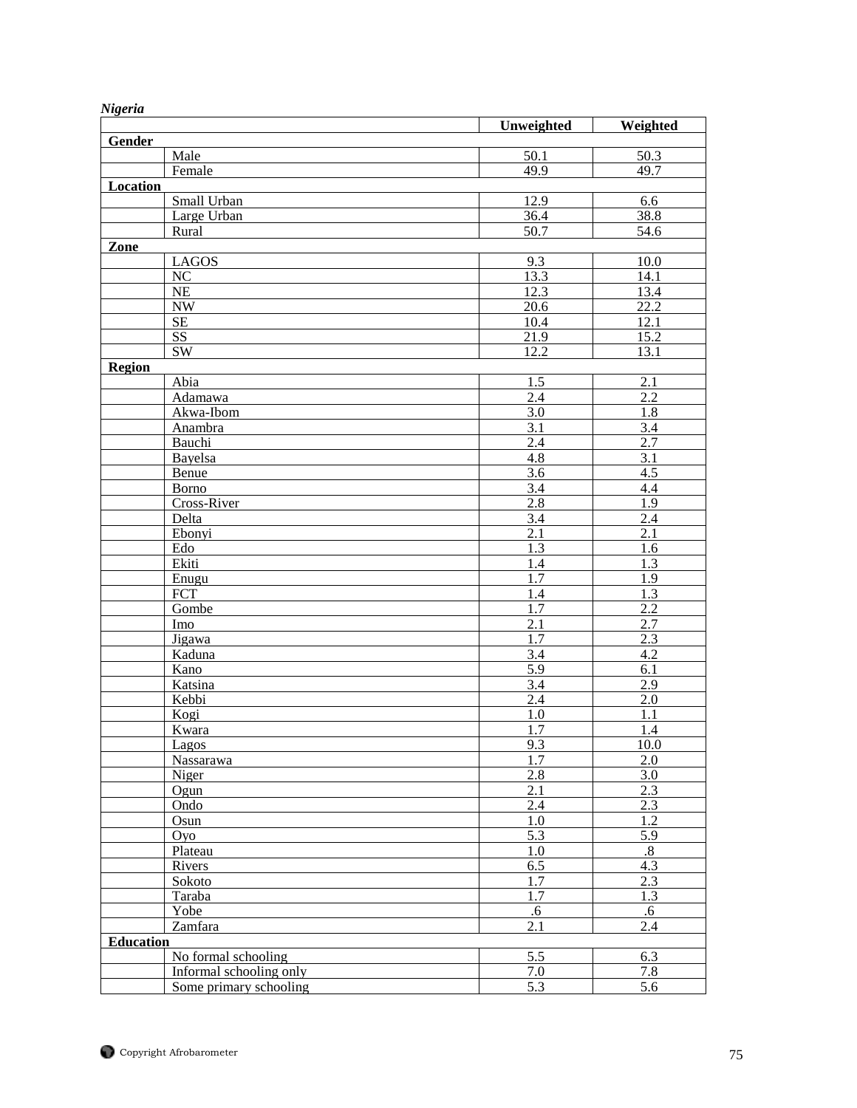| 116           |                            | Unweighted              |                  |  |
|---------------|----------------------------|-------------------------|------------------|--|
| Gender        |                            |                         | Weighted         |  |
|               | Male                       | 50.1                    | 50.3             |  |
|               | Female                     | 49.9                    | 49.7             |  |
| Location      |                            |                         |                  |  |
|               | Small Urban                | 12.9                    | 6.6              |  |
|               |                            |                         |                  |  |
|               | Large Urban                | 36.4                    | 38.8             |  |
|               | Rural                      | 50.7                    | 54.6             |  |
| Zone          |                            |                         |                  |  |
|               | <b>LAGOS</b>               | 9.3                     | 10.0             |  |
|               | $\rm NC$                   | 13.3                    | 14.1             |  |
|               | NE                         | 12.3                    | 13.4             |  |
|               | $\ensuremath{\text{NW}}$   | 20.6                    | 22.2             |  |
|               | $\rm SE$                   | 10.4                    | 12.1             |  |
|               | $\overline{\text{SS}}$     | 21.9                    | 15.2             |  |
|               | $\overline{\text{SW}}$     | 12.2                    | 13.1             |  |
| <b>Region</b> |                            |                         |                  |  |
|               | Abia                       | 1.5                     | 2.1              |  |
|               | Adamawa                    | 2.4                     | 2.2              |  |
|               | Akwa-Ibom                  | $\overline{3.0}$        | $\overline{1.8}$ |  |
|               | Anambra                    | 3.1                     | 3.4              |  |
|               | Bauchi                     | 2.4                     | 2.7              |  |
|               | Bayelsa                    | $4.\overline{8}$        | $\overline{3.1}$ |  |
|               | Benue                      | 3.6                     | 4.5              |  |
|               | Borno                      | $\overline{3.4}$        | 4.4              |  |
|               | Cross-River                | 2.8                     | 1.9              |  |
|               | Delta                      | 3.4                     | 2.4              |  |
|               | Ebonyi                     | $\overline{2.1}$        | $\overline{2.1}$ |  |
|               | Edo                        | 1.3                     | 1.6              |  |
|               | Ekiti                      | $\overline{1.4}$        | 1.3              |  |
|               | Enugu                      | 1.7                     | 1.9              |  |
|               | <b>FCT</b>                 | 1.4                     | 1.3              |  |
|               | $\overline{\text{G}}$ ombe | $\overline{1.7}$        | 2.2              |  |
|               | Imo                        | 2.1                     | 2.7              |  |
|               | Jigawa                     | 1.7                     | 2.3              |  |
|               | Kaduna                     | $\overline{3.4}$        | 4.2              |  |
|               | Kano                       | 5.9                     | 6.1              |  |
|               | Katsina                    | $\overline{3.4}$        | 2.9              |  |
|               | Kebbi                      | 2.4                     | 2.0              |  |
|               | Kogi                       | $1.0\,$                 | 1.1              |  |
|               | Kwara                      | 1.7                     | 1.4              |  |
|               |                            |                         |                  |  |
|               | Lagos                      | 9.3<br>$\overline{1.7}$ | 10.0             |  |
|               | Nassarawa                  | 2.8                     | 2.0              |  |
|               | Niger                      |                         | 3.0              |  |
|               | Ogun                       | 2.1                     | 2.3              |  |
|               | Ondo                       | 2.4                     | 2.3              |  |
|               | Osun                       | 1.0                     | $1.2\,$          |  |
|               | Oyo                        | 5.3                     | 5.9              |  |
|               | Plateau                    | $1.0\,$                 | $\overline{.8}$  |  |
|               | Rivers                     | $\overline{6.5}$        | 4.3              |  |
|               | Sokoto                     | $\overline{1.7}$        | 2.3              |  |
|               | Taraba                     | 1.7                     | 1.3              |  |
|               | Yobe                       | .6                      | .6               |  |
|               | Zamfara                    | 2.1                     | 2.4              |  |
|               | <b>Education</b>           |                         |                  |  |
|               | No formal schooling        | $\overline{5.5}$        | 6.3              |  |
|               | Informal schooling only    | 7.0                     | 7.8              |  |
|               | Some primary schooling     | $\overline{5.3}$        | $\overline{5.6}$ |  |

*Nigeria*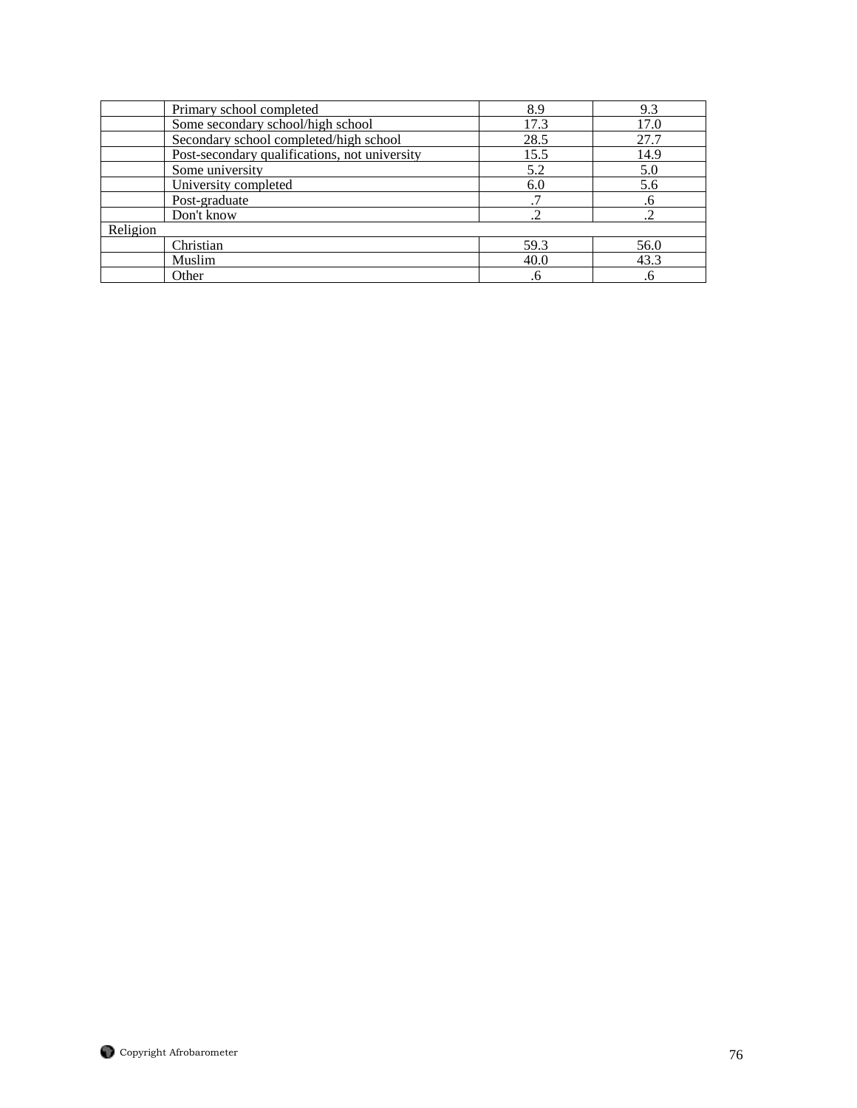|          | Primary school completed                      | 8.9  | 9.3  |
|----------|-----------------------------------------------|------|------|
|          | Some secondary school/high school             | 17.3 | 17.0 |
|          | Secondary school completed/high school        | 28.5 | 27.7 |
|          | Post-secondary qualifications, not university | 15.5 | 14.9 |
|          | Some university                               | 5.2  | 5.0  |
|          | University completed                          | 6.0  | 5.6  |
|          | Post-graduate                                 |      | .6   |
|          | Don't know                                    | ∍    |      |
| Religion |                                               |      |      |
|          | Christian                                     | 59.3 | 56.0 |
|          | Muslim                                        | 40.0 | 43.3 |
|          | Other                                         | .6   | .6   |

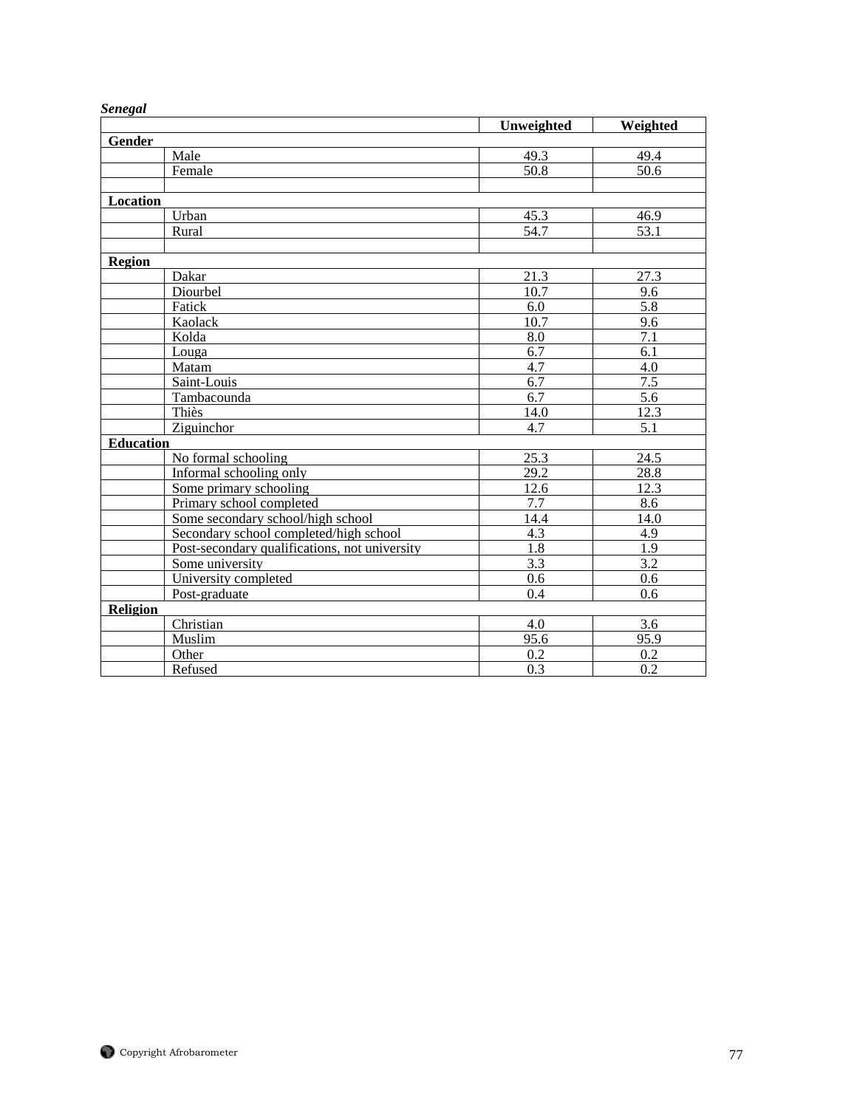| υτπεχαι          |                                               |                   |                   |
|------------------|-----------------------------------------------|-------------------|-------------------|
|                  |                                               | Unweighted        | <b>Weighted</b>   |
| <b>Gender</b>    |                                               |                   |                   |
|                  | Male                                          | 49.3              | 49.4              |
|                  | Female                                        | 50.8              | 50.6              |
|                  |                                               |                   |                   |
| <b>Location</b>  |                                               |                   |                   |
|                  | Urban                                         | 45.3              | 46.9              |
|                  | Rural                                         | 54.7              | 53.1              |
|                  |                                               |                   |                   |
| <b>Region</b>    |                                               |                   |                   |
|                  | Dakar                                         | 21.3              | 27.3              |
|                  | Diourbel                                      | 10.7              | 9.6               |
|                  | Fatick                                        | 6.0               | 5.8               |
|                  | Kaolack                                       | $\overline{10.7}$ | 9.6               |
|                  | Kolda                                         | 8.0               | 7.1               |
|                  | Louga                                         | 6.7               | 6.1               |
|                  | Matam                                         | 4.7               | 4.0               |
|                  | Saint-Louis                                   | $\overline{6.7}$  | $\overline{7.5}$  |
|                  | Tambacounda                                   | $\overline{6.7}$  | 5.6               |
|                  | Thiès                                         | 14.0              | $12.\overline{3}$ |
|                  | Ziguinchor                                    | 4.7               | 5.1               |
| <b>Education</b> |                                               |                   |                   |
|                  | No formal schooling                           | $\overline{25.3}$ | 24.5              |
|                  | Informal schooling only                       | 29.2              | 28.8              |
|                  | Some primary schooling                        | 12.6              | 12.3              |
|                  | Primary school completed                      | 7.7               | 8.6               |
|                  | Some secondary school/high school             | 14.4              | 14.0              |
|                  | Secondary school completed/high school        | $\overline{4.3}$  | 4.9               |
|                  | Post-secondary qualifications, not university | $\overline{1.8}$  | 1.9               |
|                  | Some university                               | $\overline{3.3}$  | $\overline{3.2}$  |
|                  | University completed                          | 0.6               | 0.6               |
|                  | Post-graduate                                 | 0.4               | 0.6               |
| <b>Religion</b>  |                                               |                   |                   |
|                  | Christian                                     | 4.0               | 3.6               |
|                  | Muslim                                        | 95.6              | 95.9              |
|                  | Other                                         | 0.2               | 0.2               |
|                  | Refused                                       | 0.3               | 0.2               |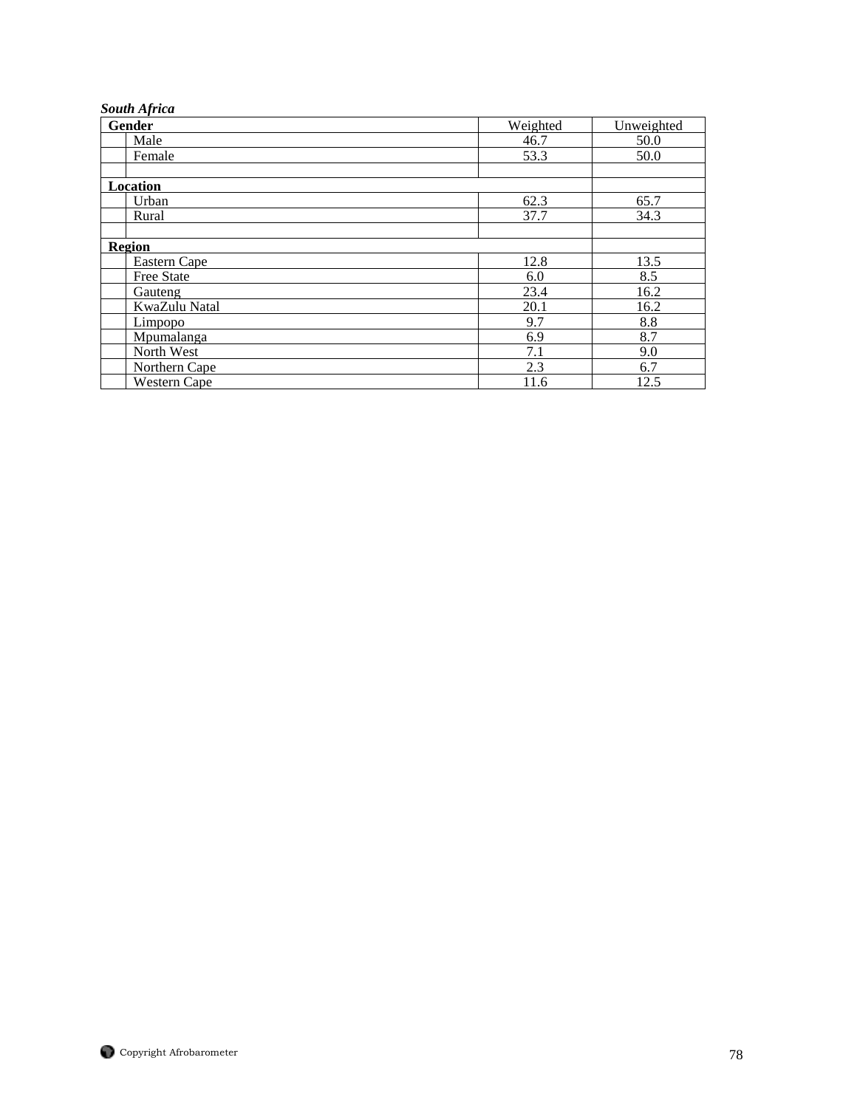| <b>South Africa</b> |          |            |
|---------------------|----------|------------|
| Gender              | Weighted | Unweighted |
| Male                | 46.7     | 50.0       |
| Female              | 53.3     | 50.0       |
| Location            |          |            |
| Urban               | 62.3     | 65.7       |
| Rural               | 37.7     | 34.3       |
| Region              |          |            |
| Eastern Cape        | 12.8     | 13.5       |
| Free State          | 6.0      | 8.5        |
| Gauteng             | 23.4     | 16.2       |
| KwaZulu Natal       | 20.1     | 16.2       |
| Limpopo             | 9.7      | 8.8        |
| Mpumalanga          | 6.9      | 8.7        |
| North West          | 7.1      | 9.0        |
| Northern Cape       | 2.3      | 6.7        |
| Western Cape        | 11.6     | 12.5       |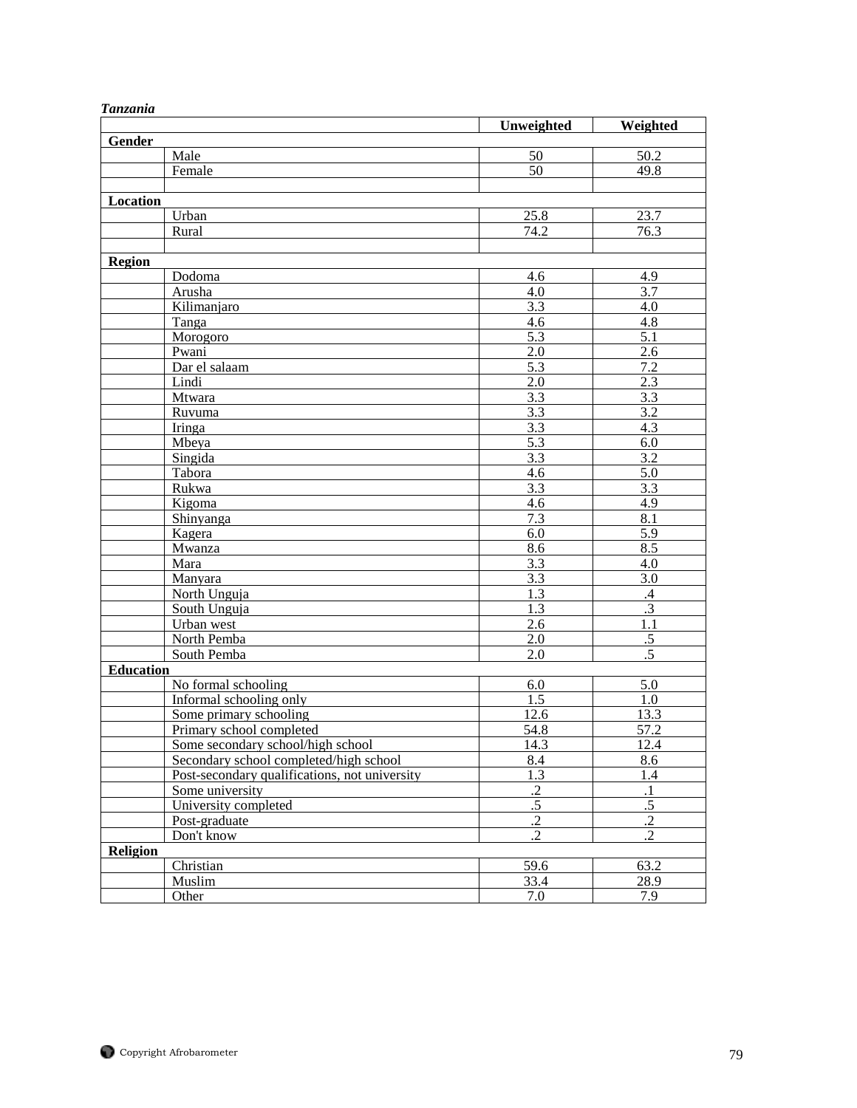| 1 unzunu         |                                               | Unweighted                    | Weighted                     |
|------------------|-----------------------------------------------|-------------------------------|------------------------------|
| Gender           |                                               |                               |                              |
|                  | Male                                          | 50                            | 50.2                         |
|                  | Female                                        | 50                            | 49.8                         |
|                  |                                               |                               |                              |
| Location         |                                               |                               |                              |
|                  | Urban                                         | 25.8                          | 23.7                         |
|                  | Rural                                         | 74.2                          | 76.3                         |
|                  |                                               |                               |                              |
| Region           |                                               |                               |                              |
|                  | Dodoma                                        | 4.6                           | 4.9                          |
|                  | Arusha                                        | 4.0                           | 3.7                          |
|                  | Kilimanjaro                                   | 3.3                           | 4.0                          |
|                  | Tanga                                         | 4.6                           | 4.8                          |
|                  | Morogoro                                      | $\overline{5.3}$              | $\overline{5.1}$             |
|                  | Pwani                                         | 2.0                           | 2.6                          |
|                  | Dar el salaam                                 | 5.3                           | 7.2                          |
|                  | Lindi                                         | 2.0                           | 2.3                          |
|                  | Mtwara                                        | 3.3                           | 3.3                          |
|                  | Ruvuma                                        | 3.3                           | 3.2                          |
|                  | Iringa                                        | $\overline{3.3}$              | 4.3                          |
|                  | Mbeya                                         | 5.3                           | 6.0                          |
|                  | Singida                                       | 3.3                           | 3.2                          |
|                  | Tabora                                        | 4.6                           | 5.0                          |
|                  | Rukwa                                         | 3.3                           | $\overline{3.3}$             |
|                  | Kigoma                                        | 4.6                           | 4.9                          |
|                  | Shinyanga                                     | 7.3                           | 8.1                          |
|                  | Kagera                                        | 6.0                           | 5.9                          |
|                  | Mwanza                                        | 8.6                           | 8.5                          |
|                  | Mara                                          | 3.3                           | 4.0                          |
|                  | Manyara                                       | $\overline{3.3}$              | $\overline{3.0}$             |
|                  | North Unguja                                  | 1.3                           | .4                           |
|                  | South Unguja                                  | 1.3                           | $\overline{.3}$              |
|                  | Urban west                                    | 2.6                           | 1.1                          |
|                  | North Pemba                                   | 2.0                           | $\overline{.5}$              |
|                  | South Pemba                                   | 2.0                           | $\overline{.5}$              |
| <b>Education</b> |                                               |                               |                              |
|                  | No formal schooling                           | 6.0                           | 5.0                          |
|                  | Informal schooling only                       | 1.5                           | 1.0                          |
|                  | Some primary schooling                        | 12.6                          | 13.3                         |
|                  | Primary school completed                      | 54.8                          | 57.2                         |
|                  | Some secondary school/high school             | 14.3                          | 12.4                         |
|                  | Secondary school completed/high school        | 8.4                           | 8.6                          |
|                  | Post-secondary qualifications, not university | 1.3                           | 1.4                          |
|                  | Some university                               | $\cdot$ .2<br>$\overline{.5}$ | $\cdot$ 1<br>$\overline{.5}$ |
|                  | University completed                          |                               |                              |
|                  | Post-graduate                                 | $\cdot$ .2                    | $\cdot$ .2                   |
|                  | Don't know                                    | .2                            | $\cdot$                      |
| Religion         | Christian                                     | 59.6                          | 63.2                         |
|                  | Muslim                                        | 33.4                          | 28.9                         |
|                  | Other                                         | 7.0                           | 7.9                          |
|                  |                                               |                               |                              |

## *Tanzania*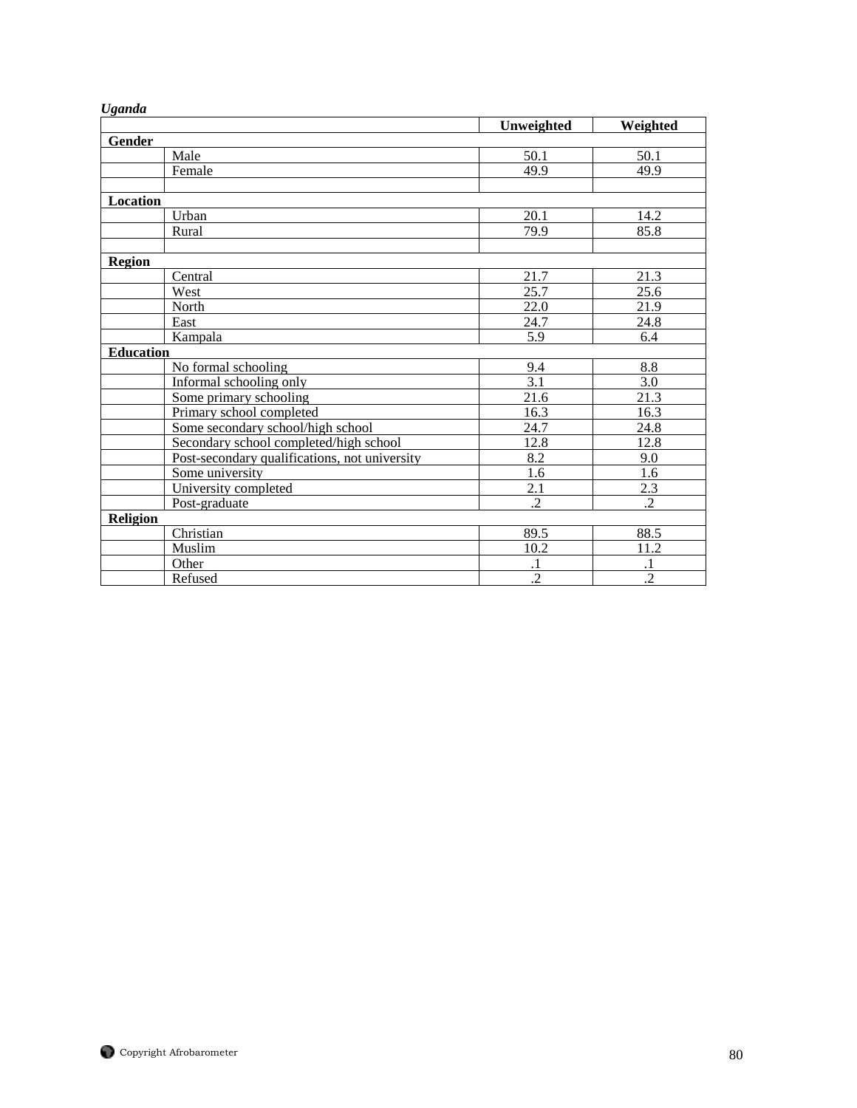|                                               | Unweighted       | Weighted         |
|-----------------------------------------------|------------------|------------------|
| Gender                                        |                  |                  |
| Male                                          | 50.1             | 50.1             |
| Female                                        | 49.9             | 49.9             |
| <b>Location</b>                               |                  |                  |
| Urban                                         | 20.1             | 14.2             |
| Rural                                         | 79.9             | 85.8             |
| <b>Region</b>                                 |                  |                  |
| Central                                       | 21.7             | 21.3             |
| West                                          | 25.7             | 25.6             |
| North                                         | 22.0             | 21.9             |
| East                                          | 24.7             | 24.8             |
| Kampala                                       | 5.9              | 6.4              |
| <b>Education</b>                              |                  |                  |
| No formal schooling                           | 9.4              | 8.8              |
| Informal schooling only                       | 3.1              | 3.0              |
| Some primary schooling                        | 21.6             | 21.3             |
| Primary school completed                      | 16.3             | 16.3             |
| Some secondary school/high school             | 24.7             | 24.8             |
| Secondary school completed/high school        | 12.8             | 12.8             |
| Post-secondary qualifications, not university | 8.2              | 9.0              |
| Some university                               | 1.6              | 1.6              |
| University completed                          | $\overline{2.1}$ | $\overline{2.3}$ |
| Post-graduate                                 | $\cdot$ .2       | $\cdot$          |
| <b>Religion</b>                               |                  |                  |
| Christian                                     | 89.5             | 88.5             |
| Muslim                                        | 10.2             | 11.2             |
| Other                                         |                  |                  |
| Refused                                       | $\overline{.2}$  | $\overline{.2}$  |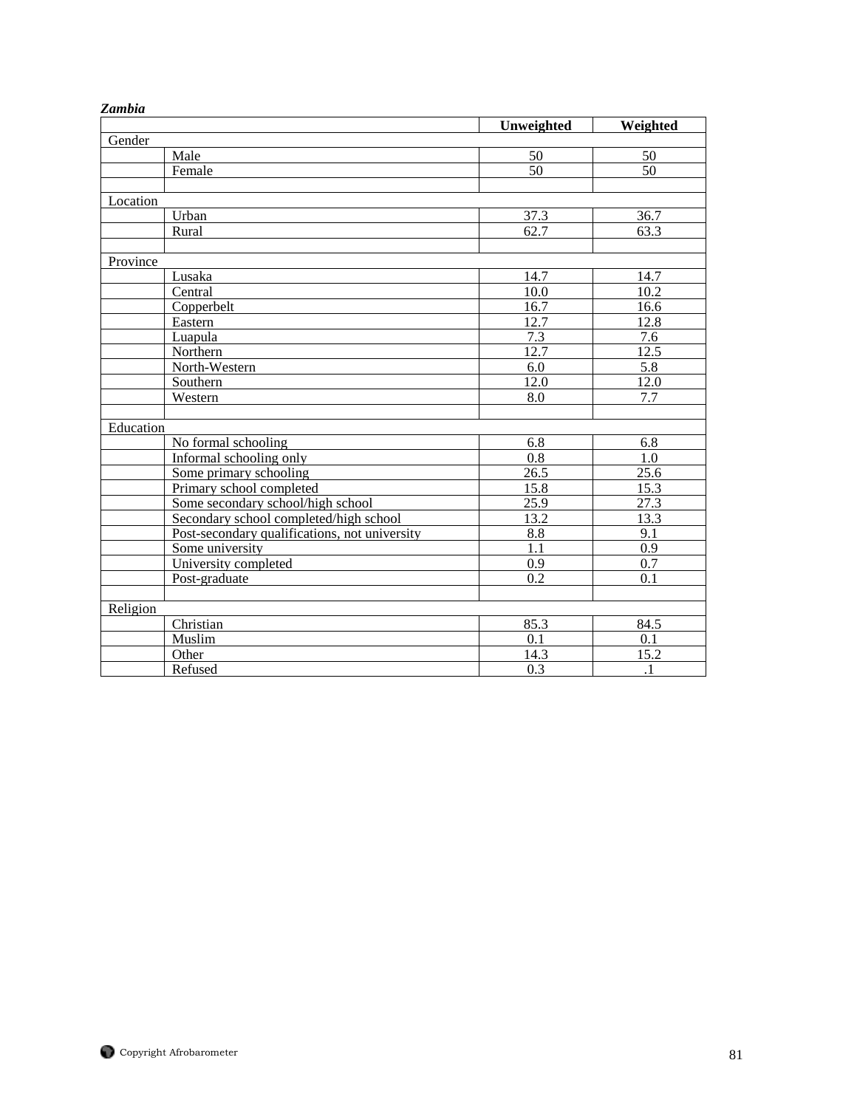| Lumvu     |                                               |                   |                  |
|-----------|-----------------------------------------------|-------------------|------------------|
|           |                                               | Unweighted        | Weighted         |
| Gender    |                                               |                   |                  |
|           | Male                                          | 50                | 50               |
|           | Female                                        | $\overline{50}$   | 50               |
|           |                                               |                   |                  |
| Location  |                                               |                   |                  |
|           | Urban                                         | 37.3              | 36.7             |
|           | Rural                                         | 62.7              | 63.3             |
|           |                                               |                   |                  |
| Province  |                                               |                   |                  |
|           | Lusaka                                        | 14.7              | 14.7             |
|           | Central                                       | 10.0              | 10.2             |
|           | Copperbelt                                    | 16.7              | 16.6             |
|           | Eastern                                       | $12.\overline{7}$ | 12.8             |
|           | Luapula                                       | 7.3               | $\overline{7.6}$ |
|           | Northern                                      | 12.7              | 12.5             |
|           | North-Western                                 | 6.0               | 5.8              |
|           | Southern                                      | 12.0              | 12.0             |
|           | Western                                       | 8.0               | 7.7              |
|           |                                               |                   |                  |
| Education |                                               |                   |                  |
|           | No formal schooling                           | 6.8               | 6.8              |
|           | Informal schooling only                       | $\overline{0.8}$  | 1.0              |
|           | Some primary schooling                        | 26.5              | 25.6             |
|           | Primary school completed                      | 15.8              | 15.3             |
|           | Some secondary school/high school             | 25.9              | 27.3             |
|           | Secondary school completed/high school        | 13.2              | 13.3             |
|           | Post-secondary qualifications, not university | 8.8               | 9.1              |
|           | Some university                               | 1.1               | 0.9              |
|           | University completed                          | $\overline{0.9}$  | $\overline{0.7}$ |
|           | Post-graduate                                 | 0.2               | 0.1              |
|           |                                               |                   |                  |
| Religion  |                                               |                   |                  |
|           | Christian                                     | 85.3              | 84.5             |
|           | Muslim                                        | 0.1               | 0.1              |
|           | Other                                         | 14.3              | 15.2             |
|           | Refused                                       | 0.3               | $\cdot$          |

## *Zambia*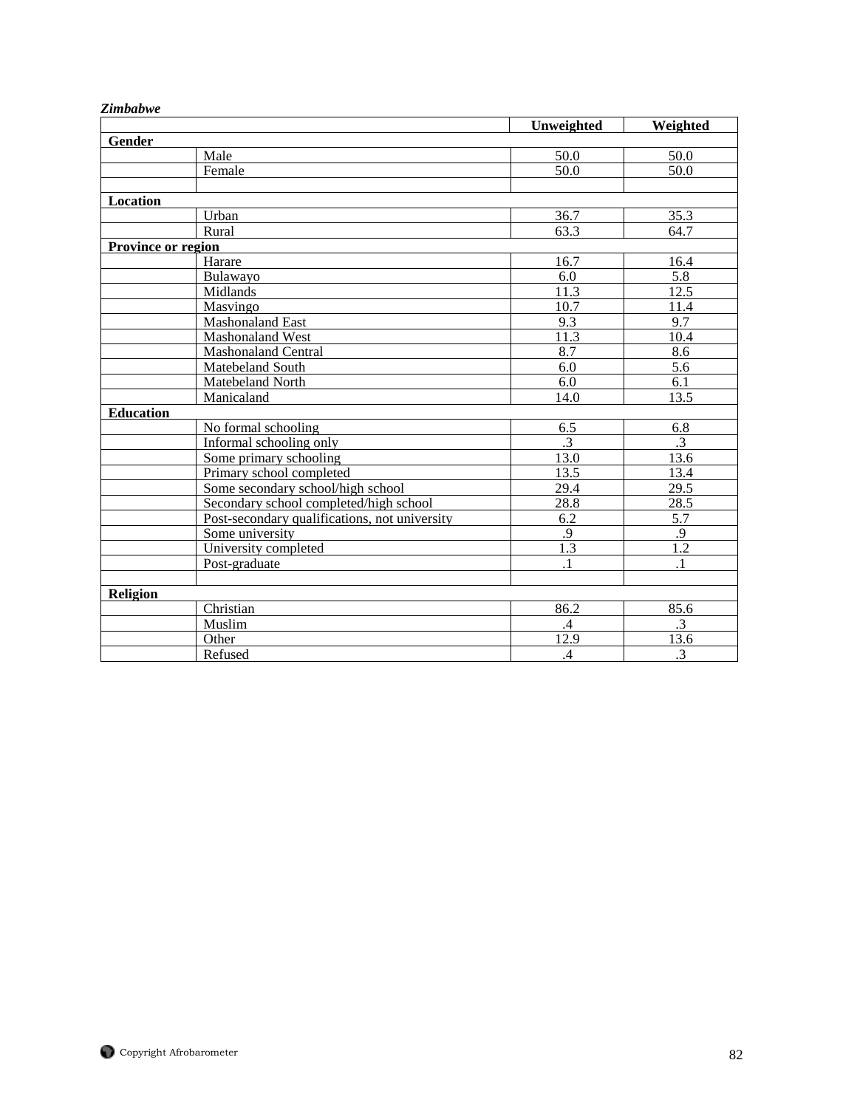|                    |                                               | Unweighted      | Weighted        |
|--------------------|-----------------------------------------------|-----------------|-----------------|
| Gender             |                                               |                 |                 |
|                    | Male                                          | 50.0            | 50.0            |
|                    | Female                                        | 50.0            | 50.0            |
|                    |                                               |                 |                 |
| Location           |                                               |                 |                 |
|                    | Urban                                         | 36.7            | 35.3            |
|                    | Rural                                         | 63.3            | 64.7            |
| Province or region |                                               |                 |                 |
|                    | Harare                                        | 16.7            | 16.4            |
|                    | Bulawayo                                      | 6.0             | 5.8             |
|                    | Midlands                                      | 11.3            | 12.5            |
|                    | Masvingo                                      | 10.7            | 11.4            |
|                    | <b>Mashonaland East</b>                       | 9.3             | 9.7             |
|                    | Mashonaland West                              | 11.3            | 10.4            |
|                    | <b>Mashonaland Central</b>                    | 8.7             | 8.6             |
|                    | Matebeland South                              | 6.0             | 5.6             |
|                    | Matebeland North                              | 6.0             | 6.1             |
|                    | Manicaland                                    | 14.0            | 13.5            |
| <b>Education</b>   |                                               |                 |                 |
|                    | No formal schooling                           | 6.5             | 6.8             |
|                    | Informal schooling only                       | $\overline{.3}$ | $\overline{.3}$ |
|                    | Some primary schooling                        | 13.0            | 13.6            |
|                    | Primary school completed                      | 13.5            | 13.4            |
|                    | Some secondary school/high school             | 29.4            | 29.5            |
|                    | Secondary school completed/high school        | 28.8            | 28.5            |
|                    | Post-secondary qualifications, not university | 6.2             | 5.7             |
|                    | Some university                               | .9              | .9              |
|                    | University completed                          | 1.3             | 1.2             |
|                    | Post-graduate                                 | $\cdot$ 1       | $\cdot$ 1       |
|                    |                                               |                 |                 |
| <b>Religion</b>    |                                               |                 |                 |
|                    | Christian                                     | 86.2            | 85.6            |
|                    | Muslim                                        | $\mathcal{A}$   | $\overline{3}$  |
|                    | Other                                         | 12.9            | 13.6            |
|                    | Refused                                       | $\overline{A}$  | $\overline{.3}$ |